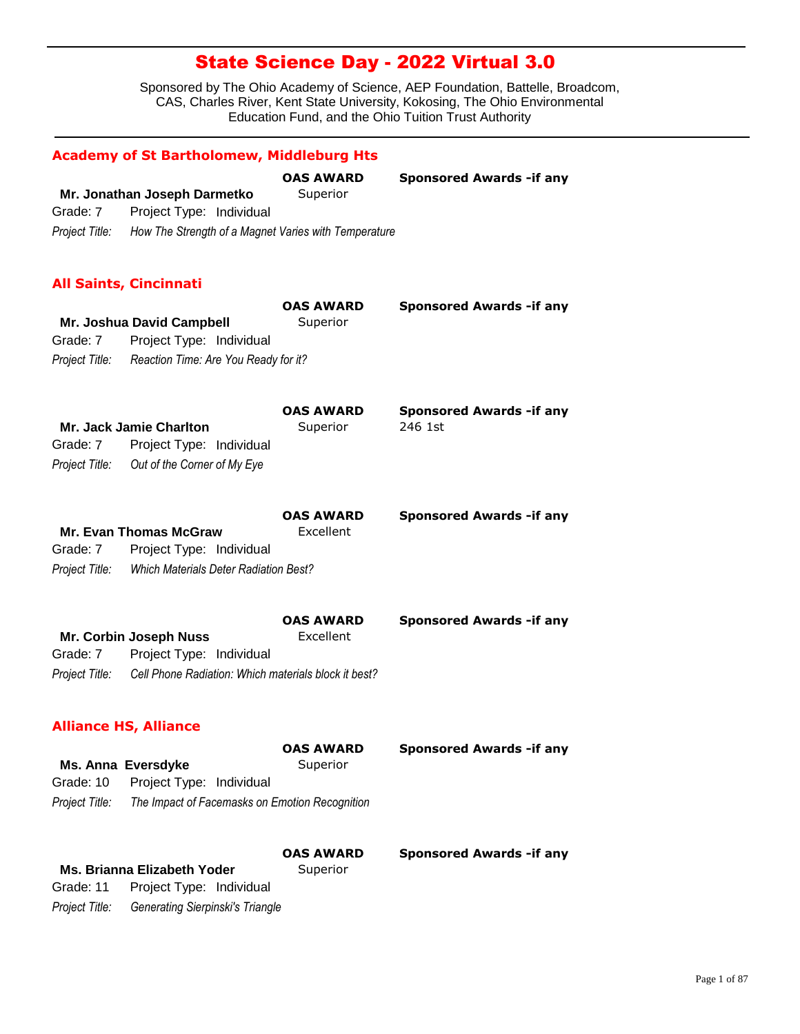|                | <b>Academy of St Bartholomew, Middleburg Hts</b>                    |                              |                                 |
|----------------|---------------------------------------------------------------------|------------------------------|---------------------------------|
|                | Mr. Jonathan Joseph Darmetko                                        | <b>OAS AWARD</b><br>Superior | <b>Sponsored Awards -if any</b> |
| Grade: 7       | Project Type: Individual                                            |                              |                                 |
|                | Project Title: How The Strength of a Magnet Varies with Temperature |                              |                                 |
|                | <b>All Saints, Cincinnati</b>                                       |                              |                                 |
|                |                                                                     | <b>OAS AWARD</b>             | <b>Sponsored Awards -if any</b> |
|                | Mr. Joshua David Campbell                                           | Superior                     |                                 |
| Grade: 7       | Project Type: Individual                                            |                              |                                 |
|                | Project Title: Reaction Time: Are You Ready for it?                 |                              |                                 |
|                |                                                                     | <b>OAS AWARD</b>             | <b>Sponsored Awards -if any</b> |
|                | Mr. Jack Jamie Charlton                                             | Superior                     | 246 1st                         |
| Grade: 7       | Project Type: Individual                                            |                              |                                 |
| Project Title: | Out of the Corner of My Eye                                         |                              |                                 |
|                |                                                                     | <b>OAS AWARD</b>             | <b>Sponsored Awards -if any</b> |
|                | <b>Mr. Evan Thomas McGraw</b>                                       | Excellent                    |                                 |
| Grade: 7       | Project Type: Individual                                            |                              |                                 |
| Project Title: | <b>Which Materials Deter Radiation Best?</b>                        |                              |                                 |
|                |                                                                     | <b>OAS AWARD</b>             | <b>Sponsored Awards -if any</b> |
|                | Mr. Corbin Joseph Nuss                                              | Excellent                    |                                 |
| Grade: 7       | Project Type: Individual                                            |                              |                                 |
| Project Title: | Cell Phone Radiation: Which materials block it best?                |                              |                                 |
|                | <b>Alliance HS, Alliance</b>                                        |                              |                                 |
|                |                                                                     | <b>OAS AWARD</b>             | <b>Sponsored Awards -if any</b> |
|                | <b>Ms. Anna Eversdyke</b>                                           | Superior                     |                                 |
| Grade: 10      | Project Type: Individual                                            |                              |                                 |
| Project Title: | The Impact of Facemasks on Emotion Recognition                      |                              |                                 |
|                |                                                                     | OAS AWARD                    | <b>Sponsored Awards -if any</b> |
|                | Ms. Brianna Elizabeth Yoder                                         | Superior                     |                                 |
| Grade: 11      | Project Type: Individual                                            |                              |                                 |
| Project Title: | <b>Generating Sierpinski's Triangle</b>                             |                              |                                 |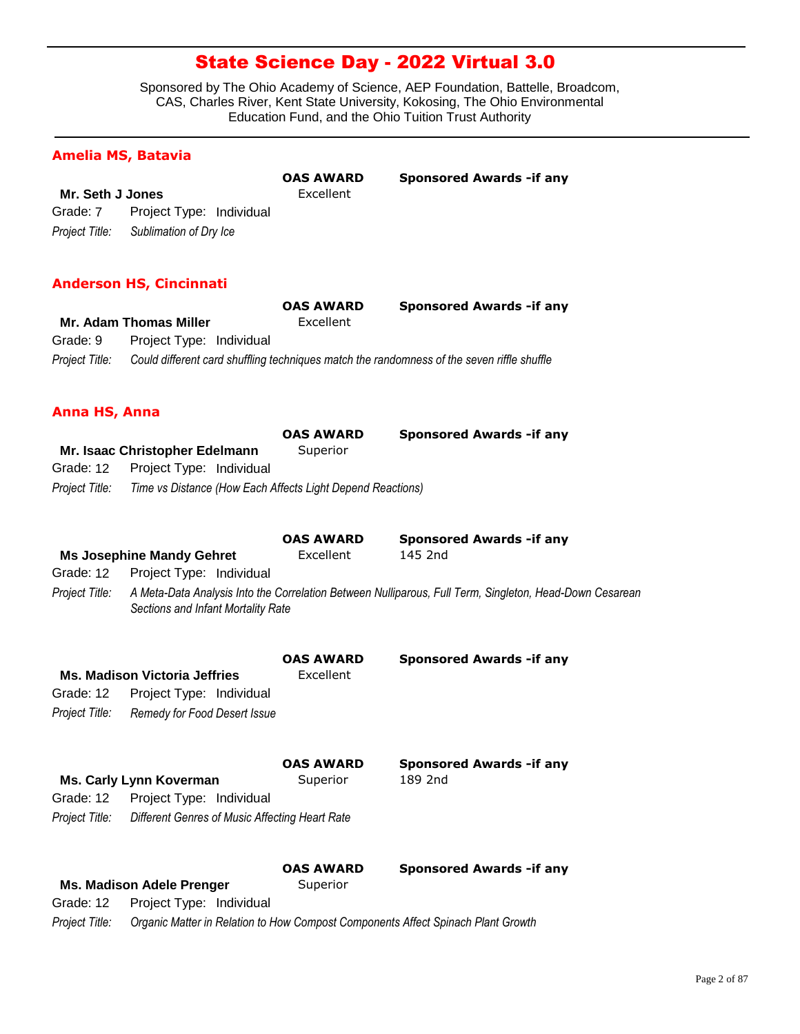Sponsored by The Ohio Academy of Science, AEP Foundation, Battelle, Broadcom, CAS, Charles River, Kent State University, Kokosing, The Ohio Environmental Education Fund, and the Ohio Tuition Trust Authority

### **Amelia MS, Batavia**

|                         |                                       | <b>OAS AWARD</b> | <b>Sponsored Awards - if any</b> |
|-------------------------|---------------------------------------|------------------|----------------------------------|
| <b>Mr. Seth J Jones</b> |                                       | Excellent        |                                  |
| Grade: 7                | Project Type: Individual              |                  |                                  |
|                         | Project Title: Sublimation of Dry Ice |                  |                                  |

#### **Anderson HS, Cincinnati**

|                |                          | <b>OAS AWARD</b> | <b>Sponsored Awards - if any</b>                                                           |
|----------------|--------------------------|------------------|--------------------------------------------------------------------------------------------|
|                | Mr. Adam Thomas Miller   | Excellent        |                                                                                            |
| Grade: 9       | Project Type: Individual |                  |                                                                                            |
| Project Title: |                          |                  | Could different card shuffling techniques match the randomness of the seven riffle shuffle |

#### **Anna HS, Anna**

|                |                                                            | <b>OAS AWARD</b> | <b>Sponsored Awards - if any</b> |
|----------------|------------------------------------------------------------|------------------|----------------------------------|
|                | Mr. Isaac Christopher Edelmann                             | Superior         |                                  |
| Grade: 12      | Project Type: Individual                                   |                  |                                  |
| Proiect Title: | Time vs Distance (How Each Affects Light Depend Reactions) |                  |                                  |

|                |                                                | <b>OAS AWARD</b><br>Excellent | <b>Sponsored Awards - if any</b><br>145 2nd                                                             |
|----------------|------------------------------------------------|-------------------------------|---------------------------------------------------------------------------------------------------------|
|                | <b>Ms Josephine Mandy Gehret</b>               |                               |                                                                                                         |
| Grade: 12      | Project Type: Individual                       |                               |                                                                                                         |
| Project Title: | Sections and Infant Mortality Rate             |                               | A Meta-Data Analysis Into the Correlation Between Nulliparous, Full Term, Singleton, Head-Down Cesarean |
|                | <b>Ms. Madison Victoria Jeffries</b>           | <b>OAS AWARD</b><br>Excellent | <b>Sponsored Awards - if any</b>                                                                        |
| Grade: 12      |                                                |                               |                                                                                                         |
|                | Project Type: Individual                       |                               |                                                                                                         |
| Project Title: | Remedy for Food Desert Issue                   |                               |                                                                                                         |
|                |                                                | <b>OAS AWARD</b>              | <b>Sponsored Awards - if any</b>                                                                        |
|                | <b>Ms. Carly Lynn Koverman</b>                 | Superior                      | 189 2nd                                                                                                 |
| Grade: 12      | Project Type: Individual                       |                               |                                                                                                         |
| Project Title: | Different Genres of Music Affecting Heart Rate |                               |                                                                                                         |
|                |                                                | <b>OAS AWARD</b>              | <b>Sponsored Awards - if any</b>                                                                        |
|                | <b>Ms. Madison Adele Prenger</b>               | Superior                      |                                                                                                         |
| Grade: 12      | Project Type: Individual                       |                               |                                                                                                         |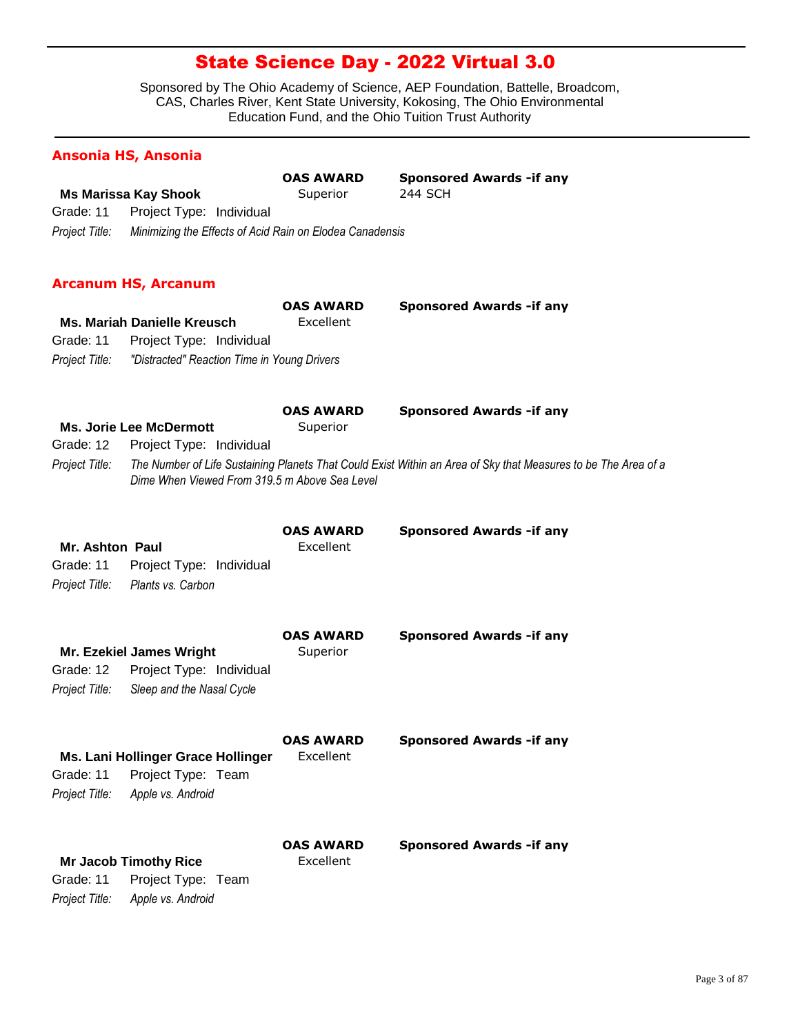Sponsored by The Ohio Academy of Science, AEP Foundation, Battelle, Broadcom, CAS, Charles River, Kent State University, Kokosing, The Ohio Environmental Education Fund, and the Ohio Tuition Trust Authority

### **Ansonia HS, Ansonia**

|                 |                                                          | <b>OAS AWARD</b><br>Superior | Sponsored Awards - if any<br><b>244 SCH</b>                                                                    |
|-----------------|----------------------------------------------------------|------------------------------|----------------------------------------------------------------------------------------------------------------|
| Grade: 11       | <b>Ms Marissa Kay Shook</b><br>Project Type: Individual  |                              |                                                                                                                |
|                 |                                                          |                              |                                                                                                                |
| Project Title:  | Minimizing the Effects of Acid Rain on Elodea Canadensis |                              |                                                                                                                |
|                 | <b>Arcanum HS, Arcanum</b>                               |                              |                                                                                                                |
|                 |                                                          | <b>OAS AWARD</b>             | <b>Sponsored Awards - if any</b>                                                                               |
|                 | <b>Ms. Mariah Danielle Kreusch</b>                       | Excellent                    |                                                                                                                |
| Grade: 11       | Project Type: Individual                                 |                              |                                                                                                                |
| Project Title:  | "Distracted" Reaction Time in Young Drivers              |                              |                                                                                                                |
|                 |                                                          | <b>OAS AWARD</b>             | <b>Sponsored Awards - if any</b>                                                                               |
|                 | <b>Ms. Jorie Lee McDermott</b>                           | Superior                     |                                                                                                                |
| Grade: 12       | Project Type: Individual                                 |                              |                                                                                                                |
| Project Title:  | Dime When Viewed From 319.5 m Above Sea Level            |                              | The Number of Life Sustaining Planets That Could Exist Within an Area of Sky that Measures to be The Area of a |
|                 |                                                          | <b>OAS AWARD</b>             | <b>Sponsored Awards - if any</b>                                                                               |
| Mr. Ashton Paul |                                                          | Excellent                    |                                                                                                                |
| Grade: 11       | Project Type: Individual                                 |                              |                                                                                                                |
| Project Title:  | Plants vs. Carbon                                        |                              |                                                                                                                |
|                 |                                                          | <b>OAS AWARD</b>             | <b>Sponsored Awards - if any</b>                                                                               |
|                 | <b>Mr. Ezekiel James Wright</b>                          | Superior                     |                                                                                                                |
| Grade: 12       | Project Type: Individual                                 |                              |                                                                                                                |
| Project Title:  | Sleep and the Nasal Cycle                                |                              |                                                                                                                |
|                 |                                                          | <b>OAS AWARD</b>             | <b>Sponsored Awards - if any</b>                                                                               |
|                 | Ms. Lani Hollinger Grace Hollinger                       | Excellent                    |                                                                                                                |
| Grade: 11       | Project Type: Team                                       |                              |                                                                                                                |
| Project Title:  | Apple vs. Android                                        |                              |                                                                                                                |
|                 |                                                          | <b>OAS AWARD</b>             | <b>Sponsored Awards - if any</b>                                                                               |
|                 | <b>Mr Jacob Timothy Rice</b>                             | Excellent                    |                                                                                                                |
| Grade: 11       | Project Type: Team                                       |                              |                                                                                                                |
| Project Title:  | Apple vs. Android                                        |                              |                                                                                                                |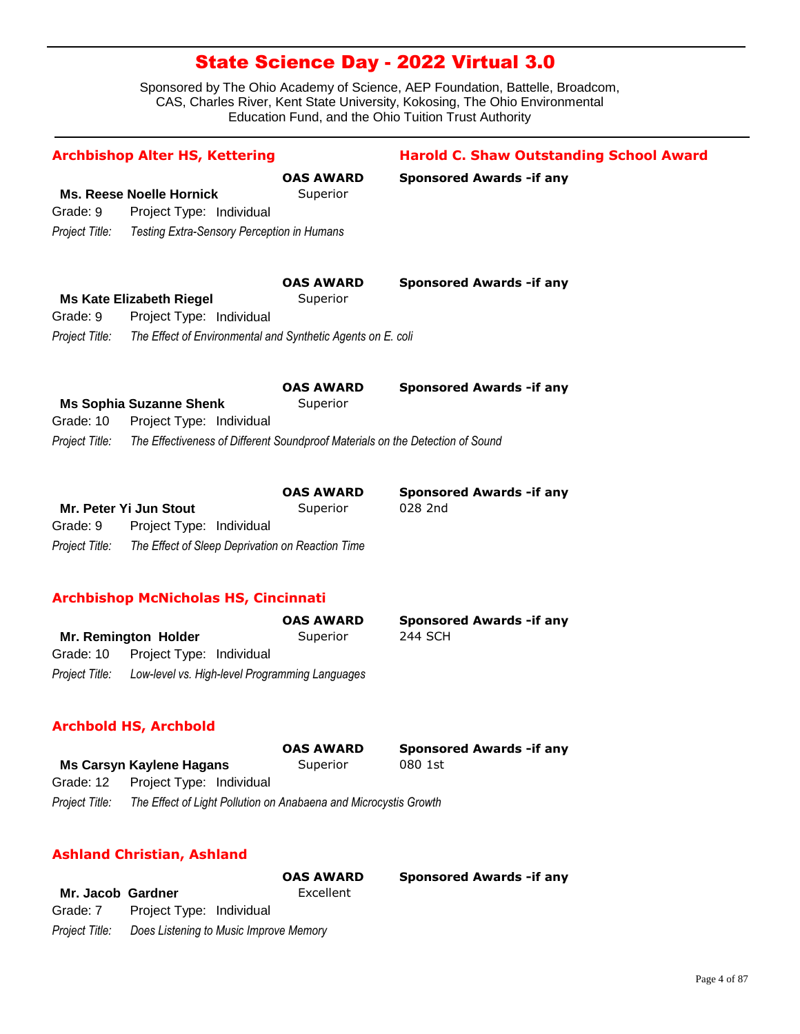Sponsored by The Ohio Academy of Science, AEP Foundation, Battelle, Broadcom, CAS, Charles River, Kent State University, Kokosing, The Ohio Environmental Education Fund, and the Ohio Tuition Trust Authority

| <b>Archbishop Alter HS, Kettering</b>                                           |                                                                                | <b>Harold C. Shaw Outstanding School Award</b>     |
|---------------------------------------------------------------------------------|--------------------------------------------------------------------------------|----------------------------------------------------|
| <b>Ms. Reese Noelle Hornick</b><br>Project Type: Individual<br>Grade: 9         | <b>OAS AWARD</b><br>Superior                                                   | <b>Sponsored Awards - if any</b>                   |
| Project Title:<br>Testing Extra-Sensory Perception in Humans                    |                                                                                |                                                    |
| <b>Ms Kate Elizabeth Riegel</b><br>Grade: 9<br>Project Type: Individual         | <b>OAS AWARD</b><br>Superior                                                   | <b>Sponsored Awards - if any</b>                   |
| Project Title:                                                                  | The Effect of Environmental and Synthetic Agents on E. coli                    |                                                    |
| <b>Ms Sophia Suzanne Shenk</b><br>Grade: 10<br>Project Type: Individual         | <b>OAS AWARD</b><br>Superior                                                   | <b>Sponsored Awards - if any</b>                   |
| Project Title:                                                                  | The Effectiveness of Different Soundproof Materials on the Detection of Sound  |                                                    |
| Mr. Peter Yi Jun Stout<br>Project Type: Individual<br>Grade: 9                  | <b>OAS AWARD</b><br>Superior                                                   | <b>Sponsored Awards - if any</b><br>028 2nd        |
| Project Title:                                                                  | The Effect of Sleep Deprivation on Reaction Time                               |                                                    |
| <b>Archbishop McNicholas HS, Cincinnati</b>                                     |                                                                                |                                                    |
| Mr. Remington Holder<br>Grade: 10<br>Project Type: Individual<br>Project Title: | <b>OAS AWARD</b><br>Superior<br>Low-level vs. High-level Programming Languages | <b>Sponsored Awards - if any</b><br><b>244 SCH</b> |
| <b>Archbold HS, Archbold</b>                                                    |                                                                                |                                                    |
| <b>Ms Carsyn Kaylene Hagans</b>                                                 | <b>OAS AWARD</b><br>Superior                                                   | <b>Sponsored Awards - if any</b><br>080 1st        |

| Grade: 12      | Project Type: Individual                                         |
|----------------|------------------------------------------------------------------|
| Project Title: | The Effect of Light Pollution on Anabaena and Microcystis Growth |

### **Ashland Christian, Ashland**

|                   |                                        | <b>OAS AWARD</b> | <b>Sponsored Awards - if any</b> |
|-------------------|----------------------------------------|------------------|----------------------------------|
| Mr. Jacob Gardner |                                        | Excellent        |                                  |
| Grade: 7          | Project Type: Individual               |                  |                                  |
| Project Title:    | Does Listening to Music Improve Memory |                  |                                  |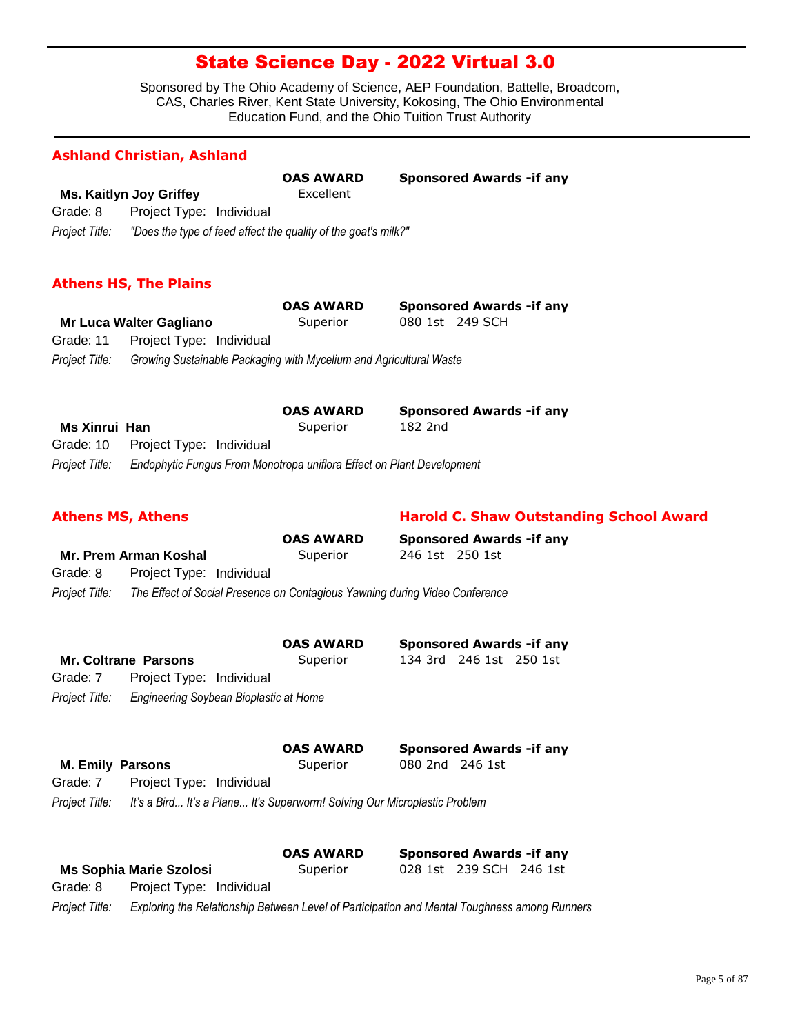Sponsored by The Ohio Academy of Science, AEP Foundation, Battelle, Broadcom, CAS, Charles River, Kent State University, Kokosing, The Ohio Environmental Education Fund, and the Ohio Tuition Trust Authority

### **Ashland Christian, Ashland**

|                |                                                                | <b>OAS AWARD</b> | <b>Sponsored Awards - if any</b> |
|----------------|----------------------------------------------------------------|------------------|----------------------------------|
|                | <b>Ms. Kaitlyn Joy Griffey</b>                                 | Excellent        |                                  |
| Grade: 8       | Project Type: Individual                                       |                  |                                  |
| Project Title: | "Does the type of feed affect the quality of the goat's milk?" |                  |                                  |

### **Athens HS, The Plains**

|                |                                    | <b>OAS AWARD</b>                                                   | <b>Sponsored Awards - if any</b> |  |
|----------------|------------------------------------|--------------------------------------------------------------------|----------------------------------|--|
|                | Mr Luca Walter Gagliano            | Superior                                                           | 080 1st 249 SCH                  |  |
|                | Grade: 11 Project Type: Individual |                                                                    |                                  |  |
| Project Title: |                                    | Growing Sustainable Packaging with Mycelium and Agricultural Waste |                                  |  |

|                |                                                                       | <b>OAS AWARD</b> | <b>Sponsored Awards - if any</b> |
|----------------|-----------------------------------------------------------------------|------------------|----------------------------------|
| Ms Xinrui Han  |                                                                       | Superior         | 182 2nd                          |
|                | Grade: 10 Project Type: Individual                                    |                  |                                  |
| Project Title: | Endophytic Fungus From Monotropa uniflora Effect on Plant Development |                  |                                  |

#### **Athens MS, Athens Harold C. Shaw Outstanding School Award**

|                |                          | <b>OAS AWARD</b>                                                            |                 | <b>Sponsored Awards - if any</b> |
|----------------|--------------------------|-----------------------------------------------------------------------------|-----------------|----------------------------------|
|                | Mr. Prem Arman Koshal    | Superior                                                                    | 246 1st 250 1st |                                  |
| Grade: 8       | Project Type: Individual |                                                                             |                 |                                  |
| Project Title: |                          | The Effect of Social Presence on Contagious Yawning during Video Conference |                 |                                  |

|                         |                                        | <b>OAS AWARD</b> |                 | <b>Sponsored Awards - if any</b> |  |
|-------------------------|----------------------------------------|------------------|-----------------|----------------------------------|--|
|                         | Mr. Coltrane Parsons                   | Superior         |                 | 134 3rd 246 1st 250 1st          |  |
| Grade: 7                | Project Type: Individual               |                  |                 |                                  |  |
| Project Title:          | Engineering Soybean Bioplastic at Home |                  |                 |                                  |  |
|                         |                                        | <b>OAS AWARD</b> |                 | <b>Sponsored Awards - if any</b> |  |
| <b>M. Emily Parsons</b> |                                        | Superior         | 080 2nd 246 1st |                                  |  |
| Grade: 7                | Project Type: Individual               |                  |                 |                                  |  |

*Project Title: It's a Bird... It's a Plane... It's Superworm! Solving Our Microplastic Problem*

|          |                                | <b>OAS AWARD</b> | <b>Sponsored Awards - if any</b> |   |
|----------|--------------------------------|------------------|----------------------------------|---|
|          | <b>Ms Sophia Marie Szolosi</b> | Superior         | 028 1st 239 SCH 246 1st          |   |
| Grade: 8 | Project Type: Individual       |                  |                                  |   |
|          |                                |                  |                                  | - |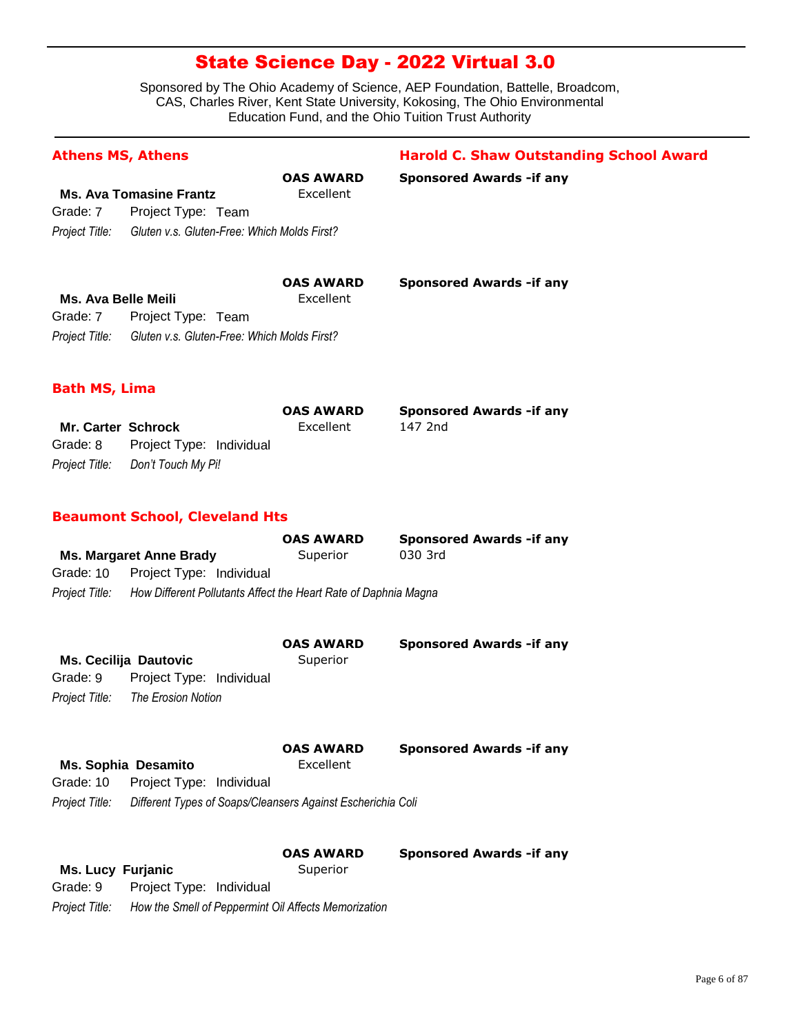| <b>Athens MS, Athens</b>   |                                                                 |                  | <b>Harold C. Shaw Outstanding School Award</b> |
|----------------------------|-----------------------------------------------------------------|------------------|------------------------------------------------|
|                            |                                                                 | <b>OAS AWARD</b> | <b>Sponsored Awards - if any</b>               |
|                            | <b>Ms. Ava Tomasine Frantz</b>                                  | Excellent        |                                                |
| Grade: 7                   | Project Type: Team                                              |                  |                                                |
| Project Title:             | Gluten v.s. Gluten-Free: Which Molds First?                     |                  |                                                |
|                            |                                                                 | <b>OAS AWARD</b> | <b>Sponsored Awards - if any</b>               |
| <b>Ms. Ava Belle Meili</b> |                                                                 | Excellent        |                                                |
| Grade: 7                   | Project Type: Team                                              |                  |                                                |
| Project Title:             | Gluten v.s. Gluten-Free: Which Molds First?                     |                  |                                                |
| <b>Bath MS, Lima</b>       |                                                                 |                  |                                                |
|                            |                                                                 | <b>OAS AWARD</b> | <b>Sponsored Awards - if any</b>               |
| Mr. Carter Schrock         |                                                                 | Excellent        | 147 2nd                                        |
| Grade: 8                   | Project Type: Individual                                        |                  |                                                |
| Project Title:             | Don't Touch My Pi!                                              |                  |                                                |
|                            | <b>Beaumont School, Cleveland Hts</b>                           |                  |                                                |
|                            |                                                                 | <b>OAS AWARD</b> | <b>Sponsored Awards -if any</b>                |
|                            | <b>Ms. Margaret Anne Brady</b>                                  | Superior         | 030 3rd                                        |
| Grade: 10                  | Project Type: Individual                                        |                  |                                                |
| Project Title:             | How Different Pollutants Affect the Heart Rate of Daphnia Magna |                  |                                                |
|                            |                                                                 | <b>OAS AWARD</b> | <b>Sponsored Awards - if any</b>               |
|                            | <b>Ms. Cecilija Dautovic</b>                                    | Superior         |                                                |
| Grade: 9                   | Project Type: Individual                                        |                  |                                                |
| Project Title:             | The Erosion Notion                                              |                  |                                                |
|                            |                                                                 | <b>OAS AWARD</b> | <b>Sponsored Awards - if any</b>               |
|                            | <b>Ms. Sophia Desamito</b>                                      | Excellent        |                                                |
| Grade: 10                  | Project Type: Individual                                        |                  |                                                |
| Project Title:             | Different Types of Soaps/Cleansers Against Escherichia Coli     |                  |                                                |
|                            |                                                                 | <b>OAS AWARD</b> | <b>Sponsored Awards - if any</b>               |
| <b>Ms. Lucy Furjanic</b>   |                                                                 | Superior         |                                                |
| Grade: 9                   | Project Type: Individual                                        |                  |                                                |
| Project Title:             | How the Smell of Peppermint Oil Affects Memorization            |                  |                                                |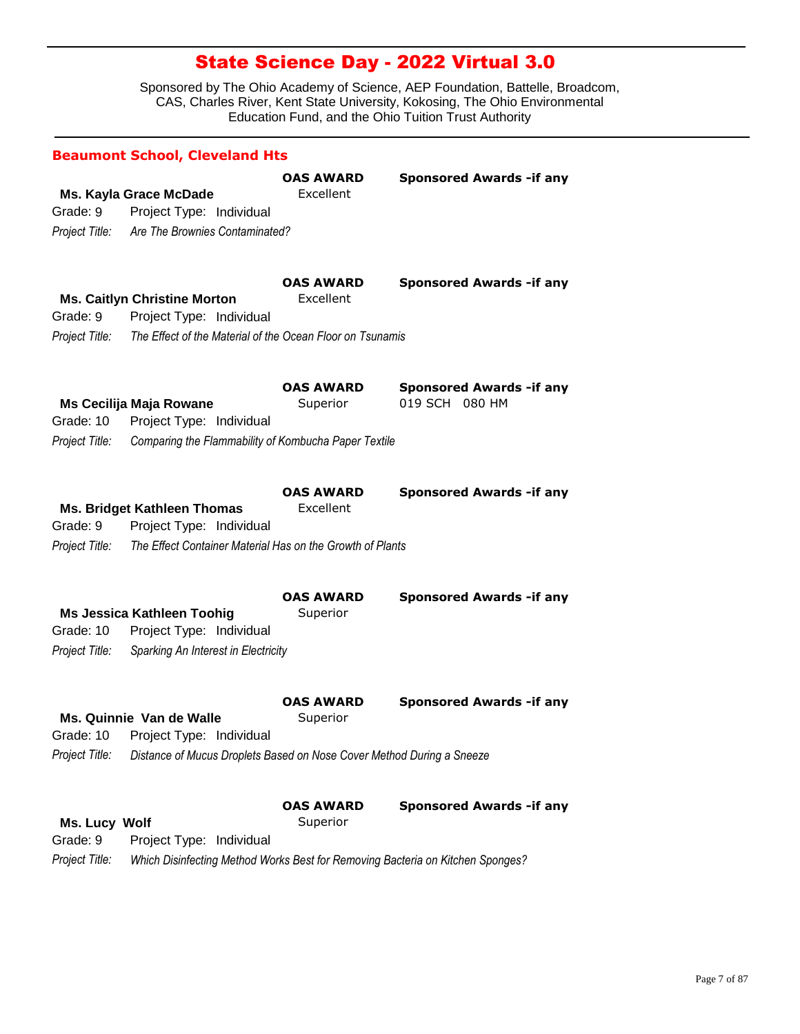|                             | <b>Beaumont School, Cleveland Hts</b>                                                                       |                               |                                                                                |
|-----------------------------|-------------------------------------------------------------------------------------------------------------|-------------------------------|--------------------------------------------------------------------------------|
| Grade: 9                    | Ms. Kayla Grace McDade<br>Project Type: Individual<br>Project Title: Are The Brownies Contaminated?         | <b>OAS AWARD</b><br>Excellent | <b>Sponsored Awards - if any</b>                                               |
| Grade: 9                    | <b>Ms. Caitlyn Christine Morton</b><br>Project Type: Individual                                             | <b>OAS AWARD</b><br>Excellent | <b>Sponsored Awards - if any</b>                                               |
| Project Title:              | The Effect of the Material of the Ocean Floor on Tsunamis                                                   |                               |                                                                                |
| Grade: 10                   | Ms Cecilija Maja Rowane<br>Project Type: Individual                                                         | <b>OAS AWARD</b><br>Superior  | <b>Sponsored Awards - if any</b><br>019 SCH 080 HM                             |
| Project Title:              | Comparing the Flammability of Kombucha Paper Textile                                                        |                               |                                                                                |
| Grade: 9                    | <b>Ms. Bridget Kathleen Thomas</b><br>Project Type: Individual                                              | <b>OAS AWARD</b><br>Excellent | <b>Sponsored Awards - if any</b>                                               |
| Project Title:              | The Effect Container Material Has on the Growth of Plants                                                   |                               |                                                                                |
| Grade: 10<br>Project Title: | <b>Ms Jessica Kathleen Toohig</b><br>Project Type: Individual<br>Sparking An Interest in Electricity        | <b>OAS AWARD</b><br>Superior  | <b>Sponsored Awards - if any</b>                                               |
|                             | Ms. Quinnie Van de Walle                                                                                    | <b>OAS AWARD</b><br>Superior  | <b>Sponsored Awards - if any</b>                                               |
| Project Title:              | Grade: 10 Project Type: Individual<br>Distance of Mucus Droplets Based on Nose Cover Method During a Sneeze |                               |                                                                                |
| Ms. Lucy Wolf<br>Grade: 9   | Project Type: Individual                                                                                    | <b>OAS AWARD</b><br>Superior  | <b>Sponsored Awards - if any</b>                                               |
| Project Title:              |                                                                                                             |                               | Which Disinfecting Method Works Best for Removing Bacteria on Kitchen Sponges? |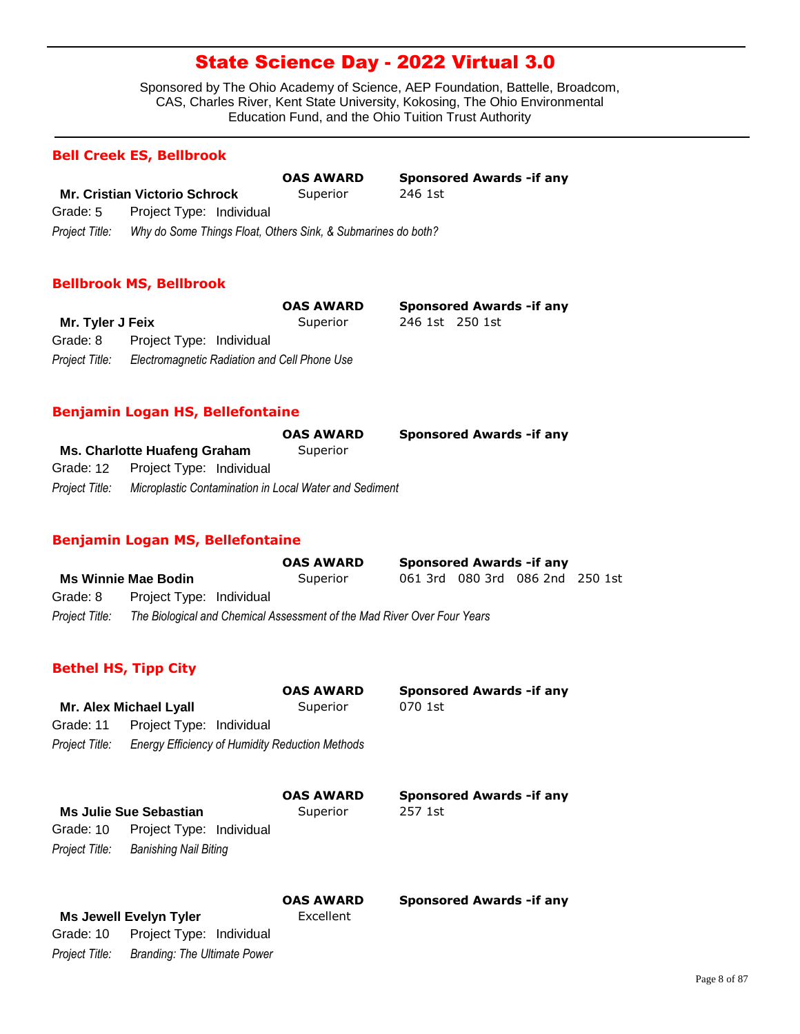Sponsored by The Ohio Academy of Science, AEP Foundation, Battelle, Broadcom, CAS, Charles River, Kent State University, Kokosing, The Ohio Environmental Education Fund, and the Ohio Tuition Trust Authority

#### **Bell Creek ES, Bellbrook**

**Mr. Cristian Victorio Schrock** Superior 246 1st *Project Title: Why do Some Things Float, Others Sink, & Submarines do both?* Grade: 5 Project Type: Individual **OAS AWARD Sponsored Awards -if any**

#### **Bellbrook MS, Bellbrook**

|                  |                                              | <b>OAS AWARD</b> |                 | <b>Sponsored Awards - if any</b> |
|------------------|----------------------------------------------|------------------|-----------------|----------------------------------|
| Mr. Tyler J Feix |                                              | Superior         | 246 1st 250 1st |                                  |
| Grade: 8         | Project Type: Individual                     |                  |                 |                                  |
| Project Title:   | Electromagnetic Radiation and Cell Phone Use |                  |                 |                                  |

#### **Benjamin Logan HS, Bellefontaine**

|                |                                                        | <b>OAS AWARD</b> | <b>Sponsored Awards - if any</b> |
|----------------|--------------------------------------------------------|------------------|----------------------------------|
|                | Ms. Charlotte Huafeng Graham                           | Superior         |                                  |
|                | Grade: 12 Project Type: Individual                     |                  |                                  |
| Proiect Title: | Microplastic Contamination in Local Water and Sediment |                  |                                  |

#### **Benjamin Logan MS, Bellefontaine**

|                |                                                                         | <b>OAS AWARD</b> |  | <b>Sponsored Awards - if any</b> |  |
|----------------|-------------------------------------------------------------------------|------------------|--|----------------------------------|--|
|                | <b>Ms Winnie Mae Bodin</b>                                              | Superior         |  | 061 3rd 080 3rd 086 2nd 250 1st  |  |
| Grade: 8       | Project Type: Individual                                                |                  |  |                                  |  |
| Project Title: | The Biological and Chemical Assessment of the Mad River Over Four Years |                  |  |                                  |  |

### **Bethel HS, Tipp City**

|                |                               | <b>OAS AWARD</b>                                | <b>Sponsored Awards - if any</b> |
|----------------|-------------------------------|-------------------------------------------------|----------------------------------|
|                | <b>Mr. Alex Michael Lyall</b> | Superior                                        | 070 1st                          |
| Grade: 11      | Project Type: Individual      |                                                 |                                  |
| Project Title: |                               | Energy Efficiency of Humidity Reduction Methods |                                  |
|                |                               | <b>OAS AWARD</b>                                | <b>Sponsored Awards - if any</b> |
|                | <b>Ms Julie Sue Sebastian</b> | Superior                                        | 257 1st                          |
| Grade: 10      | Project Type: Individual      |                                                 |                                  |

| Grade: 10      | Project Type: Individual     |  |
|----------------|------------------------------|--|
| Project Title: | <b>Banishing Nail Biting</b> |  |

|                |                               | <b>OAS AWARD</b> | <b>Sponsored Awards - if any</b> |
|----------------|-------------------------------|------------------|----------------------------------|
|                | <b>Ms Jewell Evelyn Tyler</b> | Excellent        |                                  |
| Grade: 10      | Project Type: Individual      |                  |                                  |
| Project Title: | Branding: The Ultimate Power  |                  |                                  |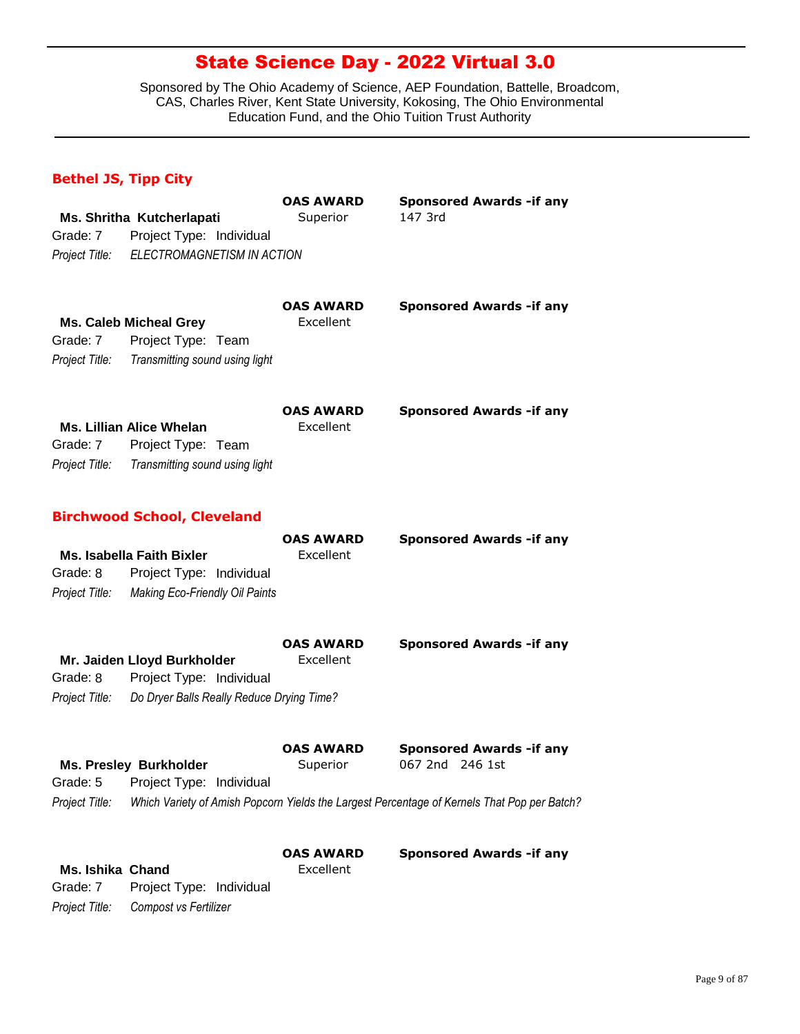Sponsored by The Ohio Academy of Science, AEP Foundation, Battelle, Broadcom, CAS, Charles River, Kent State University, Kokosing, The Ohio Environmental Education Fund, and the Ohio Tuition Trust Authority

### **Bethel JS, Tipp City**

*Project Title: Compost vs Fertilizer*

|                         |                                           | <b>OAS AWARD</b> | <b>Sponsored Awards -if any</b>                                                             |
|-------------------------|-------------------------------------------|------------------|---------------------------------------------------------------------------------------------|
|                         | Ms. Shritha Kutcherlapati                 | Superior         | 147 3rd                                                                                     |
| Grade: 7                | Project Type: Individual                  |                  |                                                                                             |
| Project Title:          | ELECTROMAGNETISM IN ACTION                |                  |                                                                                             |
|                         |                                           | <b>OAS AWARD</b> | <b>Sponsored Awards - if any</b>                                                            |
|                         | <b>Ms. Caleb Micheal Grey</b>             | Excellent        |                                                                                             |
| Grade: 7                | Project Type: Team                        |                  |                                                                                             |
| Project Title:          | Transmitting sound using light            |                  |                                                                                             |
|                         |                                           | <b>OAS AWARD</b> | <b>Sponsored Awards - if any</b>                                                            |
|                         | <b>Ms. Lillian Alice Whelan</b>           | Excellent        |                                                                                             |
| Grade: 7                | Project Type: Team                        |                  |                                                                                             |
| Project Title:          | Transmitting sound using light            |                  |                                                                                             |
|                         | <b>Birchwood School, Cleveland</b>        |                  |                                                                                             |
|                         |                                           | <b>OAS AWARD</b> | <b>Sponsored Awards -if any</b>                                                             |
|                         | <b>Ms. Isabella Faith Bixler</b>          | Excellent        |                                                                                             |
| Grade: 8                | Project Type: Individual                  |                  |                                                                                             |
| Project Title:          | <b>Making Eco-Friendly Oil Paints</b>     |                  |                                                                                             |
|                         |                                           | <b>OAS AWARD</b> | <b>Sponsored Awards - if any</b>                                                            |
|                         | Mr. Jaiden Lloyd Burkholder               | Excellent        |                                                                                             |
| Grade: 8                | Project Type: Individual                  |                  |                                                                                             |
| Project Title:          | Do Dryer Balls Really Reduce Drying Time? |                  |                                                                                             |
|                         |                                           | <b>OAS AWARD</b> | <b>Sponsored Awards - if any</b>                                                            |
|                         | <b>Ms. Presley Burkholder</b>             | Superior         | 067 2nd 246 1st                                                                             |
|                         | Grade: 5 Project Type: Individual         |                  |                                                                                             |
| Project Title:          |                                           |                  | Which Variety of Amish Popcorn Yields the Largest Percentage of Kernels That Pop per Batch? |
|                         |                                           | <b>OAS AWARD</b> | <b>Sponsored Awards - if any</b>                                                            |
| <b>Ms. Ishika Chand</b> |                                           | Excellent        |                                                                                             |
| Grade: 7                | Project Type: Individual                  |                  |                                                                                             |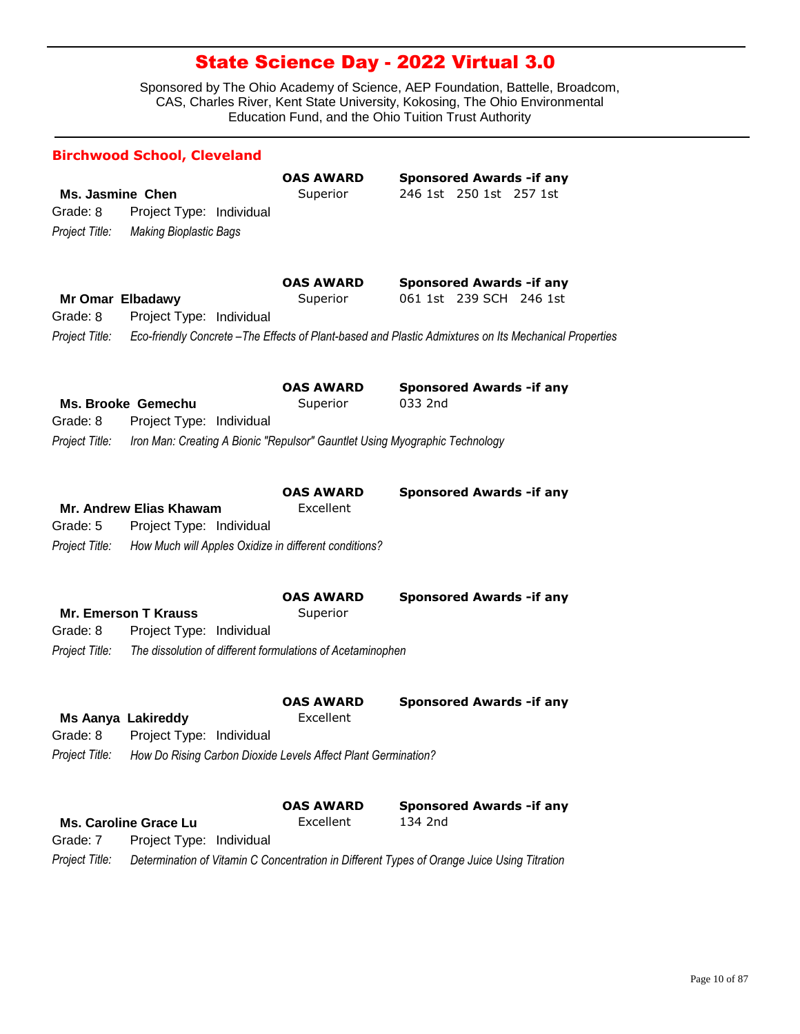|                                                         | <b>Birchwood School, Cleveland</b>                                                                                            |                               |                                                                                                                                                                       |
|---------------------------------------------------------|-------------------------------------------------------------------------------------------------------------------------------|-------------------------------|-----------------------------------------------------------------------------------------------------------------------------------------------------------------------|
| Ms. Jasmine Chen<br>Grade: 8<br>Project Title:          | Project Type: Individual<br><b>Making Bioplastic Bags</b>                                                                     | <b>OAS AWARD</b><br>Superior  | <b>Sponsored Awards - if any</b><br>246 1st 250 1st 257 1st                                                                                                           |
| <b>Mr Omar Elbadawy</b><br>Grade: 8<br>Project Title:   | Project Type: Individual                                                                                                      | <b>OAS AWARD</b><br>Superior  | <b>Sponsored Awards - if any</b><br>061 1st 239 SCH 246 1st<br>Eco-friendly Concrete - The Effects of Plant-based and Plastic Admixtures on Its Mechanical Properties |
| Grade: 8<br>Project Title:                              | Ms. Brooke Gemechu<br>Project Type: Individual<br>Iron Man: Creating A Bionic "Repulsor" Gauntlet Using Myographic Technology | <b>OAS AWARD</b><br>Superior  | <b>Sponsored Awards - if any</b><br>033 2nd                                                                                                                           |
| Grade: 5<br>Project Title:                              | Mr. Andrew Elias Khawam<br>Project Type: Individual<br>How Much will Apples Oxidize in different conditions?                  | <b>OAS AWARD</b><br>Excellent | <b>Sponsored Awards - if any</b>                                                                                                                                      |
| Grade: 8<br>Project Title:                              | <b>Mr. Emerson T Krauss</b><br>Project Type: Individual<br>The dissolution of different formulations of Acetaminophen         | <b>OAS AWARD</b><br>Superior  | <b>Sponsored Awards - if any</b>                                                                                                                                      |
| <b>Ms Aanya Lakireddy</b><br>Grade: 8<br>Project Title: | Project Type: Individual<br>How Do Rising Carbon Dioxide Levels Affect Plant Germination?                                     | <b>OAS AWARD</b><br>Excellent | <b>Sponsored Awards - if any</b>                                                                                                                                      |
| Grade: 7<br>Project Title:                              | <b>Ms. Caroline Grace Lu</b><br>Project Type: Individual                                                                      | <b>OAS AWARD</b><br>Excellent | <b>Sponsored Awards - if any</b><br>134 2nd<br>Determination of Vitamin C Concentration in Different Types of Orange Juice Using Titration                            |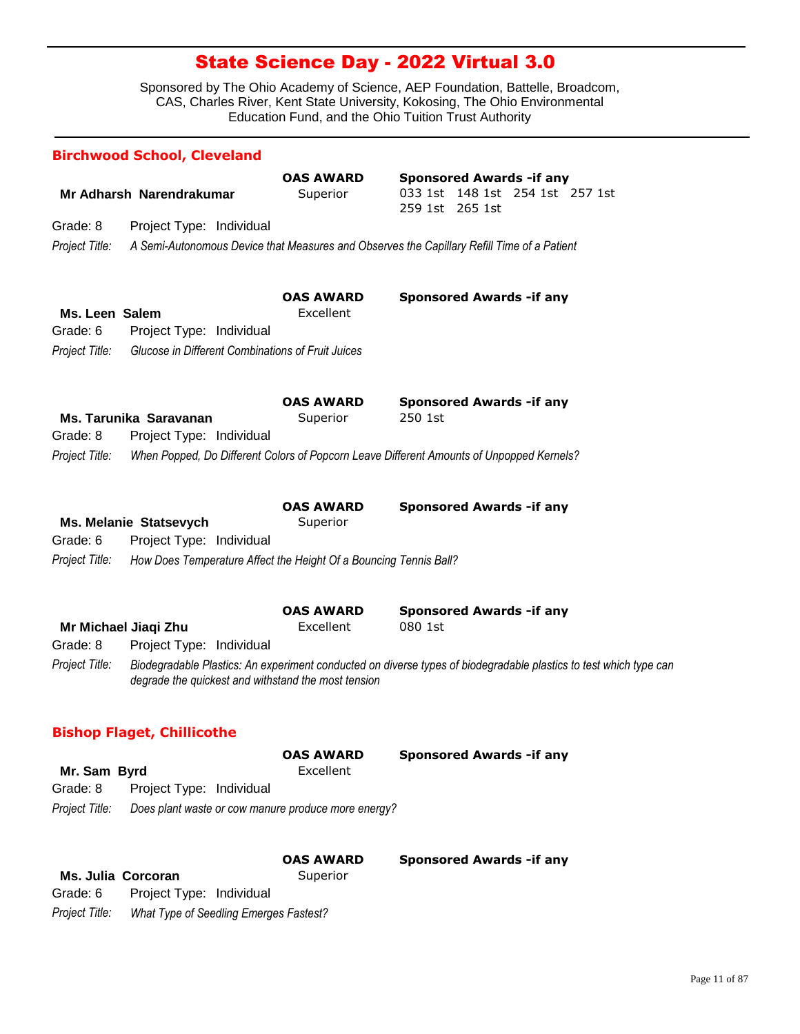Sponsored by The Ohio Academy of Science, AEP Foundation, Battelle, Broadcom, CAS, Charles River, Kent State University, Kokosing, The Ohio Environmental Education Fund, and the Ohio Tuition Trust Authority

|                | <b>Birchwood School, Cleveland</b>                                |                              |                                                                                                                   |
|----------------|-------------------------------------------------------------------|------------------------------|-------------------------------------------------------------------------------------------------------------------|
|                | Mr Adharsh Narendrakumar                                          | <b>OAS AWARD</b><br>Superior | <b>Sponsored Awards - if any</b><br>033 1st 148 1st 254 1st 257 1st<br>259 1st 265 1st                            |
| Grade: 8       | Project Type: Individual                                          |                              |                                                                                                                   |
| Project Title: |                                                                   |                              | A Semi-Autonomous Device that Measures and Observes the Capillary Refill Time of a Patient                        |
|                |                                                                   |                              |                                                                                                                   |
|                |                                                                   | <b>OAS AWARD</b>             | <b>Sponsored Awards -if any</b>                                                                                   |
| Ms. Leen Salem |                                                                   | Excellent                    |                                                                                                                   |
| Grade: 6       | Project Type: Individual                                          |                              |                                                                                                                   |
| Project Title: | Glucose in Different Combinations of Fruit Juices                 |                              |                                                                                                                   |
|                |                                                                   |                              |                                                                                                                   |
|                |                                                                   | <b>OAS AWARD</b>             | <b>Sponsored Awards - if any</b>                                                                                  |
|                | Ms. Tarunika Saravanan                                            | Superior                     | 250 1st                                                                                                           |
| Grade: 8       | Project Type: Individual                                          |                              |                                                                                                                   |
| Project Title: |                                                                   |                              | When Popped, Do Different Colors of Popcorn Leave Different Amounts of Unpopped Kernels?                          |
|                |                                                                   |                              |                                                                                                                   |
|                |                                                                   | <b>OAS AWARD</b>             | <b>Sponsored Awards - if any</b>                                                                                  |
|                | Ms. Melanie Statsevych                                            | Superior                     |                                                                                                                   |
| Grade: 6       | Project Type: Individual                                          |                              |                                                                                                                   |
| Project Title: | How Does Temperature Affect the Height Of a Bouncing Tennis Ball? |                              |                                                                                                                   |
|                |                                                                   |                              |                                                                                                                   |
|                |                                                                   | <b>OAS AWARD</b>             | <b>Sponsored Awards - if any</b>                                                                                  |
|                | Mr Michael Jiaqi Zhu                                              | Excellent                    | 080 1st                                                                                                           |
| Grade: 8       | Project Type: Individual                                          |                              |                                                                                                                   |
| Project Title: |                                                                   |                              | Biodegradable Plastics: An experiment conducted on diverse types of biodegradable plastics to test which type can |
|                | degrade the quickest and withstand the most tension               |                              |                                                                                                                   |
|                |                                                                   |                              |                                                                                                                   |
|                | <b>Bishop Flaget, Chillicothe</b>                                 |                              |                                                                                                                   |
|                |                                                                   | <b>OAS AWARD</b>             | <b>Sponsored Awards - if any</b>                                                                                  |
| Mr. Sam Byrd   |                                                                   | Excellent                    |                                                                                                                   |
| Grade: 8       | Project Type: Individual                                          |                              |                                                                                                                   |
| Project Title: | Does plant waste or cow manure produce more energy?               |                              |                                                                                                                   |
|                |                                                                   | <b>OAS AWARD</b>             | <b>Sponsored Awards -if any</b>                                                                                   |
|                | Ms. Julia Corcoran                                                | Superior                     |                                                                                                                   |

*Project Title: What Type of Seedling Emerges Fastest?*

Grade: 6 Project Type: Individual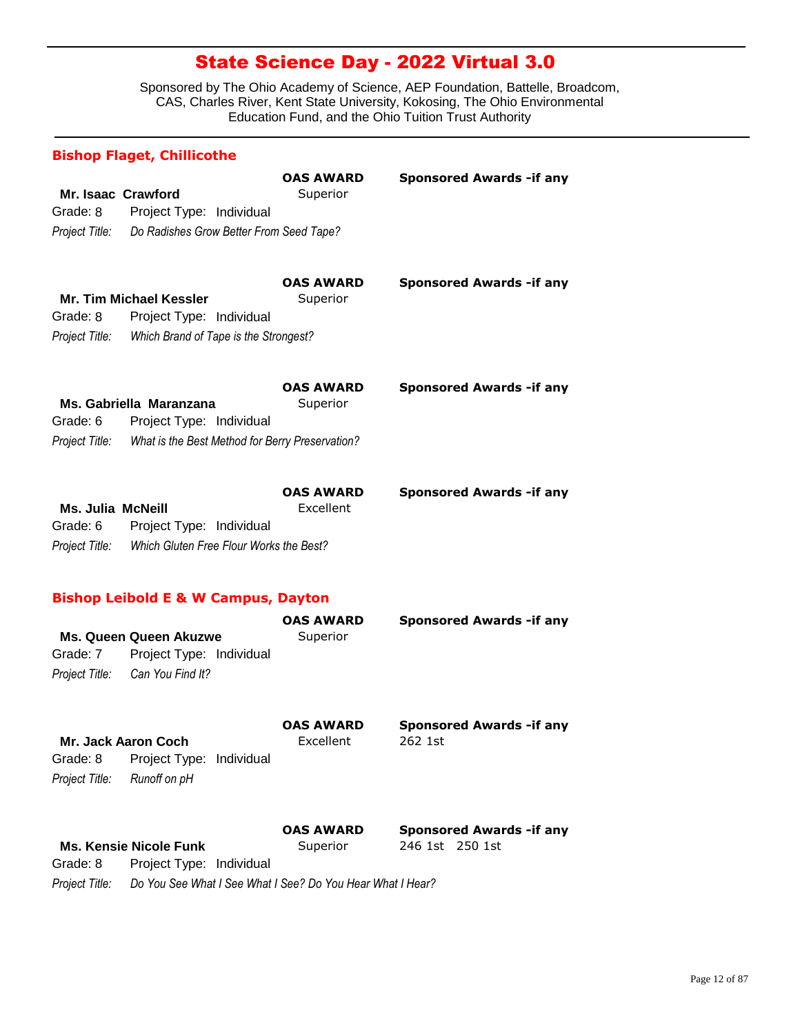Sponsored by The Ohio Academy of Science, AEP Foundation, Battelle, Broadcom, CAS, Charles River, Kent State University, Kokosing, The Ohio Environmental Education Fund, and the Ohio Tuition Trust Authority

# **Mr. Isaac Crawford** Superior *Project Title: Do Radishes Grow Better From Seed Tape?* Grade: 8 Project Type: Individual **OAS AWARD Sponsored Awards -if any Bishop Flaget, Chillicothe Mr. Tim Michael Kessler** Superior *Project Title: Which Brand of Tape is the Strongest?* Grade: 8 Project Type: Individual **OAS AWARD Sponsored Awards -if any Ms. Gabriella Maranzana** Superior *Project Title: What is the Best Method for Berry Preservation?* Grade: 6 Project Type: Individual **OAS AWARD Sponsored Awards -if any Ms. Julia McNeill Excellent** *Project Title: Which Gluten Free Flour Works the Best?* Grade: 6 Project Type: Individual **OAS AWARD Sponsored Awards -if any Ms. Queen Queen Akuzwe Superior** *Project Title: Can You Find It?* Grade: 7 Project Type: Individual **OAS AWARD Sponsored Awards -if any Bishop Leibold E & W Campus, Dayton Mr. Jack Aaron Coch** Excellent 262 1st *Project Title: Runoff on pH* Grade: 8 Project Type: Individual **OAS AWARD Sponsored Awards -if any Ms. Kensie Nicole Funk** Superior 246 1st 250 1st Grade: 8 Project Type: Individual **OAS AWARD Sponsored Awards -if any**

*Project Title: Do You See What I See What I See? Do You Hear What I Hear?*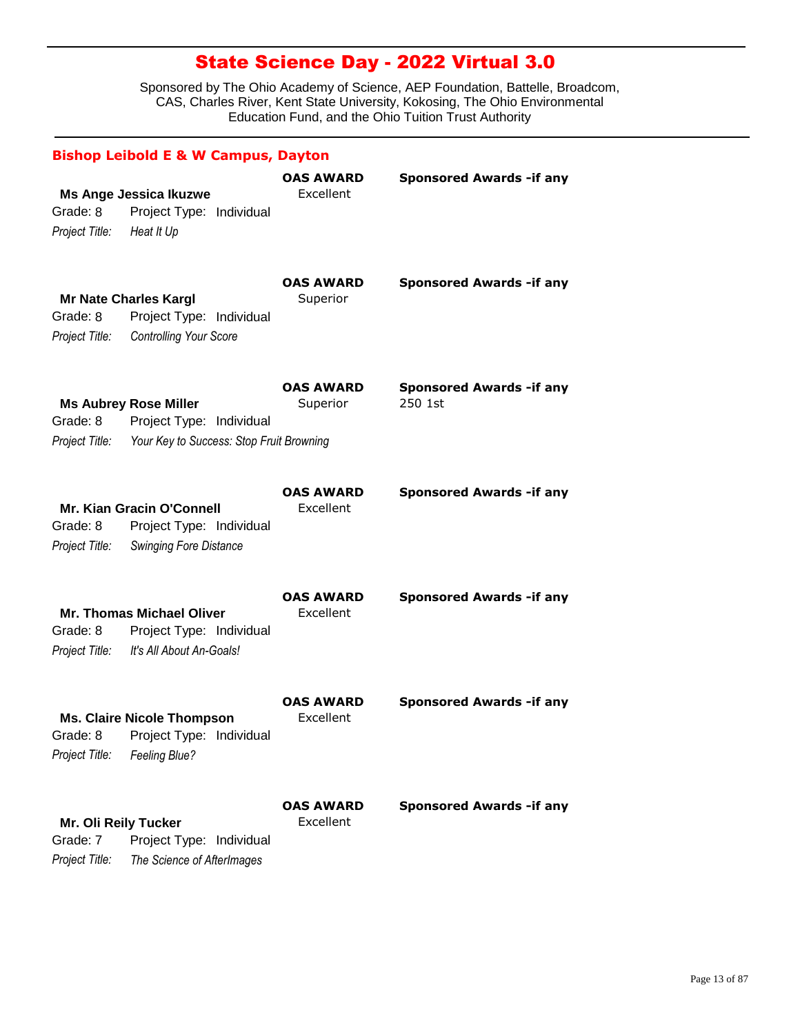|                                                    | <b>Bishop Leibold E &amp; W Campus, Dayton</b>                                                                      |                               |                                             |
|----------------------------------------------------|---------------------------------------------------------------------------------------------------------------------|-------------------------------|---------------------------------------------|
| Grade: 8<br>Project Title:                         | <b>Ms Ange Jessica Ikuzwe</b><br>Project Type: Individual<br>Heat It Up                                             | <b>OAS AWARD</b><br>Excellent | <b>Sponsored Awards - if any</b>            |
| Grade: 8<br>Project Title:                         | <b>Mr Nate Charles Kargl</b><br>Project Type: Individual<br><b>Controlling Your Score</b>                           | <b>OAS AWARD</b><br>Superior  | <b>Sponsored Awards -if any</b>             |
| Grade: 8                                           | <b>Ms Aubrey Rose Miller</b><br>Project Type: Individual<br>Project Title: Your Key to Success: Stop Fruit Browning | <b>OAS AWARD</b><br>Superior  | <b>Sponsored Awards - if any</b><br>250 1st |
| Grade: 8<br>Project Title:                         | Mr. Kian Gracin O'Connell<br>Project Type: Individual<br><b>Swinging Fore Distance</b>                              | <b>OAS AWARD</b><br>Excellent | <b>Sponsored Awards - if any</b>            |
| Grade: 8<br>Project Title:                         | <b>Mr. Thomas Michael Oliver</b><br>Project Type: Individual<br>It's All About An-Goals!                            | <b>OAS AWARD</b><br>Excellent | <b>Sponsored Awards - if any</b>            |
| Project Title:                                     | <b>Ms. Claire Nicole Thompson</b><br>Grade: 8 Project Type: Individual<br>Feeling Blue?                             | <b>OAS AWARD</b><br>Excellent | <b>Sponsored Awards - if any</b>            |
| Mr. Oli Reily Tucker<br>Grade: 7<br>Project Title: | Project Type: Individual<br>The Science of AfterImages                                                              | <b>OAS AWARD</b><br>Excellent | <b>Sponsored Awards - if any</b>            |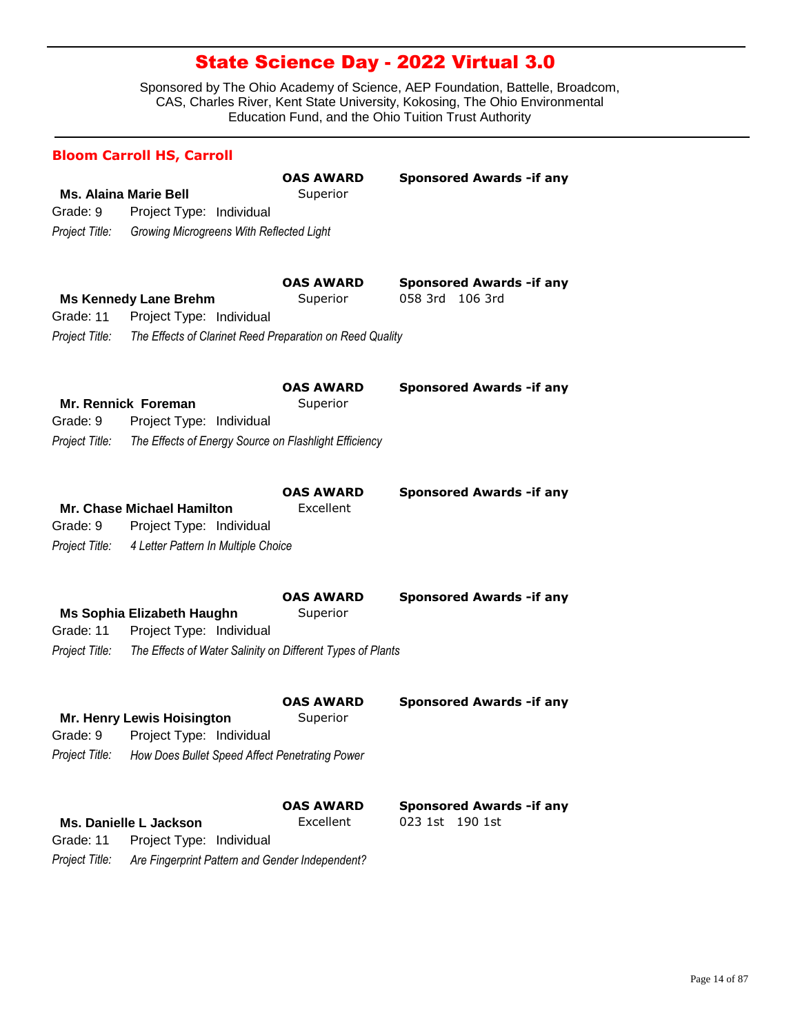|                             | <b>Bloom Carroll HS, Carroll</b>                                                                                         |                               |                                                        |
|-----------------------------|--------------------------------------------------------------------------------------------------------------------------|-------------------------------|--------------------------------------------------------|
| Grade: 9<br>Project Title:  | <b>Ms. Alaina Marie Bell</b><br>Project Type: Individual<br>Growing Microgreens With Reflected Light                     | <b>OAS AWARD</b><br>Superior  | <b>Sponsored Awards - if any</b>                       |
| Grade: 11<br>Project Title: | <b>Ms Kennedy Lane Brehm</b><br>Project Type: Individual<br>The Effects of Clarinet Reed Preparation on Reed Quality     | <b>OAS AWARD</b><br>Superior  | <b>Sponsored Awards - if any</b><br>058 3rd<br>106 3rd |
| Grade: 9<br>Project Title:  | Mr. Rennick Foreman<br>Project Type: Individual<br>The Effects of Energy Source on Flashlight Efficiency                 | <b>OAS AWARD</b><br>Superior  | <b>Sponsored Awards - if any</b>                       |
| Grade: 9<br>Project Title:  | <b>Mr. Chase Michael Hamilton</b><br>Project Type: Individual<br>4 Letter Pattern In Multiple Choice                     | <b>OAS AWARD</b><br>Excellent | <b>Sponsored Awards - if any</b>                       |
| Grade: 11<br>Project Title: | Ms Sophia Elizabeth Haughn<br>Project Type: Individual<br>The Effects of Water Salinity on Different Types of Plants     | <b>OAS AWARD</b><br>Superior  | <b>Sponsored Awards - if any</b>                       |
| Project Title:              | <b>Mr. Henry Lewis Hoisington</b><br>Grade: 9 Project Type: Individual<br>How Does Bullet Speed Affect Penetrating Power | <b>OAS AWARD</b><br>Superior  | <b>Sponsored Awards - if any</b>                       |
| Grade: 11<br>Project Title: | Ms. Danielle L Jackson<br>Project Type: Individual<br>Are Fingerprint Pattern and Gender Independent?                    | <b>OAS AWARD</b><br>Excellent | <b>Sponsored Awards - if any</b><br>023 1st 190 1st    |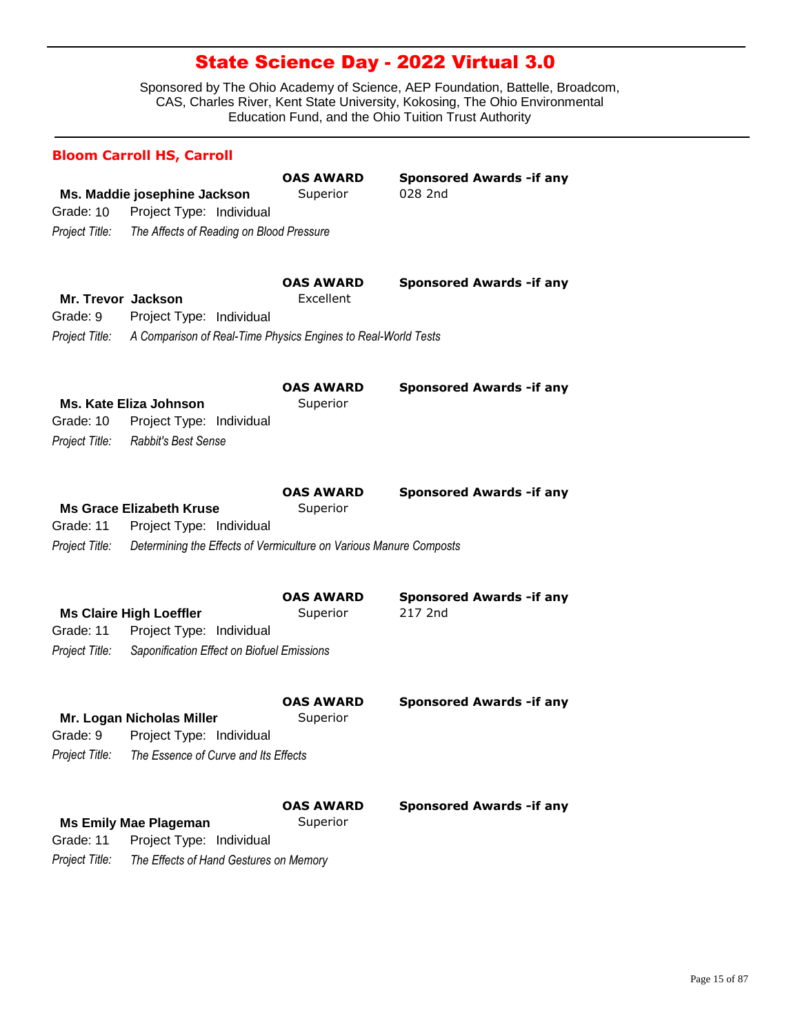|                                                  | <b>Bloom Carroll HS, Carroll</b>                                                                                                  |                               |                                             |
|--------------------------------------------------|-----------------------------------------------------------------------------------------------------------------------------------|-------------------------------|---------------------------------------------|
| Grade: 10<br>Project Title:                      | Ms. Maddie josephine Jackson<br>Project Type: Individual<br>The Affects of Reading on Blood Pressure                              | <b>OAS AWARD</b><br>Superior  | <b>Sponsored Awards - if any</b><br>028 2nd |
| Mr. Trevor Jackson<br>Grade: 9<br>Project Title: | Project Type: Individual<br>A Comparison of Real-Time Physics Engines to Real-World Tests                                         | <b>OAS AWARD</b><br>Excellent | <b>Sponsored Awards -if any</b>             |
| Grade: 10<br>Project Title:                      | <b>Ms. Kate Eliza Johnson</b><br>Project Type: Individual<br>Rabbit's Best Sense                                                  | <b>OAS AWARD</b><br>Superior  | <b>Sponsored Awards - if any</b>            |
| Grade: 11<br>Project Title:                      | <b>Ms Grace Elizabeth Kruse</b><br>Project Type: Individual<br>Determining the Effects of Vermiculture on Various Manure Composts | <b>OAS AWARD</b><br>Superior  | <b>Sponsored Awards - if any</b>            |
| Grade: 11<br>Project Title:                      | <b>Ms Claire High Loeffler</b><br>Project Type: Individual<br>Saponification Effect on Biofuel Emissions                          | <b>OAS AWARD</b><br>Superior  | <b>Sponsored Awards - if any</b><br>217 2nd |
| Project Title:                                   | Mr. Logan Nicholas Miller<br>Grade: 9 Project Type: Individual<br>The Essence of Curve and Its Effects                            | <b>OAS AWARD</b><br>Superior  | <b>Sponsored Awards - if any</b>            |
| Grade: 11<br>Project Title:                      | <b>Ms Emily Mae Plageman</b><br>Project Type: Individual<br>The Effects of Hand Gestures on Memory                                | <b>OAS AWARD</b><br>Superior  | <b>Sponsored Awards -if any</b>             |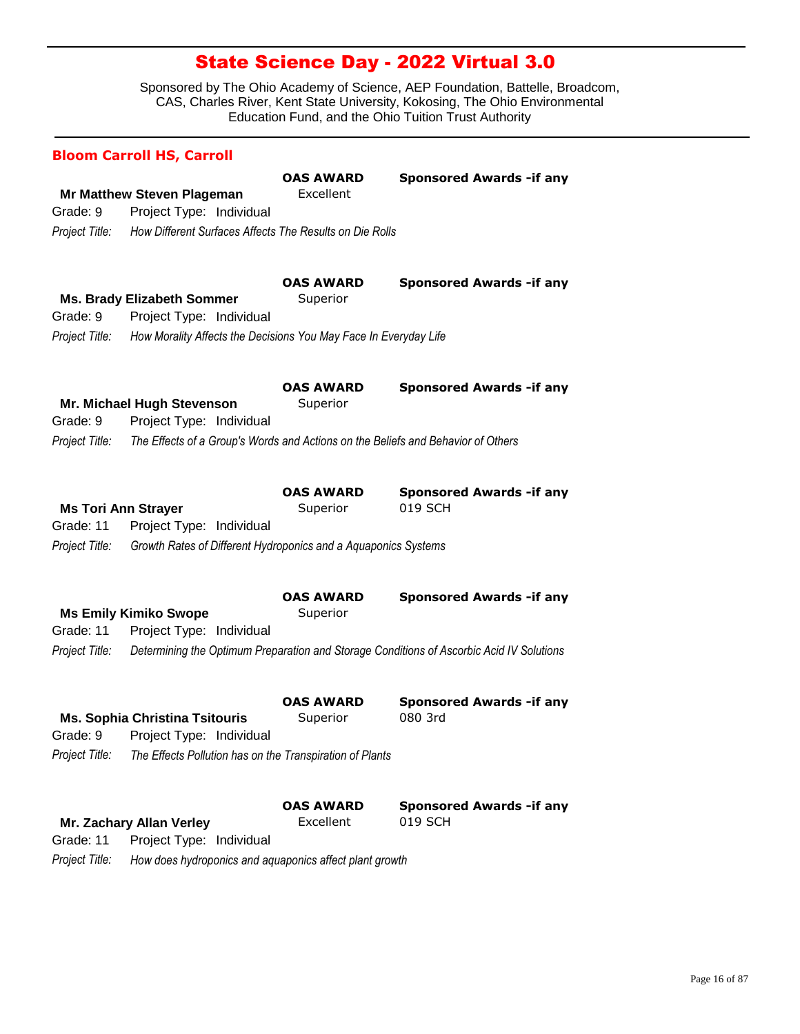|                | <b>Bloom Carroll HS, Carroll</b>                                                 |                               |                                                                                          |
|----------------|----------------------------------------------------------------------------------|-------------------------------|------------------------------------------------------------------------------------------|
| Grade: 9       | <b>Mr Matthew Steven Plageman</b><br>Project Type: Individual                    | <b>OAS AWARD</b><br>Excellent | <b>Sponsored Awards - if any</b>                                                         |
| Project Title: | How Different Surfaces Affects The Results on Die Rolls                          |                               |                                                                                          |
| Grade: 9       | <b>Ms. Brady Elizabeth Sommer</b><br>Project Type: Individual                    | <b>OAS AWARD</b><br>Superior  | <b>Sponsored Awards -if any</b>                                                          |
| Project Title: | How Morality Affects the Decisions You May Face In Everyday Life                 |                               |                                                                                          |
| Grade: 9       | Mr. Michael Hugh Stevenson<br>Project Type: Individual                           | <b>OAS AWARD</b><br>Superior  | <b>Sponsored Awards - if any</b>                                                         |
| Project Title: | The Effects of a Group's Words and Actions on the Beliefs and Behavior of Others |                               |                                                                                          |
| Grade: 11      | <b>Ms Tori Ann Strayer</b><br>Project Type: Individual                           | <b>OAS AWARD</b><br>Superior  | <b>Sponsored Awards -if any</b><br>019 SCH                                               |
| Project Title: | Growth Rates of Different Hydroponics and a Aquaponics Systems                   |                               |                                                                                          |
| Grade: 11      | <b>Ms Emily Kimiko Swope</b><br>Project Type: Individual                         | <b>OAS AWARD</b><br>Superior  | <b>Sponsored Awards - if any</b>                                                         |
| Project Title: |                                                                                  |                               | Determining the Optimum Preparation and Storage Conditions of Ascorbic Acid IV Solutions |
|                | <b>Ms. Sophia Christina Tsitouris</b><br>Grade: 9 Project Type: Individual       | <b>OAS AWARD</b><br>Superior  | <b>Sponsored Awards - if any</b><br>080 3rd                                              |
| Project Title: | The Effects Pollution has on the Transpiration of Plants                         |                               |                                                                                          |
|                |                                                                                  | <b>OAS AWARD</b>              | <b>Sponsored Awards - if any</b>                                                         |
|                | Mr. Zachary Allan Verley                                                         | Excellent                     | 019 SCH                                                                                  |
| Grade: 11      | Project Type: Individual                                                         |                               |                                                                                          |
| Project Title: | How does hydroponics and aquaponics affect plant growth                          |                               |                                                                                          |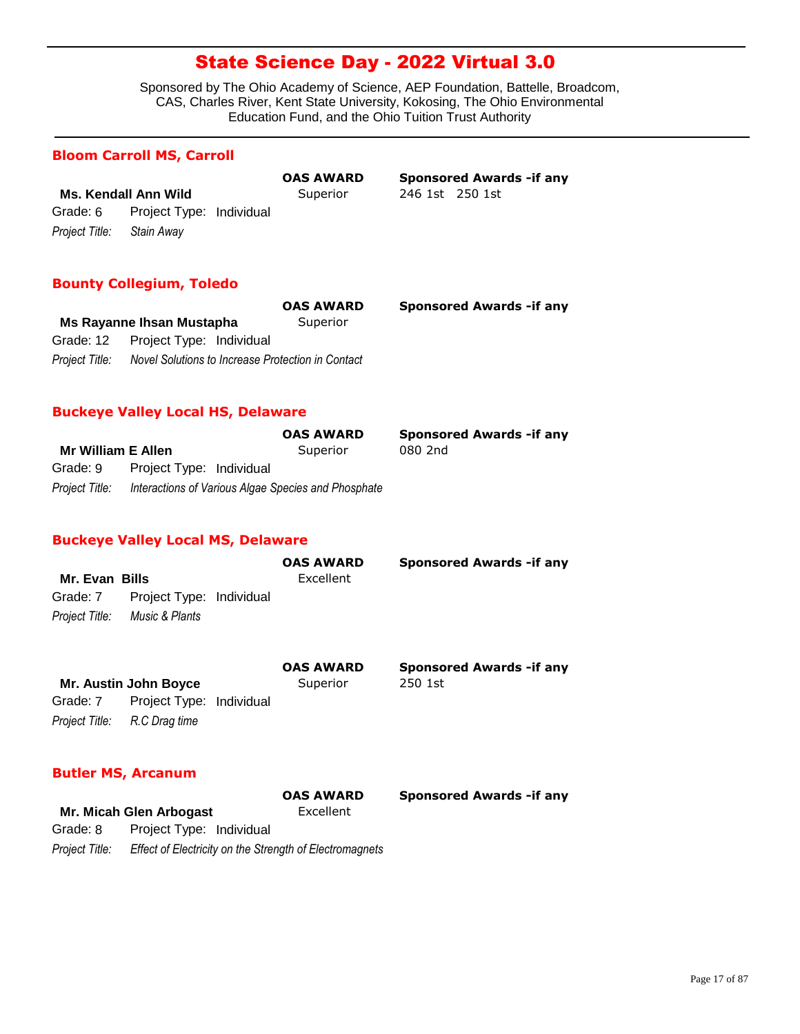Sponsored by The Ohio Academy of Science, AEP Foundation, Battelle, Broadcom, CAS, Charles River, Kent State University, Kokosing, The Ohio Environmental Education Fund, and the Ohio Tuition Trust Authority

#### **Bloom Carroll MS, Carroll**

|                           |                                   |  | VAJ AV |
|---------------------------|-----------------------------------|--|--------|
| Ms. Kendall Ann Wild      | Super                             |  |        |
|                           | Grade: 6 Project Type: Individual |  |        |
| Project Title: Stain Away |                                   |  |        |

**Ms. Kendall Ann Wild** Superior 246 1st 250 1st **OAS AWARD Sponsored Awards -if any**

### **Bounty Collegium, Toledo**

|                |                                                   | <b>OAS AWARD</b> | <b>Sponsored Awards - if any</b> |
|----------------|---------------------------------------------------|------------------|----------------------------------|
|                | Ms Rayanne Ihsan Mustapha                         | Superior         |                                  |
|                | Grade: 12 Project Type: Individual                |                  |                                  |
| Project Title: | Novel Solutions to Increase Protection in Contact |                  |                                  |

#### **Buckeye Valley Local HS, Delaware**

|                           |                                                     | <b>OAS AWARD</b> | <b>Sponsored Awards - if any</b> |
|---------------------------|-----------------------------------------------------|------------------|----------------------------------|
| <b>Mr William E Allen</b> |                                                     | Superior         | 080 2nd                          |
| Grade: 9                  | Project Type: Individual                            |                  |                                  |
| Project Title:            | Interactions of Various Algae Species and Phosphate |                  |                                  |

### **Buckeye Valley Local MS, Delaware**

|                |                                   | <b>OAS AWARD</b> | <b>Sponsored Awards - if any</b> |
|----------------|-----------------------------------|------------------|----------------------------------|
| Mr. Evan Bills |                                   | Excellent        |                                  |
|                | Grade: 7 Project Type: Individual |                  |                                  |
|                | Project Title: Music & Plants     |                  |                                  |
|                |                                   |                  |                                  |

|                              |                              |          | <b>OAS AWARD</b> | <b>Sponsored Awards - if any</b> |
|------------------------------|------------------------------|----------|------------------|----------------------------------|
| <b>Mr. Austin John Boyce</b> |                              | Superior | 250 1st          |                                  |
| Grade: 7                     | Project Type: Individual     |          |                  |                                  |
|                              | Project Title: R.C Drag time |          |                  |                                  |

### **Butler MS, Arcanum**

|                |                                                         | <b>OAS AWARD</b> |  |
|----------------|---------------------------------------------------------|------------------|--|
|                | Mr. Micah Glen Arbogast                                 | Excellent        |  |
| Grade: 8       | Project Type: Individual                                |                  |  |
| Project Title: | Effect of Electricity on the Strength of Electromagnets |                  |  |

**Sponsored Awards -if any**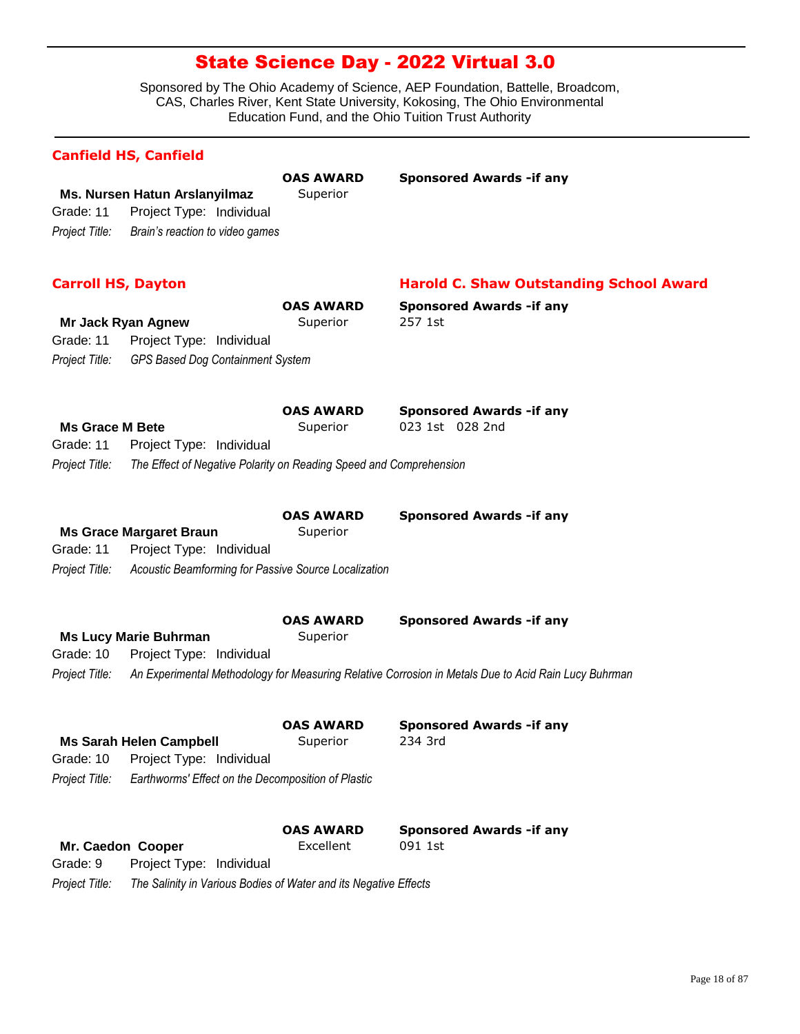|                             | <b>Canfield HS, Canfield</b>                                                                 |                              |                                                                                                      |
|-----------------------------|----------------------------------------------------------------------------------------------|------------------------------|------------------------------------------------------------------------------------------------------|
| Grade: 11<br>Project Title: | Ms. Nursen Hatun Arslanyilmaz<br>Project Type: Individual<br>Brain's reaction to video games | <b>OAS AWARD</b><br>Superior | <b>Sponsored Awards - if any</b>                                                                     |
| <b>Carroll HS, Dayton</b>   |                                                                                              |                              | <b>Harold C. Shaw Outstanding School Award</b>                                                       |
|                             |                                                                                              | <b>OAS AWARD</b>             | <b>Sponsored Awards -if any</b>                                                                      |
|                             | Mr Jack Ryan Agnew                                                                           | Superior                     | 257 1st                                                                                              |
| Grade: 11                   | Project Type: Individual                                                                     |                              |                                                                                                      |
| Project Title:              | GPS Based Dog Containment System                                                             |                              |                                                                                                      |
| <b>Ms Grace M Bete</b>      |                                                                                              | <b>OAS AWARD</b><br>Superior | <b>Sponsored Awards - if any</b><br>023 1st 028 2nd                                                  |
| Grade: 11                   | Project Type: Individual                                                                     |                              |                                                                                                      |
| Project Title:              | The Effect of Negative Polarity on Reading Speed and Comprehension                           |                              |                                                                                                      |
|                             | <b>Ms Grace Margaret Braun</b>                                                               | <b>OAS AWARD</b><br>Superior | <b>Sponsored Awards - if any</b>                                                                     |
| Grade: 11                   | Project Type: Individual                                                                     |                              |                                                                                                      |
| Project Title:              | Acoustic Beamforming for Passive Source Localization                                         |                              |                                                                                                      |
|                             |                                                                                              | <b>OAS AWARD</b>             | <b>Sponsored Awards - if any</b>                                                                     |
|                             | <b>Ms Lucy Marie Buhrman</b>                                                                 | Superior                     |                                                                                                      |
| Grade: 10                   | Project Type: Individual                                                                     |                              |                                                                                                      |
| Project Title:              |                                                                                              |                              | An Experimental Methodology for Measuring Relative Corrosion in Metals Due to Acid Rain Lucy Buhrman |
|                             |                                                                                              | <b>OAS AWARD</b>             | <b>Sponsored Awards -if any</b>                                                                      |
|                             | <b>Ms Sarah Helen Campbell</b>                                                               | Superior                     | 234 3rd                                                                                              |
| Grade: 10                   | Project Type: Individual                                                                     |                              |                                                                                                      |
| Project Title:              | Earthworms' Effect on the Decomposition of Plastic                                           |                              |                                                                                                      |
|                             |                                                                                              | <b>OAS AWARD</b>             | <b>Sponsored Awards - if any</b>                                                                     |
|                             | Mr. Caedon Cooper                                                                            | Excellent                    | 091 1st                                                                                              |
| Grade: 9                    | Project Type: Individual                                                                     |                              |                                                                                                      |
| Project Title:              | The Salinity in Various Bodies of Water and its Negative Effects                             |                              |                                                                                                      |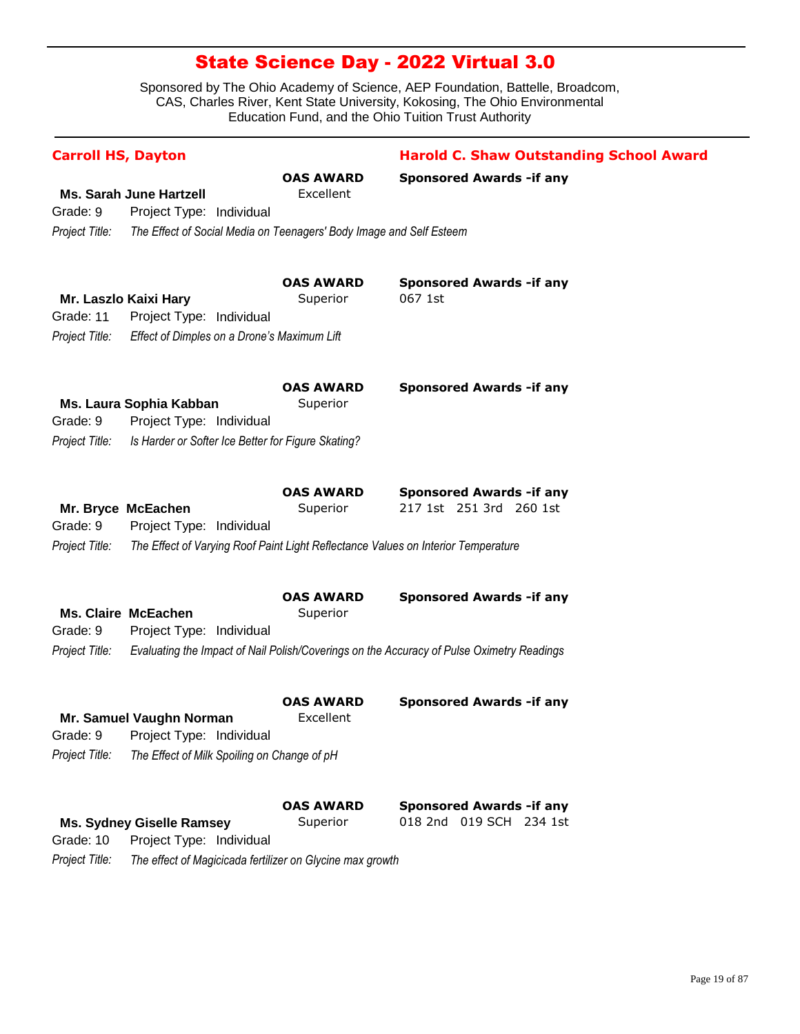| <b>Carroll HS, Dayton</b> |                                                                                   |                               | <b>Harold C. Shaw Outstanding School Award</b>                                            |
|---------------------------|-----------------------------------------------------------------------------------|-------------------------------|-------------------------------------------------------------------------------------------|
|                           |                                                                                   | <b>OAS AWARD</b>              | <b>Sponsored Awards -if any</b>                                                           |
| Grade: 9                  | <b>Ms. Sarah June Hartzell</b><br>Project Type: Individual                        | Excellent                     |                                                                                           |
|                           |                                                                                   |                               |                                                                                           |
| Project Title:            | The Effect of Social Media on Teenagers' Body Image and Self Esteem               |                               |                                                                                           |
|                           | Mr. Laszlo Kaixi Hary                                                             | <b>OAS AWARD</b><br>Superior  | <b>Sponsored Awards - if any</b><br>067 1st                                               |
| Grade: 11                 | Project Type: Individual                                                          |                               |                                                                                           |
| Project Title:            | Effect of Dimples on a Drone's Maximum Lift                                       |                               |                                                                                           |
|                           |                                                                                   | <b>OAS AWARD</b>              | <b>Sponsored Awards - if any</b>                                                          |
|                           | Ms. Laura Sophia Kabban                                                           | Superior                      |                                                                                           |
| Grade: 9                  | Project Type: Individual                                                          |                               |                                                                                           |
| Project Title:            | Is Harder or Softer Ice Better for Figure Skating?                                |                               |                                                                                           |
|                           | Mr. Bryce McEachen                                                                | <b>OAS AWARD</b><br>Superior  | <b>Sponsored Awards - if any</b><br>217 1st 251 3rd 260 1st                               |
| Grade: 9                  | Project Type: Individual                                                          |                               |                                                                                           |
| Project Title:            | The Effect of Varying Roof Paint Light Reflectance Values on Interior Temperature |                               |                                                                                           |
|                           |                                                                                   | <b>OAS AWARD</b>              | <b>Sponsored Awards - if any</b>                                                          |
|                           | <b>Ms. Claire McEachen</b>                                                        | Superior                      |                                                                                           |
| Grade: 9                  | Project Type: Individual                                                          |                               |                                                                                           |
| Project Title:            |                                                                                   |                               | Evaluating the Impact of Nail Polish/Coverings on the Accuracy of Pulse Oximetry Readings |
|                           | Mr. Samuel Vaughn Norman                                                          | <b>OAS AWARD</b><br>Excellent | <b>Sponsored Awards - if any</b>                                                          |
|                           | Grade: 9 Project Type: Individual                                                 |                               |                                                                                           |
| Project Title:            | The Effect of Milk Spoiling on Change of pH                                       |                               |                                                                                           |
|                           |                                                                                   |                               |                                                                                           |
|                           |                                                                                   | <b>OAS AWARD</b>              | <b>Sponsored Awards -if any</b>                                                           |
|                           | <b>Ms. Sydney Giselle Ramsey</b>                                                  | Superior                      | 018 2nd 019 SCH 234 1st                                                                   |
| Grade: 10                 | Project Type: Individual                                                          |                               |                                                                                           |
| Project Title:            | The effect of Magicicada fertilizer on Glycine max growth                         |                               |                                                                                           |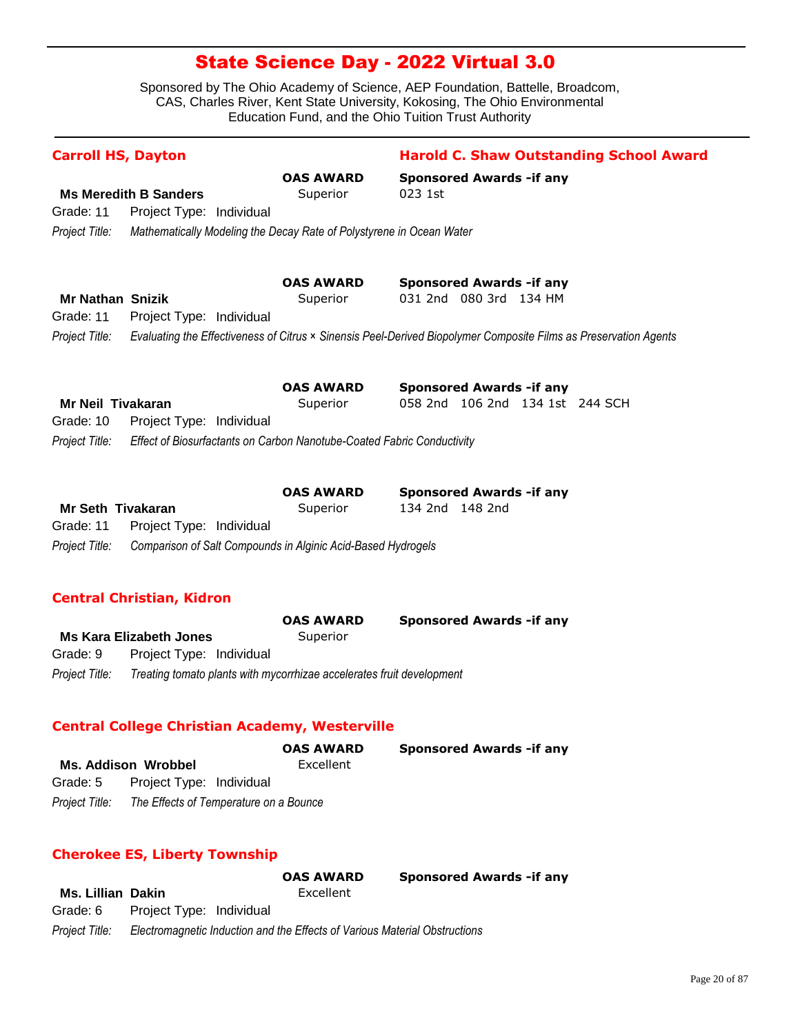Sponsored by The Ohio Academy of Science, AEP Foundation, Battelle, Broadcom, CAS, Charles River, Kent State University, Kokosing, The Ohio Environmental Education Fund, and the Ohio Tuition Trust Authority

| <b>Carroll HS, Dayton</b> |                                                                        |                                                                       | <b>Harold C. Shaw Outstanding School Award</b>                                                                   |  |  |
|---------------------------|------------------------------------------------------------------------|-----------------------------------------------------------------------|------------------------------------------------------------------------------------------------------------------|--|--|
|                           |                                                                        | <b>OAS AWARD</b>                                                      | <b>Sponsored Awards - if any</b>                                                                                 |  |  |
|                           | <b>Ms Meredith B Sanders</b>                                           | Superior                                                              | 023 1st                                                                                                          |  |  |
| Grade: 11                 | Project Type: Individual                                               |                                                                       |                                                                                                                  |  |  |
| Project Title:            | Mathematically Modeling the Decay Rate of Polystyrene in Ocean Water   |                                                                       |                                                                                                                  |  |  |
|                           |                                                                        | <b>OAS AWARD</b>                                                      | <b>Sponsored Awards - if any</b>                                                                                 |  |  |
| <b>Mr Nathan Snizik</b>   |                                                                        | Superior                                                              | 031 2nd 080 3rd 134 HM                                                                                           |  |  |
| Grade: 11                 | Project Type: Individual                                               |                                                                       |                                                                                                                  |  |  |
| Project Title:            |                                                                        |                                                                       | Evaluating the Effectiveness of Citrus × Sinensis Peel-Derived Biopolymer Composite Films as Preservation Agents |  |  |
|                           |                                                                        | <b>OAS AWARD</b>                                                      | <b>Sponsored Awards - if any</b>                                                                                 |  |  |
| Mr Neil Tivakaran         |                                                                        | Superior                                                              | 058 2nd 106 2nd 134 1st 244 SCH                                                                                  |  |  |
| Grade: 10                 | Project Type: Individual                                               |                                                                       |                                                                                                                  |  |  |
| Project Title:            | Effect of Biosurfactants on Carbon Nanotube-Coated Fabric Conductivity |                                                                       |                                                                                                                  |  |  |
|                           |                                                                        | <b>OAS AWARD</b>                                                      | <b>Sponsored Awards - if any</b>                                                                                 |  |  |
| <b>Mr Seth Tivakaran</b>  |                                                                        | Superior                                                              | 134 2nd 148 2nd                                                                                                  |  |  |
| Grade: 11                 | Project Type: Individual                                               |                                                                       |                                                                                                                  |  |  |
| Project Title:            | Comparison of Salt Compounds in Alginic Acid-Based Hydrogels           |                                                                       |                                                                                                                  |  |  |
|                           | <b>Central Christian, Kidron</b>                                       |                                                                       |                                                                                                                  |  |  |
|                           |                                                                        | <b>OAS AWARD</b>                                                      | <b>Sponsored Awards - if any</b>                                                                                 |  |  |
|                           | <b>Ms Kara Elizabeth Jones</b>                                         | Superior                                                              |                                                                                                                  |  |  |
| Grade: 9                  | Project Type: Individual                                               |                                                                       |                                                                                                                  |  |  |
| Project Title:            |                                                                        | Treating tomato plants with mycorrhizae accelerates fruit development |                                                                                                                  |  |  |
|                           | <b>Central College Christian Academy, Westerville</b>                  |                                                                       |                                                                                                                  |  |  |
|                           |                                                                        | <b>OAS AWARD</b>                                                      | <b>Sponsored Awards -if any</b>                                                                                  |  |  |
|                           | <b>Ms. Addison Wrobbel</b>                                             | Excellent                                                             |                                                                                                                  |  |  |
| Grade: 5                  | Project Type: Individual                                               |                                                                       |                                                                                                                  |  |  |

# **Cherokee ES, Liberty Township**

*Project Title: The Effects of Temperature on a Bounce*

|                   |                                                                            | <b>OAS AWARD</b> | <b>Sponsored Awards - if any</b> |
|-------------------|----------------------------------------------------------------------------|------------------|----------------------------------|
| Ms. Lillian Dakin |                                                                            | Excellent        |                                  |
| Grade: 6          | Project Type: Individual                                                   |                  |                                  |
| Project Title:    | Electromagnetic Induction and the Effects of Various Material Obstructions |                  |                                  |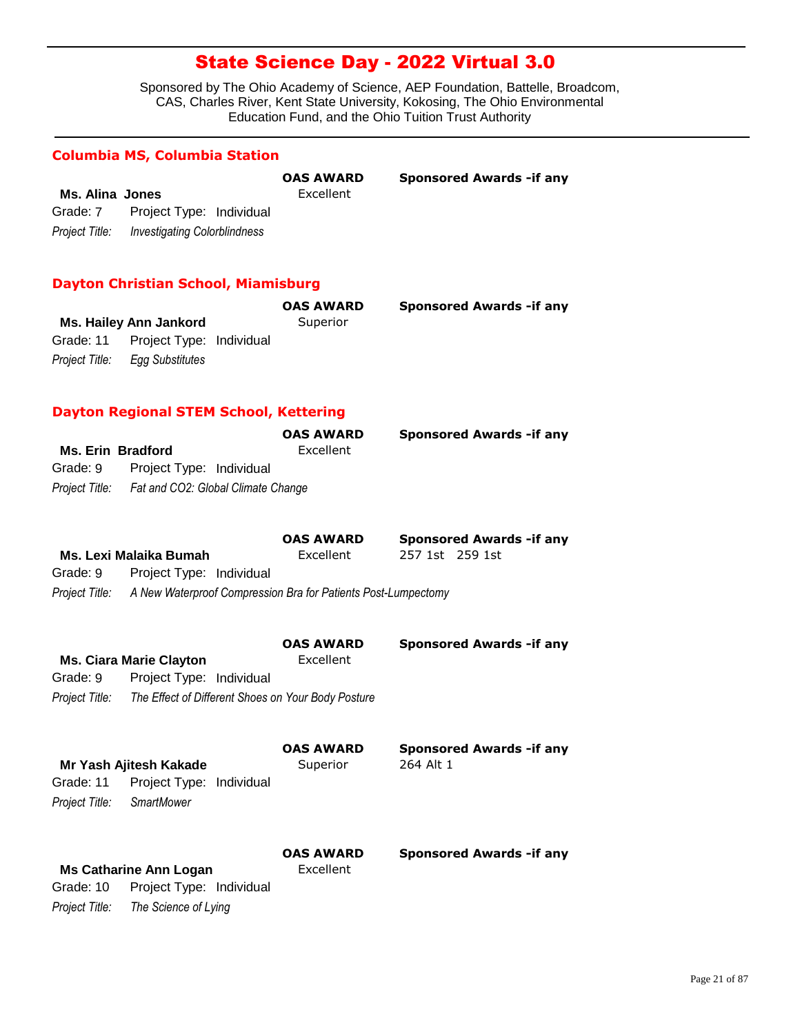Sponsored by The Ohio Academy of Science, AEP Foundation, Battelle, Broadcom, CAS, Charles River, Kent State University, Kokosing, The Ohio Environmental Education Fund, and the Ohio Tuition Trust Authority

#### **Columbia MS, Columbia Station**

|                 |                              | <b>OAS AWARD</b> | <b>Sponsored Awards - if any</b> |
|-----------------|------------------------------|------------------|----------------------------------|
| Ms. Alina Jones |                              | Excellent        |                                  |
| Grade: 7        | Project Type: Individual     |                  |                                  |
| Project Title:  | Investigating Colorblindness |                  |                                  |

#### **Dayton Christian School, Miamisburg**

|                |                                    | <b>OAS AWARD</b> | <b>Sponsored Awards - if any</b> |
|----------------|------------------------------------|------------------|----------------------------------|
|                | Ms. Hailey Ann Jankord             | Superior         |                                  |
|                | Grade: 11 Project Type: Individual |                  |                                  |
| Project Title: | Egg Substitutes                    |                  |                                  |

### **Dayton Regional STEM School, Kettering**

*Project Title: The Science of Lying*

Grade: 10 Project Type: Individual

|                                   | <b>OAS AWARD</b>                                  | <b>Sponsored Awards - if any</b> |
|-----------------------------------|---------------------------------------------------|----------------------------------|
| Ms. Erin Bradford                 | Excellent                                         |                                  |
| Grade: 9 Project Type: Individual |                                                   |                                  |
|                                   | Project Title: Fat and CO2: Global Climate Change |                                  |
|                                   |                                                   |                                  |

|                                   | <b>OAS AWARD</b>                                                             |                 | <b>Sponsored Awards - if any</b> |
|-----------------------------------|------------------------------------------------------------------------------|-----------------|----------------------------------|
| Ms. Lexi Malaika Bumah            | Excellent                                                                    | 257 1st 259 1st |                                  |
| Grade: 9 Project Type: Individual |                                                                              |                 |                                  |
|                                   | Project Title: A New Waterproof Compression Bra for Patients Post-Lumpectomy |                 |                                  |

|          | <b>Ms. Ciara Marie Clayton</b>                                    | <b>OAS AWARD</b><br>Excellent | <b>Sponsored Awards - if any</b> |
|----------|-------------------------------------------------------------------|-------------------------------|----------------------------------|
| Grade: 9 | Project Type: Individual                                          |                               |                                  |
|          | Project Title: The Effect of Different Shoes on Your Body Posture |                               |                                  |
|          |                                                                   | <b>OAS AWARD</b>              | <b>Sponsored Awards - if any</b> |

|                | Mr Yash Ajitesh Kakade        | Superior                      | 264 Alt 1                        |
|----------------|-------------------------------|-------------------------------|----------------------------------|
| Grade: 11      | Project Type: Individual      |                               |                                  |
| Project Title: | SmartMower                    |                               |                                  |
|                | <b>Ms Catharine Ann Logan</b> | <b>OAS AWARD</b><br>Excellent | <b>Sponsored Awards - if any</b> |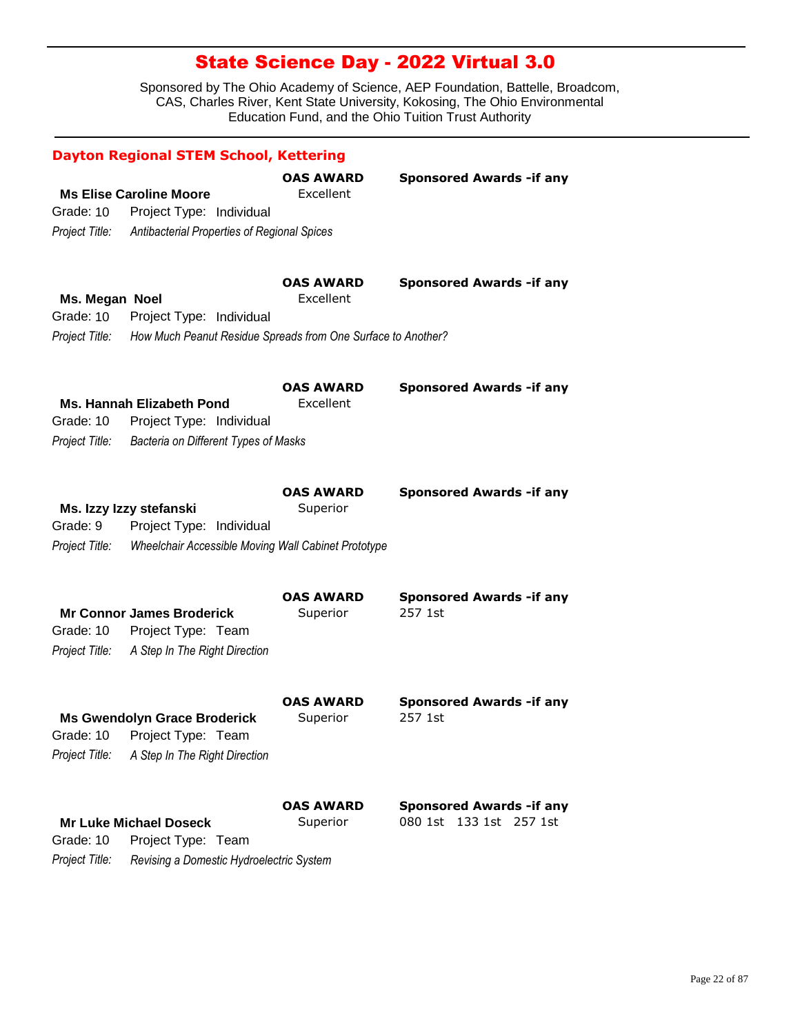|                                               | <b>Dayton Regional STEM School, Kettering</b>                                                              |                               |                                                                |
|-----------------------------------------------|------------------------------------------------------------------------------------------------------------|-------------------------------|----------------------------------------------------------------|
| Grade: 10<br>Project Title:                   | <b>Ms Elise Caroline Moore</b><br>Project Type: Individual<br>Antibacterial Properties of Regional Spices  | <b>OAS AWARD</b><br>Excellent | <b>Sponsored Awards - if any</b>                               |
| Ms. Megan Noel<br>Grade: 10<br>Project Title: | Project Type: Individual<br>How Much Peanut Residue Spreads from One Surface to Another?                   | OAS AWARD<br>Excellent        | <b>Sponsored Awards - if any</b>                               |
| Grade: 10<br>Project Title:                   | <b>Ms. Hannah Elizabeth Pond</b><br>Project Type: Individual<br>Bacteria on Different Types of Masks       | <b>OAS AWARD</b><br>Excellent | <b>Sponsored Awards - if any</b>                               |
| Grade: 9<br>Project Title:                    | Ms. Izzy Izzy stefanski<br>Project Type: Individual<br>Wheelchair Accessible Moving Wall Cabinet Prototype | <b>OAS AWARD</b><br>Superior  | <b>Sponsored Awards - if any</b>                               |
| Grade: 10<br>Project Title:                   | <b>Mr Connor James Broderick</b><br>Project Type: Team<br>A Step In The Right Direction                    | <b>OAS AWARD</b><br>Superior  | <b>Sponsored Awards - if any</b><br>257 1st                    |
| Project Title:                                | <b>Ms Gwendolyn Grace Broderick</b><br>Grade: 10 Project Type: Team<br>A Step In The Right Direction       | <b>OAS AWARD</b><br>Superior  | <b>Sponsored Awards - if any</b><br>257 1st                    |
| Grade: 10<br>Project Title:                   | <b>Mr Luke Michael Doseck</b><br>Project Type: Team<br>Revising a Domestic Hydroelectric System            | <b>OAS AWARD</b><br>Superior  | <b>Sponsored Awards - if any</b><br>080 1st 133 1st<br>257 1st |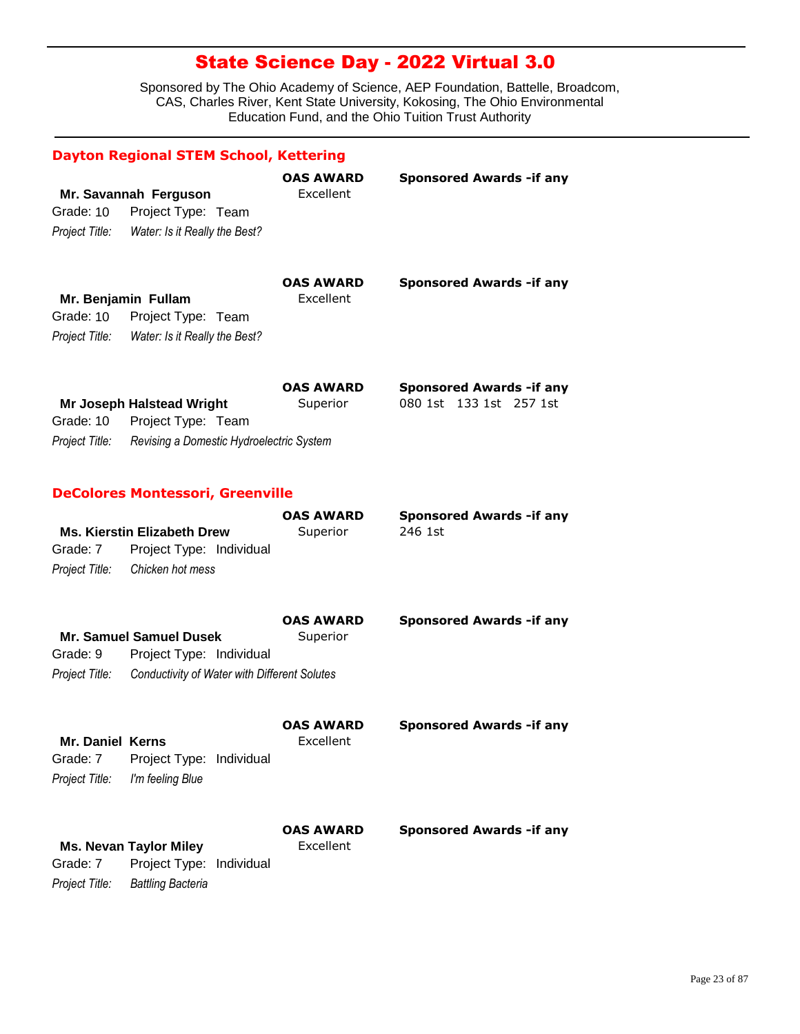|                                                       | <b>Dayton Regional STEM School, Kettering</b>                                                       |                               |                                                             |
|-------------------------------------------------------|-----------------------------------------------------------------------------------------------------|-------------------------------|-------------------------------------------------------------|
| Grade: 10<br>Project Title:                           | Mr. Savannah Ferguson<br>Project Type: Team<br>Water: Is it Really the Best?                        | <b>OAS AWARD</b><br>Excellent | <b>Sponsored Awards -if any</b>                             |
| Mr. Benjamin Fullam<br>Grade: 10                      | Project Type: Team<br>Project Title: Water: Is it Really the Best?                                  | <b>OAS AWARD</b><br>Excellent | <b>Sponsored Awards -if any</b>                             |
| Grade: 10<br>Project Title:                           | <b>Mr Joseph Halstead Wright</b><br>Project Type: Team<br>Revising a Domestic Hydroelectric System  | <b>OAS AWARD</b><br>Superior  | <b>Sponsored Awards - if any</b><br>080 1st 133 1st 257 1st |
|                                                       | <b>DeColores Montessori, Greenville</b>                                                             |                               |                                                             |
| Grade: 7<br>Project Title:                            | <b>Ms. Kierstin Elizabeth Drew</b><br>Project Type: Individual<br>Chicken hot mess                  | <b>OAS AWARD</b><br>Superior  | <b>Sponsored Awards -if any</b><br>246 1st                  |
| Grade: 9<br>Project Title:                            | Mr. Samuel Samuel Dusek<br>Project Type: Individual<br>Conductivity of Water with Different Solutes | <b>OAS AWARD</b><br>Superior  | <b>Sponsored Awards -if any</b>                             |
| <b>Mr. Daniel Kerns</b><br>Grade: 7<br>Project Title: | Project Type: Individual<br>I'm feeling Blue                                                        | <b>OAS AWARD</b><br>Excellent | <b>Sponsored Awards - if any</b>                            |
| Grade: 7<br>Project Title:                            | <b>Ms. Nevan Taylor Miley</b><br>Project Type:<br>Individual<br><b>Battling Bacteria</b>            | OAS AWARD<br>Excellent        | <b>Sponsored Awards -if any</b>                             |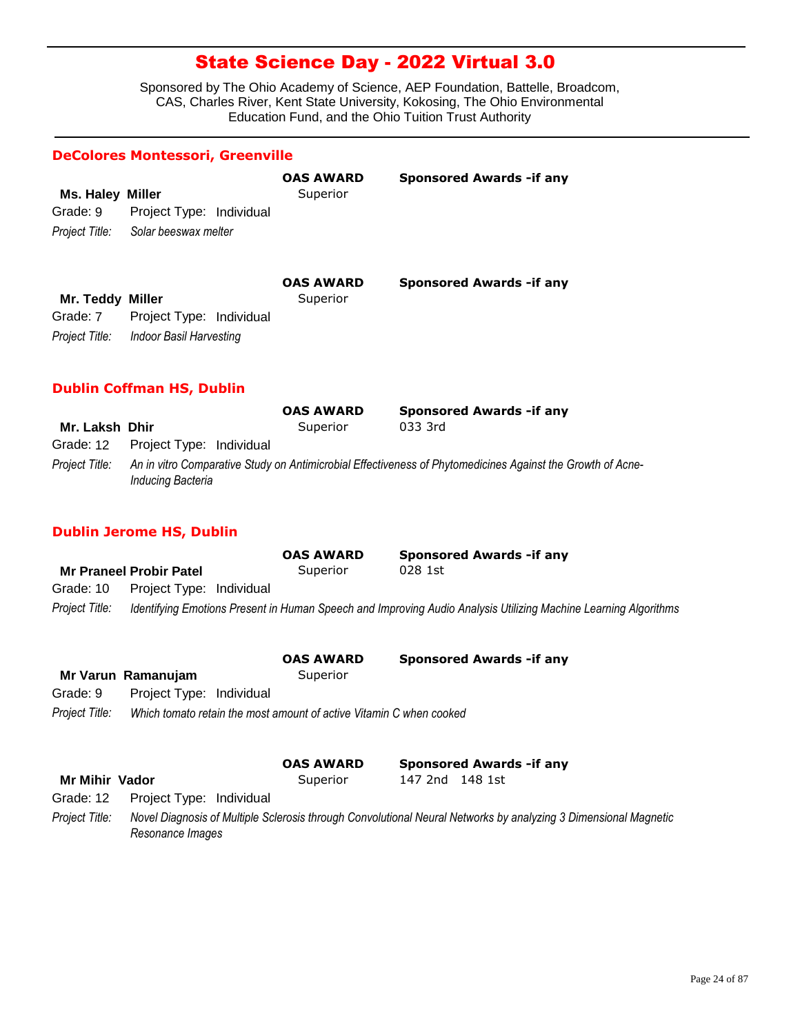Sponsored by The Ohio Academy of Science, AEP Foundation, Battelle, Broadcom, CAS, Charles River, Kent State University, Kokosing, The Ohio Environmental Education Fund, and the Ohio Tuition Trust Authority

#### **DeColores Montessori, Greenville**

| Ms. Haley<br>Grade: 9<br>Project Title:        | Miller<br>Project Type: Individual<br>Solar beeswax melter | <b>OAS AWARD</b><br>Superior | <b>Sponsored Awards - if any</b> |
|------------------------------------------------|------------------------------------------------------------|------------------------------|----------------------------------|
| Mr. Teddy Miller<br>Grade: 7<br>Project Title: | Project Type: Individual<br>Indoor Basil Harvesting        | <b>OAS AWARD</b><br>Superior | <b>Sponsored Awards - if any</b> |

#### **Dublin Coffman HS, Dublin**

|                |                                    | <b>OAS AWARD</b> | <b>Sponsored Awards - if any</b>                                                                           |
|----------------|------------------------------------|------------------|------------------------------------------------------------------------------------------------------------|
| Mr. Laksh Dhir |                                    | Superior         | 033 3rd                                                                                                    |
|                | Grade: 12 Project Type: Individual |                  |                                                                                                            |
| Project Title: | Inducing Bacteria                  |                  | An in vitro Comparative Study on Antimicrobial Effectiveness of Phytomedicines Against the Growth of Acne- |

### **Dublin Jerome HS, Dublin**

|                |                                | <b>OAS AWARD</b> | <b>Sponsored Awards - if any</b>                                                                                |  |
|----------------|--------------------------------|------------------|-----------------------------------------------------------------------------------------------------------------|--|
|                | <b>Mr Praneel Probir Patel</b> | Superior         | 028 1st                                                                                                         |  |
| Grade: 10      | Project Type: Individual       |                  |                                                                                                                 |  |
| Project Title: |                                |                  | Identifying Emotions Present in Human Speech and Improving Audio Analysis Utilizing Machine Learning Algorithms |  |

|                       | Mr Varun Ramanujam       | <b>OAS AWARD</b><br>Superior                                        | <b>Sponsored Awards - if any</b>                                                                                |  |
|-----------------------|--------------------------|---------------------------------------------------------------------|-----------------------------------------------------------------------------------------------------------------|--|
| Grade: 9              | Project Type: Individual |                                                                     |                                                                                                                 |  |
| Project Title:        |                          | Which tomato retain the most amount of active Vitamin C when cooked |                                                                                                                 |  |
|                       |                          | <b>OAS AWARD</b>                                                    | <b>Sponsored Awards - if any</b>                                                                                |  |
| <b>Mr Mihir Vador</b> |                          | Superior                                                            | 148 1st<br>147 2nd                                                                                              |  |
| Grade: 12             | Project Type: Individual |                                                                     |                                                                                                                 |  |
| Project Title:        | Resonance Images         |                                                                     | Novel Diagnosis of Multiple Sclerosis through Convolutional Neural Networks by analyzing 3 Dimensional Magnetic |  |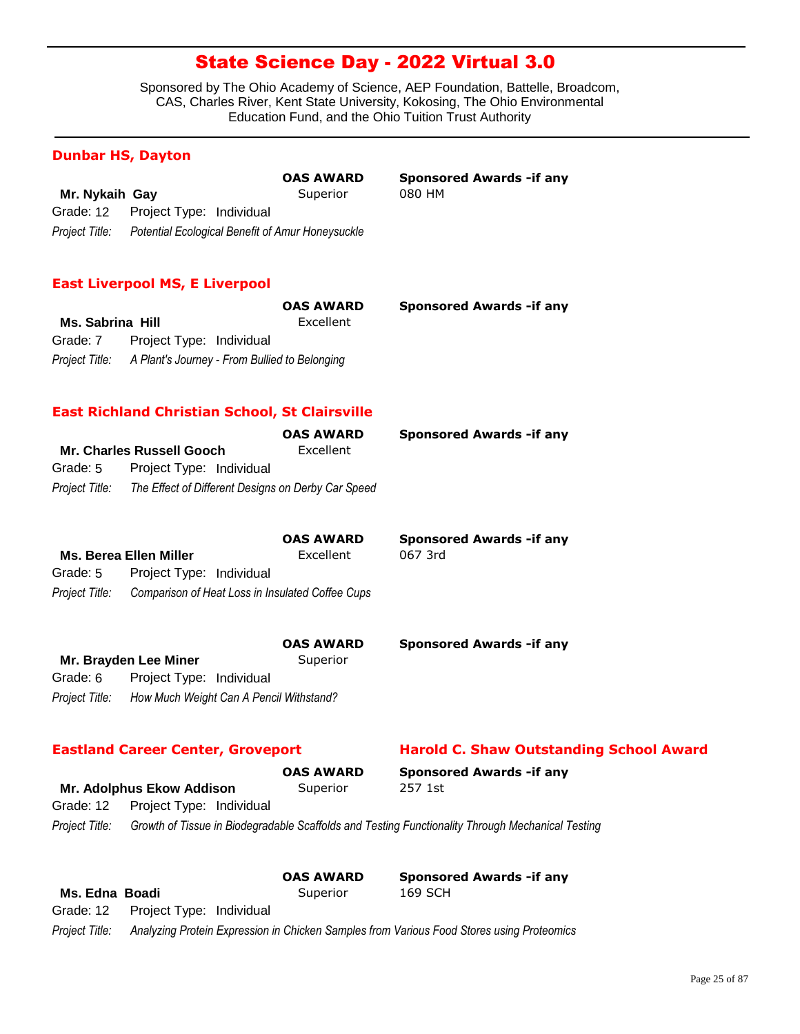Sponsored by The Ohio Academy of Science, AEP Foundation, Battelle, Broadcom, CAS, Charles River, Kent State University, Kokosing, The Ohio Environmental Education Fund, and the Ohio Tuition Trust Authority

**Sponsored Awards -if any** 

### **Dunbar HS, Dayton**

|                |                                    | <b>OAS AWARD</b>                                 | <b>Sponso</b> |
|----------------|------------------------------------|--------------------------------------------------|---------------|
| Mr. Nykaih Gay |                                    | Superior                                         | 080 HM        |
|                | Grade: 12 Project Type: Individual |                                                  |               |
| Project Title: |                                    | Potential Ecological Benefit of Amur Honeysuckle |               |

#### **East Liverpool MS, E Liverpool**

|                         |                                                              | <b>OAS AWARD</b> | <b>Sponsored Awards - if any</b> |
|-------------------------|--------------------------------------------------------------|------------------|----------------------------------|
| <b>Ms. Sabrina Hill</b> |                                                              | Excellent        |                                  |
| Grade: 7                | Project Type: Individual                                     |                  |                                  |
|                         | Project Title: A Plant's Journey - From Bullied to Belonging |                  |                                  |

#### **East Richland Christian School, St Clairsville**

|                |                                                    | <b>OAS AWARD</b> | <b>Sponsored Awards - if any</b> |
|----------------|----------------------------------------------------|------------------|----------------------------------|
|                | Mr. Charles Russell Gooch                          | Excellent        |                                  |
| Grade: 5       | Project Type: Individual                           |                  |                                  |
| Project Title: | The Effect of Different Designs on Derby Car Speed |                  |                                  |

|                |                                                  | <b>OAS AWARD</b> | <b>Sponsored Awards - if any</b> |
|----------------|--------------------------------------------------|------------------|----------------------------------|
|                | <b>Ms. Berea Ellen Miller</b>                    | Excellent        | 067 3rd                          |
| Grade: 5       | Project Type: Individual                         |                  |                                  |
| Proiect Title: | Comparison of Heat Loss in Insulated Coffee Cups |                  |                                  |

|                |                                         | <b>OAS AWARD</b> | <b>Sponsored Awards - if any</b> |
|----------------|-----------------------------------------|------------------|----------------------------------|
|                | Mr. Brayden Lee Miner                   | Superior         |                                  |
| Grade: 6       | Project Type: Individual                |                  |                                  |
| Project Title: | How Much Weight Can A Pencil Withstand? |                  |                                  |

#### **Eastland Career Center, Groveport Harold C. Shaw Outstanding School Award**

|                |                                    | <b>OAS AWARD</b> | <b>Sponsored Awards - if any</b>                                                                 |  |
|----------------|------------------------------------|------------------|--------------------------------------------------------------------------------------------------|--|
|                | <b>Mr. Adolphus Ekow Addison</b>   | Superior         | 257 1st                                                                                          |  |
|                | Grade: 12 Project Type: Individual |                  |                                                                                                  |  |
| Project Title: |                                    |                  | Growth of Tissue in Biodegradable Scaffolds and Testing Functionality Through Mechanical Testing |  |

|                |                                    | <b>OAS AWARD</b> | <b>Sponsored Awards - if any</b>                                                          |
|----------------|------------------------------------|------------------|-------------------------------------------------------------------------------------------|
| Ms. Edna Boadi |                                    | Superior         | 169 SCH                                                                                   |
|                | Grade: 12 Project Type: Individual |                  |                                                                                           |
| Project Title: |                                    |                  | Analyzing Protein Expression in Chicken Samples from Various Food Stores using Proteomics |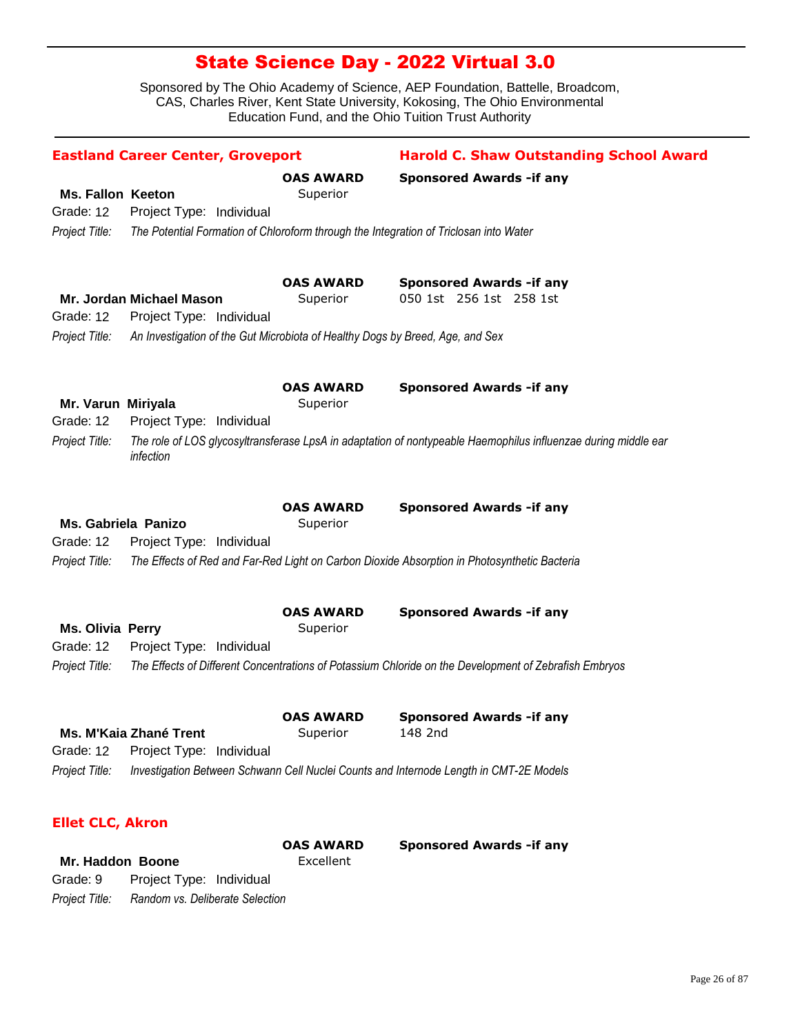Sponsored by The Ohio Academy of Science, AEP Foundation, Battelle, Broadcom, CAS, Charles River, Kent State University, Kokosing, The Ohio Environmental Education Fund, and the Ohio Tuition Trust Authority

|                                                        | <b>Eastland Career Center, Groveport</b>                                              |                              | <b>Harold C. Shaw Outstanding School Award</b>                                                                                            |
|--------------------------------------------------------|---------------------------------------------------------------------------------------|------------------------------|-------------------------------------------------------------------------------------------------------------------------------------------|
| <b>Ms. Fallon Keeton</b><br>Grade: 12                  | Project Type: Individual                                                              | <b>OAS AWARD</b><br>Superior | <b>Sponsored Awards - if any</b>                                                                                                          |
| Project Title:                                         | The Potential Formation of Chloroform through the Integration of Triclosan into Water |                              |                                                                                                                                           |
| Grade: 12                                              | Mr. Jordan Michael Mason<br>Project Type: Individual                                  | <b>OAS AWARD</b><br>Superior | <b>Sponsored Awards - if any</b><br>050 1st 256 1st 258 1st                                                                               |
| Project Title:                                         | An Investigation of the Gut Microbiota of Healthy Dogs by Breed, Age, and Sex         |                              |                                                                                                                                           |
| Mr. Varun Miriyala<br>Grade: 12                        | Project Type: Individual                                                              | <b>OAS AWARD</b><br>Superior | <b>Sponsored Awards - if any</b>                                                                                                          |
| Project Title:                                         | infection                                                                             |                              | The role of LOS glycosyltransferase LpsA in adaptation of nontypeable Haemophilus influenzae during middle ear                            |
| <b>Ms. Gabriela Panizo</b><br>Grade: 12                | Project Type: Individual                                                              | <b>OAS AWARD</b><br>Superior | <b>Sponsored Awards - if any</b>                                                                                                          |
| Project Title:                                         |                                                                                       |                              | The Effects of Red and Far-Red Light on Carbon Dioxide Absorption in Photosynthetic Bacteria                                              |
| <b>Ms. Olivia Perry</b><br>Grade: 12<br>Project Title: | Project Type: Individual                                                              | <b>OAS AWARD</b><br>Superior | <b>Sponsored Awards - if any</b><br>The Effects of Different Concentrations of Potassium Chloride on the Development of Zebrafish Embryos |
|                                                        |                                                                                       |                              |                                                                                                                                           |
| Grade: 12                                              | Ms. M'Kaia Zhané Trent<br>Project Type: Individual                                    | <b>OAS AWARD</b><br>Superior | <b>Sponsored Awards -if any</b><br>148 2nd                                                                                                |
| Project Title:                                         |                                                                                       |                              | Investigation Between Schwann Cell Nuclei Counts and Internode Length in CMT-2E Models                                                    |
| <b>Ellet CLC, Akron</b>                                |                                                                                       |                              |                                                                                                                                           |
|                                                        |                                                                                       | <b>OAS AWARD</b>             | <b>Sponsored Awards -if any</b>                                                                                                           |

Mr. Haddon Boone **Excellent** 

*Project Title: Random vs. Deliberate Selection* Grade: 9 Project Type: Individual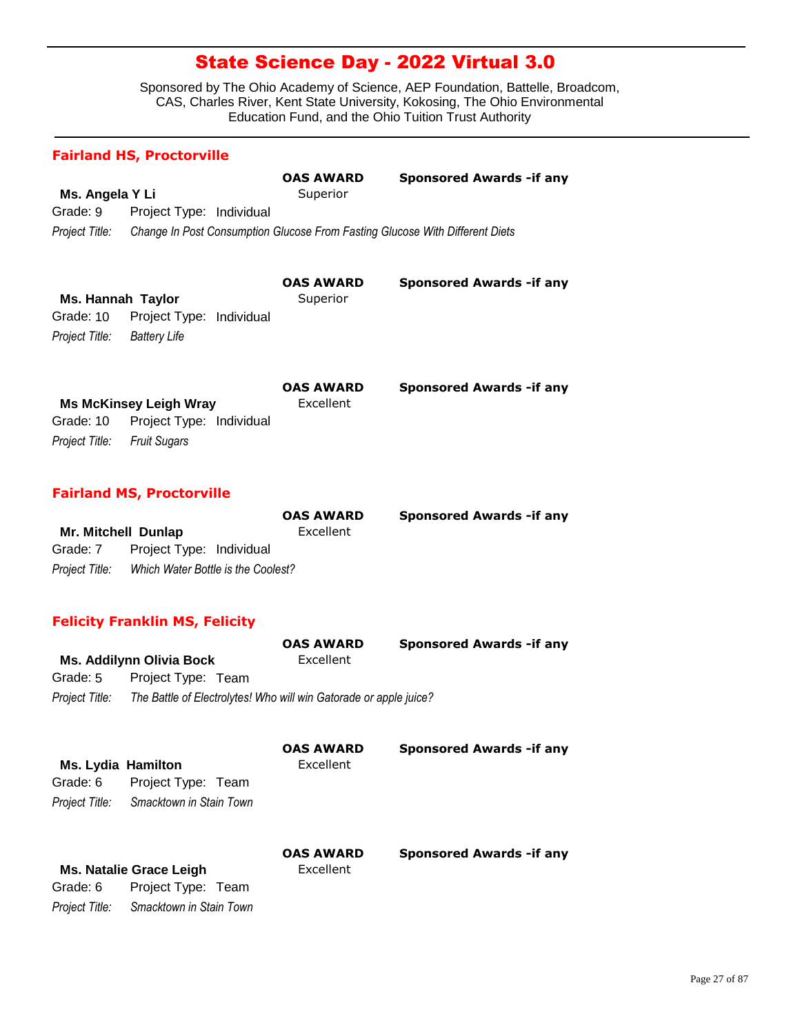Sponsored by The Ohio Academy of Science, AEP Foundation, Battelle, Broadcom, CAS, Charles River, Kent State University, Kokosing, The Ohio Environmental Education Fund, and the Ohio Tuition Trust Authority

### **Fairland HS, Proctorville**

|                 |                                                                              | <b>OAS AWARD</b> | <b>Sponsored Awards - if any</b> |
|-----------------|------------------------------------------------------------------------------|------------------|----------------------------------|
| Ms. Angela Y Li |                                                                              | Superior         |                                  |
| Grade: 9        | Project Type: Individual                                                     |                  |                                  |
| Project Title:  | Change In Post Consumption Glucose From Fasting Glucose With Different Diets |                  |                                  |

|                   |                                    | <b>OAS AWARD</b> | <b>Sponsored Awards - if any</b> |
|-------------------|------------------------------------|------------------|----------------------------------|
| Ms. Hannah Taylor |                                    | Superior         |                                  |
|                   | Grade: 10 Project Type: Individual |                  |                                  |
| Project Title:    | Batterv Life                       |                  |                                  |
|                   |                                    |                  |                                  |

|                                    | <b>OAS AWARD</b> | <b>Sponsored Awards - if any</b> |
|------------------------------------|------------------|----------------------------------|
| <b>Ms McKinsey Leigh Wray</b>      | Excellent        |                                  |
| Grade: 10 Project Type: Individual |                  |                                  |
| Project Title: Fruit Sugars        |                  |                                  |

### **Fairland MS, Proctorville**

|                     |                                    | <b>OAS AWARD</b> | <b>Sponsored Awards - if any</b> |
|---------------------|------------------------------------|------------------|----------------------------------|
| Mr. Mitchell Dunlap |                                    | Excellent        |                                  |
| Grade: 7            | Project Type: Individual           |                  |                                  |
| Project Title:      | Which Water Bottle is the Coolest? |                  |                                  |

### **Felicity Franklin MS, Felicity**

|                |                          | <b>OAS AWARD</b>                                                  | <b>Sponsored Awards - if any</b> |
|----------------|--------------------------|-------------------------------------------------------------------|----------------------------------|
|                | Ms. Addilynn Olivia Bock | Excellent                                                         |                                  |
| Grade: 5       | Project Type: Team       |                                                                   |                                  |
| Project Title: |                          | The Battle of Electrolytes! Who will win Gatorade or apple juice? |                                  |
|                |                          |                                                                   |                                  |

| <b>Ms. Lydia Hamilton</b> |                                | <b>OAS AWARD</b><br>Excellent | Sponsored Awards - if any        |
|---------------------------|--------------------------------|-------------------------------|----------------------------------|
| Grade: 6                  | Project Type: Team             |                               |                                  |
| Project Title:            | Smacktown in Stain Town        |                               |                                  |
|                           |                                | <b>OAS AWARD</b>              | <b>Sponsored Awards - if any</b> |
|                           | <b>Ms. Natalie Grace Leigh</b> | Excellent                     |                                  |
| Grade: 6                  | Project Type: Team             |                               |                                  |
| Project Title:            | Smacktown in Stain Town        |                               |                                  |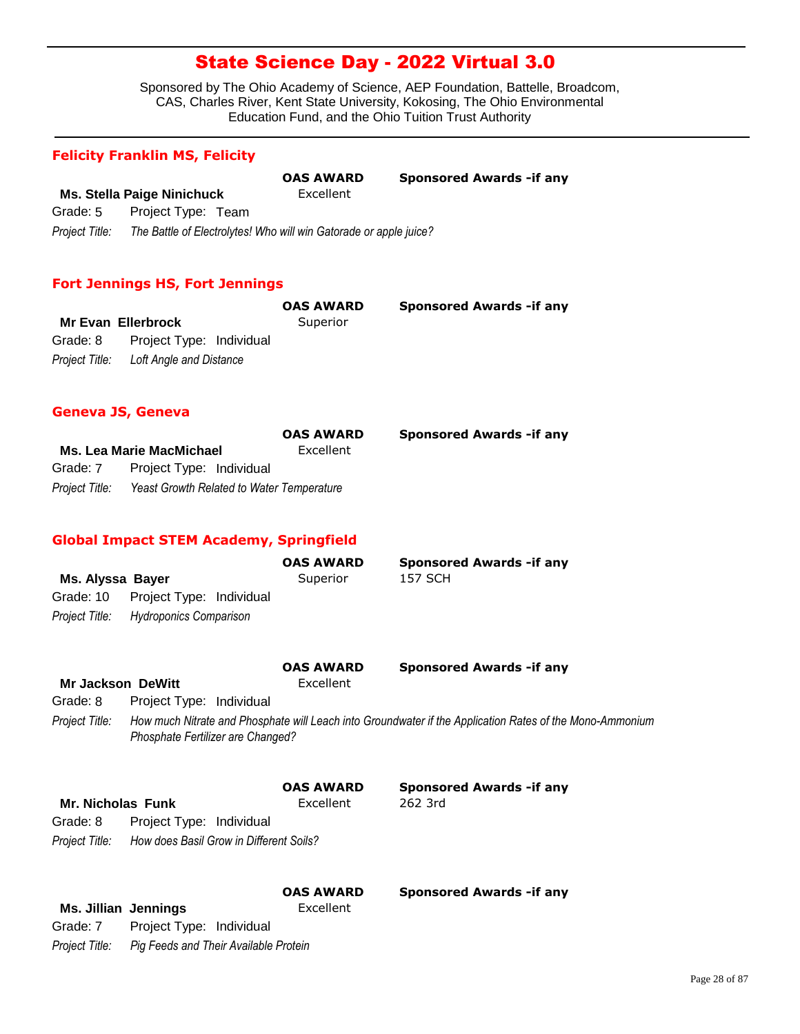Sponsored by The Ohio Academy of Science, AEP Foundation, Battelle, Broadcom, CAS, Charles River, Kent State University, Kokosing, The Ohio Environmental Education Fund, and the Ohio Tuition Trust Authority

#### **Felicity Franklin MS, Felicity**

|                |                                                                   | <b>OAS AWARD</b> | <b>Sponsored Awards - if any</b> |
|----------------|-------------------------------------------------------------------|------------------|----------------------------------|
|                | Ms. Stella Paige Ninichuck                                        | Excellent        |                                  |
| Grade: 5       | Project Type: Team                                                |                  |                                  |
| Project Title: | The Battle of Electrolytes! Who will win Gatorade or apple juice? |                  |                                  |

#### **Fort Jennings HS, Fort Jennings**

|                                        | <b>OAS AWARD</b> | <b>Sponsored Awards - if any</b> |
|----------------------------------------|------------------|----------------------------------|
| Mr Evan Ellerbrock                     | Superior         |                                  |
| Grade: 8 Project Type: Individual      |                  |                                  |
| Project Title: Loft Angle and Distance |                  |                                  |

#### **Geneva JS, Geneva**

|                |                                           | <b>OAS AWARD</b> | <b>Sponsored Awards - if any</b> |
|----------------|-------------------------------------------|------------------|----------------------------------|
|                | <b>Ms. Lea Marie MacMichael</b>           | Excellent        |                                  |
| Grade: 7       | Project Type: Individual                  |                  |                                  |
| Proiect Title: | Yeast Growth Related to Water Temperature |                  |                                  |

### **Global Impact STEM Academy, Springfield**

|                  |                                       | <b>OAS AWARD</b> | <b>Sponsored Awards - if any</b> |
|------------------|---------------------------------------|------------------|----------------------------------|
| Ms. Alyssa Bayer |                                       | Superior         | 157 SCH                          |
|                  | Grade: 10 Project Type: Individual    |                  |                                  |
|                  | Project Title: Hydroponics Comparison |                  |                                  |

| <b>Mr Jackson DeWitt</b> |                                   | <b>OAS AWARD</b><br>Excellent | <b>Sponsored Awards - if any</b>                                                                         |
|--------------------------|-----------------------------------|-------------------------------|----------------------------------------------------------------------------------------------------------|
| Grade: 8                 | Project Type: Individual          |                               |                                                                                                          |
| Project Title:           | Phosphate Fertilizer are Changed? |                               | How much Nitrate and Phosphate will Leach into Groundwater if the Application Rates of the Mono-Ammonium |

|                          |                                         | <b>OAS AWARD</b> | <b>Sponsored Awards - if any</b> |
|--------------------------|-----------------------------------------|------------------|----------------------------------|
| <b>Mr. Nicholas Funk</b> |                                         | Excellent        | 262 3rd                          |
| Grade: 8                 | Project Type: Individual                |                  |                                  |
| Project Title:           | How does Basil Grow in Different Soils? |                  |                                  |

|                      |                                       | <b>OAS AWARD</b> | <b>Sponsored Awards - if any</b> |
|----------------------|---------------------------------------|------------------|----------------------------------|
| Ms. Jillian Jennings |                                       | Excellent        |                                  |
| Grade: 7             | Project Type: Individual              |                  |                                  |
| Project Title:       | Pig Feeds and Their Available Protein |                  |                                  |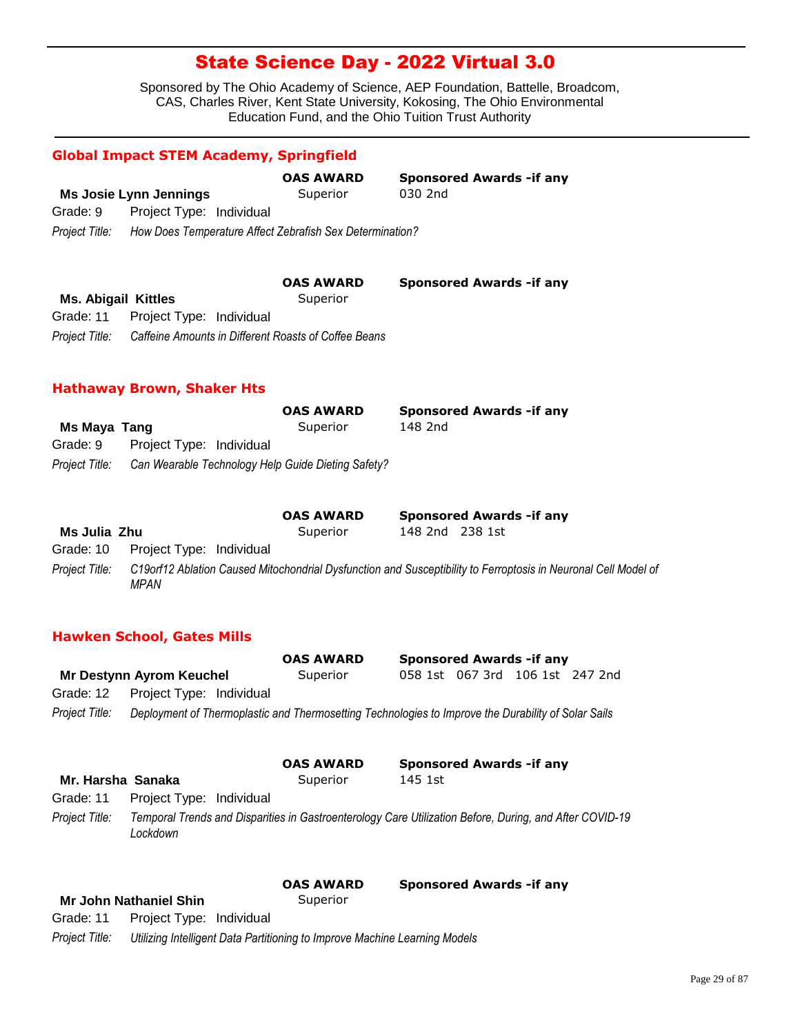Sponsored by The Ohio Academy of Science, AEP Foundation, Battelle, Broadcom, CAS, Charles River, Kent State University, Kokosing, The Ohio Environmental Education Fund, and the Ohio Tuition Trust Authority

|                            |                                                          | <b>OAS AWARD</b>                                     | <b>Sponsored Awards - if any</b> |
|----------------------------|----------------------------------------------------------|------------------------------------------------------|----------------------------------|
|                            | Ms Josie Lynn Jennings                                   | Superior                                             | 030 2nd                          |
| Grade: 9                   | Project Type: Individual                                 |                                                      |                                  |
| Project Title:             | How Does Temperature Affect Zebrafish Sex Determination? |                                                      |                                  |
|                            |                                                          |                                                      |                                  |
|                            |                                                          | <b>OAS AWARD</b>                                     | <b>Sponsored Awards - if any</b> |
| <b>Ms. Abigail Kittles</b> |                                                          | Superior                                             |                                  |
| Grade: 11                  | Project Type: Individual                                 |                                                      |                                  |
|                            |                                                          | Caffeine Amounts in Different Roasts of Coffee Beans |                                  |

#### **Hathaway Brown, Shaker Hts**

|              |                                                                   | <b>OAS AWARD</b> | <b>Sponsored Awards - if any</b> |
|--------------|-------------------------------------------------------------------|------------------|----------------------------------|
| Ms Maya Tang |                                                                   | Superior         | 148 2nd                          |
| Grade: 9     | Project Type: Individual                                          |                  |                                  |
|              | Project Title: Can Wearable Technology Help Guide Dieting Safety? |                  |                                  |

|                |                                    | <b>OAS AWARD</b> |                 | <b>Sponsored Awards - if any</b>                                                                               |
|----------------|------------------------------------|------------------|-----------------|----------------------------------------------------------------------------------------------------------------|
| Ms Julia Zhu   |                                    | Superior         | 148 2nd 238 1st |                                                                                                                |
|                | Grade: 10 Project Type: Individual |                  |                 |                                                                                                                |
| Project Title: | MPAN                               |                  |                 | C19orf12 Ablation Caused Mitochondrial Dysfunction and Susceptibility to Ferroptosis in Neuronal Cell Model of |

### **Hawken School, Gates Mills**

|                |                                                                                                     | <b>OAS AWARD</b> |  | <b>Sponsored Awards - if any</b> |  |
|----------------|-----------------------------------------------------------------------------------------------------|------------------|--|----------------------------------|--|
|                | Mr Destynn Ayrom Keuchel                                                                            | Superior         |  | 058 1st 067 3rd 106 1st 247 2nd  |  |
|                | Grade: 12 Project Type: Individual                                                                  |                  |  |                                  |  |
| Proiect Title: | Deployment of Thermoplastic and Thermosetting Technologies to Improve the Durability of Solar Sails |                  |  |                                  |  |

|                   |                          | <b>OAS AWARD</b> | <b>Sponsored Awards - if any</b>                                                                        |  |
|-------------------|--------------------------|------------------|---------------------------------------------------------------------------------------------------------|--|
| Mr. Harsha Sanaka |                          | Superior         | 145 1st                                                                                                 |  |
| Grade: 11         | Project Type: Individual |                  |                                                                                                         |  |
| Project Title:    | Lockdown                 |                  | Temporal Trends and Disparities in Gastroenterology Care Utilization Before, During, and After COVID-19 |  |

| <b>Mr John Nathaniel Shin</b> | Superior |
|-------------------------------|----------|

**OAS AWARD Sponsored Awards -if any**

Grade: 11 Project Type: Individual

*Project Title: Utilizing Intelligent Data Partitioning to Improve Machine Learning Models*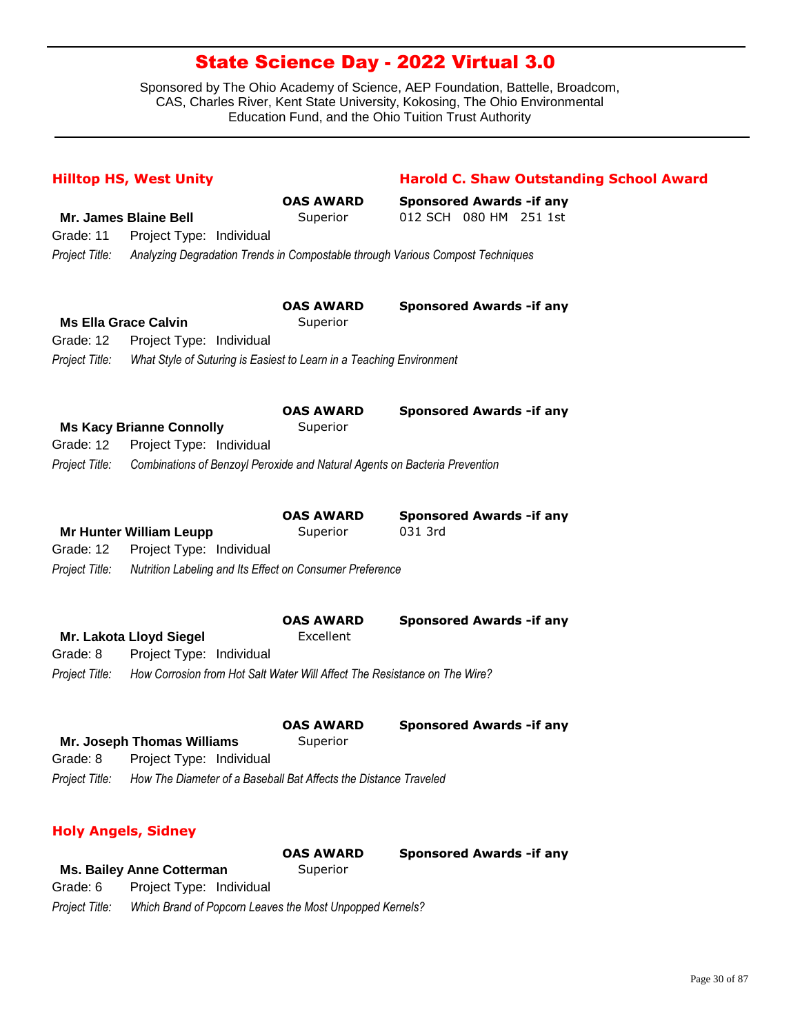Sponsored by The Ohio Academy of Science, AEP Foundation, Battelle, Broadcom, CAS, Charles River, Kent State University, Kokosing, The Ohio Environmental Education Fund, and the Ohio Tuition Trust Authority

|                | <b>Hilltop HS, West Unity</b>                                              |                              | <b>Harold C. Shaw Outstanding School Award</b>                                 |
|----------------|----------------------------------------------------------------------------|------------------------------|--------------------------------------------------------------------------------|
|                |                                                                            | <b>OAS AWARD</b>             | <b>Sponsored Awards - if any</b>                                               |
|                | <b>Mr. James Blaine Bell</b>                                               | Superior                     | 012 SCH 080 HM 251 1st                                                         |
| Grade: 11      | Project Type: Individual                                                   |                              |                                                                                |
| Project Title: |                                                                            |                              | Analyzing Degradation Trends in Compostable through Various Compost Techniques |
|                |                                                                            |                              |                                                                                |
|                | <b>Ms Ella Grace Calvin</b>                                                | <b>OAS AWARD</b><br>Superior | <b>Sponsored Awards - if any</b>                                               |
| Grade: 12      | Project Type: Individual                                                   |                              |                                                                                |
| Project Title: | What Style of Suturing is Easiest to Learn in a Teaching Environment       |                              |                                                                                |
|                |                                                                            |                              |                                                                                |
|                |                                                                            | <b>OAS AWARD</b>             | <b>Sponsored Awards - if any</b>                                               |
|                | <b>Ms Kacy Brianne Connolly</b>                                            | Superior                     |                                                                                |
| Grade: 12      | Project Type: Individual                                                   |                              |                                                                                |
| Project Title: | Combinations of Benzoyl Peroxide and Natural Agents on Bacteria Prevention |                              |                                                                                |
|                |                                                                            |                              |                                                                                |
|                |                                                                            | <b>OAS AWARD</b>             | <b>Sponsored Awards - if any</b>                                               |
|                | <b>Mr Hunter William Leupp</b>                                             | Superior                     | 031 3rd                                                                        |
| Grade: 12      | Project Type: Individual                                                   |                              |                                                                                |
| Project Title: | Nutrition Labeling and Its Effect on Consumer Preference                   |                              |                                                                                |
|                |                                                                            | <b>OAS AWARD</b>             | <b>Sponsored Awards - if any</b>                                               |
|                | Mr. Lakota Lloyd Siegel                                                    | Excellent                    |                                                                                |
| Grade: 8       | Project Type: Individual                                                   |                              |                                                                                |
| Project Title: | How Corrosion from Hot Salt Water Will Affect The Resistance on The Wire?  |                              |                                                                                |
|                |                                                                            |                              |                                                                                |
|                |                                                                            | <b>OAS AWARD</b>             | <b>Sponsored Awards - if any</b>                                               |
|                | Mr. Joseph Thomas Williams                                                 | Superior                     |                                                                                |
| Grade: 8       | Project Type: Individual                                                   |                              |                                                                                |
| Project Title: | How The Diameter of a Baseball Bat Affects the Distance Traveled           |                              |                                                                                |
|                | <b>Holy Angels, Sidney</b>                                                 |                              |                                                                                |
|                |                                                                            | <b>OAS AWARD</b>             | <b>Sponsored Awards -if any</b>                                                |
|                |                                                                            |                              |                                                                                |

**Ms. Bailey Anne Cotterman** Superior *Project Title: Which Brand of Popcorn Leaves the Most Unpopped Kernels?* Grade: 6 Project Type: Individual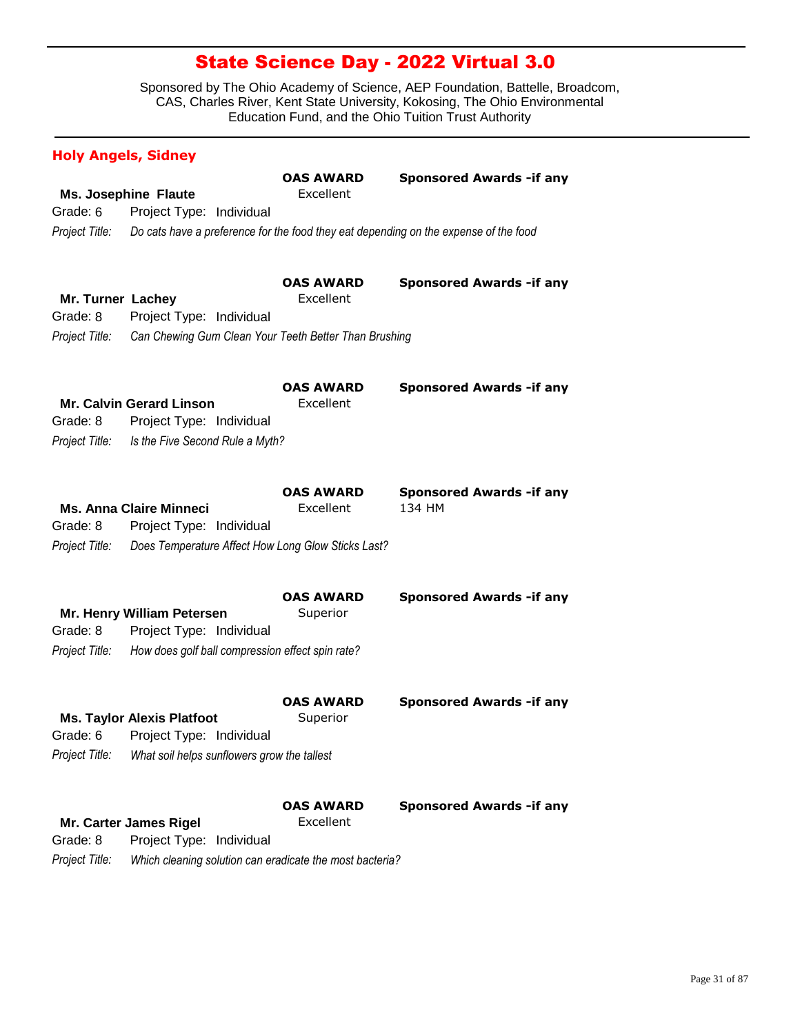| <b>Holy Angels, Sidney</b>    |                                                                                         |                               |                                            |
|-------------------------------|-----------------------------------------------------------------------------------------|-------------------------------|--------------------------------------------|
| Grade: 6                      | <b>Ms. Josephine Flaute</b><br>Project Type: Individual                                 | <b>OAS AWARD</b><br>Excellent | <b>Sponsored Awards - if any</b>           |
|                               |                                                                                         |                               |                                            |
| Project Title:                | Do cats have a preference for the food they eat depending on the expense of the food    |                               |                                            |
| Mr. Turner Lachey<br>Grade: 8 | Project Type: Individual                                                                | <b>OAS AWARD</b><br>Excellent | <b>Sponsored Awards -if any</b>            |
| Project Title:                | Can Chewing Gum Clean Your Teeth Better Than Brushing                                   |                               |                                            |
| Grade: 8<br>Project Title:    | Mr. Calvin Gerard Linson<br>Project Type: Individual<br>Is the Five Second Rule a Myth? | <b>OAS AWARD</b><br>Excellent | <b>Sponsored Awards - if any</b>           |
| Grade: 8                      | <b>Ms. Anna Claire Minneci</b><br>Project Type: Individual                              | <b>OAS AWARD</b><br>Excellent | <b>Sponsored Awards - if any</b><br>134 HM |
| Project Title:                | Does Temperature Affect How Long Glow Sticks Last?                                      |                               |                                            |
|                               | Mr. Henry William Petersen                                                              | <b>OAS AWARD</b><br>Superior  | <b>Sponsored Awards - if any</b>           |
| Grade: 8                      | Project Type: Individual                                                                |                               |                                            |
| Project Title:                | How does golf ball compression effect spin rate?                                        |                               |                                            |
|                               | <b>Ms. Taylor Alexis Platfoot</b>                                                       | <b>OAS AWARD</b><br>Superior  | <b>Sponsored Awards - if any</b>           |
|                               | Grade: 6 Project Type: Individual                                                       |                               |                                            |
| Project Title:                | What soil helps sunflowers grow the tallest                                             |                               |                                            |
|                               | Mr. Carter James Rigel                                                                  | <b>OAS AWARD</b><br>Excellent | <b>Sponsored Awards - if any</b>           |
| Grade: 8                      | Project Type: Individual                                                                |                               |                                            |
| Project Title:                | Which cleaning solution can eradicate the most bacteria?                                |                               |                                            |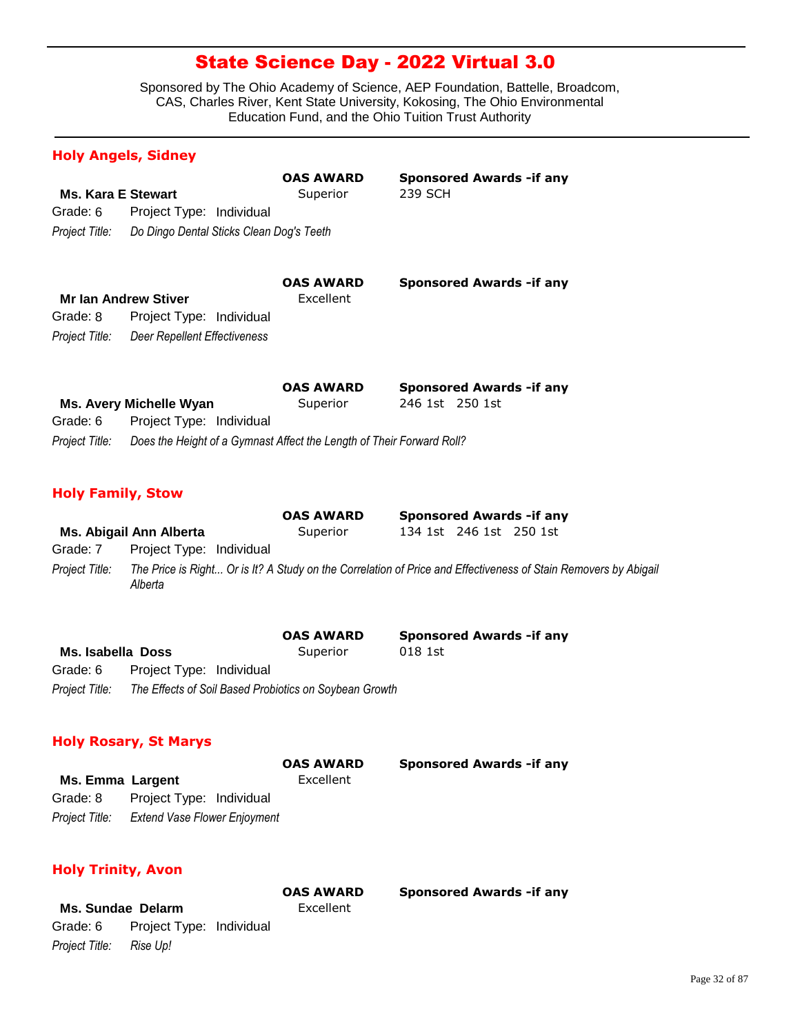Sponsored by The Ohio Academy of Science, AEP Foundation, Battelle, Broadcom, CAS, Charles River, Kent State University, Kokosing, The Ohio Environmental Education Fund, and the Ohio Tuition Trust Authority

|                           | <b>Holy Angels, Sidney</b>                                            |                              |                                                                                                                 |
|---------------------------|-----------------------------------------------------------------------|------------------------------|-----------------------------------------------------------------------------------------------------------------|
| <b>Ms. Kara E Stewart</b> |                                                                       | <b>OAS AWARD</b><br>Superior | <b>Sponsored Awards - if any</b><br>239 SCH                                                                     |
| Grade: 6                  | Project Type: Individual                                              |                              |                                                                                                                 |
| Project Title:            | Do Dingo Dental Sticks Clean Dog's Teeth                              |                              |                                                                                                                 |
|                           |                                                                       | <b>OAS AWARD</b>             | <b>Sponsored Awards - if any</b>                                                                                |
|                           | <b>Mr Ian Andrew Stiver</b>                                           | Excellent                    |                                                                                                                 |
| Grade: 8                  | Project Type: Individual                                              |                              |                                                                                                                 |
| Project Title:            | <b>Deer Repellent Effectiveness</b>                                   |                              |                                                                                                                 |
|                           |                                                                       | <b>OAS AWARD</b>             | <b>Sponsored Awards - if any</b>                                                                                |
|                           | Ms. Avery Michelle Wyan                                               | Superior                     | 246 1st 250 1st                                                                                                 |
| Grade: 6                  | Project Type: Individual                                              |                              |                                                                                                                 |
| Project Title:            | Does the Height of a Gymnast Affect the Length of Their Forward Roll? |                              |                                                                                                                 |
| <b>Holy Family, Stow</b>  |                                                                       |                              |                                                                                                                 |
|                           |                                                                       | <b>OAS AWARD</b>             | <b>Sponsored Awards - if any</b>                                                                                |
|                           | Ms. Abigail Ann Alberta                                               | Superior                     | 134 1st 246 1st 250 1st                                                                                         |
| Grade: 7                  | Project Type: Individual                                              |                              |                                                                                                                 |
| Project Title:            | Alberta                                                               |                              | The Price is Right Or is It? A Study on the Correlation of Price and Effectiveness of Stain Removers by Abigail |
|                           |                                                                       |                              |                                                                                                                 |

|                   |                                                        | <b>OAS AWARD</b> | <b>Sponsored Awards - if any</b> |
|-------------------|--------------------------------------------------------|------------------|----------------------------------|
| Ms. Isabella Doss |                                                        | Superior         | 018 1st                          |
| Grade: 6          | Project Type: Individual                               |                  |                                  |
| Project Title:    | The Effects of Soil Based Probiotics on Soybean Growth |                  |                                  |

#### **Holy Rosary, St Marys**

|                  |                                             | <b>OAS AWARD</b> | <b>Sponsored Awards - if any</b> |
|------------------|---------------------------------------------|------------------|----------------------------------|
| Ms. Emma Largent |                                             | Excellent        |                                  |
| Grade: 8         | Project Type: Individual                    |                  |                                  |
|                  | Project Title: Extend Vase Flower Enjoyment |                  |                                  |

**Sponsored Awards -if any** 

### **Holy Trinity, Avon**

|                         |                                   | <b>OAS AWARD</b> |  |
|-------------------------|-----------------------------------|------------------|--|
| Ms. Sundae Delarm       |                                   | Excellent        |  |
|                         | Grade: 6 Project Type: Individual |                  |  |
| Project Title: Rise Up! |                                   |                  |  |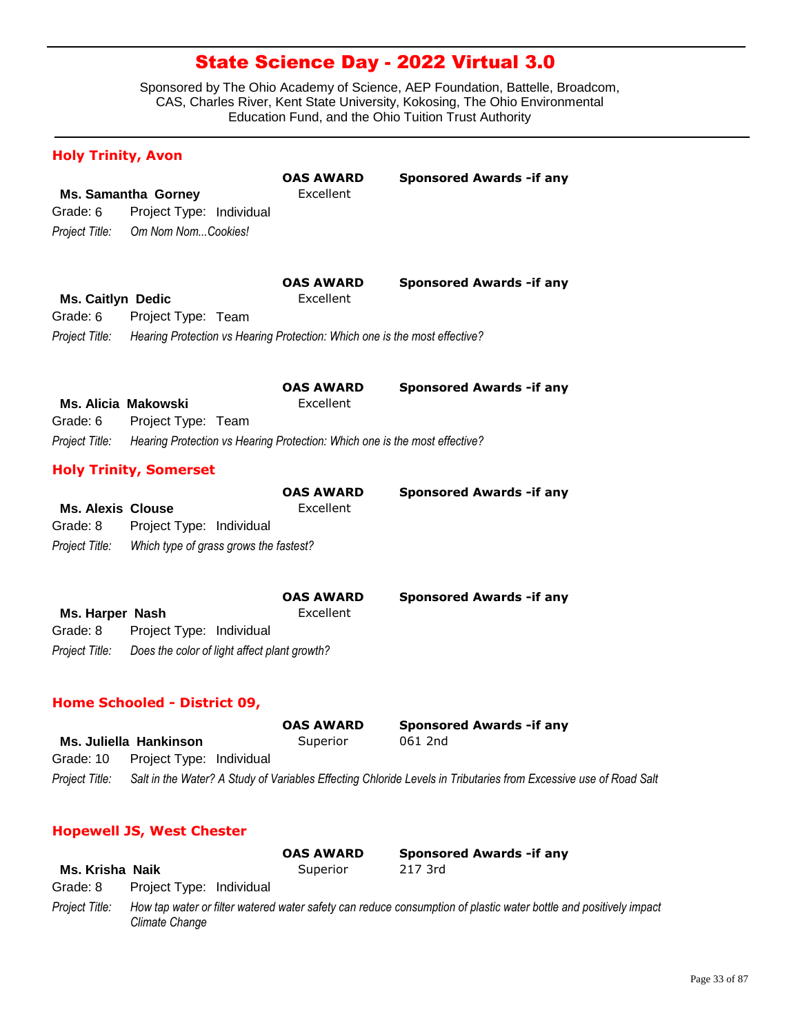Sponsored by The Ohio Academy of Science, AEP Foundation, Battelle, Broadcom, CAS, Charles River, Kent State University, Kokosing, The Ohio Environmental Education Fund, and the Ohio Tuition Trust Authority

| <b>Holy Trinity, Avon</b>                              |                                                                                                                                |                               |                                                                                                                  |
|--------------------------------------------------------|--------------------------------------------------------------------------------------------------------------------------------|-------------------------------|------------------------------------------------------------------------------------------------------------------|
| Grade: 6<br>Project Title:                             | <b>Ms. Samantha Gorney</b><br>Project Type: Individual<br>Om Nom NomCookies!                                                   | <b>OAS AWARD</b><br>Excellent | <b>Sponsored Awards - if any</b>                                                                                 |
| <b>Ms. Caitlyn Dedic</b><br>Grade: 6<br>Project Title: | Project Type: Team<br>Hearing Protection vs Hearing Protection: Which one is the most effective?                               | <b>OAS AWARD</b><br>Excellent | <b>Sponsored Awards - if any</b>                                                                                 |
| Grade: 6<br>Project Title:                             | <b>Ms. Alicia Makowski</b><br>Project Type: Team<br>Hearing Protection vs Hearing Protection: Which one is the most effective? | <b>OAS AWARD</b><br>Excellent | <b>Sponsored Awards - if any</b>                                                                                 |
|                                                        | <b>Holy Trinity, Somerset</b>                                                                                                  |                               |                                                                                                                  |
| <b>Ms. Alexis Clouse</b><br>Grade: 8<br>Project Title: | Project Type: Individual<br>Which type of grass grows the fastest?                                                             | <b>OAS AWARD</b><br>Excellent | <b>Sponsored Awards - if any</b>                                                                                 |
| Ms. Harper Nash<br>Grade: 8<br>Project Title:          | Project Type: Individual<br>Does the color of light affect plant growth?                                                       | <b>OAS AWARD</b><br>Excellent | <b>Sponsored Awards -if any</b>                                                                                  |
|                                                        | <b>Home Schooled - District 09,</b>                                                                                            |                               |                                                                                                                  |
|                                                        |                                                                                                                                | <b>OAS AWARD</b>              | <b>Sponsored Awards -if any</b>                                                                                  |
|                                                        | Ms. Juliella Hankinson                                                                                                         | Superior                      | 061 2nd                                                                                                          |
| Grade: 10                                              | Project Type: Individual                                                                                                       |                               |                                                                                                                  |
| Project Title:                                         |                                                                                                                                |                               | Salt in the Water? A Study of Variables Effecting Chloride Levels in Tributaries from Excessive use of Road Salt |

### **Hopewell JS, West Chester**

|                 |                          | <b>OAS AWARD</b> | <b>Sponsored Awards - if any</b>                                                                                  |
|-----------------|--------------------------|------------------|-------------------------------------------------------------------------------------------------------------------|
| Ms. Krisha Naik |                          | Superior         | 217 3rd                                                                                                           |
| Grade: 8        | Project Type: Individual |                  |                                                                                                                   |
| Project Title:  | Climate Change           |                  | How tap water or filter watered water safety can reduce consumption of plastic water bottle and positively impact |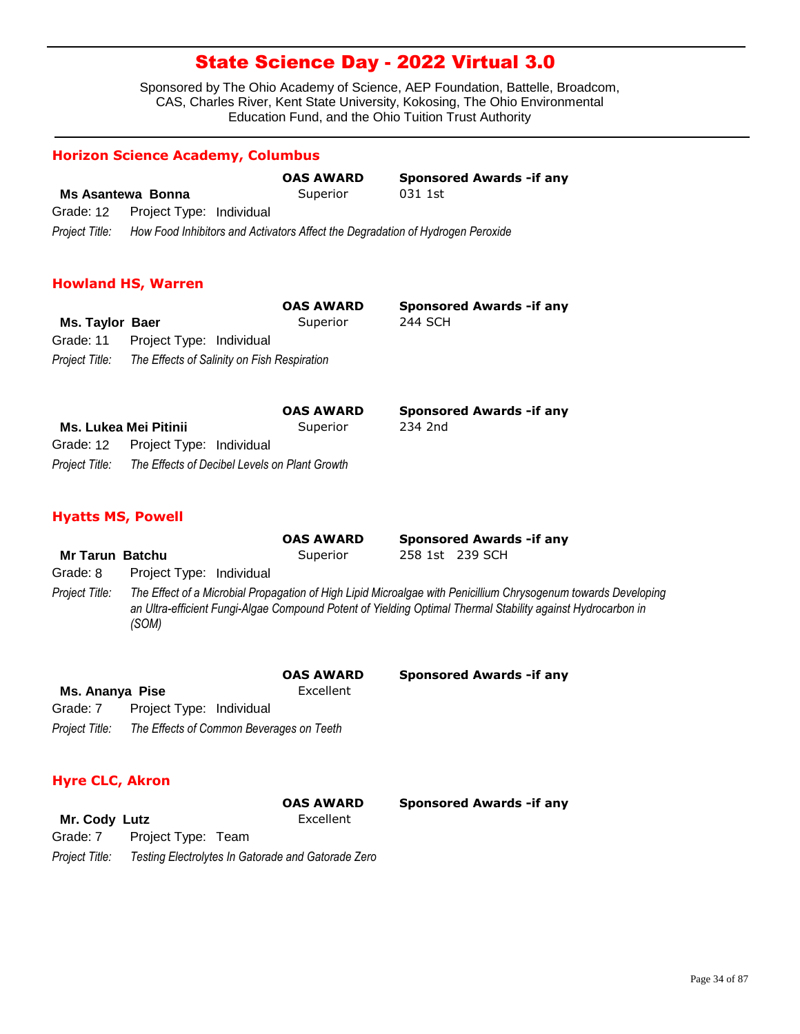Sponsored by The Ohio Academy of Science, AEP Foundation, Battelle, Broadcom, CAS, Charles River, Kent State University, Kokosing, The Ohio Environmental Education Fund, and the Ohio Tuition Trust Authority

### **Horizon Science Academy, Columbus**

|                   |                                                                                | <b>OAS AWARD</b> | <b>Sponsored Awards - if any</b> |
|-------------------|--------------------------------------------------------------------------------|------------------|----------------------------------|
| Ms Asantewa Bonna |                                                                                | Superior         | 031 1st                          |
|                   | Grade: 12 Project Type: Individual                                             |                  |                                  |
| Project Title:    | How Food Inhibitors and Activators Affect the Degradation of Hydrogen Peroxide |                  |                                  |

#### **Howland HS, Warren**

|                 |                                             | <b>OAS AWARD</b> | <b>Sponsored Awards - if any</b> |
|-----------------|---------------------------------------------|------------------|----------------------------------|
| Ms. Taylor Baer |                                             | Superior         | 244 SCH                          |
|                 | Grade: 11 Project Type: Individual          |                  |                                  |
| Project Title:  | The Effects of Salinity on Fish Respiration |                  |                                  |

|                              |                                               | <b>OAS AWARD</b> | <b>Sponsored Awards - if any</b> |
|------------------------------|-----------------------------------------------|------------------|----------------------------------|
| <b>Ms. Lukea Mei Pitinii</b> |                                               | Superior         | 234 2nd                          |
|                              | Grade: 12  Project Type: Individual           |                  |                                  |
| Project Title:               | The Effects of Decibel Levels on Plant Growth |                  |                                  |

#### **Hyatts MS, Powell**

|                        |                          | <b>OAS AWARD</b> | <b>Sponsored Awards - if any</b>                                                                                                                                                                                              |  |
|------------------------|--------------------------|------------------|-------------------------------------------------------------------------------------------------------------------------------------------------------------------------------------------------------------------------------|--|
| <b>Mr Tarun Batchu</b> |                          | Superior         | 258 1st 239 SCH                                                                                                                                                                                                               |  |
| Grade: 8               | Project Type: Individual |                  |                                                                                                                                                                                                                               |  |
| Project Title:         | (SOM)                    |                  | The Effect of a Microbial Propagation of High Lipid Microalgae with Penicillium Chrysogenum towards Developing<br>an Ultra-efficient Fungi-Algae Compound Potent of Yielding Optimal Thermal Stability against Hydrocarbon in |  |

|                 |                                          | <b>OAS AWARD</b> | <b>Sponsored Awards - if any</b> |
|-----------------|------------------------------------------|------------------|----------------------------------|
| Ms. Ananya Pise |                                          | Excellent        |                                  |
| Grade: 7        | Project Type: Individual                 |                  |                                  |
| Project Title:  | The Effects of Common Beverages on Teeth |                  |                                  |

### **Hyre CLC, Akron**

|                |                                                    | <b>OAS AWARD</b> | <b>Sponsored Awards - if any</b> |
|----------------|----------------------------------------------------|------------------|----------------------------------|
| Mr. Cody Lutz  |                                                    | Excellent        |                                  |
|                | Grade: 7 Project Type: Team                        |                  |                                  |
| Project Title: | Testing Electrolytes In Gatorade and Gatorade Zero |                  |                                  |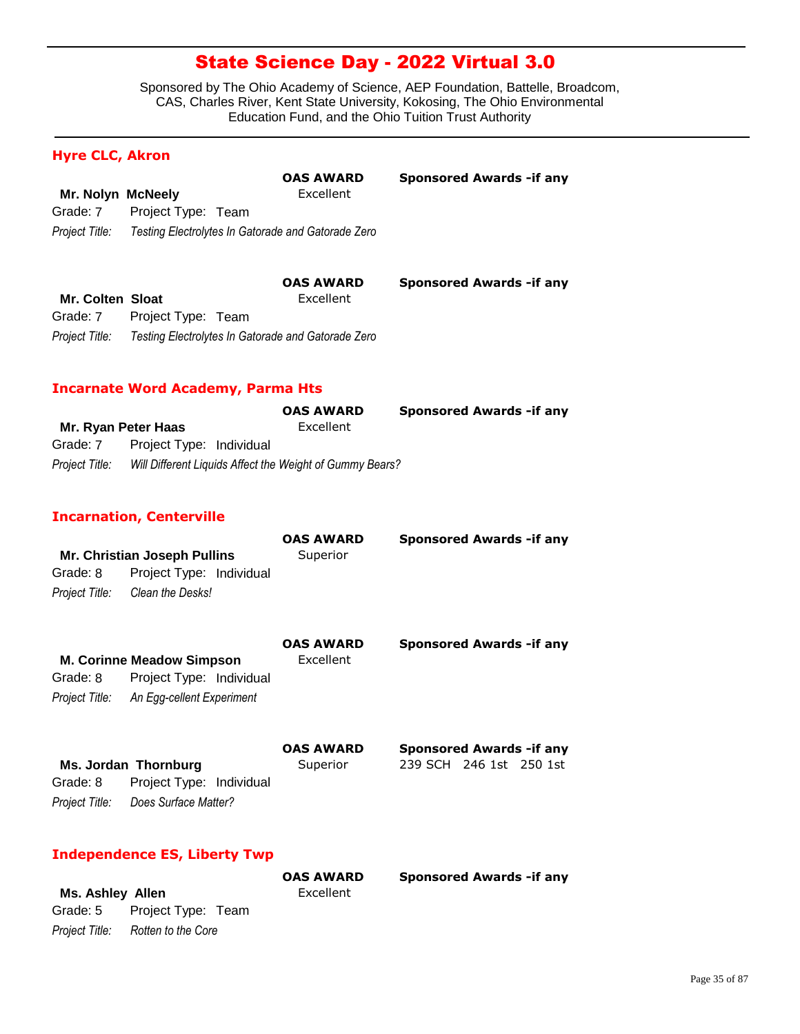Sponsored by The Ohio Academy of Science, AEP Foundation, Battelle, Broadcom, CAS, Charles River, Kent State University, Kokosing, The Ohio Environmental Education Fund, and the Ohio Tuition Trust Authority

**Sponsored Awards -if any** 

**Sponsored Awards -if any** 

### **Hyre CLC, Akron**

|                   |                    | <b>OAS AWARD</b>                                   |  |
|-------------------|--------------------|----------------------------------------------------|--|
| Mr. Nolyn McNeely |                    | Excellent                                          |  |
| Grade: 7          | Project Type: Team |                                                    |  |
| Project Title:    |                    | Testing Electrolytes In Gatorade and Gatorade Zero |  |

|                  |                    | <b>OAS AWARD</b>                                   |  |
|------------------|--------------------|----------------------------------------------------|--|
| Mr. Colten Sloat |                    | Excellent                                          |  |
| Grade: 7         | Project Type: Team |                                                    |  |
| Project Title:   |                    | Testing Electrolytes In Gatorade and Gatorade Zero |  |

### **Incarnate Word Academy, Parma Hts**

|                     |                                                          | <b>OAS AWARD</b> | <b>Sponsored Awards - if any</b> |
|---------------------|----------------------------------------------------------|------------------|----------------------------------|
| Mr. Ryan Peter Haas |                                                          | Excellent        |                                  |
| Grade: 7            | Project Type: Individual                                 |                  |                                  |
| Project Title:      | Will Different Liquids Affect the Weight of Gummy Bears? |                  |                                  |

### **Incarnation, Centerville**

|                | <b>Mr. Christian Joseph Pullins</b> | <b>OAS AWARD</b><br>Superior  | <b>Sponsored Awards -if any</b>                             |
|----------------|-------------------------------------|-------------------------------|-------------------------------------------------------------|
| Grade: 8       | Project Type: Individual            |                               |                                                             |
| Project Title: | Clean the Desks!                    |                               |                                                             |
|                | <b>M. Corinne Meadow Simpson</b>    | <b>OAS AWARD</b><br>Excellent | <b>Sponsored Awards - if any</b>                            |
| Grade: 8       | Project Type: Individual            |                               |                                                             |
| Project Title: | An Egg-cellent Experiment           |                               |                                                             |
|                | Ms. Jordan Thornburg                | <b>OAS AWARD</b><br>Superior  | <b>Sponsored Awards - if any</b><br>239 SCH 246 1st 250 1st |
| Grade: 8       | Project Type: Individual            |                               |                                                             |
| Project Title: | Does Surface Matter?                |                               |                                                             |

### **Independence ES, Liberty Twp**

|                         |                                   | <b>OAS AWARD</b> | <b>Sponsored Awards - if any</b> |
|-------------------------|-----------------------------------|------------------|----------------------------------|
| <b>Ms. Ashley Allen</b> |                                   | Excellent        |                                  |
|                         | Grade: 5 Project Type: Team       |                  |                                  |
|                         | Project Title: Rotten to the Core |                  |                                  |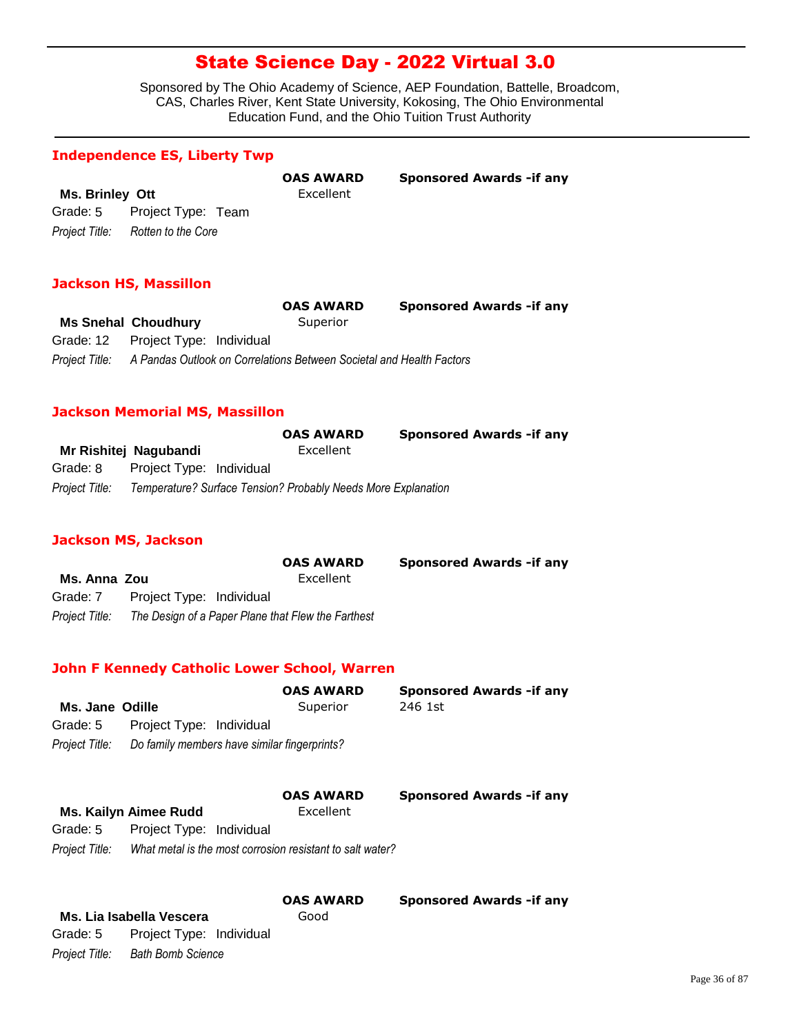Sponsored by The Ohio Academy of Science, AEP Foundation, Battelle, Broadcom, CAS, Charles River, Kent State University, Kokosing, The Ohio Environmental Education Fund, and the Ohio Tuition Trust Authority

**OAS AWARD Sponsored Awards -if any**

#### **Independence ES, Liberty Twp**

**Ms. Brinley Ott Excellent** *Project Title: Rotten to the Core* Grade: 5 Project Type: Team

#### **Jackson HS, Massillon**

|                                                                                     | <b>OAS AWARD</b> | <b>Sponsored Awards - if any</b> |
|-------------------------------------------------------------------------------------|------------------|----------------------------------|
| <b>Ms Snehal Choudhury</b>                                                          | Superior         |                                  |
| Grade: 12 Project Type: Individual                                                  |                  |                                  |
| Project Title: A Pandas Outlook on Correlations Between Societal and Health Factors |                  |                                  |

#### **Jackson Memorial MS, Massillon**

|                |                                                               | <b>OAS AWARD</b> | <b>Sponsored Awards - if any</b> |
|----------------|---------------------------------------------------------------|------------------|----------------------------------|
|                | Mr Rishitej Nagubandi                                         | Excellent        |                                  |
| Grade: 8       | Project Type: Individual                                      |                  |                                  |
| Project Title: | Temperature? Surface Tension? Probably Needs More Explanation |                  |                                  |

### **Jackson MS, Jackson**

|                |                                                    | <b>OAS AWARD</b> | <b>Sponsored Awards - if any</b> |
|----------------|----------------------------------------------------|------------------|----------------------------------|
| Ms. Anna Zou   |                                                    | Excellent        |                                  |
| Grade: 7       | Project Type: Individual                           |                  |                                  |
| Project Title: | The Design of a Paper Plane that Flew the Farthest |                  |                                  |

### **John F Kennedy Catholic Lower School, Warren**

|                 |                                              | <b>OAS AWARD</b> | <b>Sponsored Awards - if any</b> |
|-----------------|----------------------------------------------|------------------|----------------------------------|
| Ms. Jane Odille |                                              | Superior         | 246 1st                          |
| Grade: 5        | Project Type: Individual                     |                  |                                  |
| Project Title:  | Do family members have similar fingerprints? |                  |                                  |

# **Ms. Kailyn Aimee Rudd** Excellent

**OAS AWARD Sponsored Awards -if any**

| Grade: 5       | Project Type: Individual                                  |
|----------------|-----------------------------------------------------------|
| Project Title: | What metal is the most corrosion resistant to salt water? |

### **Ms. Lia Isabella Vescera** Good *Project Title: Bath Bomb Science* Grade: 5 Project Type: Individual

**OAS AWARD Sponsored Awards -if any**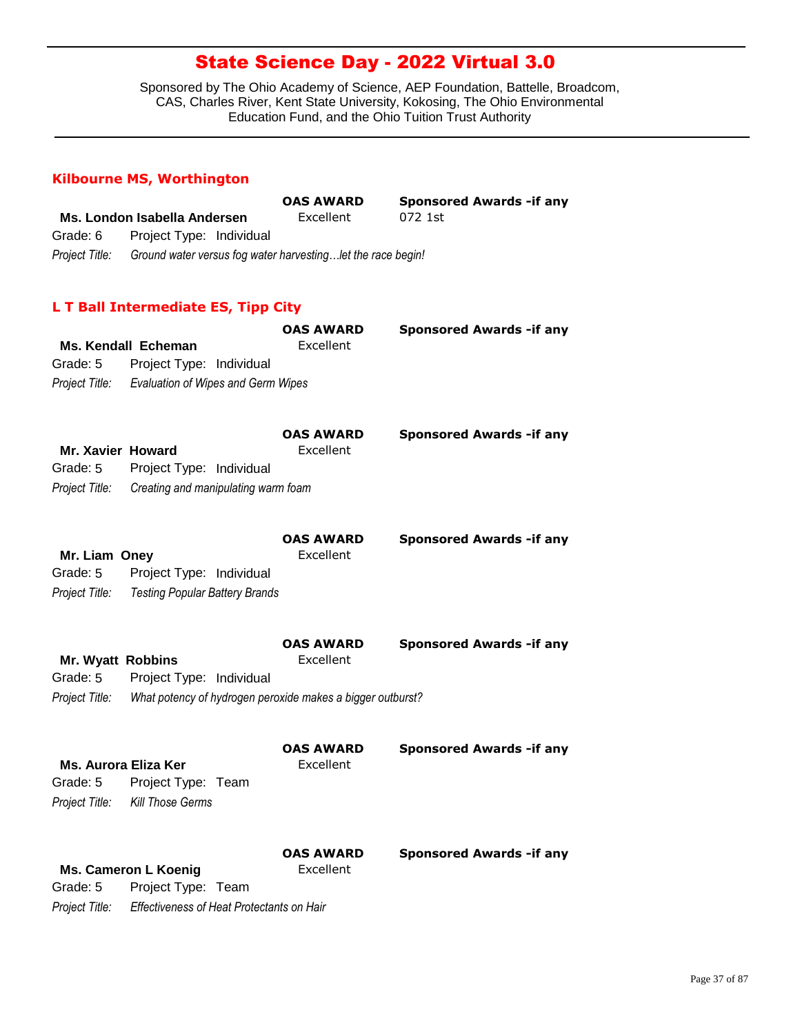Sponsored by The Ohio Academy of Science, AEP Foundation, Battelle, Broadcom, CAS, Charles River, Kent State University, Kokosing, The Ohio Environmental Education Fund, and the Ohio Tuition Trust Authority

### **Kilbourne MS, Worthington**

*Project Title: Effectiveness of Heat Protectants on Hair*

|                                             | Ms. London Isabella Andersen                                      | <b>OAS AWARD</b><br>Excellent | <b>Sponsored Awards - if any</b><br>072 1st |
|---------------------------------------------|-------------------------------------------------------------------|-------------------------------|---------------------------------------------|
| Grade: 6                                    | Project Type: Individual                                          |                               |                                             |
| Project Title:                              | Ground water versus fog water harvestinglet the race begin!       |                               |                                             |
|                                             | L T Ball Intermediate ES, Tipp City                               |                               |                                             |
|                                             |                                                                   | <b>OAS AWARD</b>              | <b>Sponsored Awards - if any</b>            |
|                                             | <b>Ms. Kendall Echeman</b>                                        | Excellent                     |                                             |
| Grade: 5                                    | Project Type: Individual                                          |                               |                                             |
| Project Title:                              | <b>Evaluation of Wipes and Germ Wipes</b>                         |                               |                                             |
|                                             |                                                                   |                               |                                             |
| Mr. Xavier Howard<br>Grade: 5               | Project Type: Individual                                          | <b>OAS AWARD</b><br>Excellent | <b>Sponsored Awards - if any</b>            |
| Project Title:                              | Creating and manipulating warm foam                               |                               |                                             |
| Mr. Liam Oney<br>Grade: 5<br>Project Title: | Project Type: Individual<br><b>Testing Popular Battery Brands</b> | <b>OAS AWARD</b><br>Excellent | <b>Sponsored Awards -if any</b>             |
|                                             |                                                                   | <b>OAS AWARD</b>              | <b>Sponsored Awards - if any</b>            |
| <b>Mr. Wyatt Robbins</b>                    |                                                                   | Excellent                     |                                             |
| Grade: 5                                    | Project Type: Individual                                          |                               |                                             |
| Project Title:                              | What potency of hydrogen peroxide makes a bigger outburst?        |                               |                                             |
| <b>Ms. Aurora Eliza Ker</b><br>Grade: 5     | Project Type: Team                                                | <b>OAS AWARD</b><br>Excellent | <b>Sponsored Awards - if any</b>            |
| Project Title:                              | <b>Kill Those Germs</b>                                           |                               |                                             |
| Grade: 5                                    | <b>Ms. Cameron L Koenig</b><br>Project Type: Team                 | <b>OAS AWARD</b><br>Excellent | <b>Sponsored Awards - if any</b>            |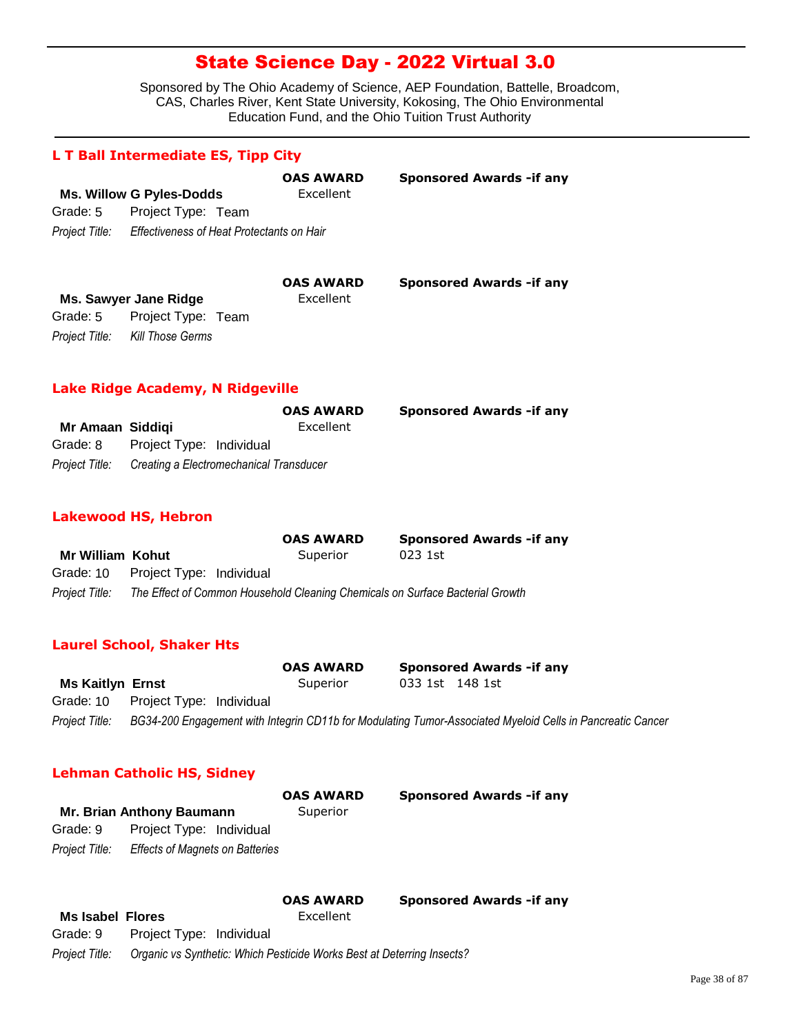Sponsored by The Ohio Academy of Science, AEP Foundation, Battelle, Broadcom, CAS, Charles River, Kent State University, Kokosing, The Ohio Environmental Education Fund, and the Ohio Tuition Trust Authority

|          | L T Ball Intermediate ES, Tipp City                      |                               |                                  |
|----------|----------------------------------------------------------|-------------------------------|----------------------------------|
|          | <b>Ms. Willow G Pyles-Dodds</b>                          | <b>OAS AWARD</b><br>Excellent | <b>Sponsored Awards - if any</b> |
| Grade: 5 | Project Type: Team                                       |                               |                                  |
|          | Project Title: Effectiveness of Heat Protectants on Hair |                               |                                  |
|          |                                                          | <b>OAS AWARD</b>              | <b>Sponsored Awards - if any</b> |

|                                 | <b>UAS AWARD</b> | <b>Sponsor</b> |
|---------------------------------|------------------|----------------|
| Ms. Sawyer Jane Ridge           | Excellent        |                |
| Grade: 5 Project Type: Team     |                  |                |
| Project Title: Kill Those Germs |                  |                |

### **Lake Ridge Academy, N Ridgeville**

|                  |                                         | <b>OAS AWARD</b> | <b>Sponsored Awards - if any</b> |
|------------------|-----------------------------------------|------------------|----------------------------------|
| Mr Amaan Siddigi |                                         | Excellent        |                                  |
| Grade: 8         | Project Type: Individual                |                  |                                  |
| Project Title:   | Creating a Electromechanical Transducer |                  |                                  |

#### **Lakewood HS, Hebron**

|                  |                                                                               | <b>OAS AWARD</b> | <b>Sponsored Awards -if any</b> |
|------------------|-------------------------------------------------------------------------------|------------------|---------------------------------|
| Mr William Kohut |                                                                               | Superior         | 023 1st                         |
|                  | Grade: 10 Project Type: Individual                                            |                  |                                 |
| Project Title:   | The Effect of Common Household Cleaning Chemicals on Surface Bacterial Growth |                  |                                 |

### **Laurel School, Shaker Hts**

|                         |                                    | <b>OAS AWARD</b> |                 | <b>Sponsored Awards - if any</b>                                                                           |
|-------------------------|------------------------------------|------------------|-----------------|------------------------------------------------------------------------------------------------------------|
| <b>Ms Kaitlyn Ernst</b> |                                    | Superior         | 033 1st 148 1st |                                                                                                            |
|                         | Grade: 10 Project Type: Individual |                  |                 |                                                                                                            |
| Proiect Title:          |                                    |                  |                 | BG34-200 Engagement with Integrin CD11b for Modulating Tumor-Associated Myeloid Cells in Pancreatic Cancer |

### **Lehman Catholic HS, Sidney**

|                           |                                                                        | <b>OAS AWARD</b> | <b>Sponsored Awards - if any</b> |
|---------------------------|------------------------------------------------------------------------|------------------|----------------------------------|
| Mr. Brian Anthony Baumann |                                                                        | Superior         |                                  |
| Grade: 9                  | Project Type: Individual                                               |                  |                                  |
| Project Title:            | <b>Effects of Magnets on Batteries</b>                                 |                  |                                  |
|                           |                                                                        | <b>OAS AWARD</b> | <b>Sponsored Awards - if any</b> |
| <b>Ms Isabel Flores</b>   |                                                                        | Excellent        |                                  |
| Grade: 9                  | Project Type: Individual                                               |                  |                                  |
| Project Title:            | Organic vs Synthetic: Which Pesticide Works Best at Deterring Insects? |                  |                                  |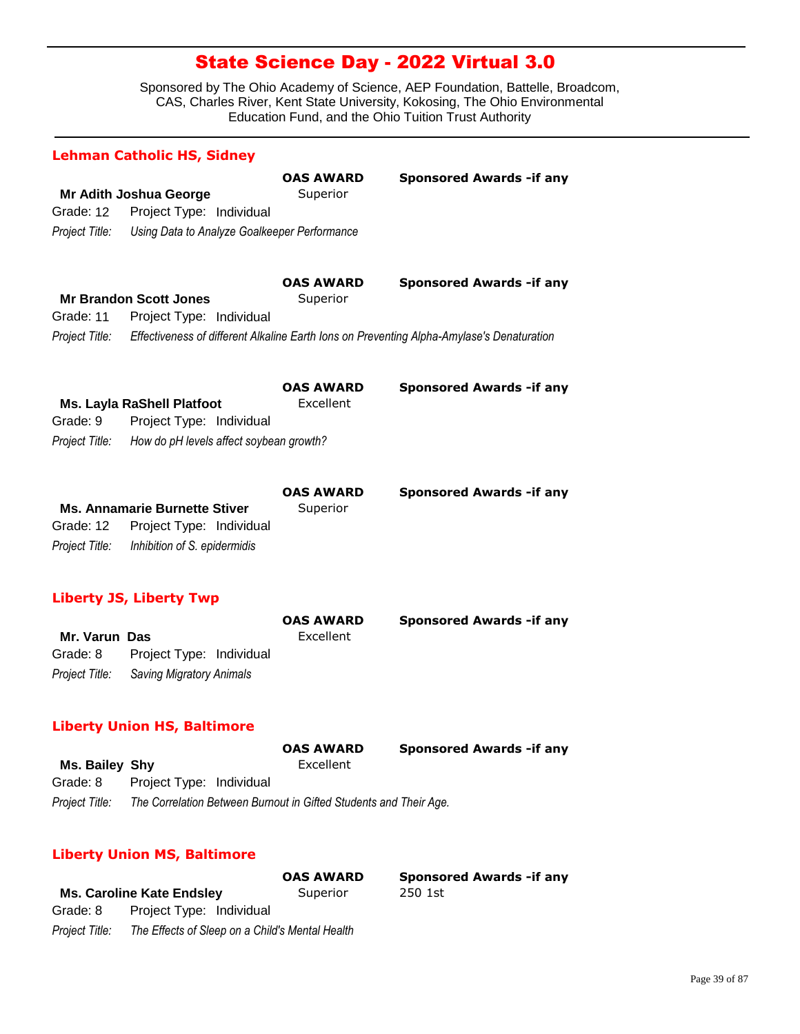|                                              | <b>Lehman Catholic HS, Sidney</b>                                                                        |                               |                                                                                           |  |
|----------------------------------------------|----------------------------------------------------------------------------------------------------------|-------------------------------|-------------------------------------------------------------------------------------------|--|
| Grade: 12<br>Project Title:                  | Mr Adith Joshua George<br>Project Type: Individual<br>Using Data to Analyze Goalkeeper Performance       | <b>OAS AWARD</b><br>Superior  | <b>Sponsored Awards - if any</b>                                                          |  |
|                                              |                                                                                                          |                               |                                                                                           |  |
| Grade: 11                                    | <b>Mr Brandon Scott Jones</b><br>Project Type: Individual                                                | <b>OAS AWARD</b><br>Superior  | <b>Sponsored Awards - if any</b>                                                          |  |
| Project Title:                               |                                                                                                          |                               | Effectiveness of different Alkaline Earth Ions on Preventing Alpha-Amylase's Denaturation |  |
| Grade: 9<br>Project Title:                   | <b>Ms. Layla RaShell Platfoot</b><br>Project Type: Individual<br>How do pH levels affect soybean growth? | <b>OAS AWARD</b><br>Excellent | <b>Sponsored Awards - if any</b>                                                          |  |
| Grade: 12<br>Project Title:                  | <b>Ms. Annamarie Burnette Stiver</b><br>Project Type: Individual<br>Inhibition of S. epidermidis         | <b>OAS AWARD</b><br>Superior  | <b>Sponsored Awards - if any</b>                                                          |  |
|                                              | <b>Liberty JS, Liberty Twp</b>                                                                           |                               |                                                                                           |  |
| Mr. Varun Das<br>Grade: 8<br>Project Title:  | Project Type: Individual<br><b>Saving Migratory Animals</b>                                              | <b>OAS AWARD</b><br>Excellent | <b>Sponsored Awards - if any</b>                                                          |  |
| <b>Liberty Union HS, Baltimore</b>           |                                                                                                          |                               |                                                                                           |  |
| Ms. Bailey Shy<br>Grade: 8<br>Project Title: | Project Type: Individual<br>The Correlation Between Burnout in Gifted Students and Their Age.            | <b>OAS AWARD</b><br>Excellent | <b>Sponsored Awards - if any</b>                                                          |  |
|                                              | <b>Liberty Union MS, Baltimore</b>                                                                       |                               |                                                                                           |  |

|                |                                                 | <b>OAS AWARD</b> | <b>Sponsored Awards - if any</b> |
|----------------|-------------------------------------------------|------------------|----------------------------------|
|                | <b>Ms. Caroline Kate Endsley</b>                | Superior         | 250 1st                          |
| Grade: 8       | Project Type: Individual                        |                  |                                  |
| Project Title: | The Effects of Sleep on a Child's Mental Health |                  |                                  |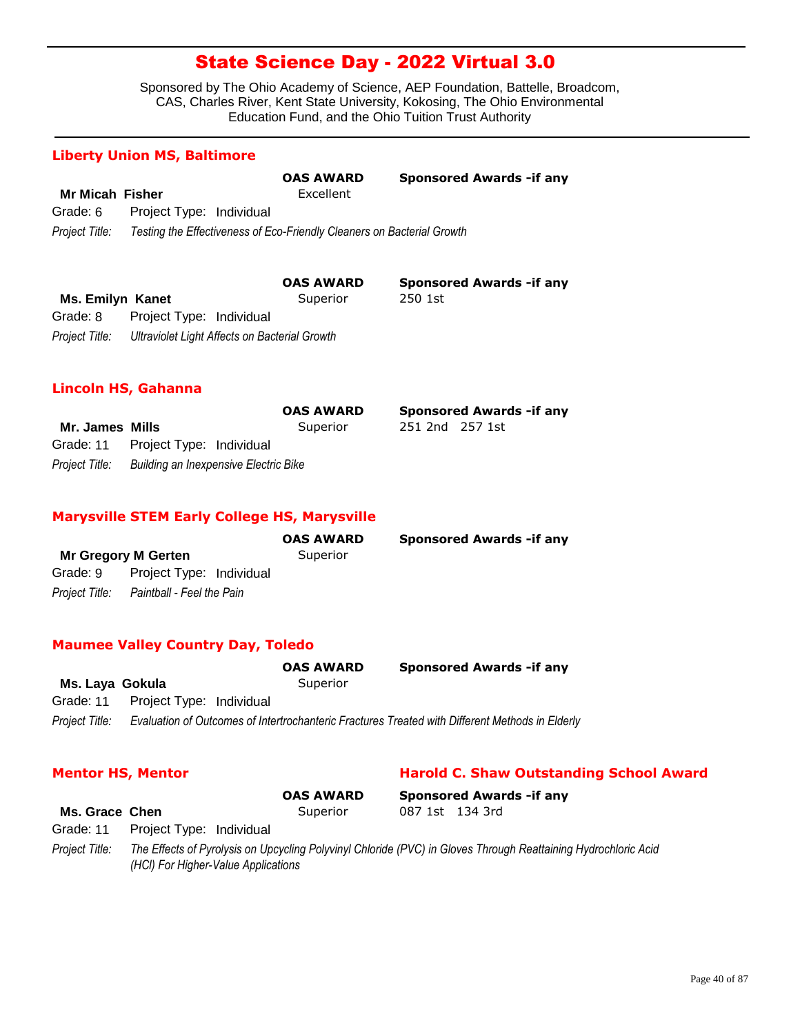Sponsored by The Ohio Academy of Science, AEP Foundation, Battelle, Broadcom, CAS, Charles River, Kent State University, Kokosing, The Ohio Environmental Education Fund, and the Ohio Tuition Trust Authority

**Sponsored Awards -if any** 

**Sponsored Awards -if any** 

**Mr. James Mills** Superior 251 2nd 257 1st

### **Liberty Union MS, Baltimore**

|                        |                                                                        | <b>OAS AWARD</b> | <b>Sponsored Awards - if any</b> |
|------------------------|------------------------------------------------------------------------|------------------|----------------------------------|
| <b>Mr Micah Fisher</b> |                                                                        | Excellent        |                                  |
| Grade: 6               | Project Type: Individual                                               |                  |                                  |
| Project Title:         | Testing the Effectiveness of Eco-Friendly Cleaners on Bacterial Growth |                  |                                  |

|                  |                          | <b>OAS AWARD</b>                              | <b>Sponso</b> |
|------------------|--------------------------|-----------------------------------------------|---------------|
| Ms. Emilyn Kanet |                          | Superior                                      | 250 1st       |
| Grade: 8         | Project Type: Individual |                                               |               |
| Project Title:   |                          | Ultraviolet Light Affects on Bacterial Growth |               |

### **Lincoln HS, Gahanna**

|                 |                                    | <b>OAS AWARD</b>                      |
|-----------------|------------------------------------|---------------------------------------|
| Mr. James Mills |                                    | Superior                              |
|                 | Grade: 11 Project Type: Individual |                                       |
| Project Title:  |                                    | Building an Inexpensive Electric Bike |

### **Marysville STEM Early College HS, Marysville**

|                            |                                          | <b>OAS AWARD</b> | <b>Sponsored Awards - if any</b> |
|----------------------------|------------------------------------------|------------------|----------------------------------|
| <b>Mr Gregory M Gerten</b> |                                          | Superior         |                                  |
|                            | Grade: 9 Project Type: Individual        |                  |                                  |
|                            | Project Title: Paintball - Feel the Pain |                  |                                  |

#### **Maumee Valley Country Day, Toledo**

|                 |                                    | <b>OAS AWARD</b> | <b>Sponsored Awards - if any</b>                                                                |
|-----------------|------------------------------------|------------------|-------------------------------------------------------------------------------------------------|
| Ms. Laya Gokula |                                    | Superior         |                                                                                                 |
|                 | Grade: 11 Project Type: Individual |                  |                                                                                                 |
| Project Title:  |                                    |                  | Evaluation of Outcomes of Intertrochanteric Fractures Treated with Different Methods in Elderly |

### **Mentor HS, Mentor Harold C. Shaw Outstanding School Award**

**Ms. Grace Chen** Superior 087 1st 134 3rd *Project Title: The Effects of Pyrolysis on Upcycling Polyvinyl Chloride (PVC) in Gloves Through Reattaining Hydrochloric Acid (HCl) For Higher-Value Applications* Grade: 11 Project Type: Individual **OAS AWARD Sponsored Awards -if any**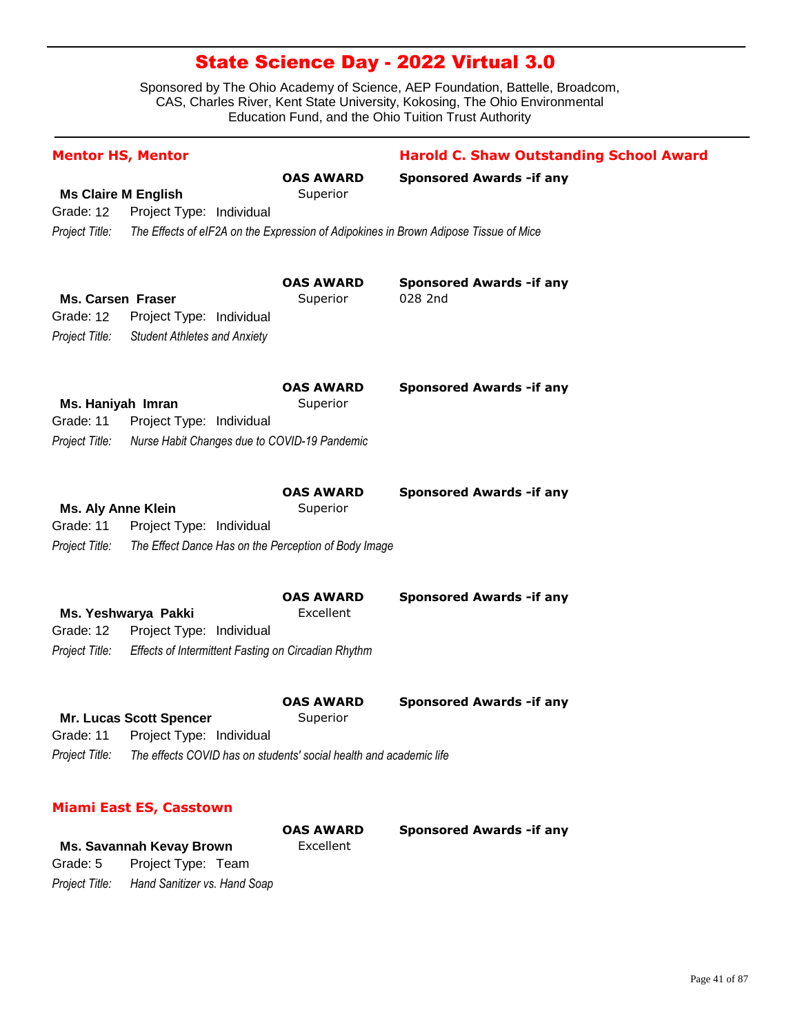Sponsored by The Ohio Academy of Science, AEP Foundation, Battelle, Broadcom, CAS, Charles River, Kent State University, Kokosing, The Ohio Environmental Education Fund, and the Ohio Tuition Trust Authority

| <b>Mentor HS, Mentor</b>                              |                                                                                      | <b>Harold C. Shaw Outstanding School Award</b> |
|-------------------------------------------------------|--------------------------------------------------------------------------------------|------------------------------------------------|
|                                                       | <b>OAS AWARD</b>                                                                     | <b>Sponsored Awards - if any</b>               |
| <b>Ms Claire M English</b>                            | Superior                                                                             |                                                |
| Grade: 12<br>Project Type: Individual                 |                                                                                      |                                                |
| Project Title:                                        | The Effects of eIF2A on the Expression of Adipokines in Brown Adipose Tissue of Mice |                                                |
|                                                       |                                                                                      |                                                |
|                                                       |                                                                                      |                                                |
|                                                       | <b>OAS AWARD</b>                                                                     | <b>Sponsored Awards - if any</b>               |
| <b>Ms. Carsen Fraser</b><br>Grade: 12                 | Superior                                                                             | 028 2nd                                        |
| Project Type: Individual                              |                                                                                      |                                                |
| Project Title:<br><b>Student Athletes and Anxiety</b> |                                                                                      |                                                |
|                                                       |                                                                                      |                                                |
|                                                       | <b>OAS AWARD</b>                                                                     | <b>Sponsored Awards - if any</b>               |
| Ms. Haniyah Imran                                     | Superior                                                                             |                                                |
| Grade: 11<br>Project Type: Individual                 |                                                                                      |                                                |
| Project Title:                                        | Nurse Habit Changes due to COVID-19 Pandemic                                         |                                                |
|                                                       |                                                                                      |                                                |
|                                                       | <b>OAS AWARD</b>                                                                     | <b>Sponsored Awards -if any</b>                |
| <b>Ms. Aly Anne Klein</b>                             | Superior                                                                             |                                                |
| Grade: 11<br>Project Type: Individual                 |                                                                                      |                                                |
| Project Title:                                        | The Effect Dance Has on the Perception of Body Image                                 |                                                |
|                                                       | <b>OAS AWARD</b>                                                                     | <b>Sponsored Awards - if any</b>               |
| Ms. Yeshwarya Pakki                                   | Excellent                                                                            |                                                |
| Grade: 12<br>Project Type: Individual                 |                                                                                      |                                                |
| Project Title:                                        | Effects of Intermittent Fasting on Circadian Rhythm                                  |                                                |
|                                                       |                                                                                      |                                                |
|                                                       | <b>OAS AWARD</b>                                                                     | <b>Sponsored Awards - if any</b>               |
| <b>Mr. Lucas Scott Spencer</b>                        | Superior                                                                             |                                                |
| Grade: 11 Project Type: Individual                    |                                                                                      |                                                |
| Project Title:                                        | The effects COVID has on students' social health and academic life                   |                                                |
|                                                       |                                                                                      |                                                |
| <b>Miami East ES, Casstown</b>                        |                                                                                      |                                                |
|                                                       | <b>OAS AWARD</b>                                                                     | <b>Sponsored Awards - if any</b>               |
| Ms. Savannah Kevay Brown                              | Excellent                                                                            |                                                |

*Project Title: Hand Sanitizer vs. Hand Soap* Grade: 5 Project Type: Team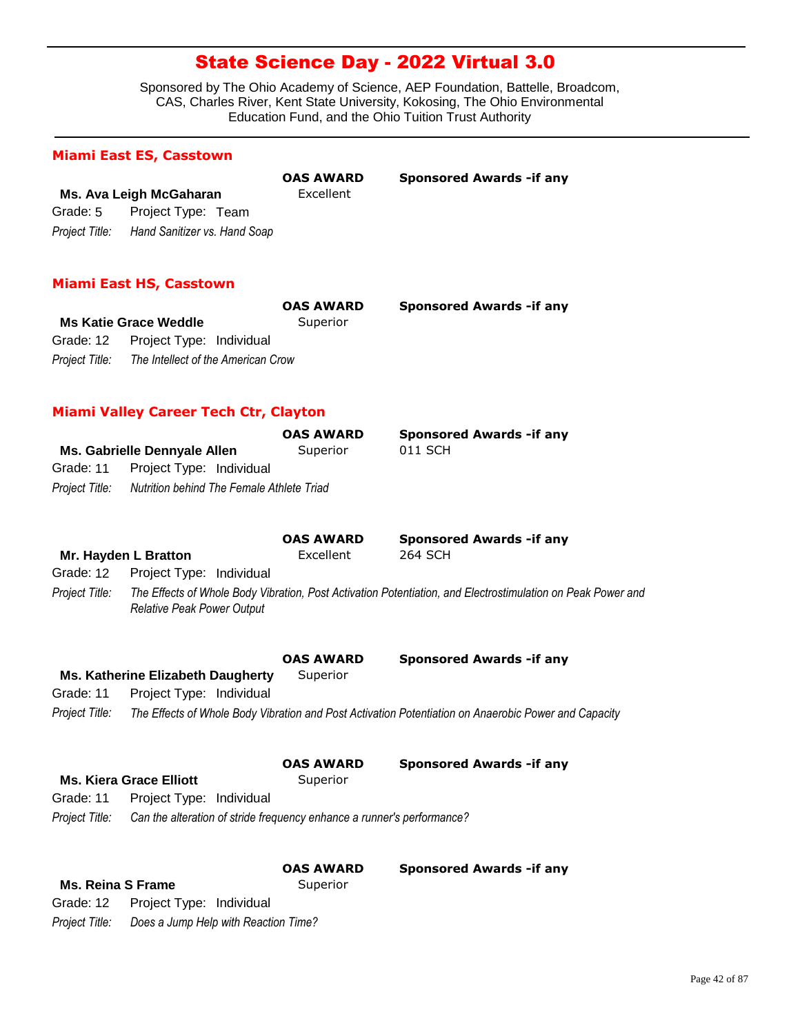Sponsored by The Ohio Academy of Science, AEP Foundation, Battelle, Broadcom, CAS, Charles River, Kent State University, Kokosing, The Ohio Environmental Education Fund, and the Ohio Tuition Trust Authority

#### **Miami East ES, Casstown**

|                |                              | <b>OAS AWARD</b> | <b>Sponsored Awards - if any</b> |
|----------------|------------------------------|------------------|----------------------------------|
|                | Ms. Ava Leigh McGaharan      | Excellent        |                                  |
| Grade: 5       | Project Type: Team           |                  |                                  |
| Project Title: | Hand Sanitizer vs. Hand Soap |                  |                                  |

### **Miami East HS, Casstown**

|                |                                    | <b>OAS AWARD</b> | <b>Sponsored Awards - if any</b> |
|----------------|------------------------------------|------------------|----------------------------------|
|                | <b>Ms Katie Grace Weddle</b>       | Superior         |                                  |
|                | Grade: 12 Project Type: Individual |                  |                                  |
| Proiect Title: | The Intellect of the American Crow |                  |                                  |

### **Miami Valley Career Tech Ctr, Clayton**

| <b>Sponsored Awards - if any</b> |
|----------------------------------|
|                                  |
|                                  |
|                                  |
|                                  |

|                |                                     | <b>OAS AWARD</b> | <b>Sponsored Awards - if any</b>                                                                            |  |
|----------------|-------------------------------------|------------------|-------------------------------------------------------------------------------------------------------------|--|
|                | Mr. Hayden L Bratton                | Excellent        | 264 SCH                                                                                                     |  |
|                | Grade: 12  Project Type: Individual |                  |                                                                                                             |  |
| Project Title: | <b>Relative Peak Power Output</b>   |                  | The Effects of Whole Body Vibration, Post Activation Potentiation, and Electrostimulation on Peak Power and |  |

**Ms. Katherine Elizabeth Daugherty** Superior Grade: 11 Project Type: Individual **OAS AWARD Sponsored Awards -if any**

*Project Title: The Effects of Whole Body Vibration and Post Activation Potentiation on Anaerobic Power and Capacity*

|  |  | <b>OAS AWAR</b> |
|--|--|-----------------|
|--|--|-----------------|

**OAS AWARD Sponsored Awards -if any**

Grade: 11 Project Type: Individual

*Project Title: Can the alteration of stride frequency enhance a runner's performance?*

|                   |                                      | <b>OAS AWARD</b> | <b>Sponsored Awards - if any</b> |
|-------------------|--------------------------------------|------------------|----------------------------------|
| Ms. Reina S Frame |                                      | Superior         |                                  |
|                   | Grade: 12  Project Type: Individual  |                  |                                  |
| Project Title:    | Does a Jump Help with Reaction Time? |                  |                                  |

**Ms. Kiera Grace Elliott** Superior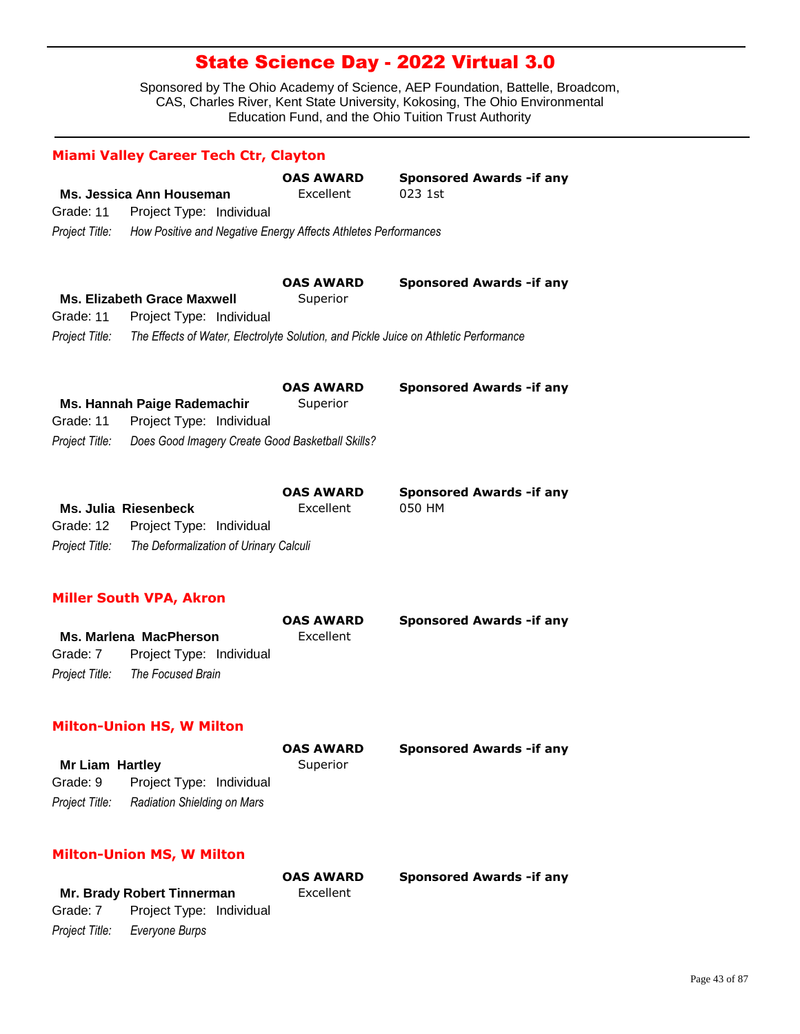Sponsored by The Ohio Academy of Science, AEP Foundation, Battelle, Broadcom, CAS, Charles River, Kent State University, Kokosing, The Ohio Environmental Education Fund, and the Ohio Tuition Trust Authority

|                            | Ms. Jessica Ann Houseman                                                             | <b>OAS AWARD</b><br>Excellent | <b>Sponsored Awards -if any</b><br>023 1st |
|----------------------------|--------------------------------------------------------------------------------------|-------------------------------|--------------------------------------------|
| Grade: 11                  | Project Type: Individual                                                             |                               |                                            |
| Project Title:             | How Positive and Negative Energy Affects Athletes Performances                       |                               |                                            |
|                            |                                                                                      | <b>OAS AWARD</b>              | <b>Sponsored Awards -if any</b>            |
| Grade: 11                  | <b>Ms. Elizabeth Grace Maxwell</b><br>Project Type: Individual                       | Superior                      |                                            |
| Project Title:             | The Effects of Water, Electrolyte Solution, and Pickle Juice on Athletic Performance |                               |                                            |
|                            |                                                                                      | <b>OAS AWARD</b>              | <b>Sponsored Awards -if any</b>            |
|                            | Ms. Hannah Paige Rademachir                                                          | Superior                      |                                            |
| Grade: 11                  | Project Type: Individual                                                             |                               |                                            |
| Project Title:             | Does Good Imagery Create Good Basketball Skills?                                     |                               |                                            |
|                            |                                                                                      | <b>OAS AWARD</b>              | <b>Sponsored Awards - if any</b>           |
|                            | <b>Ms. Julia Riesenbeck</b>                                                          | Excellent                     | 050 HM                                     |
| Grade: 12                  | Project Type: Individual                                                             |                               |                                            |
| Project Title:             | The Deformalization of Urinary Calculi                                               |                               |                                            |
|                            | <b>Miller South VPA, Akron</b>                                                       |                               |                                            |
|                            |                                                                                      | <b>OAS AWARD</b>              | <b>Sponsored Awards -if any</b>            |
|                            | <b>Ms. Marlena MacPherson</b>                                                        | Excellent                     |                                            |
|                            |                                                                                      |                               |                                            |
| Grade: 7<br>Project Title: | Project Type: Individual<br>The Focused Brain                                        |                               |                                            |

### **Milton-Union HS, W Milton**

|                        |                             | <b>OAS AWARD</b> | <b>Sponsored Awards - if any</b> |
|------------------------|-----------------------------|------------------|----------------------------------|
| <b>Mr Liam Hartley</b> |                             | Superior         |                                  |
| Grade: 9               | Project Type: Individual    |                  |                                  |
| Project Title:         | Radiation Shielding on Mars |                  |                                  |

### **Milton-Union MS, W Milton**

|          |                               | <b>OAS AWARD</b> | <b>Sponsored Awards - if any</b> |
|----------|-------------------------------|------------------|----------------------------------|
|          | Mr. Brady Robert Tinnerman    | Excellent        |                                  |
| Grade: 7 | Project Type: Individual      |                  |                                  |
|          | Project Title: Evervone Burps |                  |                                  |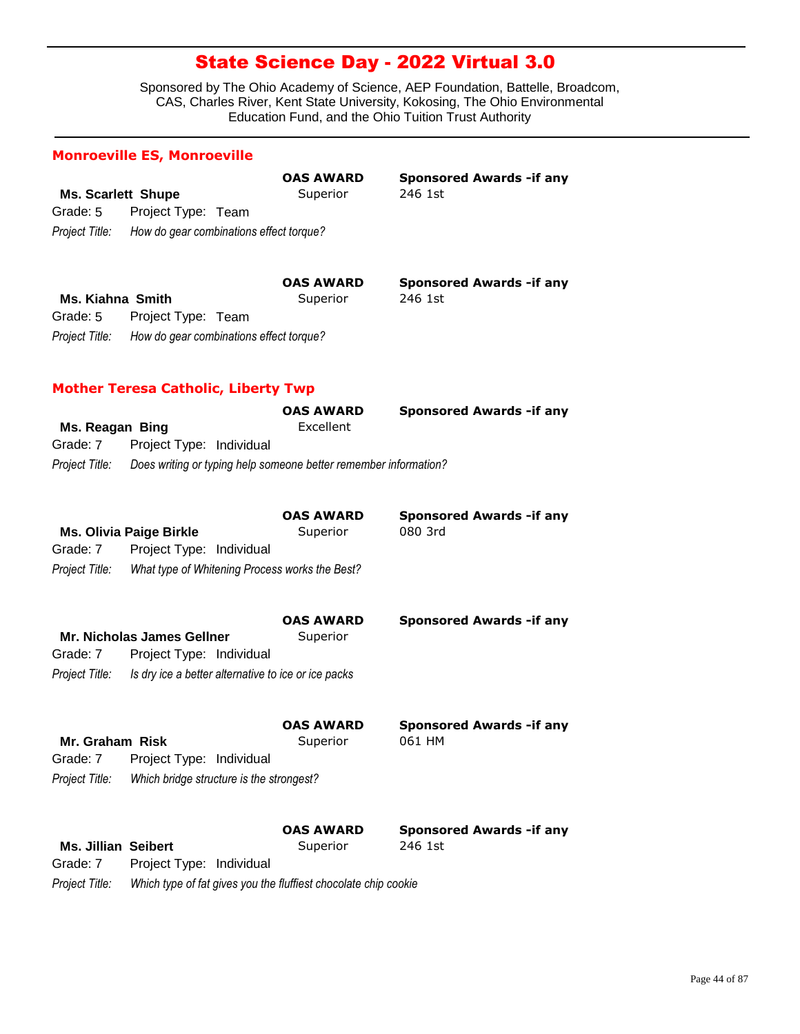Sponsored by The Ohio Academy of Science, AEP Foundation, Battelle, Broadcom, CAS, Charles River, Kent State University, Kokosing, The Ohio Environmental Education Fund, and the Ohio Tuition Trust Authority

| <b>Ms. Scarlett Shupe</b>  |                                                                  | <b>OAS AWARD</b><br>Superior | <b>Sponsored Awards - if any</b><br>246 1st |
|----------------------------|------------------------------------------------------------------|------------------------------|---------------------------------------------|
| Grade: 5                   | Project Type: Team                                               |                              |                                             |
|                            | Project Title: How do gear combinations effect torque?           |                              |                                             |
|                            |                                                                  | <b>OAS AWARD</b>             | <b>Sponsored Awards -if any</b>             |
| Ms. Kiahna Smith           |                                                                  | Superior                     | 246 1st                                     |
| Grade: 5                   | Project Type: Team                                               |                              |                                             |
| Project Title:             | How do gear combinations effect torque?                          |                              |                                             |
|                            | <b>Mother Teresa Catholic, Liberty Twp</b>                       |                              |                                             |
|                            |                                                                  | OAS AWARD                    | <b>Sponsored Awards -if any</b>             |
| Ms. Reagan Bing            |                                                                  | Excellent                    |                                             |
| Grade: 7                   | Project Type: Individual                                         |                              |                                             |
| Project Title:             | Does writing or typing help someone better remember information? |                              |                                             |
|                            |                                                                  | <b>OAS AWARD</b>             | <b>Sponsored Awards -if any</b>             |
|                            | <b>Ms. Olivia Paige Birkle</b>                                   | Superior                     | 080 3rd                                     |
| Grade: 7                   | Project Type: Individual                                         |                              |                                             |
| Project Title:             | What type of Whitening Process works the Best?                   |                              |                                             |
|                            |                                                                  | <b>OAS AWARD</b>             | <b>Sponsored Awards - if any</b>            |
|                            | <b>Mr. Nicholas James Gellner</b>                                | Superior                     |                                             |
| Grade: 7                   | Project Type: Individual                                         |                              |                                             |
| Project Title:             | Is dry ice a better alternative to ice or ice packs              |                              |                                             |
|                            |                                                                  | <b>OAS AWARD</b>             | <b>Sponsored Awards -if any</b>             |
| Mr. Graham Risk            |                                                                  | Superior                     | 061 HM                                      |
| Grade: 7                   | Project Type: Individual                                         |                              |                                             |
| Project Title:             | Which bridge structure is the strongest?                         |                              |                                             |
|                            |                                                                  | OAS AWARD                    | <b>Sponsored Awards - if any</b>            |
| <b>Ms. Jillian Seibert</b> |                                                                  | Superior                     | 246 1st                                     |
| Grade: 7                   | Project Type: Individual                                         |                              |                                             |

*Project Title: Which type of fat gives you the fluffiest chocolate chip cookie*

**Monroeville ES, Monroeville**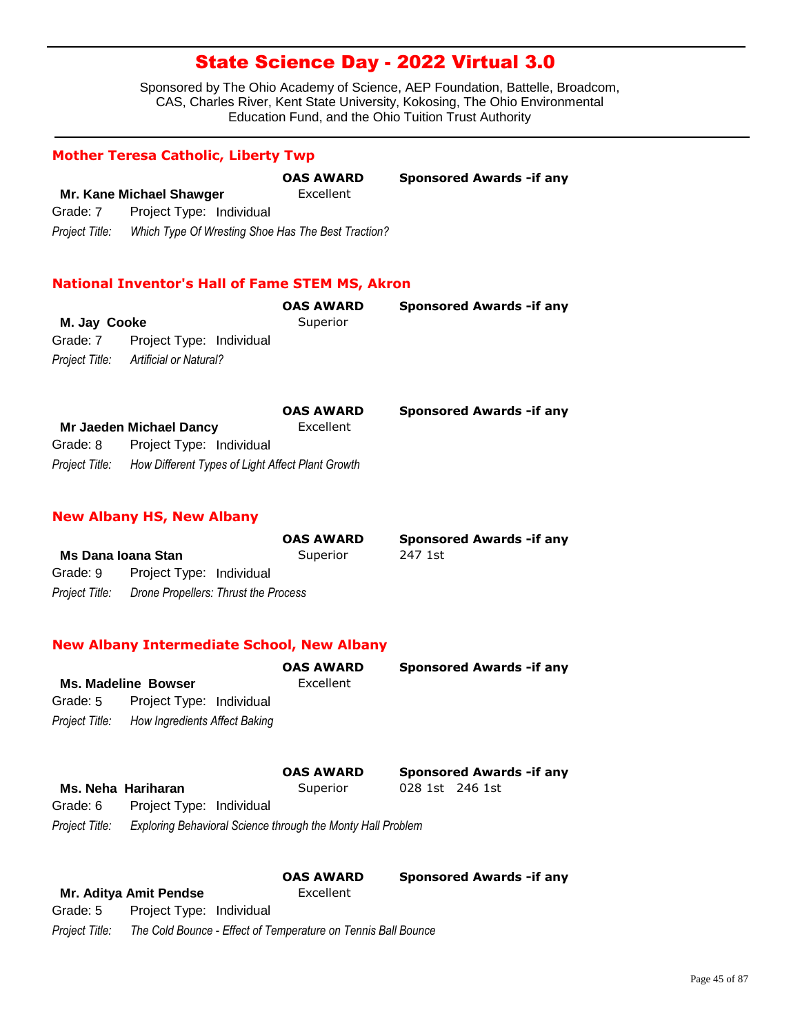Sponsored by The Ohio Academy of Science, AEP Foundation, Battelle, Broadcom, CAS, Charles River, Kent State University, Kokosing, The Ohio Environmental Education Fund, and the Ohio Tuition Trust Authority

### **Mother Teresa Catholic, Liberty Twp**

|                |                                                    | <b>OAS AWARD</b> | <b>Sponsored Awards - if any</b> |
|----------------|----------------------------------------------------|------------------|----------------------------------|
|                | Mr. Kane Michael Shawger                           | Excellent        |                                  |
| Grade: 7       | Project Type: Individual                           |                  |                                  |
| Project Title: | Which Type Of Wresting Shoe Has The Best Traction? |                  |                                  |

### **National Inventor's Hall of Fame STEM MS, Akron**

|                                       | <b>OAS AWARD</b> | <b>Sponsored Awards - if any</b> |
|---------------------------------------|------------------|----------------------------------|
| M. Jay Cooke                          | Superior         |                                  |
| Grade: 7 Project Type: Individual     |                  |                                  |
| Project Title: Artificial or Natural? |                  |                                  |

|                |                                                  | <b>OAS AWARD</b> | <b>Sponsored Awards - if any</b> |
|----------------|--------------------------------------------------|------------------|----------------------------------|
|                | Mr Jaeden Michael Dancy                          | Excellent        |                                  |
| Grade: 8       | Project Type: Individual                         |                  |                                  |
| Project Title: | How Different Types of Light Affect Plant Growth |                  |                                  |

#### **New Albany HS, New Albany**

|                    |                                                     | <b>OAS AWARD</b> | <b>Sponsored Awards - if any</b> |
|--------------------|-----------------------------------------------------|------------------|----------------------------------|
| Ms Dana Ioana Stan |                                                     | Superior         | 247 1st                          |
| Grade: 9           | Project Type: Individual                            |                  |                                  |
|                    | Project Title: Drone Propellers: Thrust the Process |                  |                                  |

#### **New Albany Intermediate School, New Albany**

|          | <b>Ms. Madeline Bowser</b>                   | <b>OAS AWARD</b><br>Excellent | <b>Sponsored Awards - if any</b> |
|----------|----------------------------------------------|-------------------------------|----------------------------------|
| Grade: 5 | Project Type: Individual                     |                               |                                  |
|          | Project Title: How Ingredients Affect Baking |                               |                                  |
|          |                                              | <b>OAS AWARD</b>              | <b>Sponsored Awards - if any</b> |

**Ms. Neha Hariharan** Superior 028 1st 246 1st *Project Title: Exploring Behavioral Science through the Monty Hall Problem* Grade: 6 Project Type: Individual

**OAS AWARD Sponsored Awards -if any**

| Mr. Aditya Amit Pendse |                          | Excellent                                                     |
|------------------------|--------------------------|---------------------------------------------------------------|
| Grade: 5               | Project Type: Individual |                                                               |
| Project Title:         |                          | The Cold Bounce - Effect of Temperature on Tennis Ball Bounce |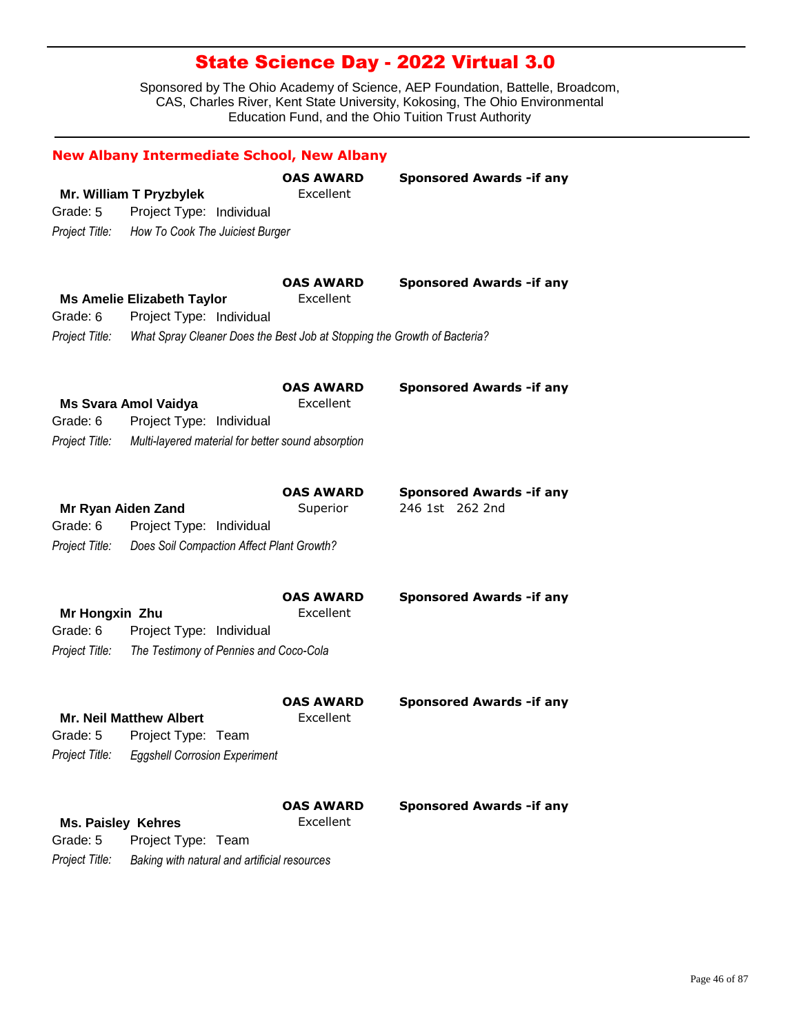|                           | <b>New Albany Intermediate School, New Albany</b>                        |                               |                                  |
|---------------------------|--------------------------------------------------------------------------|-------------------------------|----------------------------------|
|                           | Mr. William T Pryzbylek                                                  | <b>OAS AWARD</b><br>Excellent | <b>Sponsored Awards - if any</b> |
| Grade: 5                  | Project Type: Individual                                                 |                               |                                  |
| Project Title:            | How To Cook The Juiciest Burger                                          |                               |                                  |
|                           |                                                                          |                               |                                  |
|                           |                                                                          | <b>OAS AWARD</b>              | <b>Sponsored Awards - if any</b> |
|                           | <b>Ms Amelie Elizabeth Taylor</b>                                        | Excellent                     |                                  |
| Grade: 6                  | Project Type: Individual                                                 |                               |                                  |
| Project Title:            | What Spray Cleaner Does the Best Job at Stopping the Growth of Bacteria? |                               |                                  |
|                           |                                                                          | <b>OAS AWARD</b>              | <b>Sponsored Awards - if any</b> |
|                           | <b>Ms Svara Amol Vaidya</b>                                              | Excellent                     |                                  |
| Grade: 6                  | Project Type: Individual                                                 |                               |                                  |
| Project Title:            | Multi-layered material for better sound absorption                       |                               |                                  |
|                           |                                                                          |                               |                                  |
|                           |                                                                          | <b>OAS AWARD</b>              | <b>Sponsored Awards - if any</b> |
| Mr Ryan Aiden Zand        |                                                                          | Superior                      | 246 1st 262 2nd                  |
| Grade: 6                  | Project Type: Individual                                                 |                               |                                  |
| Project Title:            | Does Soil Compaction Affect Plant Growth?                                |                               |                                  |
|                           |                                                                          |                               |                                  |
|                           |                                                                          | OAS AWARD                     | <b>Sponsored Awards - if any</b> |
| Mr Hongxin Zhu            |                                                                          | Excellent                     |                                  |
| Grade: 6                  | Project Type: Individual                                                 |                               |                                  |
| Project Title:            | The Testimony of Pennies and Coco-Cola                                   |                               |                                  |
|                           |                                                                          |                               |                                  |
|                           |                                                                          | <b>OAS AWARD</b>              | <b>Sponsored Awards - if any</b> |
|                           | <b>Mr. Neil Matthew Albert</b>                                           | Excellent                     |                                  |
|                           | Grade: 5 Project Type: Team                                              |                               |                                  |
| Project Title:            | <b>Eggshell Corrosion Experiment</b>                                     |                               |                                  |
|                           |                                                                          |                               |                                  |
|                           |                                                                          | <b>OAS AWARD</b>              | <b>Sponsored Awards - if any</b> |
| <b>Ms. Paisley Kehres</b> |                                                                          | Excellent                     |                                  |
| Grade: 5                  | Project Type: Team                                                       |                               |                                  |
| Project Title:            | Baking with natural and artificial resources                             |                               |                                  |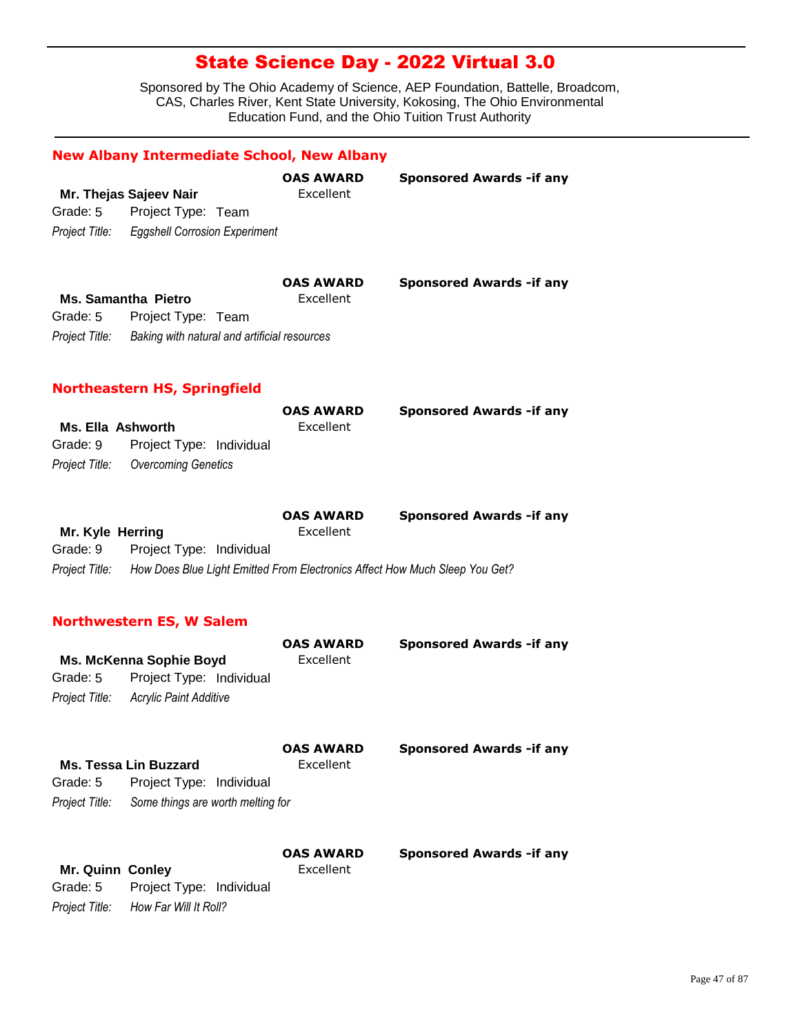Sponsored by The Ohio Academy of Science, AEP Foundation, Battelle, Broadcom, CAS, Charles River, Kent State University, Kokosing, The Ohio Environmental Education Fund, and the Ohio Tuition Trust Authority

|                            | <b>New Albany Intermediate School, New Albany</b>                                                |                               |                                  |
|----------------------------|--------------------------------------------------------------------------------------------------|-------------------------------|----------------------------------|
|                            | Mr. Thejas Sajeev Nair                                                                           | <b>OAS AWARD</b><br>Excellent | <b>Sponsored Awards - if any</b> |
| Grade: 5                   | Project Type: Team                                                                               |                               |                                  |
| Project Title:             | <b>Eggshell Corrosion Experiment</b>                                                             |                               |                                  |
| Grade: 5<br>Project Title: | <b>Ms. Samantha Pietro</b><br>Project Type: Team<br>Baking with natural and artificial resources | <b>OAS AWARD</b><br>Excellent | <b>Sponsored Awards - if any</b> |

### **Northeastern HS, Springfield**

|                                    | <b>OAS AWARD</b> | <b>Sponsored Awards - if any</b> |
|------------------------------------|------------------|----------------------------------|
| Ms. Ella Ashworth                  | Excellent        |                                  |
| Grade: 9 Project Type: Individual  |                  |                                  |
| Project Title: Overcoming Genetics |                  |                                  |

|                  |                                                                             | <b>OAS AWARD</b> | <b>Sponsored Awards - if any</b> |
|------------------|-----------------------------------------------------------------------------|------------------|----------------------------------|
| Mr. Kyle Herring |                                                                             | Excellent        |                                  |
| Grade: 9         | Project Type: Individual                                                    |                  |                                  |
| Project Title:   | How Does Blue Light Emitted From Electronics Affect How Much Sleep You Get? |                  |                                  |

### **Northwestern ES, W Salem**

*Project Title: How Far Will It Roll?*

|                         | Ms. McKenna Sophie Boyd           | OAS AWARD<br>Excellent        | Sponsored Awards - if any        |
|-------------------------|-----------------------------------|-------------------------------|----------------------------------|
| Grade: 5                | Project Type: Individual          |                               |                                  |
| Project Title:          | Acrylic Paint Additive            |                               |                                  |
|                         | <b>Ms. Tessa Lin Buzzard</b>      | <b>OAS AWARD</b><br>Excellent | <b>Sponsored Awards - if any</b> |
| Grade: 5                | Project Type: Individual          |                               |                                  |
| Project Title:          | Some things are worth melting for |                               |                                  |
|                         |                                   | <b>OAS AWARD</b><br>Excellent | <b>Sponsored Awards - if any</b> |
| <b>Mr. Quinn Conley</b> |                                   |                               |                                  |
| Grade: 5                | Project Type: Individual          |                               |                                  |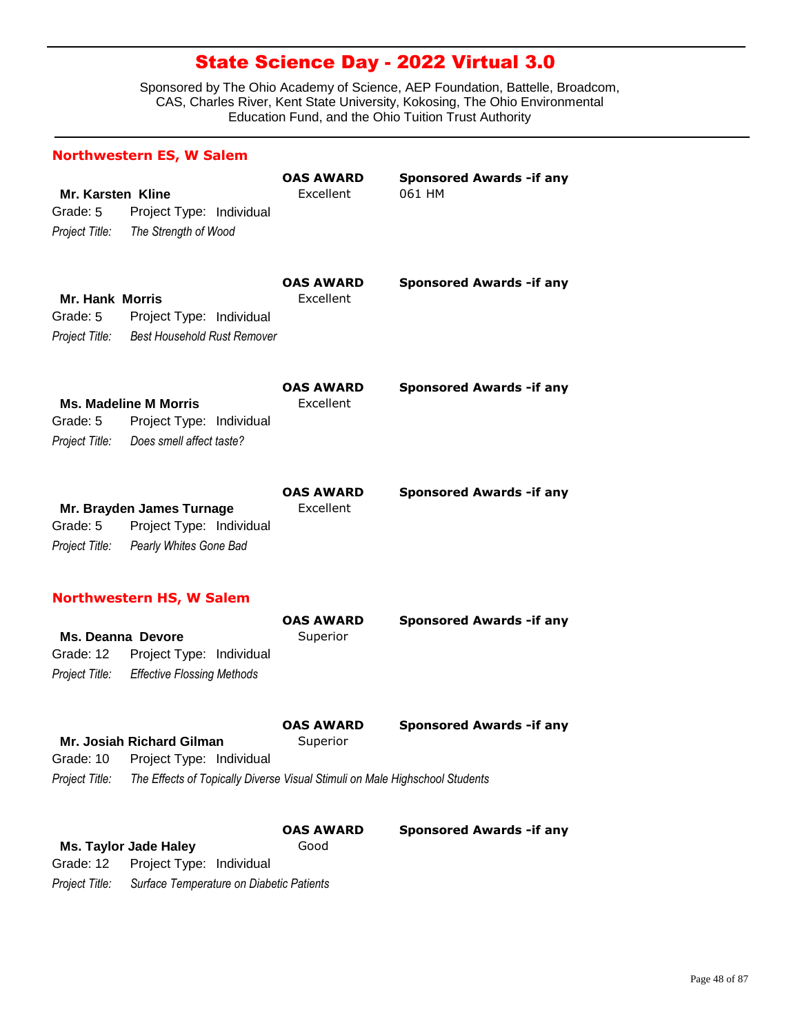Sponsored by The Ohio Academy of Science, AEP Foundation, Battelle, Broadcom, CAS, Charles River, Kent State University, Kokosing, The Ohio Environmental Education Fund, and the Ohio Tuition Trust Authority

|                                                        | <b>Northwestern ES, W Salem</b>                                                                                                      |                               |                                            |
|--------------------------------------------------------|--------------------------------------------------------------------------------------------------------------------------------------|-------------------------------|--------------------------------------------|
| <b>Mr. Karsten Kline</b><br>Grade: 5<br>Project Title: | Project Type: Individual<br>The Strength of Wood                                                                                     | <b>OAS AWARD</b><br>Excellent | <b>Sponsored Awards - if any</b><br>061 HM |
| <b>Mr. Hank Morris</b><br>Grade: 5<br>Project Title:   | Project Type: Individual<br><b>Best Household Rust Remover</b>                                                                       | <b>OAS AWARD</b><br>Excellent | <b>Sponsored Awards - if any</b>           |
| Grade: 5<br>Project Title:                             | <b>Ms. Madeline M Morris</b><br>Project Type: Individual<br>Does smell affect taste?                                                 | <b>OAS AWARD</b><br>Excellent | <b>Sponsored Awards - if any</b>           |
| Grade: 5<br>Project Title:                             | Mr. Brayden James Turnage<br>Project Type: Individual<br>Pearly Whites Gone Bad                                                      | <b>OAS AWARD</b><br>Excellent | <b>Sponsored Awards - if any</b>           |
| Ms. Deanna Devore<br>Grade: 12<br>Project Title:       | <b>Northwestern HS, W Salem</b><br>Project Type: Individual<br><b>Effective Flossing Methods</b>                                     | <b>OAS AWARD</b><br>Superior  | <b>Sponsored Awards - if any</b>           |
| Grade: 10<br>Project Title:                            | Mr. Josiah Richard Gilman<br>Project Type: Individual<br>The Effects of Topically Diverse Visual Stimuli on Male Highschool Students | <b>OAS AWARD</b><br>Superior  | <b>Sponsored Awards - if any</b>           |
| Grade: 12                                              | <b>Ms. Taylor Jade Haley</b><br>Project Type: Individual                                                                             | <b>OAS AWARD</b><br>Good      | <b>Sponsored Awards - if any</b>           |

*Project Title: Surface Temperature on Diabetic Patients*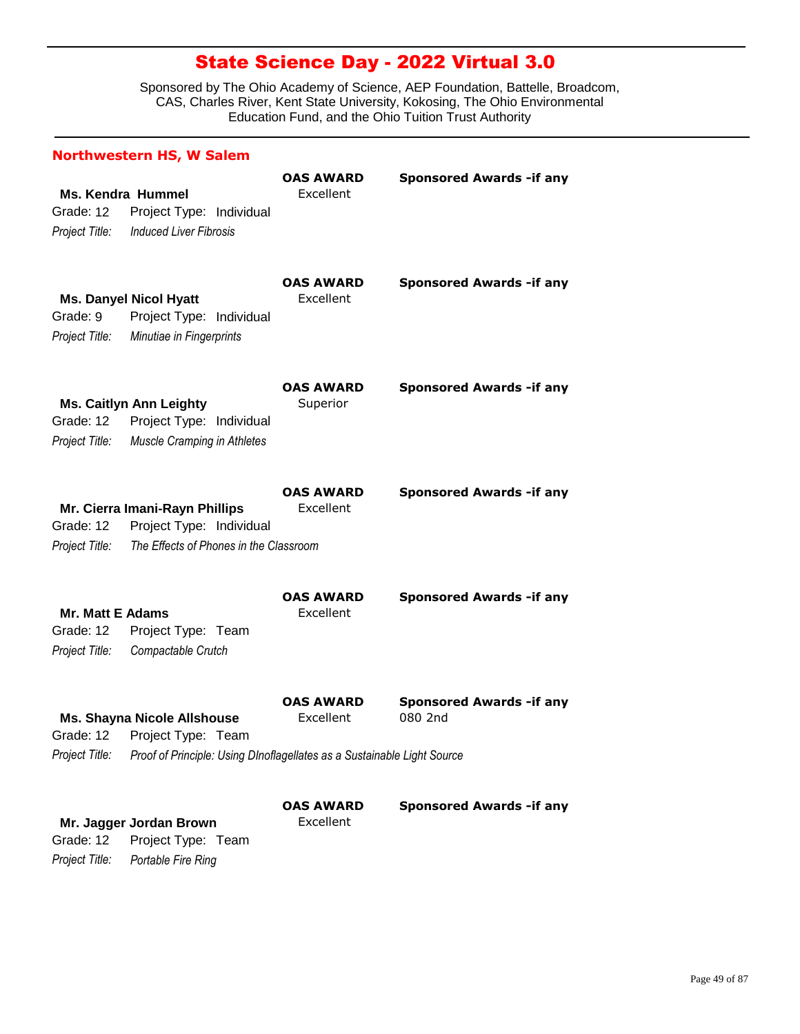|                                                        | <b>Northwestern HS, W Salem</b>                                                                                                               |                               |                                            |
|--------------------------------------------------------|-----------------------------------------------------------------------------------------------------------------------------------------------|-------------------------------|--------------------------------------------|
| Grade: 12<br>Project Title:                            | <b>Ms. Kendra Hummel</b><br>Project Type: Individual<br><b>Induced Liver Fibrosis</b>                                                         | <b>OAS AWARD</b><br>Excellent | <b>Sponsored Awards -if any</b>            |
| Grade: 9<br>Project Title:                             | <b>Ms. Danyel Nicol Hyatt</b><br>Project Type: Individual<br>Minutiae in Fingerprints                                                         | <b>OAS AWARD</b><br>Excellent | <b>Sponsored Awards - if any</b>           |
| Grade: 12<br>Project Title:                            | <b>Ms. Caitlyn Ann Leighty</b><br>Project Type: Individual<br>Muscle Cramping in Athletes                                                     | <b>OAS AWARD</b><br>Superior  | <b>Sponsored Awards - if any</b>           |
| Grade: 12<br>Project Title:                            | Mr. Cierra Imani-Rayn Phillips<br>Project Type: Individual<br>The Effects of Phones in the Classroom                                          | <b>OAS AWARD</b><br>Excellent | <b>Sponsored Awards - if any</b>           |
| <b>Mr. Matt E Adams</b><br>Grade: 12<br>Project Title: | Project Type: Team<br>Compactable Crutch                                                                                                      | <b>OAS AWARD</b><br>Excellent | <b>Sponsored Awards -if any</b>            |
| Project Title:                                         | <b>Ms. Shayna Nicole Allshouse</b><br>Grade: 12 Project Type: Team<br>Proof of Principle: Using DInoflagellates as a Sustainable Light Source | <b>OAS AWARD</b><br>Excellent | <b>Sponsored Awards -if any</b><br>080 2nd |
| Grade: 12<br>Project Title:                            | Mr. Jagger Jordan Brown<br>Project Type: Team<br>Portable Fire Ring                                                                           | <b>OAS AWARD</b><br>Excellent | <b>Sponsored Awards -if any</b>            |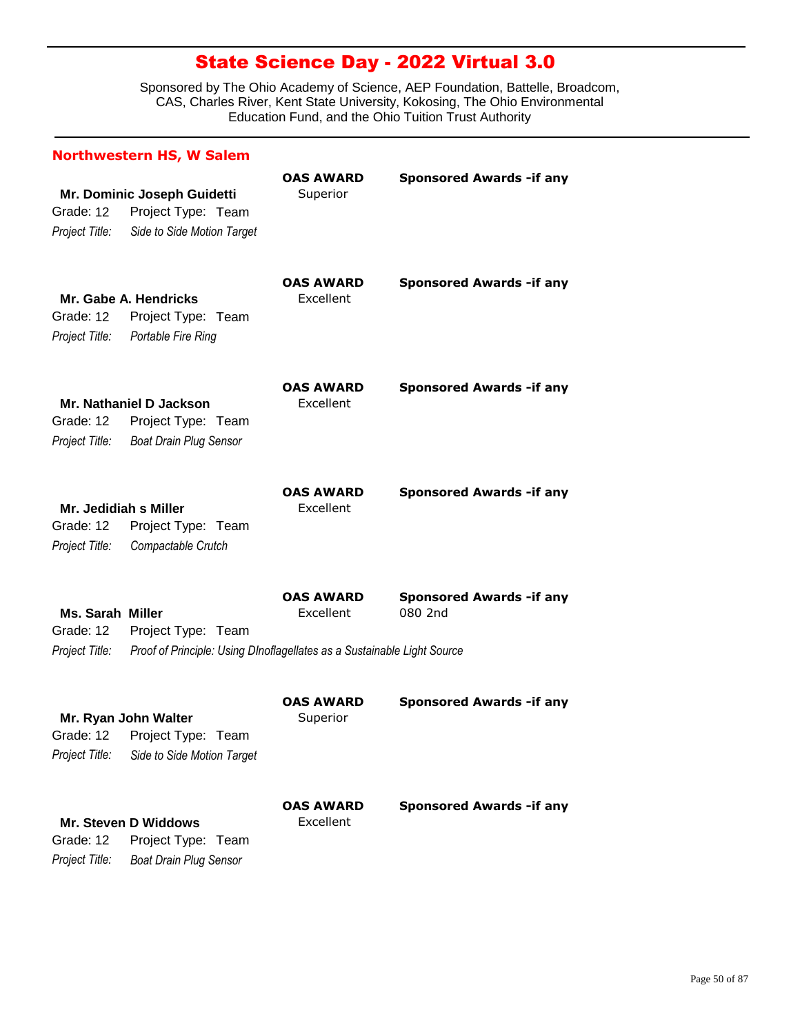| <b>Northwestern HS, W Salem</b>                        |                                                                                               |                               |                                            |  |  |
|--------------------------------------------------------|-----------------------------------------------------------------------------------------------|-------------------------------|--------------------------------------------|--|--|
| Grade: 12<br>Project Title:                            | Mr. Dominic Joseph Guidetti<br>Project Type: Team<br>Side to Side Motion Target               | <b>OAS AWARD</b><br>Superior  | <b>Sponsored Awards -if any</b>            |  |  |
| Grade: 12<br>Project Title:                            | Mr. Gabe A. Hendricks<br>Project Type: Team<br>Portable Fire Ring                             | <b>OAS AWARD</b><br>Excellent | <b>Sponsored Awards -if any</b>            |  |  |
| Grade: 12<br>Project Title:                            | Mr. Nathaniel D Jackson<br>Project Type: Team<br><b>Boat Drain Plug Sensor</b>                | <b>OAS AWARD</b><br>Excellent | <b>Sponsored Awards -if any</b>            |  |  |
| Mr. Jedidiah s Miller<br>Grade: 12<br>Project Title:   | Project Type: Team<br>Compactable Crutch                                                      | <b>OAS AWARD</b><br>Excellent | <b>Sponsored Awards - if any</b>           |  |  |
| <b>Ms. Sarah Miller</b><br>Grade: 12<br>Project Title: | Project Type: Team<br>Proof of Principle: Using DInoflagellates as a Sustainable Light Source | <b>OAS AWARD</b><br>Excellent | <b>Sponsored Awards -if any</b><br>080 2nd |  |  |
| Project Title:                                         | Mr. Ryan John Walter<br>Grade: 12 Project Type: Team<br>Side to Side Motion Target            | <b>OAS AWARD</b><br>Superior  | <b>Sponsored Awards -if any</b>            |  |  |
| Grade: 12<br>Project Title:                            | <b>Mr. Steven D Widdows</b><br>Project Type: Team<br><b>Boat Drain Plug Sensor</b>            | <b>OAS AWARD</b><br>Excellent | <b>Sponsored Awards -if any</b>            |  |  |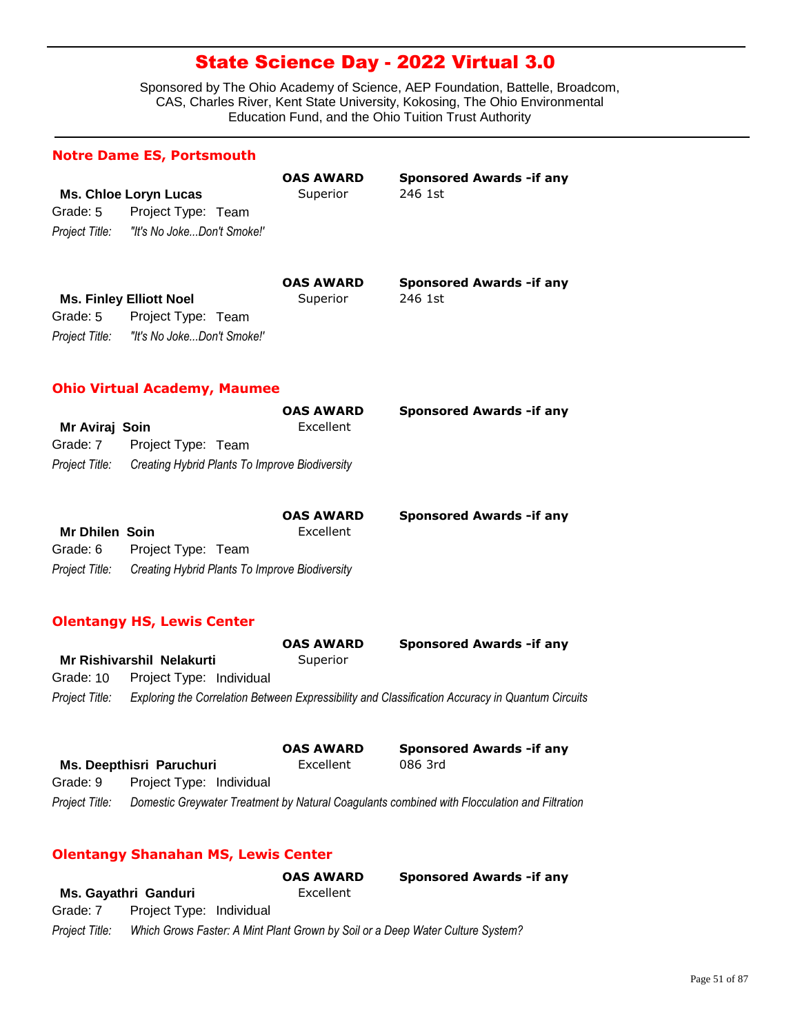Sponsored by The Ohio Academy of Science, AEP Foundation, Battelle, Broadcom, CAS, Charles River, Kent State University, Kokosing, The Ohio Environmental Education Fund, and the Ohio Tuition Trust Authority

|                                                     | <b>Notre Dame ES, Portsmouth</b>                                                   |                               |                                             |
|-----------------------------------------------------|------------------------------------------------------------------------------------|-------------------------------|---------------------------------------------|
| Grade: 5<br>Proiect Title:                          | <b>Ms. Chloe Loryn Lucas</b><br>Project Type: Team<br>"It's No JokeDon't Smoke!"   | <b>OAS AWARD</b><br>Superior  | <b>Sponsored Awards - if any</b><br>246 1st |
| Grade: 5<br>Project Title:                          | <b>Ms. Finley Elliott Noel</b><br>Project Type: Team<br>"It's No JokeDon't Smoke!" | <b>OAS AWARD</b><br>Superior  | <b>Sponsored Awards - if any</b><br>246 1st |
|                                                     | <b>Ohio Virtual Academy, Maumee</b>                                                |                               |                                             |
| Mr Aviraj Soin<br>Grade: 7<br>Project Title:        | Project Type: Team<br>Creating Hybrid Plants To Improve Biodiversity               | <b>OAS AWARD</b><br>Excellent | <b>Sponsored Awards - if any</b>            |
| <b>Mr Dhilen Soin</b><br>Grade: 6<br>Project Title: | Project Type: Team<br>Creating Hybrid Plants To Improve Biodiversity               | <b>OAS AWARD</b><br>Excellent | <b>Sponsored Awards -if any</b>             |
|                                                     | <b>Olentangy HS, Lewis Center</b>                                                  | <b>OAS AWARD</b>              | <b>Sponsored Awards - if any</b>            |
| Grade: 10                                           | <b>Mr Rishivarshil Nelakurti</b><br>Project Type: Individual                       | Superior                      |                                             |

*Project Title: Exploring the Correlation Between Expressibility and Classification Accuracy in Quantum Circuits*

|                |                          | <b>OAS AWARD</b> | <b>Sponsored Awards - if any</b>                                                             |
|----------------|--------------------------|------------------|----------------------------------------------------------------------------------------------|
|                | Ms. Deepthisri Paruchuri | Excellent        | 086 3rd                                                                                      |
| Grade: 9       | Project Type: Individual |                  |                                                                                              |
| Project Title: |                          |                  | Domestic Greywater Treatment by Natural Coagulants combined with Flocculation and Filtration |

### **Olentangy Shanahan MS, Lewis Center**

|                |                                                                                | <b>OAS AWARD</b> | <b>Sponsored Awards - if any</b> |
|----------------|--------------------------------------------------------------------------------|------------------|----------------------------------|
|                | Ms. Gayathri Ganduri                                                           | Excellent        |                                  |
| Grade: 7       | Project Type: Individual                                                       |                  |                                  |
| Project Title: | Which Grows Faster: A Mint Plant Grown by Soil or a Deep Water Culture System? |                  |                                  |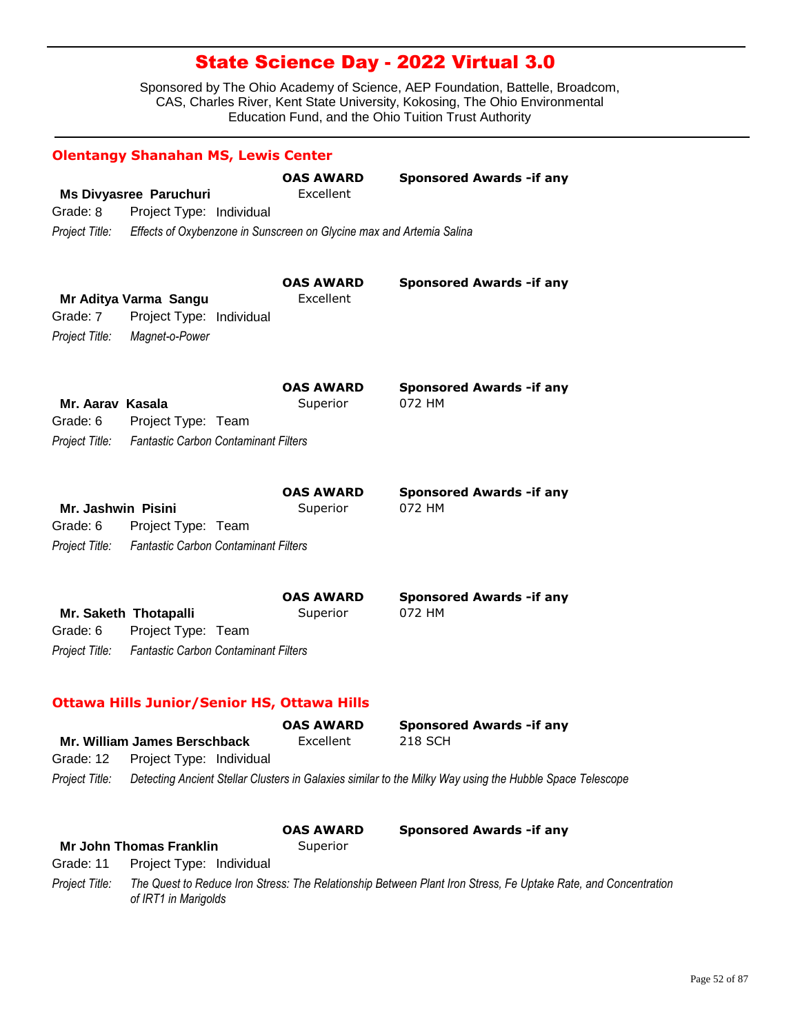|                    | <b>Olentangy Shanahan MS, Lewis Center</b>                           |                               |                                                                                                                |
|--------------------|----------------------------------------------------------------------|-------------------------------|----------------------------------------------------------------------------------------------------------------|
|                    |                                                                      | <b>OAS AWARD</b>              | <b>Sponsored Awards - if any</b>                                                                               |
|                    | <b>Ms Divyasree Paruchuri</b>                                        | Excellent                     |                                                                                                                |
| Grade: 8           | Project Type: Individual                                             |                               |                                                                                                                |
| Project Title:     | Effects of Oxybenzone in Sunscreen on Glycine max and Artemia Salina |                               |                                                                                                                |
|                    | Mr Aditya Varma Sangu                                                | <b>OAS AWARD</b><br>Excellent | <b>Sponsored Awards -if any</b>                                                                                |
| Grade: 7           | Project Type: Individual                                             |                               |                                                                                                                |
|                    |                                                                      |                               |                                                                                                                |
| Project Title:     | Magnet-o-Power                                                       |                               |                                                                                                                |
|                    |                                                                      | <b>OAS AWARD</b>              | <b>Sponsored Awards - if any</b>                                                                               |
| Mr. Aaray Kasala   |                                                                      | Superior                      | 072 HM                                                                                                         |
| Grade: 6           | Project Type: Team                                                   |                               |                                                                                                                |
| Project Title:     | <b>Fantastic Carbon Contaminant Filters</b>                          |                               |                                                                                                                |
|                    |                                                                      | <b>OAS AWARD</b>              | <b>Sponsored Awards - if any</b>                                                                               |
| Mr. Jashwin Pisini |                                                                      | Superior                      | 072 HM                                                                                                         |
| Grade: 6           | Project Type: Team                                                   |                               |                                                                                                                |
|                    | Project Title: Fantastic Carbon Contaminant Filters                  |                               |                                                                                                                |
|                    |                                                                      | <b>OAS AWARD</b>              | <b>Sponsored Awards - if any</b>                                                                               |
|                    | Mr. Saketh Thotapalli                                                | Superior                      | 072 HM                                                                                                         |
| Grade: 6           | Project Type: Team                                                   |                               |                                                                                                                |
| Project Title:     | <b>Fantastic Carbon Contaminant Filters</b>                          |                               |                                                                                                                |
|                    | <b>Ottawa Hills Junior/Senior HS, Ottawa Hills</b>                   |                               |                                                                                                                |
|                    |                                                                      | <b>OAS AWARD</b>              | <b>Sponsored Awards -if any</b>                                                                                |
|                    | Mr. William James Berschback                                         | Excellent                     | <b>218 SCH</b>                                                                                                 |
| Grade: 12          | Project Type: Individual                                             |                               |                                                                                                                |
| Project Title:     |                                                                      |                               | Detecting Ancient Stellar Clusters in Galaxies similar to the Milky Way using the Hubble Space Telescope       |
|                    |                                                                      | <b>OAS AWARD</b>              | <b>Sponsored Awards - if any</b>                                                                               |
|                    | <b>Mr John Thomas Franklin</b>                                       | Superior                      |                                                                                                                |
| Grade: 11          | Project Type: Individual                                             |                               |                                                                                                                |
| Project Title:     | of IRT1 in Marigolds                                                 |                               | The Quest to Reduce Iron Stress: The Relationship Between Plant Iron Stress, Fe Uptake Rate, and Concentration |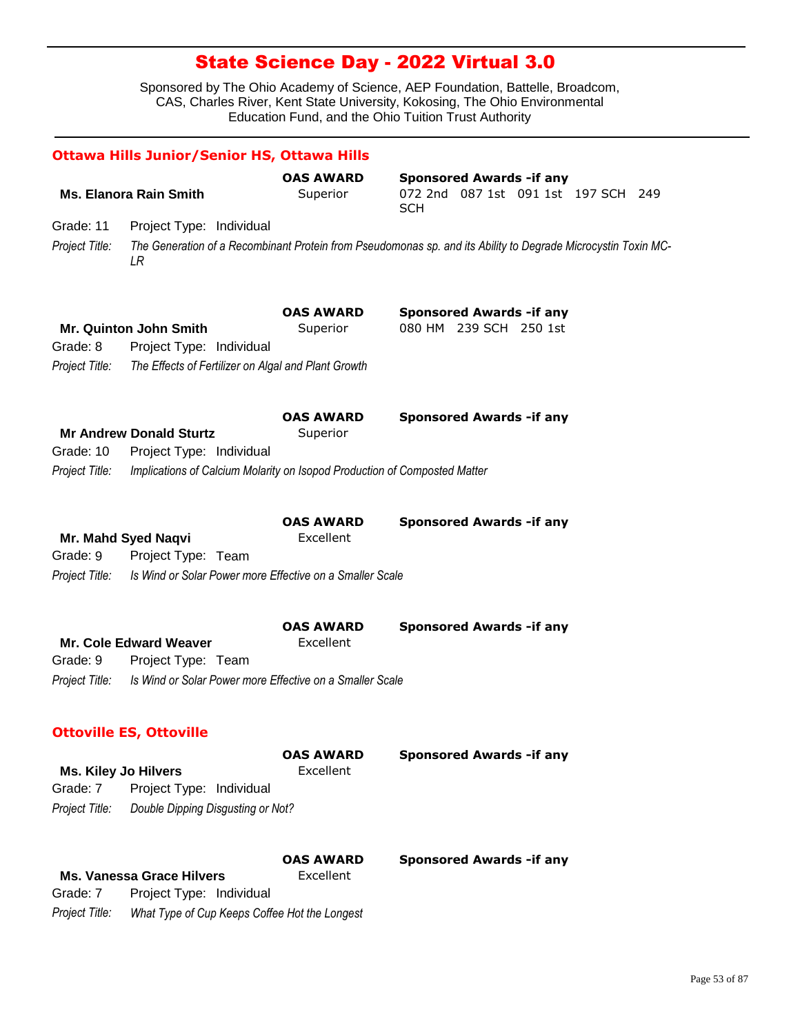|                | <b>Ottawa Hills Junior/Senior HS, Ottawa Hills</b>                             |                               |                                                                                                               |
|----------------|--------------------------------------------------------------------------------|-------------------------------|---------------------------------------------------------------------------------------------------------------|
|                |                                                                                | <b>OAS AWARD</b>              | <b>Sponsored Awards - if any</b>                                                                              |
|                | <b>Ms. Elanora Rain Smith</b>                                                  | Superior                      | 072 2nd 087 1st 091 1st 197 SCH 249<br><b>SCH</b>                                                             |
| Grade: 11      | Project Type: Individual                                                       |                               |                                                                                                               |
| Project Title: | LR                                                                             |                               | The Generation of a Recombinant Protein from Pseudomonas sp. and its Ability to Degrade Microcystin Toxin MC- |
|                | Mr. Quinton John Smith                                                         | <b>OAS AWARD</b><br>Superior  | <b>Sponsored Awards - if any</b><br>080 HM 239 SCH 250 1st                                                    |
| Grade: 8       | Project Type: Individual                                                       |                               |                                                                                                               |
| Project Title: | The Effects of Fertilizer on Algal and Plant Growth                            |                               |                                                                                                               |
| Grade: 10      | <b>Mr Andrew Donald Sturtz</b><br>Project Type: Individual                     | <b>OAS AWARD</b><br>Superior  | <b>Sponsored Awards - if any</b>                                                                              |
| Project Title: | Implications of Calcium Molarity on Isopod Production of Composted Matter      |                               |                                                                                                               |
|                |                                                                                | <b>OAS AWARD</b>              | <b>Sponsored Awards - if any</b>                                                                              |
|                | Mr. Mahd Syed Naqvi                                                            | Excellent                     |                                                                                                               |
| Grade: 9       | Project Type: Team                                                             |                               |                                                                                                               |
| Project Title: | Is Wind or Solar Power more Effective on a Smaller Scale                       |                               |                                                                                                               |
|                |                                                                                | <b>OAS AWARD</b>              | <b>Sponsored Awards -if any</b>                                                                               |
| Grade: 9       | <b>Mr. Cole Edward Weaver</b>                                                  | Excellent                     |                                                                                                               |
| Project Title: | Project Type: Team<br>Is Wind or Solar Power more Effective on a Smaller Scale |                               |                                                                                                               |
|                |                                                                                |                               |                                                                                                               |
|                | <b>Ottoville ES, Ottoville</b>                                                 |                               |                                                                                                               |
|                |                                                                                | <b>OAS AWARD</b><br>Excellent | <b>Sponsored Awards - if any</b>                                                                              |
| Grade: 7       | <b>Ms. Kiley Jo Hilvers</b><br>Project Type: Individual                        |                               |                                                                                                               |
| Project Title: | Double Dipping Disgusting or Not?                                              |                               |                                                                                                               |
|                |                                                                                | <b>OAS AWARD</b>              | <b>Sponsored Awards - if any</b>                                                                              |
|                | <b>Ms. Vanessa Grace Hilvers</b>                                               | Excellent                     |                                                                                                               |
| Grade: 7       | Project Type: Individual                                                       |                               |                                                                                                               |
| Project Title: | What Type of Cup Keeps Coffee Hot the Longest                                  |                               |                                                                                                               |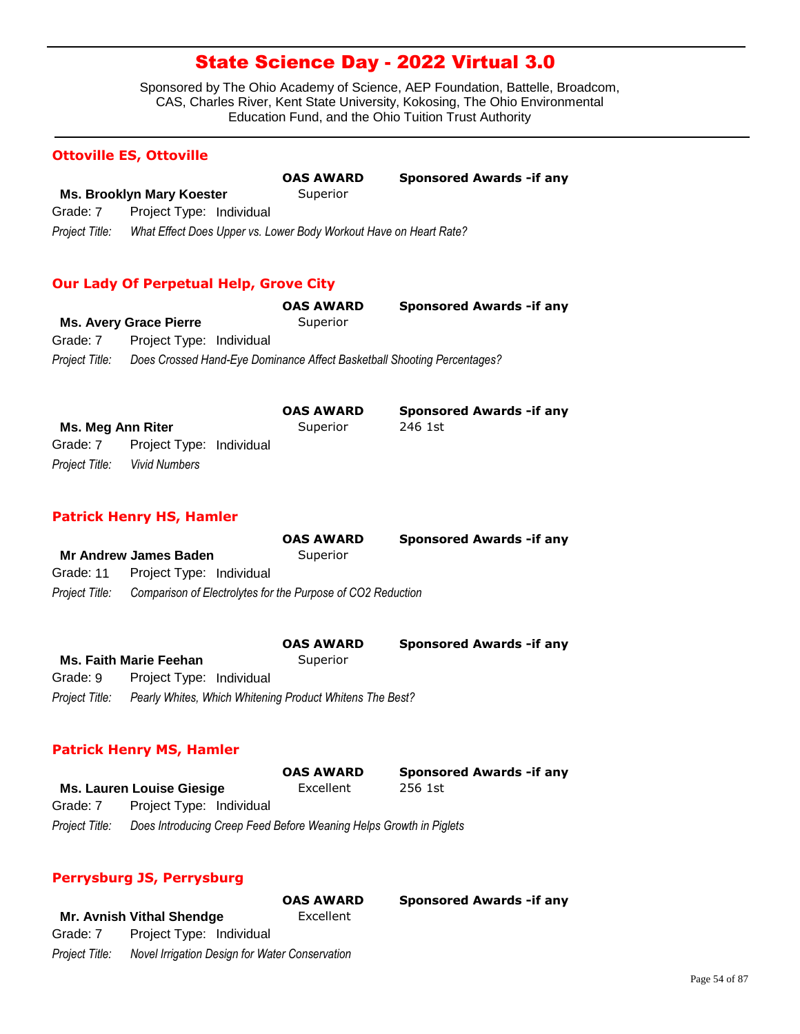Sponsored by The Ohio Academy of Science, AEP Foundation, Battelle, Broadcom, CAS, Charles River, Kent State University, Kokosing, The Ohio Environmental Education Fund, and the Ohio Tuition Trust Authority

#### **Ottoville ES, Ottoville**

|                |                                                                   | <b>OAS AWARD</b> | <b>Sponsored Awards - if any</b> |
|----------------|-------------------------------------------------------------------|------------------|----------------------------------|
|                | Ms. Brooklyn Mary Koester                                         | Superior         |                                  |
| Grade: 7       | Project Type: Individual                                          |                  |                                  |
| Project Title: | What Effect Does Upper vs. Lower Body Workout Have on Heart Rate? |                  |                                  |

### **Our Lady Of Perpetual Help, Grove City**

|                |                               | <b>OAS AWARD</b> | <b>Sponsored Awards - if any</b>                                        |
|----------------|-------------------------------|------------------|-------------------------------------------------------------------------|
|                | <b>Ms. Avery Grace Pierre</b> | Superior         |                                                                         |
| Grade: 7       | Project Type: Individual      |                  |                                                                         |
| Project Title: |                               |                  | Does Crossed Hand-Eye Dominance Affect Basketball Shooting Percentages? |

|                   |                          | <b>OAS AWARD</b> | <b>Sponsored Awards - if any</b> |
|-------------------|--------------------------|------------------|----------------------------------|
| Ms. Meg Ann Riter |                          | Superior         | 246 1st                          |
| Grade: 7          | Project Type: Individual |                  |                                  |
| Project Title:    | <b>Vivid Numbers</b>     |                  |                                  |

#### **Patrick Henry HS, Hamler**

|                |                                                             | <b>OAS AWARD</b> | <b>Sponsored Awards - if any</b> |
|----------------|-------------------------------------------------------------|------------------|----------------------------------|
|                | <b>Mr Andrew James Baden</b>                                | Superior         |                                  |
|                | Grade: 11 Project Type: Individual                          |                  |                                  |
| Proiect Title: | Comparison of Electrolytes for the Purpose of CO2 Reduction |                  |                                  |
|                |                                                             |                  |                                  |

|                |                                                          | <b>OAS AWARD</b> | <b>Sponsored Awards - if any</b> |
|----------------|----------------------------------------------------------|------------------|----------------------------------|
|                | <b>Ms. Faith Marie Feehan</b>                            | Superior         |                                  |
| Grade: 9       | Project Type: Individual                                 |                  |                                  |
| Project Title: | Pearly Whites, Which Whitening Product Whitens The Best? |                  |                                  |

#### **Patrick Henry MS, Hamler**

|                |                                                                    | <b>OAS AWARD</b> | <b>Sponsored Awards - if any</b> |
|----------------|--------------------------------------------------------------------|------------------|----------------------------------|
|                | <b>Ms. Lauren Louise Giesige</b>                                   | Excellent        | 256 1st                          |
| Grade: 7       | Project Type: Individual                                           |                  |                                  |
| Project Title: | Does Introducing Creep Feed Before Weaning Helps Growth in Piglets |                  |                                  |

#### **Perrysburg JS, Perrysburg**

|                |                                                | <b>OAS AWARD</b> | <b>Sponsored Awards - if any</b> |
|----------------|------------------------------------------------|------------------|----------------------------------|
|                | Mr. Avnish Vithal Shendge                      | Excellent        |                                  |
| Grade: 7       | Project Type: Individual                       |                  |                                  |
| Project Title: | Novel Irrigation Design for Water Conservation |                  |                                  |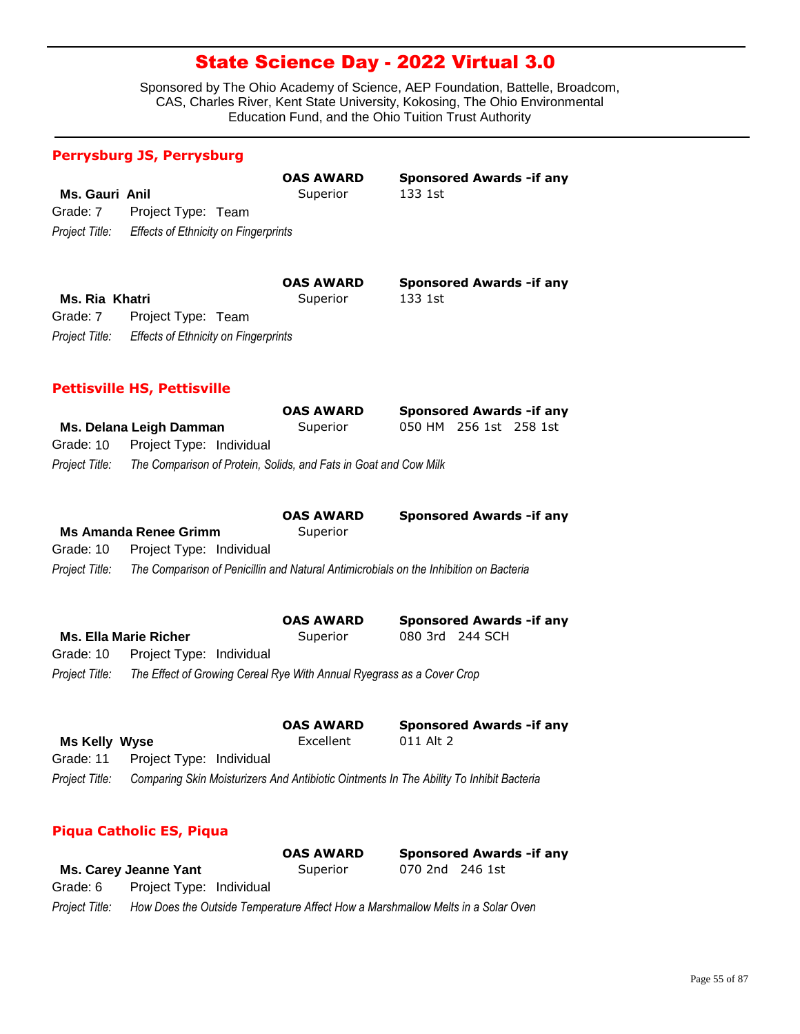Sponsored by The Ohio Academy of Science, AEP Foundation, Battelle, Broadcom, CAS, Charles River, Kent State University, Kokosing, The Ohio Environmental Education Fund, and the Ohio Tuition Trust Authority

**Sponsored Awards -if any** 

**Sponsored Awards -if any** 

### **Perrysburg JS, Perrysburg**

|                |                                             | <b>OAS AWARD</b> | <b>Sponso</b> |
|----------------|---------------------------------------------|------------------|---------------|
| Ms. Gauri Anil |                                             | Superior         | 133 1st       |
| Grade: 7       | Project Type: Team                          |                  |               |
| Project Title: | <b>Effects of Ethnicity on Fingerprints</b> |                  |               |

|                |                                             | <b>OAS AWARD</b> | <b>Sponso</b> |
|----------------|---------------------------------------------|------------------|---------------|
| Ms. Ria Khatri |                                             | Superior         | 133 1st       |
| Grade: 7       | Project Type: Team                          |                  |               |
| Project Title: | <b>Effects of Ethnicity on Fingerprints</b> |                  |               |

### **Pettisville HS, Pettisville**

|                |                                                                  | <b>OAS AWARD</b> |                        | <b>Sponsored Awards - if any</b> |
|----------------|------------------------------------------------------------------|------------------|------------------------|----------------------------------|
|                | Ms. Delana Leigh Damman                                          | Superior         | 050 HM 256 1st 258 1st |                                  |
| Grade: 10      | Project Type: Individual                                         |                  |                        |                                  |
| Project Title: | The Comparison of Protein, Solids, and Fats in Goat and Cow Milk |                  |                        |                                  |

|                | <b>Ms Amanda Renee Grimm</b> | <b>OAS AWARD</b><br>Superior | <b>Sponsored Awards - if any</b>                                                      |
|----------------|------------------------------|------------------------------|---------------------------------------------------------------------------------------|
| Grade: 10      | Project Type: Individual     |                              |                                                                                       |
| Project Title: |                              |                              | The Comparison of Penicillin and Natural Antimicrobials on the Inhibition on Bacteria |
|                |                              | <b>OAS AWARD</b>             | <b>Sponsored Awards - if any</b>                                                      |
|                | <b>Ms. Ella Marie Richer</b> | Superior                     | 080 3rd 244 SCH                                                                       |

*Project Title: The Effect of Growing Cereal Rye With Annual Ryegrass as a Cover Crop* Grade: 10 Project Type: Individual

|                      |                                    | <b>OAS AWARD</b> | <b>Sponsored Awards - if any</b>                                                        |
|----------------------|------------------------------------|------------------|-----------------------------------------------------------------------------------------|
| <b>Ms Kelly Wyse</b> |                                    | Excellent        | 011 Alt 2                                                                               |
|                      | Grade: 11 Project Type: Individual |                  |                                                                                         |
| Project Title:       |                                    |                  | Comparing Skin Moisturizers And Antibiotic Ointments In The Ability To Inhibit Bacteria |

### **Piqua Catholic ES, Piqua**

|                |                                                                                 | <b>OAS AWARD</b> |                 | <b>Sponsored Awards - if any</b> |
|----------------|---------------------------------------------------------------------------------|------------------|-----------------|----------------------------------|
|                | Ms. Carey Jeanne Yant                                                           | Superior         | 070 2nd 246 1st |                                  |
| Grade: 6       | Project Type: Individual                                                        |                  |                 |                                  |
| Project Title: | How Does the Outside Temperature Affect How a Marshmallow Melts in a Solar Oven |                  |                 |                                  |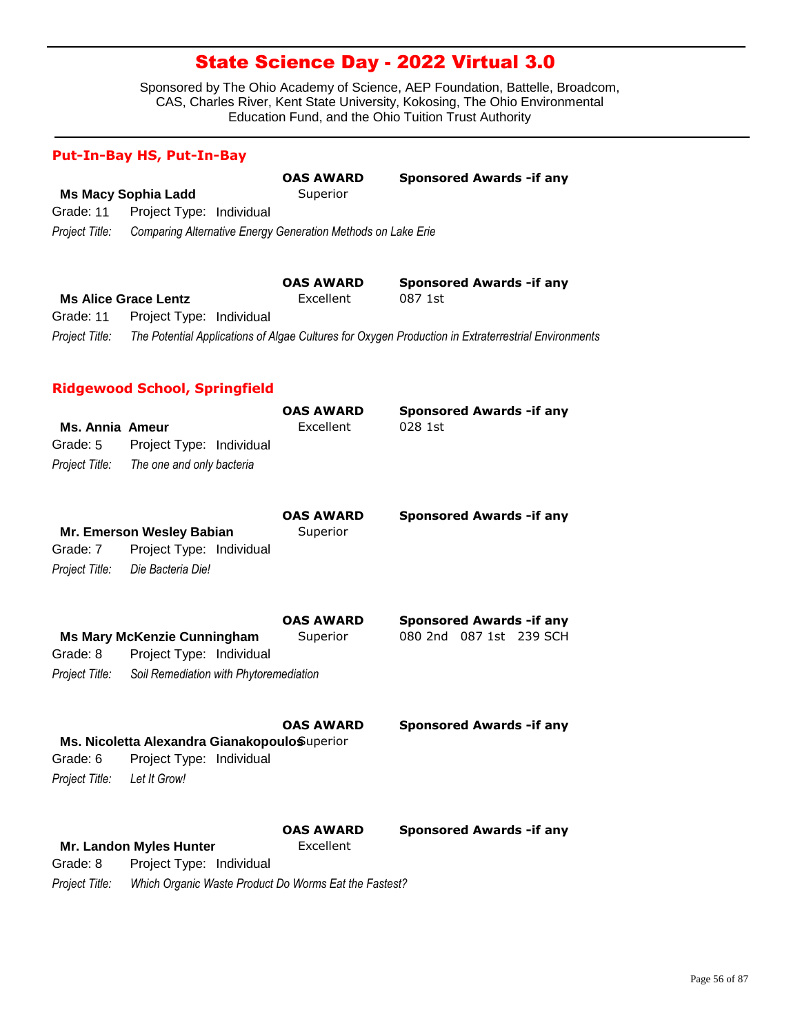|                                                      | <b>Put-In-Bay HS, Put-In-Bay</b>                                           |                               |                                                                                                     |
|------------------------------------------------------|----------------------------------------------------------------------------|-------------------------------|-----------------------------------------------------------------------------------------------------|
|                                                      |                                                                            | <b>OAS AWARD</b>              | <b>Sponsored Awards - if any</b>                                                                    |
|                                                      | <b>Ms Macy Sophia Ladd</b>                                                 | Superior                      |                                                                                                     |
| Grade: 11                                            | Project Type: Individual                                                   |                               |                                                                                                     |
| Project Title:                                       | Comparing Alternative Energy Generation Methods on Lake Erie               |                               |                                                                                                     |
|                                                      |                                                                            | <b>OAS AWARD</b>              | <b>Sponsored Awards - if any</b>                                                                    |
|                                                      | <b>Ms Alice Grace Lentz</b>                                                | Excellent                     | 087 1st                                                                                             |
| Grade: 11                                            | Project Type: Individual                                                   |                               |                                                                                                     |
| Project Title:                                       |                                                                            |                               | The Potential Applications of Algae Cultures for Oxygen Production in Extraterrestrial Environments |
|                                                      | <b>Ridgewood School, Springfield</b>                                       |                               |                                                                                                     |
| <b>Ms. Annia Ameur</b><br>Grade: 5<br>Project Title: | Project Type: Individual<br>The one and only bacteria                      | <b>OAS AWARD</b><br>Excellent | <b>Sponsored Awards - if any</b><br>028 1st                                                         |
| Grade: 7<br>Project Title:                           | Mr. Emerson Wesley Babian<br>Project Type: Individual<br>Die Bacteria Die! | <b>OAS AWARD</b><br>Superior  | <b>Sponsored Awards - if any</b>                                                                    |
| Grade: 8                                             | <b>Ms Mary McKenzie Cunningham</b><br>Project Type: Individual             | <b>OAS AWARD</b><br>Superior  | <b>Sponsored Awards - if any</b><br>080 2nd 087 1st 239 SCH                                         |
| Project Title:                                       | Soil Remediation with Phytoremediation                                     |                               |                                                                                                     |
|                                                      |                                                                            | <b>OAS AWARD</b>              | <b>Sponsored Awards - if any</b>                                                                    |
| Grade: 6                                             | Ms. Nicoletta Alexandra GianakopouloSuperior<br>Project Type: Individual   |                               |                                                                                                     |
| Project Title:                                       | Let It Grow!                                                               |                               |                                                                                                     |
|                                                      |                                                                            | <b>OAS AWARD</b>              | <b>Sponsored Awards - if any</b>                                                                    |
|                                                      | Mr. Landon Myles Hunter                                                    | Excellent                     |                                                                                                     |
| Grade: 8                                             | Project Type: Individual                                                   |                               |                                                                                                     |
| Project Title:                                       | Which Organic Waste Product Do Worms Eat the Fastest?                      |                               |                                                                                                     |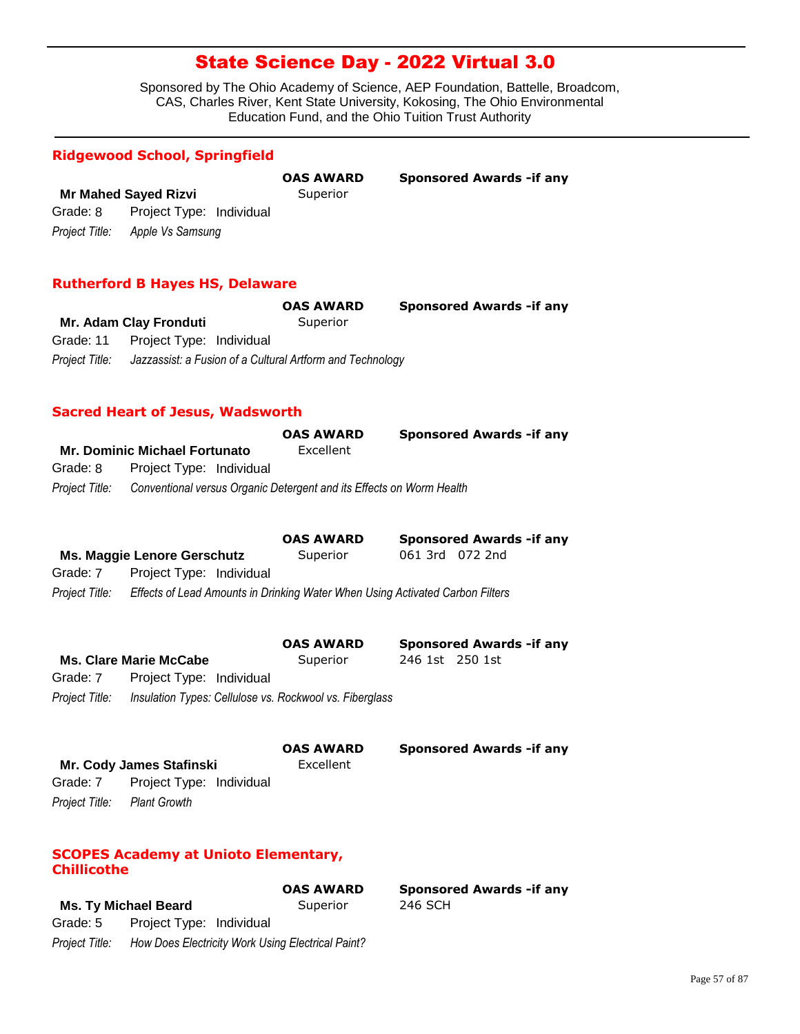Sponsored by The Ohio Academy of Science, AEP Foundation, Battelle, Broadcom, CAS, Charles River, Kent State University, Kokosing, The Ohio Environmental Education Fund, and the Ohio Tuition Trust Authority

### **Ridgewood School, Springfield**

|          |                                 | <b>OAS AWARD</b> | <b>Sponsored Awards - if any</b> |
|----------|---------------------------------|------------------|----------------------------------|
|          | <b>Mr Mahed Sayed Rizvi</b>     | Superior         |                                  |
| Grade: 8 | Project Type: Individual        |                  |                                  |
|          | Project Title: Apple Vs Samsung |                  |                                  |

#### **Rutherford B Hayes HS, Delaware**

|                |                                                           | <b>OAS AWARD</b> | <b>Sponsored Awards - if any</b> |
|----------------|-----------------------------------------------------------|------------------|----------------------------------|
|                | Mr. Adam Clay Fronduti                                    | Superior         |                                  |
|                | Grade: 11 Project Type: Individual                        |                  |                                  |
| Project Title: | Jazzassist: a Fusion of a Cultural Artform and Technology |                  |                                  |

### **Sacred Heart of Jesus, Wadsworth**

|                |                                                                      | <b>OAS AWARD</b> | <b>Sponsored Awards - if any</b> |
|----------------|----------------------------------------------------------------------|------------------|----------------------------------|
|                | <b>Mr. Dominic Michael Fortunato</b>                                 | Excellent        |                                  |
| Grade: 8       | Project Type: Individual                                             |                  |                                  |
| Project Title: | Conventional versus Organic Detergent and its Effects on Worm Health |                  |                                  |

|                |                                                                               | <b>OAS AWARD</b> | <b>Sponsored Awards - if any</b> |
|----------------|-------------------------------------------------------------------------------|------------------|----------------------------------|
|                | Ms. Maggie Lenore Gerschutz                                                   | Superior         | 061 3rd 072 2nd                  |
| Grade: 7       | Project Type: Individual                                                      |                  |                                  |
| Proiect Title: | Effects of Lead Amounts in Drinking Water When Using Activated Carbon Filters |                  |                                  |
|                |                                                                               |                  |                                  |

|                |                                                         | <b>OAS AWARD</b> |                 | <b>Sponsored Awards - if any</b> |
|----------------|---------------------------------------------------------|------------------|-----------------|----------------------------------|
|                | <b>Ms. Clare Marie McCabe</b>                           | Superior         | 246 1st 250 1st |                                  |
| Grade: 7       | Project Type: Individual                                |                  |                 |                                  |
| Project Title: | Insulation Types: Cellulose vs. Rockwool vs. Fiberglass |                  |                 |                                  |

|                             |                          | <b>OAS AWARD</b> | <b>Sponsored Awards - if any</b> |
|-----------------------------|--------------------------|------------------|----------------------------------|
|                             | Mr. Cody James Stafinski | Excellent        |                                  |
| Grade: 7                    | Project Type: Individual |                  |                                  |
| Project Title: Plant Growth |                          |                  |                                  |

### **SCOPES Academy at Unioto Elementary, Chillicothe**

|                |                                                   | <b>OAS AWARD</b> | <b>Sponsored Awards - if any</b> |
|----------------|---------------------------------------------------|------------------|----------------------------------|
|                | Ms. Ty Michael Beard                              | Superior         | 246 SCH                          |
| Grade: 5       | Project Type: Individual                          |                  |                                  |
| Project Title: | How Does Electricity Work Using Electrical Paint? |                  |                                  |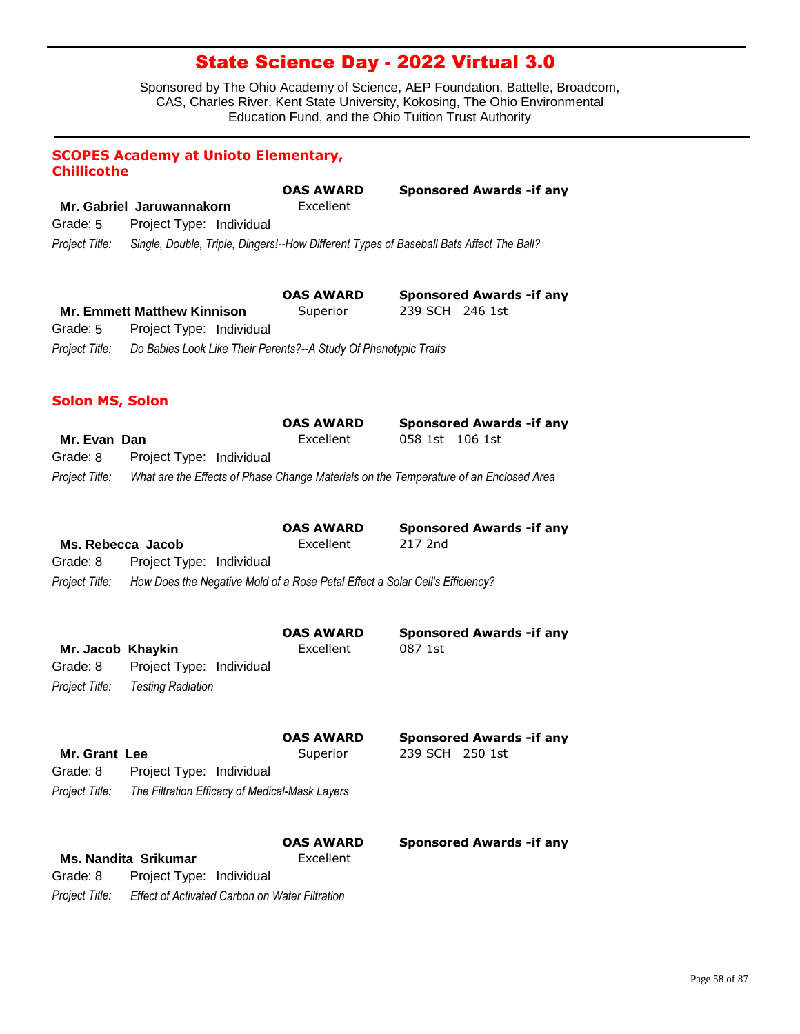|                        | <b>SCOPES Academy at Unioto Elementary,</b>                                  |                  |                                                                                         |
|------------------------|------------------------------------------------------------------------------|------------------|-----------------------------------------------------------------------------------------|
| <b>Chillicothe</b>     |                                                                              | <b>OAS AWARD</b> | <b>Sponsored Awards - if any</b>                                                        |
|                        | Mr. Gabriel Jaruwannakorn                                                    | Excellent        |                                                                                         |
| Grade: 5               | Project Type: Individual                                                     |                  |                                                                                         |
| Project Title:         |                                                                              |                  | Single, Double, Triple, Dingers!--How Different Types of Baseball Bats Affect The Ball? |
|                        |                                                                              |                  |                                                                                         |
|                        |                                                                              | <b>OAS AWARD</b> |                                                                                         |
|                        | <b>Mr. Emmett Matthew Kinnison</b>                                           | Superior         | <b>Sponsored Awards - if any</b><br>239 SCH 246 1st                                     |
| Grade: 5               | Project Type: Individual                                                     |                  |                                                                                         |
| Project Title:         | Do Babies Look Like Their Parents?--A Study Of Phenotypic Traits             |                  |                                                                                         |
|                        |                                                                              |                  |                                                                                         |
| <b>Solon MS, Solon</b> |                                                                              |                  |                                                                                         |
|                        |                                                                              | <b>OAS AWARD</b> | <b>Sponsored Awards - if any</b>                                                        |
| Mr. Evan Dan           |                                                                              | Excellent        | 058 1st 106 1st                                                                         |
| Grade: 8               | Project Type: Individual                                                     |                  |                                                                                         |
| Project Title:         |                                                                              |                  | What are the Effects of Phase Change Materials on the Temperature of an Enclosed Area   |
|                        |                                                                              |                  |                                                                                         |
|                        |                                                                              | <b>OAS AWARD</b> | <b>Sponsored Awards - if any</b>                                                        |
| Ms. Rebecca Jacob      |                                                                              | Excellent        | 217 2nd                                                                                 |
| Grade: 8               | Project Type: Individual                                                     |                  |                                                                                         |
| Project Title:         | How Does the Negative Mold of a Rose Petal Effect a Solar Cell's Efficiency? |                  |                                                                                         |
|                        |                                                                              |                  |                                                                                         |
|                        |                                                                              | <b>OAS AWARD</b> | <b>Sponsored Awards - if any</b>                                                        |
| Mr. Jacob Khaykin      |                                                                              | Excellent        | 087 1st                                                                                 |
| Grade: 8               | Project Type: Individual                                                     |                  |                                                                                         |
| Project Title:         | <b>Testing Radiation</b>                                                     |                  |                                                                                         |
|                        |                                                                              |                  |                                                                                         |
|                        |                                                                              | <b>OAS AWARD</b> | <b>Sponsored Awards - if any</b>                                                        |
| Mr. Grant Lee          |                                                                              | Superior         | 239 SCH 250 1st                                                                         |
| Grade: 8               | Project Type: Individual                                                     |                  |                                                                                         |
| Project Title:         | The Filtration Efficacy of Medical-Mask Layers                               |                  |                                                                                         |
|                        |                                                                              |                  |                                                                                         |
|                        |                                                                              | <b>OAS AWARD</b> | <b>Sponsored Awards - if any</b>                                                        |
|                        | <b>Ms. Nandita Srikumar</b>                                                  | Excellent        |                                                                                         |
| Grade: 8               | Project Type: Individual                                                     |                  |                                                                                         |
| Project Title:         | Effect of Activated Carbon on Water Filtration                               |                  |                                                                                         |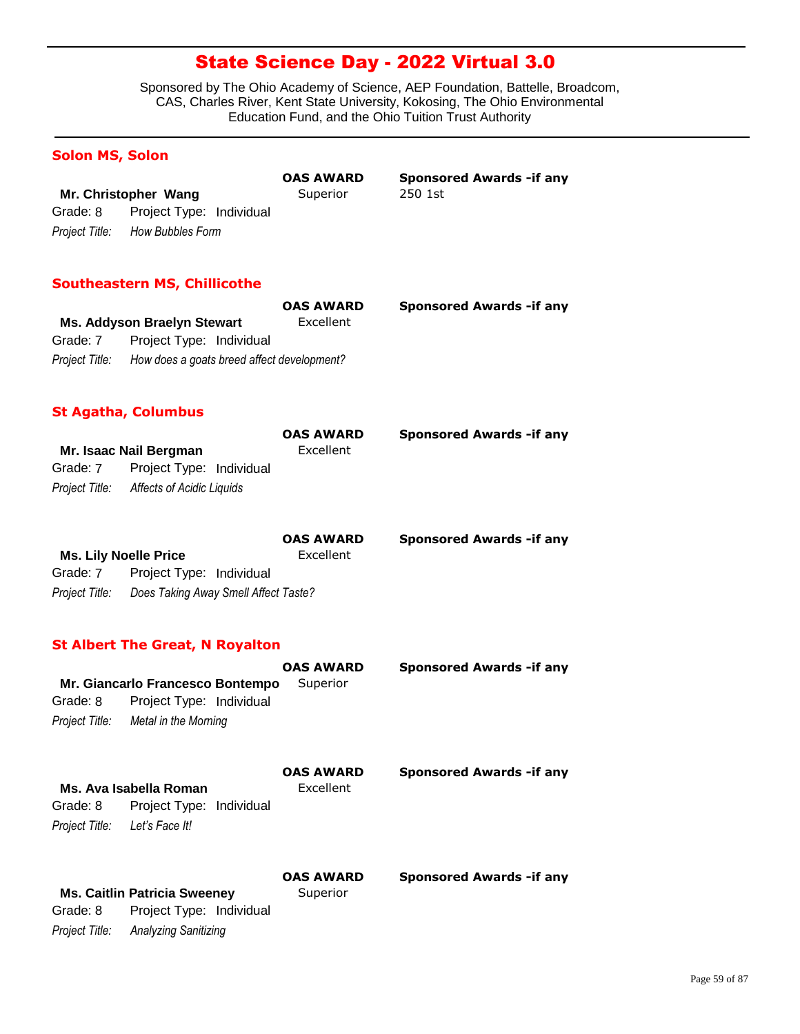Sponsored by The Ohio Academy of Science, AEP Foundation, Battelle, Broadcom, CAS, Charles River, Kent State University, Kokosing, The Ohio Environmental Education Fund, and the Ohio Tuition Trust Authority

### **Solon MS, Solon**

|                                   | UAS AWARD | <b>SPUISU</b> |
|-----------------------------------|-----------|---------------|
| Mr. Christopher Wang              | Superior  | 250 1st       |
| Grade: 8 Project Type: Individual |           |               |
| Project Title: How Bubbles Form   |           |               |

**OAS AWARD Sponsored Awards -if any**

### **Southeastern MS, Chillicothe**

|                |                                            | <b>OAS AWARD</b> | <b>Sponsored Awards - if any</b> |
|----------------|--------------------------------------------|------------------|----------------------------------|
|                | Ms. Addyson Braelyn Stewart                | Excellent        |                                  |
| Grade: 7       | Project Type: Individual                   |                  |                                  |
| Project Title: | How does a goats breed affect development? |                  |                                  |

### **St Agatha, Columbus**

|          |                                          | <b>OAS AWARD</b> | <b>Sponsored Awards - if any</b> |
|----------|------------------------------------------|------------------|----------------------------------|
|          | Mr. Isaac Nail Bergman                   | Excellent        |                                  |
| Grade: 7 | Project Type: Individual                 |                  |                                  |
|          | Project Title: Affects of Acidic Liquids |                  |                                  |

|                |                                      | <b>OAS AWARD</b> | <b>Sponsored Awards - if any</b> |
|----------------|--------------------------------------|------------------|----------------------------------|
|                | <b>Ms. Lily Noelle Price</b>         | Excellent        |                                  |
| Grade: 7       | Project Type: Individual             |                  |                                  |
| Project Title: | Does Taking Away Smell Affect Taste? |                  |                                  |

### **St Albert The Great, N Royalton**

|                |                                  | <b>OAS AWARD</b> | <b>Sponsored Awards - if any</b> |
|----------------|----------------------------------|------------------|----------------------------------|
|                | Mr. Giancarlo Francesco Bontempo | Superior         |                                  |
| Grade: 8       | Project Type: Individual         |                  |                                  |
| Project Title: | Metal in the Morning             |                  |                                  |
|                |                                  | <b>OAS AWARD</b> | <b>Sponsored Awards - if any</b> |

|                               | Ms. Ava Isabella Roman            | Excellent |  |  |
|-------------------------------|-----------------------------------|-----------|--|--|
|                               | Grade: 8 Project Type: Individual |           |  |  |
| Project Title: Let's Face It! |                                   |           |  |  |
|                               |                                   |           |  |  |

**Superior** 

**OAS AWARD Sponsored Awards -if any**

|                | <b>Ms. Caitlin Patricia Sweeney</b> |  |
|----------------|-------------------------------------|--|
| Grade: 8       | Project Type: Individual            |  |
| Project Title: | Analyzing Sanitizing                |  |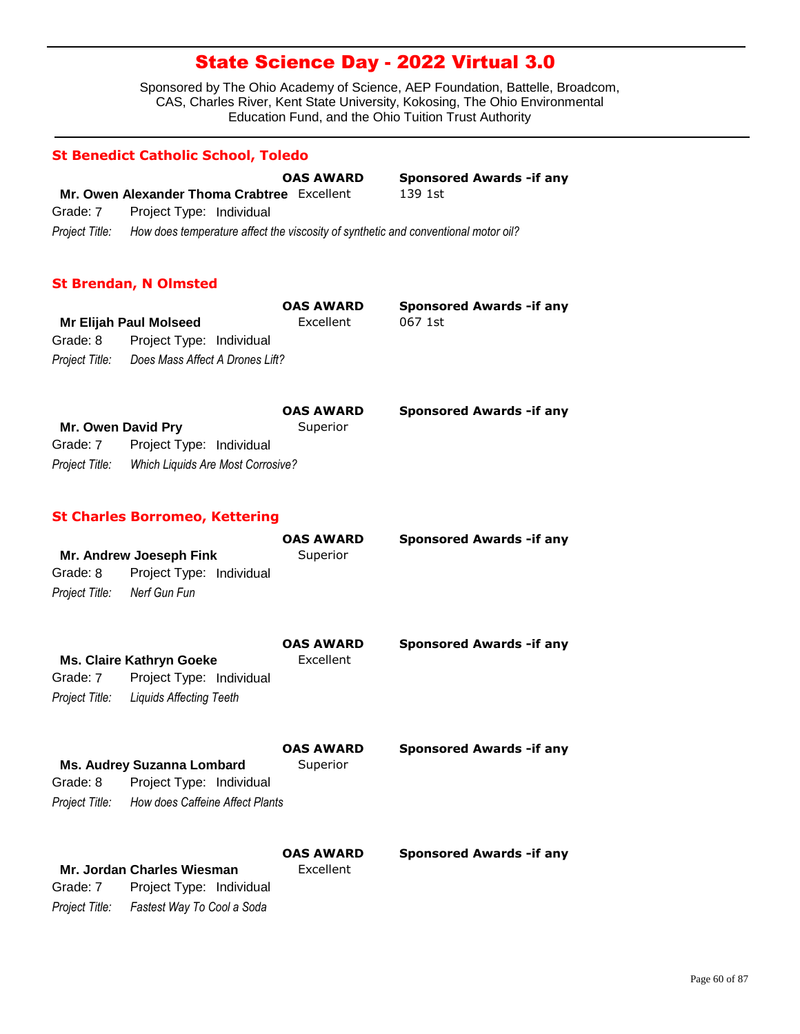Sponsored by The Ohio Academy of Science, AEP Foundation, Battelle, Broadcom, CAS, Charles River, Kent State University, Kokosing, The Ohio Environmental Education Fund, and the Ohio Tuition Trust Authority

#### **St Benedict Catholic School, Toledo**

|                |                                                                                    | <b>OAS AWARD</b> | <b>Sponsored Awards - if any</b> |
|----------------|------------------------------------------------------------------------------------|------------------|----------------------------------|
|                | Mr. Owen Alexander Thoma Crabtree Excellent                                        |                  | 139 1st                          |
| Grade: 7       | Project Type: Individual                                                           |                  |                                  |
| Proiect Title: | How does temperature affect the viscosity of synthetic and conventional motor oil? |                  |                                  |

### **St Brendan, N Olmsted**

|          |                                                | <b>OAS AWARD</b> | <b>Sponsored Awards - if any</b> |
|----------|------------------------------------------------|------------------|----------------------------------|
|          | Mr Elijah Paul Molseed                         | Excellent        | 067 1st                          |
| Grade: 8 | Project Type: Individual                       |                  |                                  |
|          | Project Title: Does Mass Affect A Drones Lift? |                  |                                  |

|                    |                                   | <b>OAS AWARD</b> | <b>Sponsored Awards - if any</b> |
|--------------------|-----------------------------------|------------------|----------------------------------|
| Mr. Owen David Pry |                                   | Superior         |                                  |
| Grade: 7           | Project Type: Individual          |                  |                                  |
| Project Title:     | Which Liquids Are Most Corrosive? |                  |                                  |

#### **St Charles Borromeo, Kettering**

*Project Title: Fastest Way To Cool a Soda*

|                             | Mr. Andrew Joeseph Fink                                | <b>OAS AWARD</b><br>Superior | <b>Sponsored Awards - if any</b> |
|-----------------------------|--------------------------------------------------------|------------------------------|----------------------------------|
| Grade: 8                    | Project Type: Individual                               |                              |                                  |
| Project Title: Nerf Gun Fun |                                                        |                              |                                  |
|                             |                                                        | <b>OAS AWARD</b>             | <b>Sponsored Awards - if any</b> |
|                             | <b>Ms. Claire Kathryn Goeke</b>                        | Excellent                    |                                  |
| Grade: 7                    | Project Type: Individual                               |                              |                                  |
|                             | Project Title: Liquids Affecting Teeth                 |                              |                                  |
|                             |                                                        | <b>OAS AWARD</b>             | <b>Sponsored Awards - if any</b> |
| Grade: 8                    | Ms. Audrey Suzanna Lombard<br>Project Type: Individual | Superior                     |                                  |
|                             |                                                        |                              |                                  |
|                             | Project Title: How does Caffeine Affect Plants         |                              |                                  |
|                             |                                                        | <b>OAS AWARD</b>             | <b>Sponsored Awards - if any</b> |
|                             | Mr. Jordan Charles Wiesman                             | Excellent                    |                                  |
| Grade: 7                    | Project Type: Individual                               |                              |                                  |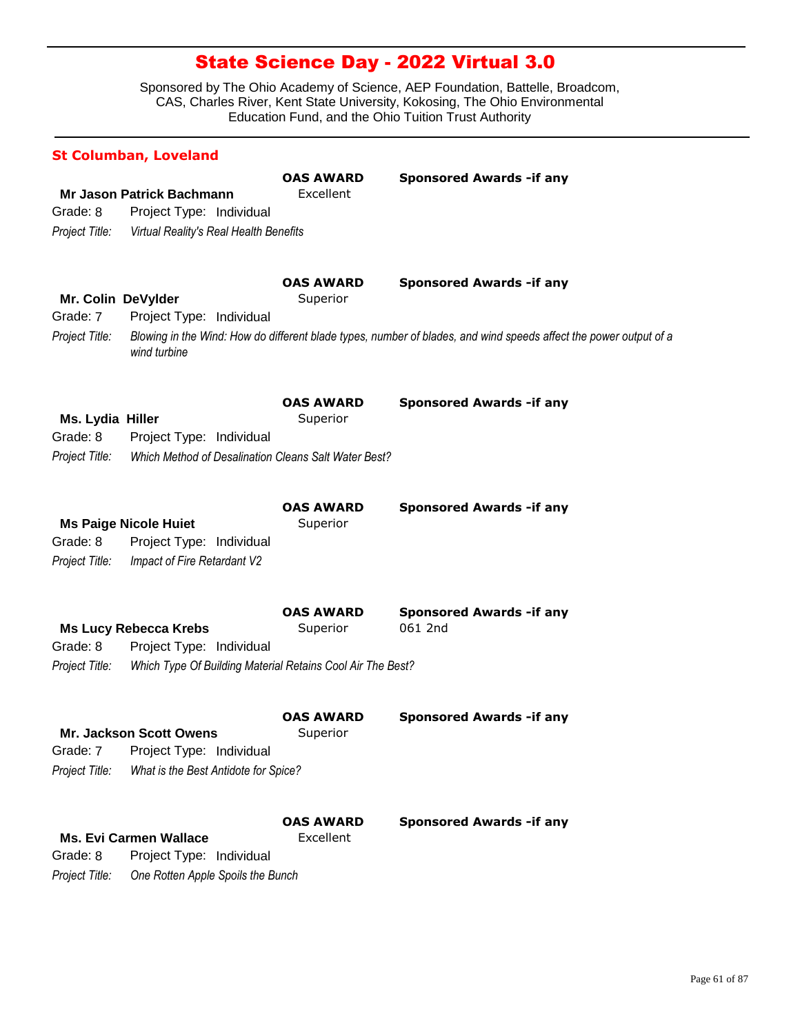|                                                  | <b>St Columban, Loveland</b>                                                                                           |                               |                                                                                                                                                       |
|--------------------------------------------------|------------------------------------------------------------------------------------------------------------------------|-------------------------------|-------------------------------------------------------------------------------------------------------------------------------------------------------|
| Grade: 8<br>Project Title:                       | <b>Mr Jason Patrick Bachmann</b><br>Project Type: Individual<br>Virtual Reality's Real Health Benefits                 | <b>OAS AWARD</b><br>Excellent | <b>Sponsored Awards - if any</b>                                                                                                                      |
| Mr. Colin DeVylder<br>Grade: 7<br>Project Title: | Project Type: Individual<br>wind turbine                                                                               | <b>OAS AWARD</b><br>Superior  | <b>Sponsored Awards - if any</b><br>Blowing in the Wind: How do different blade types, number of blades, and wind speeds affect the power output of a |
| Ms. Lydia Hiller<br>Grade: 8<br>Project Title:   | Project Type: Individual<br>Which Method of Desalination Cleans Salt Water Best?                                       | <b>OAS AWARD</b><br>Superior  | <b>Sponsored Awards - if any</b>                                                                                                                      |
| Grade: 8<br>Project Title:                       | <b>Ms Paige Nicole Huiet</b><br>Project Type: Individual<br>Impact of Fire Retardant V2                                | <b>OAS AWARD</b><br>Superior  | <b>Sponsored Awards - if any</b>                                                                                                                      |
| Grade: 8<br>Project Title:                       | <b>Ms Lucy Rebecca Krebs</b><br>Project Type: Individual<br>Which Type Of Building Material Retains Cool Air The Best? | <b>OAS AWARD</b><br>Superior  | <b>Sponsored Awards - if any</b><br>061 2nd                                                                                                           |
| Grade: 7<br>Project Title:                       | Mr. Jackson Scott Owens<br>Project Type: Individual<br>What is the Best Antidote for Spice?                            | <b>OAS AWARD</b><br>Superior  | <b>Sponsored Awards -if any</b>                                                                                                                       |
| Grade: 8<br>Project Title:                       | <b>Ms. Evi Carmen Wallace</b><br>Project Type: Individual<br>One Rotten Apple Spoils the Bunch                         | <b>OAS AWARD</b><br>Excellent | <b>Sponsored Awards - if any</b>                                                                                                                      |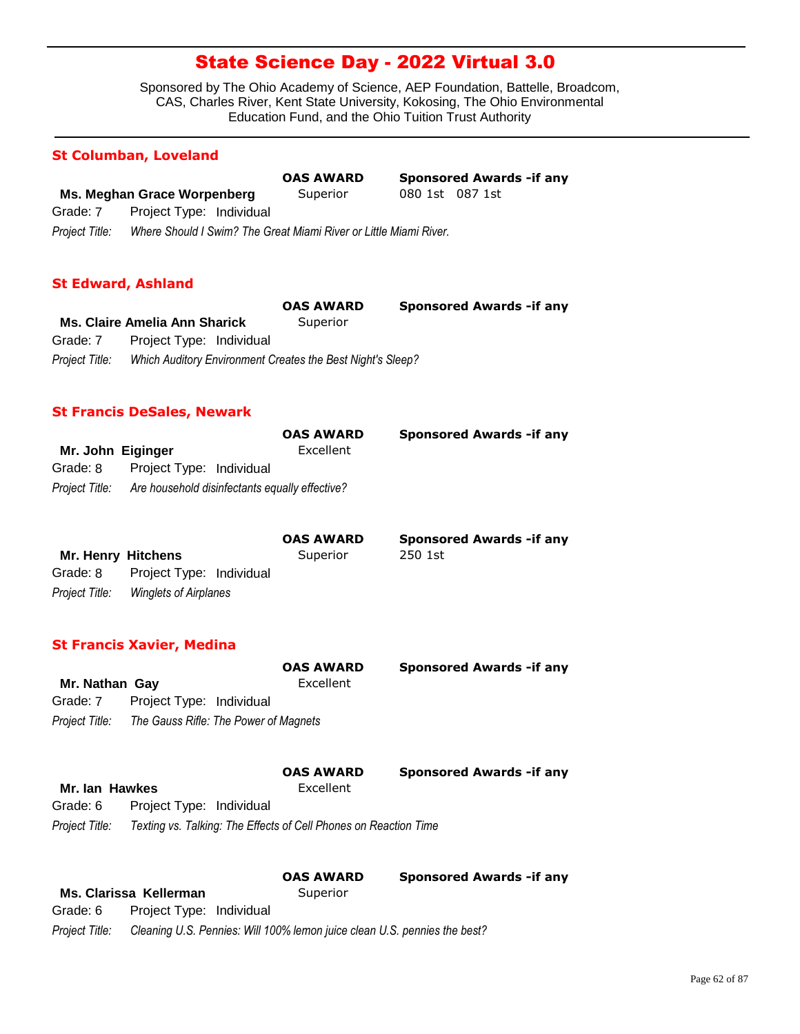Sponsored by The Ohio Academy of Science, AEP Foundation, Battelle, Broadcom, CAS, Charles River, Kent State University, Kokosing, The Ohio Environmental Education Fund, and the Ohio Tuition Trust Authority

#### **St Columban, Loveland**

|                |                                                                   | <b>OAS AWARD</b> |                 | <b>Sponsored Awards - if any</b> |
|----------------|-------------------------------------------------------------------|------------------|-----------------|----------------------------------|
|                | Ms. Meghan Grace Worpenberg                                       | Superior         | 080 1st 087 1st |                                  |
| Grade: 7       | Project Type: Individual                                          |                  |                 |                                  |
| Project Title: | Where Should I Swim? The Great Miami River or Little Miami River. |                  |                 |                                  |

### **St Edward, Ashland**

|                |                                                            | <b>OAS AWARD</b> | <b>Sponsored Awards - if any</b> |
|----------------|------------------------------------------------------------|------------------|----------------------------------|
|                | <b>Ms. Claire Amelia Ann Sharick</b>                       | Superior         |                                  |
| Grade: 7       | Project Type: Individual                                   |                  |                                  |
| Project Title: | Which Auditory Environment Creates the Best Night's Sleep? |                  |                                  |

### **St Francis DeSales, Newark**

|                   |                          | <b>OAS AWARD</b>                                              | <b>Sponsored Awards - if any</b> |
|-------------------|--------------------------|---------------------------------------------------------------|----------------------------------|
| Mr. John Eiginger |                          | Excellent                                                     |                                  |
| Grade: 8          | Project Type: Individual |                                                               |                                  |
|                   |                          | Project Title: Are household disinfectants equally effective? |                                  |

|                           |                              | <b>OAS AWARD</b> | <b>Sponsored Awards - if any</b> |
|---------------------------|------------------------------|------------------|----------------------------------|
| <b>Mr. Henry Hitchens</b> |                              | Superior         | 250 1st                          |
| Grade: 8                  | Project Type: Individual     |                  |                                  |
| Project Title:            | <b>Winglets of Airplanes</b> |                  |                                  |

### **St Francis Xavier, Medina**

| Mr. Nathan Gay |                                                      | <b>OAS AWARD</b><br>Excellent | <b>Sponsored Awards - if any</b> |
|----------------|------------------------------------------------------|-------------------------------|----------------------------------|
| Grade: 7       | Project Type: Individual                             |                               |                                  |
|                | Project Title: The Gauss Rifle: The Power of Magnets |                               |                                  |
| Mr. Ian Hawkes |                                                      | <b>OAS AWARD</b><br>Excellent | <b>Sponsored Awards - if any</b> |

|                | 1111.1411.1411129<br>----------                                  |
|----------------|------------------------------------------------------------------|
| Grade: 6       | Project Type: Individual                                         |
| Project Title: | Texting vs. Talking: The Effects of Cell Phones on Reaction Time |

|                |                                                                           | <b>OAS AWARD</b> | <b>Sponsored Awards - if any</b> |
|----------------|---------------------------------------------------------------------------|------------------|----------------------------------|
|                | Ms. Clarissa Kellerman                                                    | Superior         |                                  |
| Grade: 6       | Project Type: Individual                                                  |                  |                                  |
| Project Title: | Cleaning U.S. Pennies: Will 100% lemon juice clean U.S. pennies the best? |                  |                                  |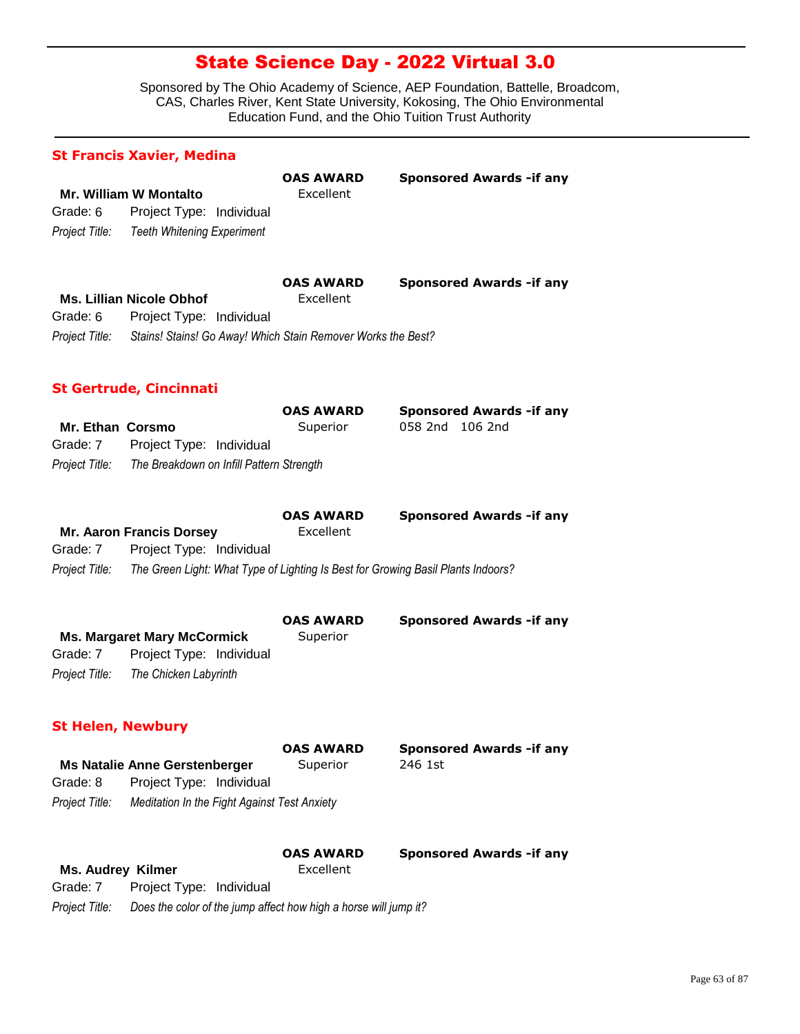|                          | <b>St Francis Xavier, Medina</b>                                                 |                               |                                  |
|--------------------------|----------------------------------------------------------------------------------|-------------------------------|----------------------------------|
|                          |                                                                                  | <b>OAS AWARD</b>              | <b>Sponsored Awards - if any</b> |
|                          | <b>Mr. William W Montalto</b>                                                    | Excellent                     |                                  |
| Grade: 6                 | Project Type: Individual                                                         |                               |                                  |
| Project Title:           | <b>Teeth Whitening Experiment</b>                                                |                               |                                  |
|                          |                                                                                  | <b>OAS AWARD</b>              | <b>Sponsored Awards -if any</b>  |
|                          | <b>Ms. Lillian Nicole Obhof</b>                                                  | Excellent                     |                                  |
| Grade: 6                 | Project Type: Individual                                                         |                               |                                  |
| Project Title:           | Stains! Stains! Go Away! Which Stain Remover Works the Best?                     |                               |                                  |
|                          | <b>St Gertrude, Cincinnati</b>                                                   |                               |                                  |
|                          |                                                                                  | <b>OAS AWARD</b>              | <b>Sponsored Awards -if any</b>  |
| <b>Mr. Ethan Corsmo</b>  |                                                                                  | Superior                      | 058 2nd 106 2nd                  |
| Grade: 7                 | Project Type: Individual                                                         |                               |                                  |
| Project Title:           | The Breakdown on Infill Pattern Strength                                         |                               |                                  |
|                          |                                                                                  |                               |                                  |
|                          |                                                                                  | <b>OAS AWARD</b><br>Excellent | <b>Sponsored Awards -if any</b>  |
| Grade: 7                 | <b>Mr. Aaron Francis Dorsey</b><br>Project Type: Individual                      |                               |                                  |
| Project Title:           |                                                                                  |                               |                                  |
|                          | The Green Light: What Type of Lighting Is Best for Growing Basil Plants Indoors? |                               |                                  |
|                          |                                                                                  | <b>OAS AWARD</b>              | <b>Sponsored Awards -if any</b>  |
|                          | <b>Ms. Margaret Mary McCormick</b>                                               | Superior                      |                                  |
| Grade: 7                 | Project Type: Individual                                                         |                               |                                  |
| Project Title:           | The Chicken Labyrinth                                                            |                               |                                  |
| <b>St Helen, Newbury</b> |                                                                                  |                               |                                  |
|                          |                                                                                  | <b>OAS AWARD</b>              | <b>Sponsored Awards - if any</b> |
|                          | <b>Ms Natalie Anne Gerstenberger</b>                                             | Superior                      | 246 1st                          |
| Grade: 8                 | Project Type: Individual                                                         |                               |                                  |
| Project Title:           | Meditation In the Fight Against Test Anxiety                                     |                               |                                  |
|                          |                                                                                  | OAS AWARD                     | <b>Sponsored Awards - if any</b> |
| <b>Ms. Audrey Kilmer</b> |                                                                                  | Excellent                     |                                  |
| Grade: 7                 | Project Type: Individual                                                         |                               |                                  |
| Project Title:           | Does the color of the jump affect how high a horse will jump it?                 |                               |                                  |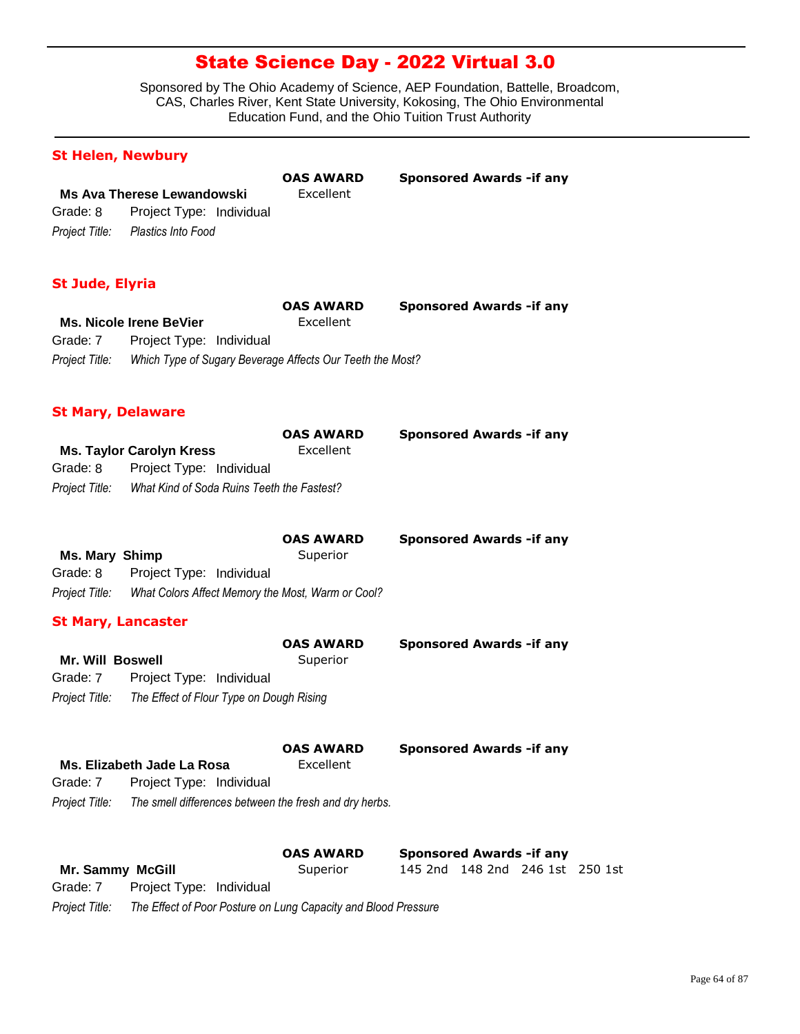Sponsored by The Ohio Academy of Science, AEP Foundation, Battelle, Broadcom, CAS, Charles River, Kent State University, Kokosing, The Ohio Environmental Education Fund, and the Ohio Tuition Trust Authority

| <b>St Helen, Newbury</b>   |                                                           |                              |                                  |  |
|----------------------------|-----------------------------------------------------------|------------------------------|----------------------------------|--|
|                            |                                                           | <b>OAS AWARD</b>             | <b>Sponsored Awards - if any</b> |  |
|                            | <b>Ms Ava Therese Lewandowski</b>                         | Excellent                    |                                  |  |
| Grade: 8                   | Project Type: Individual                                  |                              |                                  |  |
| Project Title:             | Plastics Into Food                                        |                              |                                  |  |
| <b>St Jude, Elyria</b>     |                                                           |                              |                                  |  |
|                            |                                                           | <b>OAS AWARD</b>             | <b>Sponsored Awards - if any</b> |  |
|                            | <b>Ms. Nicole Irene BeVier</b>                            | Excellent                    |                                  |  |
| Grade: 7                   | Project Type: Individual                                  |                              |                                  |  |
| Project Title:             | Which Type of Sugary Beverage Affects Our Teeth the Most? |                              |                                  |  |
| <b>St Mary, Delaware</b>   |                                                           |                              |                                  |  |
|                            |                                                           | <b>OAS AWARD</b>             | <b>Sponsored Awards - if any</b> |  |
|                            | <b>Ms. Taylor Carolyn Kress</b>                           | Excellent                    |                                  |  |
| Grade: 8                   | Project Type: Individual                                  |                              |                                  |  |
| Project Title:             | What Kind of Soda Ruins Teeth the Fastest?                |                              |                                  |  |
| Ms. Mary Shimp<br>Grade: 8 | Project Type: Individual                                  | <b>OAS AWARD</b><br>Superior | <b>Sponsored Awards - if any</b> |  |
| Project Title:             | What Colors Affect Memory the Most, Warm or Cool?         |                              |                                  |  |
|                            |                                                           |                              |                                  |  |
| <b>St Mary, Lancaster</b>  |                                                           |                              |                                  |  |
|                            |                                                           | <b>OAS AWARD</b>             | <b>Sponsored Awards - if any</b> |  |
| <b>Mr. Will Boswell</b>    |                                                           | Superior                     |                                  |  |
| Grade: 7                   | Project Type: Individual                                  |                              |                                  |  |
| Project Title:             | The Effect of Flour Type on Dough Rising                  |                              |                                  |  |
|                            |                                                           | <b>OAS AWARD</b>             | <b>Sponsored Awards - if any</b> |  |
|                            | Ms. Elizabeth Jade La Rosa                                | Excellent                    |                                  |  |
| Grade: 7                   | Project Type: Individual                                  |                              |                                  |  |
| Project Title:             | The smell differences between the fresh and dry herbs.    |                              |                                  |  |
|                            |                                                           | OAS AWARD                    | <b>Sponsored Awards - if any</b> |  |
| Mr. Sammy McGill           |                                                           | Superior                     | 145 2nd 148 2nd 246 1st 250 1st  |  |
| Grade: 7                   | Project Type: Individual                                  |                              |                                  |  |

*Project Title: The Effect of Poor Posture on Lung Capacity and Blood Pressure*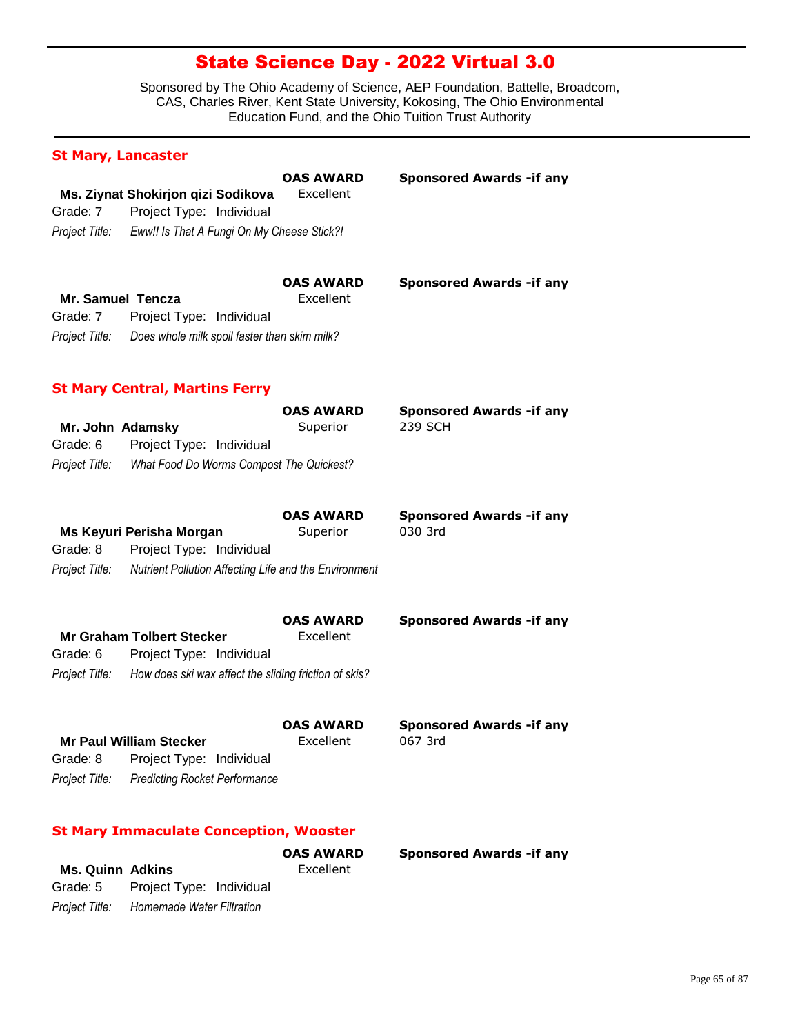Sponsored by The Ohio Academy of Science, AEP Foundation, Battelle, Broadcom, CAS, Charles River, Kent State University, Kokosing, The Ohio Environmental Education Fund, and the Ohio Tuition Trust Authority

| <b>St Mary, Lancaster</b>  |                                                                          |                               |                                             |
|----------------------------|--------------------------------------------------------------------------|-------------------------------|---------------------------------------------|
|                            | Ms. Ziynat Shokirjon qizi Sodikova                                       | <b>OAS AWARD</b><br>Excellent | <b>Sponsored Awards - if any</b>            |
| Grade: 7                   | Project Type: Individual                                                 |                               |                                             |
|                            | Project Title: Eww!! Is That A Fungi On My Cheese Stick?!                |                               |                                             |
| Mr. Samuel Tencza          |                                                                          | OAS AWARD<br>Excellent        | <b>Sponsored Awards - if any</b>            |
| Grade: 7<br>Project Title: | Project Type: Individual<br>Does whole milk spoil faster than skim milk? |                               |                                             |
|                            | <b>St Mary Central, Martins Ferry</b>                                    |                               |                                             |
|                            |                                                                          | <b>OAS AWARD</b>              | <b>Sponsored Awards - if any</b>            |
| Mr. John Adamsky           |                                                                          | Superior                      | 239 SCH                                     |
| Grade: 6                   | Project Type: Individual                                                 |                               |                                             |
| Project Title:             | What Food Do Worms Compost The Quickest?                                 |                               |                                             |
|                            |                                                                          | <b>OAS AWARD</b>              | <b>Sponsored Awards - if any</b>            |
|                            | Ms Keyuri Perisha Morgan                                                 | Superior                      | 030 3rd                                     |
| Grade: 8                   | Project Type: Individual                                                 |                               |                                             |
| Project Title:             | Nutrient Pollution Affecting Life and the Environment                    |                               |                                             |
|                            |                                                                          | <b>OAS AWARD</b>              | <b>Sponsored Awards - if any</b>            |
| Grade: 6                   | <b>Mr Graham Tolbert Stecker</b><br>Project Type: Individual             | Excellent                     |                                             |
|                            | Project Title: How does ski wax affect the sliding friction of skis?     |                               |                                             |
|                            |                                                                          |                               |                                             |
|                            | <b>Mr Paul William Stecker</b>                                           | <b>OAS AWARD</b><br>Excellent | <b>Sponsored Awards - if any</b><br>067 3rd |
| Grade: 8                   | Project Type: Individual                                                 |                               |                                             |
| Project Title:             | <b>Predicting Rocket Performance</b>                                     |                               |                                             |
|                            | <b>St Mary Immaculate Conception, Wooster</b>                            |                               |                                             |
| <b>Ms. Quinn Adkins</b>    |                                                                          | <b>OAS AWARD</b><br>Excellent | <b>Sponsored Awards - if any</b>            |

*Project Title: Homemade Water Filtration* Grade: 5 Project Type: Individual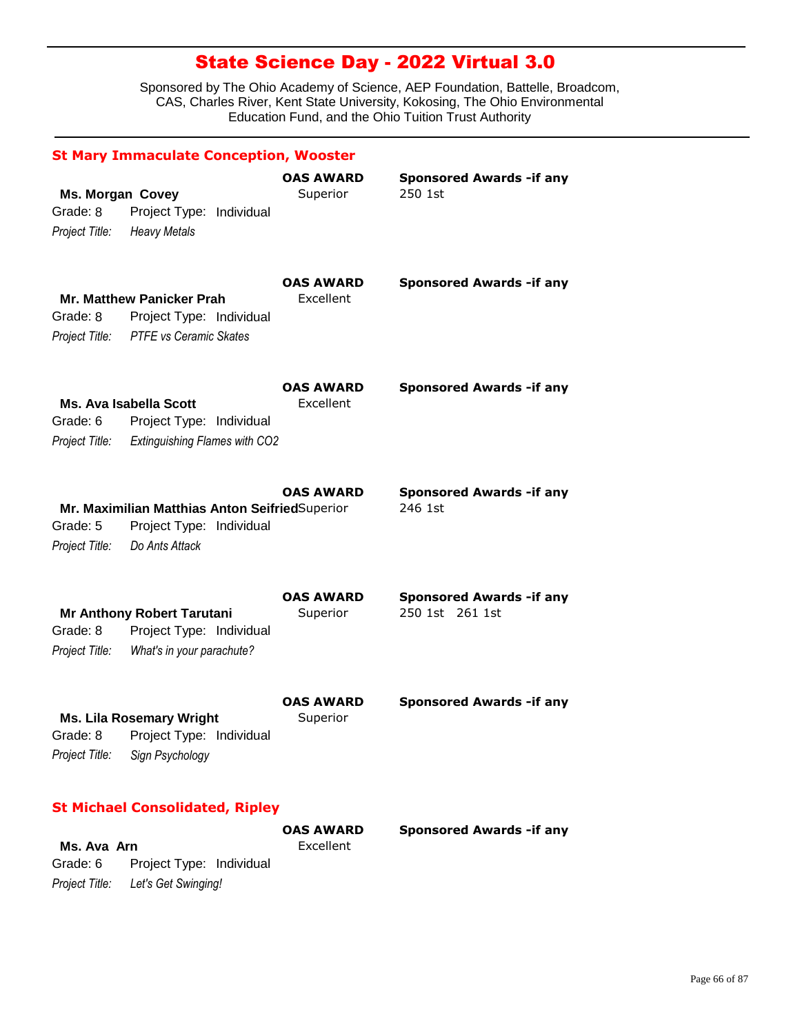Sponsored by The Ohio Academy of Science, AEP Foundation, Battelle, Broadcom, CAS, Charles River, Kent State University, Kokosing, The Ohio Environmental Education Fund, and the Ohio Tuition Trust Authority

|                                                       | <b>St Mary Immaculate Conception, Wooster</b>                                                         |                               |                                                    |
|-------------------------------------------------------|-------------------------------------------------------------------------------------------------------|-------------------------------|----------------------------------------------------|
| <b>Ms. Morgan Covey</b><br>Grade: 8<br>Project Title: | Project Type: Individual<br><b>Heavy Metals</b>                                                       | <b>OAS AWARD</b><br>Superior  | <b>Sponsored Awards - if any</b><br>250 1st        |
| Grade: 8                                              | <b>Mr. Matthew Panicker Prah</b><br>Project Type: Individual<br>Project Title: PTFE vs Ceramic Skates | <b>OAS AWARD</b><br>Excellent | <b>Sponsored Awards - if any</b>                   |
| Grade: 6<br>Project Title:                            | <b>Ms. Ava Isabella Scott</b><br>Project Type: Individual<br><b>Extinguishing Flames with CO2</b>     | OAS AWARD<br>Excellent        | <b>Sponsored Awards - if any</b>                   |
| Grade: 5<br>Project Title:                            | Mr. Maximilian Matthias Anton SeifriedSuperior<br>Project Type: Individual<br>Do Ants Attack          | <b>OAS AWARD</b>              | <b>Sponsored Awards -if any</b><br>246 1st         |
| Grade: 8<br>Project Title:                            | <b>Mr Anthony Robert Tarutani</b><br>Project Type: Individual<br>What's in your parachute?            | <b>OAS AWARD</b><br>Superior  | <b>Sponsored Awards -if any</b><br>250 1st 261 1st |
| Grade: 8<br>Project Title:                            | <b>Ms. Lila Rosemary Wright</b><br>Project Type: Individual<br>Sign Psychology                        | <b>OAS AWARD</b><br>Superior  | <b>Sponsored Awards - if any</b>                   |
| Ms. Ava Arn<br>Grade: 6                               | <b>St Michael Consolidated, Ripley</b><br>Project Type: Individual                                    | <b>OAS AWARD</b><br>Excellent | <b>Sponsored Awards - if any</b>                   |

*Project Title: Let's Get Swinging!*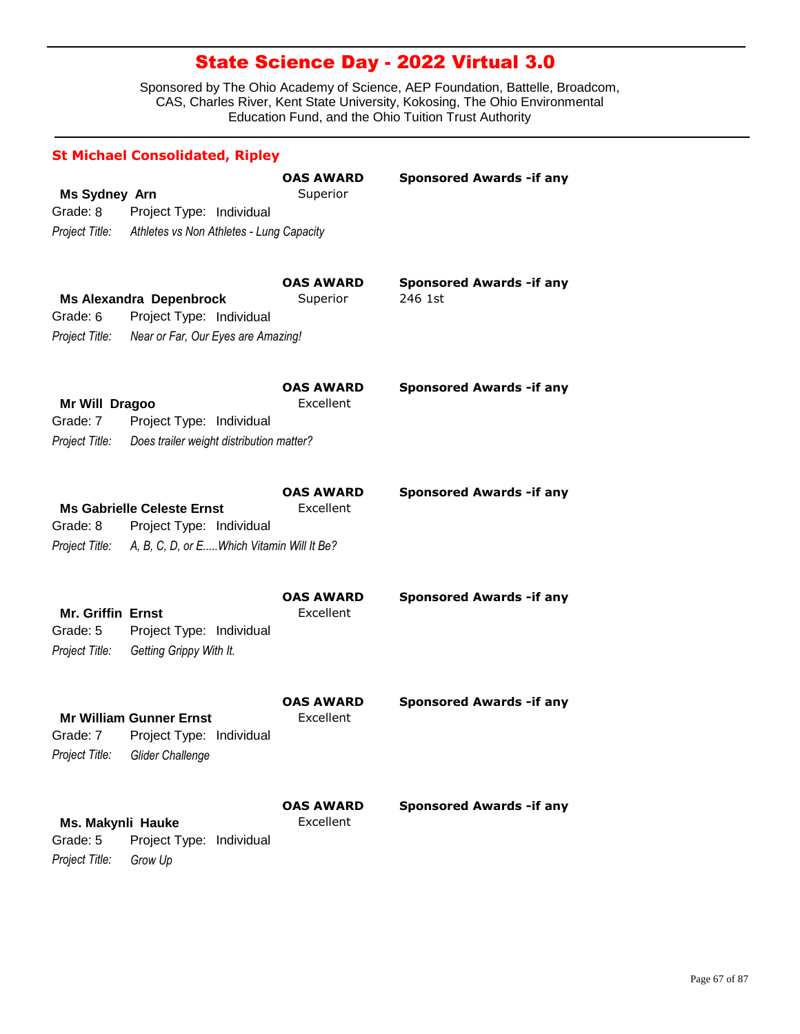| <b>St Michael Consolidated, Ripley</b>                 |                                                                                                                           |                               |                                             |  |
|--------------------------------------------------------|---------------------------------------------------------------------------------------------------------------------------|-------------------------------|---------------------------------------------|--|
| <b>Ms Sydney Arn</b><br>Grade: 8                       | Project Type: Individual<br>Project Title: Athletes vs Non Athletes - Lung Capacity                                       | <b>OAS AWARD</b><br>Superior  | <b>Sponsored Awards - if any</b>            |  |
| Grade: 6<br>Project Title:                             | <b>Ms Alexandra Depenbrock</b><br>Project Type: Individual<br>Near or Far, Our Eyes are Amazing!                          | <b>OAS AWARD</b><br>Superior  | <b>Sponsored Awards - if any</b><br>246 1st |  |
| Mr Will Dragoo<br>Grade: 7<br>Project Title:           | Project Type: Individual<br>Does trailer weight distribution matter?                                                      | <b>OAS AWARD</b><br>Excellent | <b>Sponsored Awards - if any</b>            |  |
| Grade: 8                                               | <b>Ms Gabrielle Celeste Ernst</b><br>Project Type: Individual<br>Project Title: A, B, C, D, or EWhich Vitamin Will It Be? | <b>OAS AWARD</b><br>Excellent | <b>Sponsored Awards - if any</b>            |  |
| <b>Mr. Griffin Ernst</b><br>Grade: 5<br>Project Title: | Project Type: Individual<br>Getting Grippy With It.                                                                       | <b>OAS AWARD</b><br>Excellent | <b>Sponsored Awards - if any</b>            |  |
| Project Title:                                         | <b>Mr William Gunner Ernst</b><br>Grade: 7 Project Type: Individual<br>Glider Challenge                                   | <b>OAS AWARD</b><br>Excellent | <b>Sponsored Awards - if any</b>            |  |
| Ms. Makynli Hauke<br>Grade: 5<br>Project Title:        | Project Type: Individual<br>Grow Up                                                                                       | <b>OAS AWARD</b><br>Excellent | <b>Sponsored Awards -if any</b>             |  |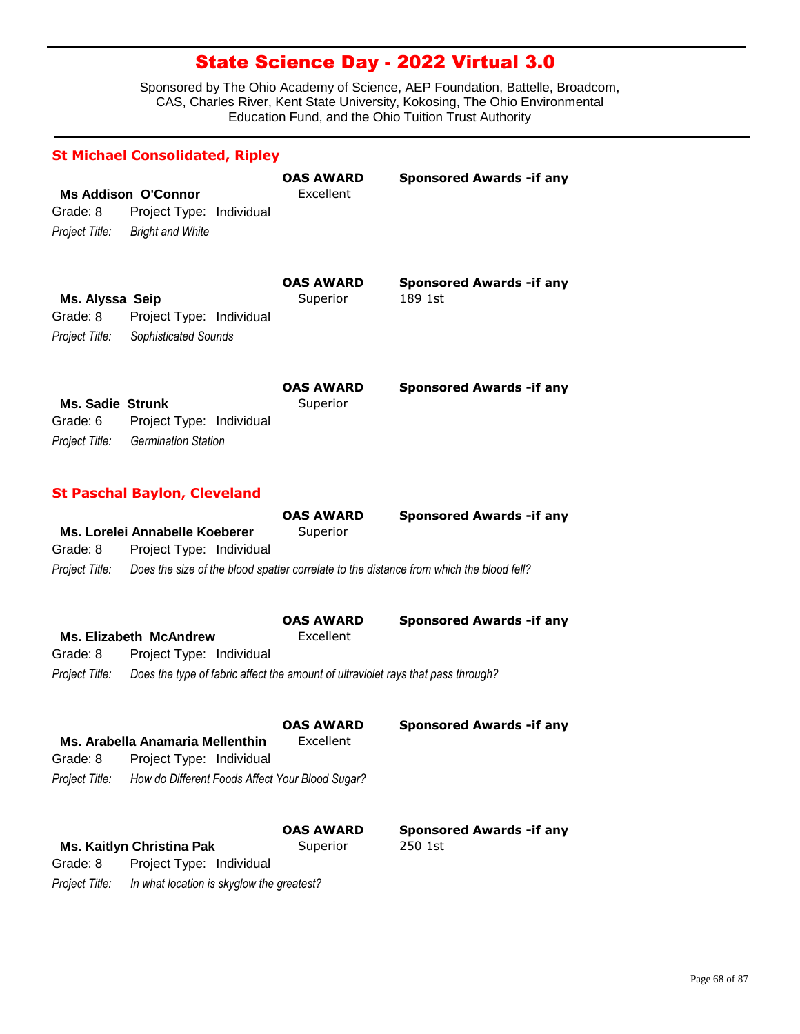|                         | <b>St Michael Consolidated, Ripley</b>                                                  |                  |                                  |
|-------------------------|-----------------------------------------------------------------------------------------|------------------|----------------------------------|
|                         |                                                                                         | OAS AWARD        | <b>Sponsored Awards - if any</b> |
| Grade: 8                | <b>Ms Addison O'Connor</b><br>Project Type: Individual                                  | Excellent        |                                  |
| Project Title:          | <b>Bright and White</b>                                                                 |                  |                                  |
|                         |                                                                                         |                  |                                  |
|                         |                                                                                         | <b>OAS AWARD</b> | <b>Sponsored Awards - if any</b> |
| Ms. Alyssa Seip         |                                                                                         | Superior         | 189 1st                          |
| Grade: 8                | Project Type: Individual                                                                |                  |                                  |
| Project Title:          | Sophisticated Sounds                                                                    |                  |                                  |
|                         |                                                                                         | <b>OAS AWARD</b> | <b>Sponsored Awards - if any</b> |
| <b>Ms. Sadie Strunk</b> |                                                                                         | Superior         |                                  |
| Grade: 6                | Project Type: Individual                                                                |                  |                                  |
| Project Title:          | <b>Germination Station</b>                                                              |                  |                                  |
|                         | <b>St Paschal Baylon, Cleveland</b>                                                     |                  |                                  |
|                         |                                                                                         | <b>OAS AWARD</b> | <b>Sponsored Awards - if any</b> |
|                         | Ms. Lorelei Annabelle Koeberer                                                          | Superior         |                                  |
| Grade: 8                | Project Type: Individual                                                                |                  |                                  |
| Project Title:          | Does the size of the blood spatter correlate to the distance from which the blood fell? |                  |                                  |
|                         |                                                                                         | <b>OAS AWARD</b> | <b>Sponsored Awards - if any</b> |
|                         | <b>Ms. Elizabeth McAndrew</b>                                                           | Excellent        |                                  |
| Grade: 8                | Project Type: Individual                                                                |                  |                                  |
| Project Title:          | Does the type of fabric affect the amount of ultraviolet rays that pass through?        |                  |                                  |
|                         |                                                                                         | <b>OAS AWARD</b> | <b>Sponsored Awards -if any</b>  |
|                         | Ms. Arabella Anamaria Mellenthin                                                        | Excellent        |                                  |
| Grade: 8                | Project Type: Individual                                                                |                  |                                  |
| Project Title:          | How do Different Foods Affect Your Blood Sugar?                                         |                  |                                  |
|                         |                                                                                         | <b>OAS AWARD</b> | <b>Sponsored Awards - if any</b> |
|                         | <b>Ms. Kaitlyn Christina Pak</b>                                                        | Superior         | 250 1st                          |
| Grade: 8                | Project Type: Individual                                                                |                  |                                  |
| Project Title:          | In what location is skyglow the greatest?                                               |                  |                                  |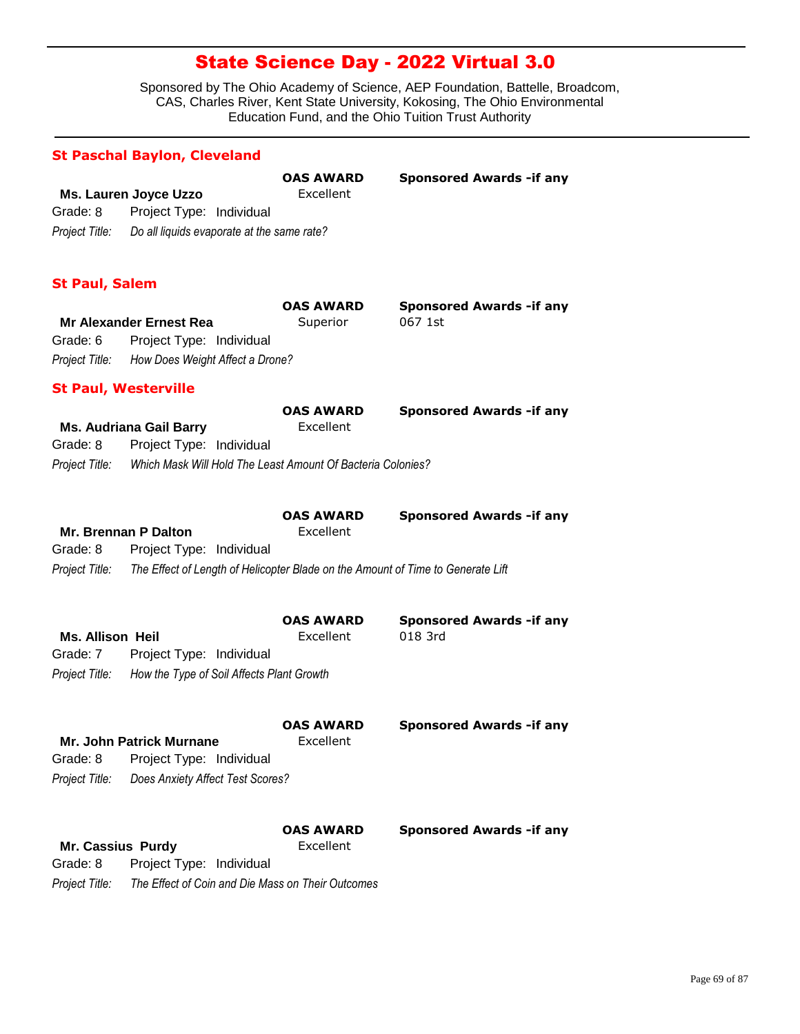|                                                       | <b>St Paschal Baylon, Cleveland</b>                                                                                       |                               |                                             |
|-------------------------------------------------------|---------------------------------------------------------------------------------------------------------------------------|-------------------------------|---------------------------------------------|
| Grade: 8<br>Project Title:                            | Ms. Lauren Joyce Uzzo<br>Project Type: Individual<br>Do all liquids evaporate at the same rate?                           | <b>OAS AWARD</b><br>Excellent | <b>Sponsored Awards - if any</b>            |
| <b>St Paul, Salem</b>                                 |                                                                                                                           |                               |                                             |
| Grade: 6<br>Project Title:                            | <b>Mr Alexander Ernest Rea</b><br>Project Type: Individual<br>How Does Weight Affect a Drone?                             | <b>OAS AWARD</b><br>Superior  | <b>Sponsored Awards - if any</b><br>067 1st |
| <b>St Paul, Westerville</b>                           |                                                                                                                           |                               |                                             |
| Grade: 8<br>Project Title:                            | <b>Ms. Audriana Gail Barry</b><br>Project Type: Individual<br>Which Mask Will Hold The Least Amount Of Bacteria Colonies? | <b>OAS AWARD</b><br>Excellent | <b>Sponsored Awards - if any</b>            |
| Mr. Brennan P Dalton<br>Grade: 8<br>Project Title:    | Project Type: Individual<br>The Effect of Length of Helicopter Blade on the Amount of Time to Generate Lift               | <b>OAS AWARD</b><br>Excellent | <b>Sponsored Awards - if any</b>            |
| <b>Ms. Allison Heil</b><br>Grade: 7<br>Project Title: | Project Type: Individual<br>How the Type of Soil Affects Plant Growth                                                     | <b>OAS AWARD</b><br>Excellent | <b>Sponsored Awards - if any</b><br>018 3rd |
| Grade: 8<br>Project Title:                            | Mr. John Patrick Murnane<br>Project Type: Individual<br>Does Anxiety Affect Test Scores?                                  | <b>OAS AWARD</b><br>Excellent | <b>Sponsored Awards - if any</b>            |
| Mr. Cassius Purdy<br>Grade: 8<br>Project Title:       | Project Type: Individual<br>The Effect of Coin and Die Mass on Their Outcomes                                             | <b>OAS AWARD</b><br>Excellent | <b>Sponsored Awards - if any</b>            |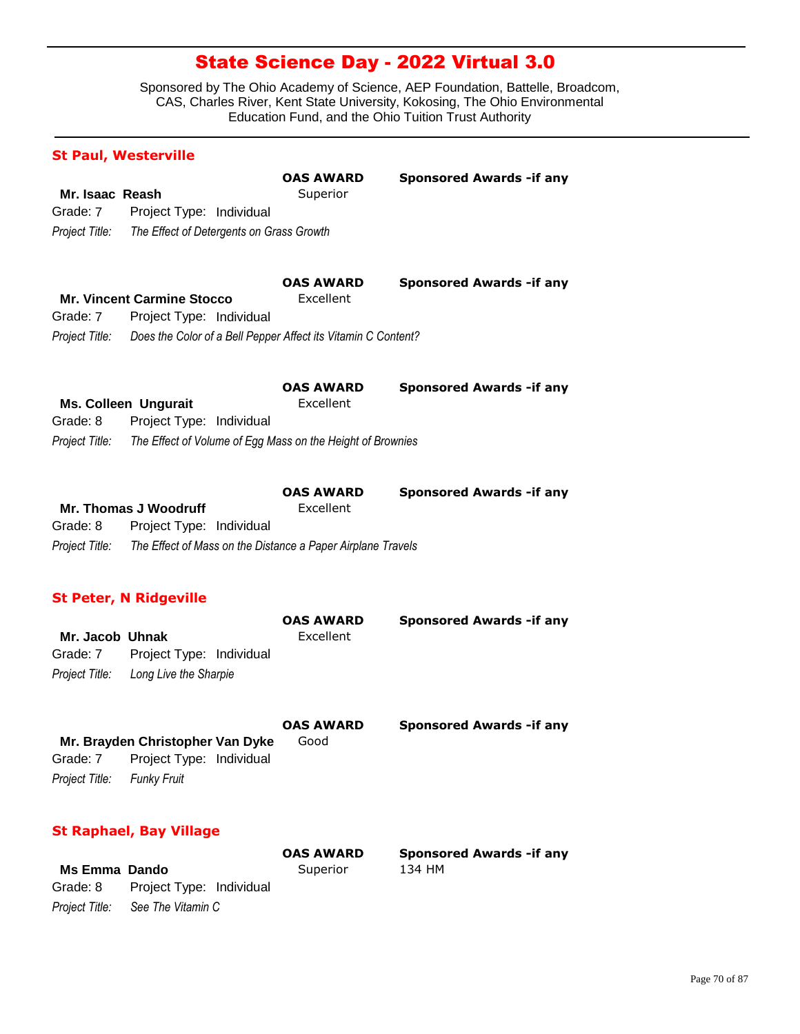Sponsored by The Ohio Academy of Science, AEP Foundation, Battelle, Broadcom, CAS, Charles River, Kent State University, Kokosing, The Ohio Environmental Education Fund, and the Ohio Tuition Trust Authority

| <b>St Paul, Westerville</b>                   |                                                                                                                                |                               |                                            |
|-----------------------------------------------|--------------------------------------------------------------------------------------------------------------------------------|-------------------------------|--------------------------------------------|
| Mr. Isaac Reash<br>Grade: 7<br>Project Title: | Project Type: Individual<br>The Effect of Detergents on Grass Growth                                                           | <b>OAS AWARD</b><br>Superior  | <b>Sponsored Awards - if any</b>           |
| Grade: 7<br>Project Title:                    | <b>Mr. Vincent Carmine Stocco</b><br>Project Type: Individual<br>Does the Color of a Bell Pepper Affect its Vitamin C Content? | <b>OAS AWARD</b><br>Excellent | <b>Sponsored Awards - if any</b>           |
| Grade: 8<br>Project Title:                    | <b>Ms. Colleen Ungurait</b><br>Project Type: Individual<br>The Effect of Volume of Egg Mass on the Height of Brownies          | <b>OAS AWARD</b><br>Excellent | <b>Sponsored Awards - if any</b>           |
| Grade: 8<br>Project Title:                    | <b>Mr. Thomas J Woodruff</b><br>Project Type: Individual<br>The Effect of Mass on the Distance a Paper Airplane Travels        | <b>OAS AWARD</b><br>Excellent | <b>Sponsored Awards - if any</b>           |
| Mr. Jacob Uhnak<br>Grade: 7<br>Project Title: | <b>St Peter, N Ridgeville</b><br>Project Type: Individual<br>Long Live the Sharpie                                             | <b>OAS AWARD</b><br>Excellent | <b>Sponsored Awards - if any</b>           |
| Grade: 7<br>Project Title:                    | Mr. Brayden Christopher Van Dyke<br>Project Type: Individual<br><b>Funky Fruit</b>                                             | <b>OAS AWARD</b><br>Good      | <b>Sponsored Awards - if any</b>           |
|                                               | <b>St Raphael, Bay Village</b>                                                                                                 |                               |                                            |
| <b>Ms Emma Dando</b>                          |                                                                                                                                | <b>OAS AWARD</b><br>Superior  | <b>Sponsored Awards - if any</b><br>134 HM |

*Project Title: See The Vitamin C*

Grade: 8 Project Type: Individual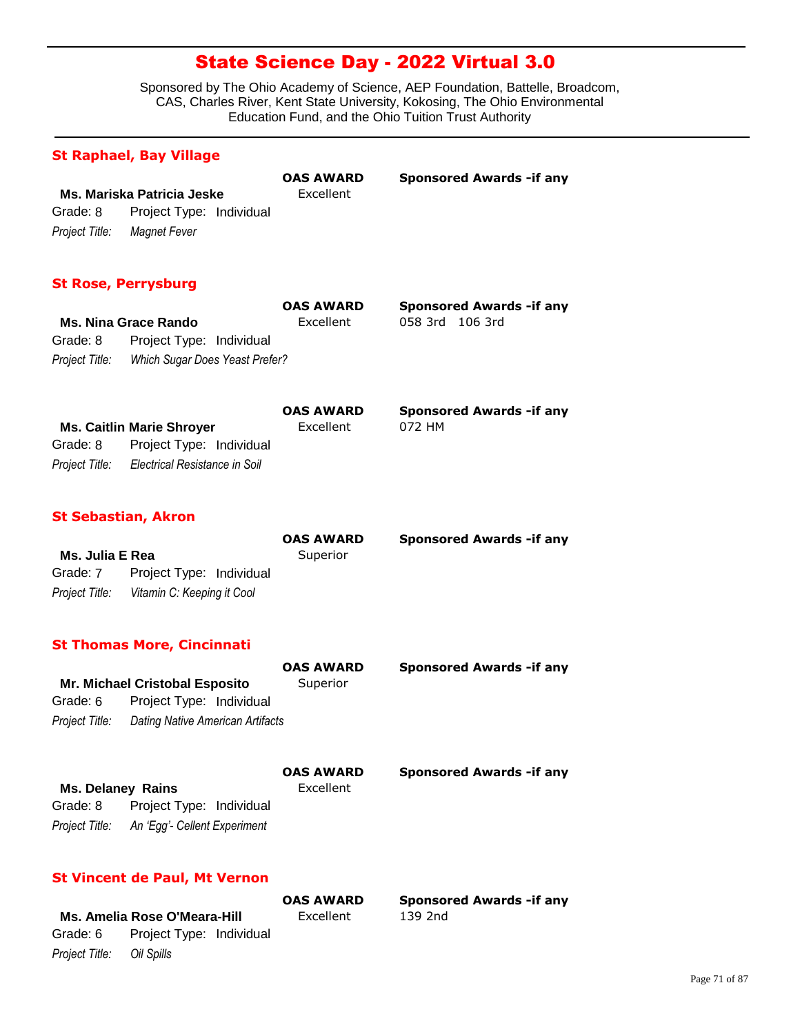Sponsored by The Ohio Academy of Science, AEP Foundation, Battelle, Broadcom, CAS, Charles River, Kent State University, Kokosing, The Ohio Environmental Education Fund, and the Ohio Tuition Trust Authority

### **St Raphael, Bay Village**

|                                      | Ms. Mariska Patricia Jeske | <b>OAS AWARD</b><br>Excellent | <b>Sponsored Awards - if any</b> |
|--------------------------------------|----------------------------|-------------------------------|----------------------------------|
| Grade: 8<br>Project Type: Individual |                            |                               |                                  |
| Project Title:                       | Magnet Fever               |                               |                                  |

### **St Rose, Perrysburg**

|                |                                | UAS AWAR  |
|----------------|--------------------------------|-----------|
|                | <b>Ms. Nina Grace Rando</b>    | Excellent |
| Grade: 8       | Project Type: Individual       |           |
| Project Title: | Which Sugar Does Yeast Prefer? |           |

058 3rd 106 3rd **OAS AWARD Sponsored Awards -if any**

**Ms. Caitlin Marie Shroyer** Excellent 072 HM *Project Title: Electrical Resistance in Soil* Grade: 8 Project Type: Individual **OAS AWARD Sponsored Awards -if any**

#### **St Sebastian, Akron**

|                 |                                           | <b>OAS AWARD</b> | <b>Sponsored Awards - if any</b> |
|-----------------|-------------------------------------------|------------------|----------------------------------|
| Ms. Julia E Rea |                                           | Superior         |                                  |
| Grade: 7        | Project Type: Individual                  |                  |                                  |
|                 | Project Title: Vitamin C: Keeping it Cool |                  |                                  |

### **St Thomas More, Cincinnati**

|                          | <b>Mr. Michael Cristobal Esposito</b> | <b>OAS AWARD</b><br>Superior  | <b>Sponsored Awards - if any</b> |
|--------------------------|---------------------------------------|-------------------------------|----------------------------------|
| Grade: 6                 | Project Type: Individual              |                               |                                  |
| Project Title:           | Dating Native American Artifacts      |                               |                                  |
| <b>Ms. Delaney Rains</b> |                                       | <b>OAS AWARD</b><br>Excellent | <b>Sponsored Awards - if any</b> |

*Project Title: An 'Egg'- Cellent Experiment* Grade: 8 Project Type: Individual

### **St Vincent de Paul, Mt Vernon**

|                           |                                   | YAJ AWAIN | <b>JUVIIJVI</b> |
|---------------------------|-----------------------------------|-----------|-----------------|
|                           | Ms. Amelia Rose O'Meara-Hill      | Excellent | 139 2nd         |
|                           | Grade: 6 Project Type: Individual |           |                 |
| Project Title: Oil Spills |                                   |           |                 |

**OAS AWARD Sponsored Awards -if any**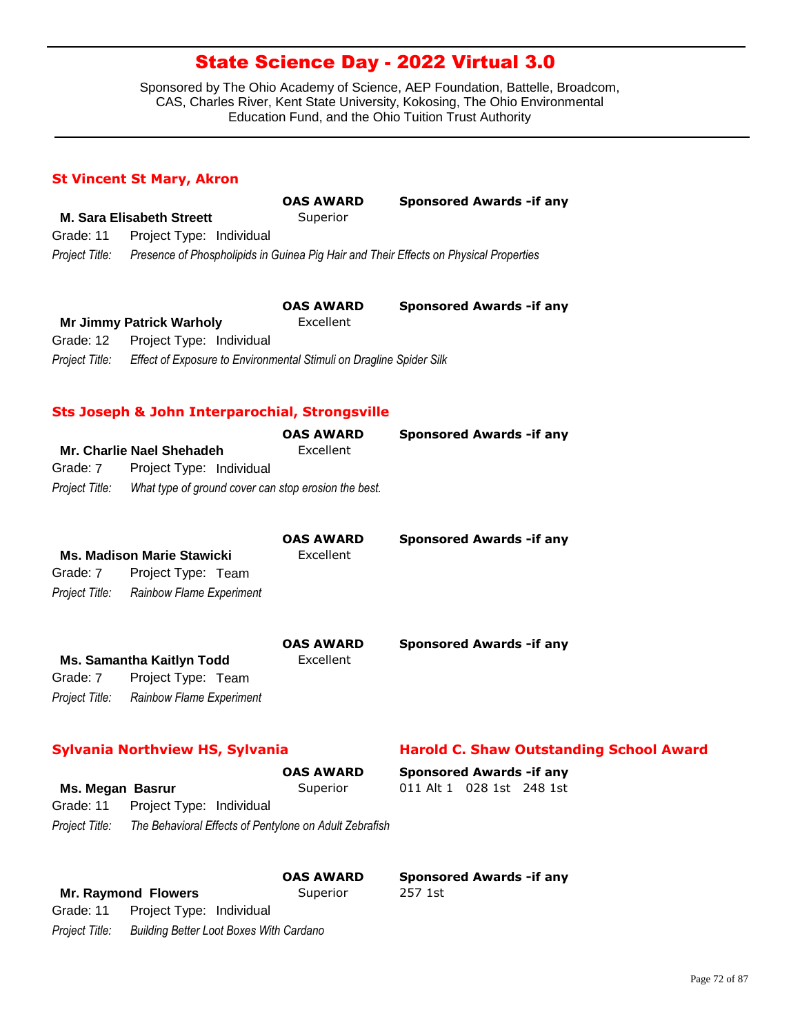Sponsored by The Ohio Academy of Science, AEP Foundation, Battelle, Broadcom, CAS, Charles River, Kent State University, Kokosing, The Ohio Environmental Education Fund, and the Ohio Tuition Trust Authority

### **St Vincent St Mary, Akron**

|                |                                                                     | <b>OAS AWARD</b> | <b>Sponsored Awards - if any</b>                                                      |
|----------------|---------------------------------------------------------------------|------------------|---------------------------------------------------------------------------------------|
|                | <b>M. Sara Elisabeth Streett</b>                                    | Superior         |                                                                                       |
| Grade: 11      | Project Type: Individual                                            |                  |                                                                                       |
| Project Title: |                                                                     |                  | Presence of Phospholipids in Guinea Pig Hair and Their Effects on Physical Properties |
|                |                                                                     | <b>OAS AWARD</b> | <b>Sponsored Awards - if any</b>                                                      |
|                | <b>Mr Jimmy Patrick Warholy</b>                                     | Excellent        |                                                                                       |
| Grade: 12      | Project Type: Individual                                            |                  |                                                                                       |
| Project Title: | Effect of Exposure to Environmental Stimuli on Dragline Spider Silk |                  |                                                                                       |

### **Sts Joseph & John Interparochial, Strongsville**

|                |                                                      | <b>OAS AWARD</b> | <b>Sponsored Awards - if any</b> |
|----------------|------------------------------------------------------|------------------|----------------------------------|
|                | Mr. Charlie Nael Shehadeh                            | Excellent        |                                  |
| Grade: 7       | Project Type: Individual                             |                  |                                  |
| Project Title: | What type of ground cover can stop erosion the best. |                  |                                  |
|                |                                                      |                  |                                  |

|          | <b>Ms. Madison Marie Stawicki</b>       | <b>OAS AWARD</b><br>Excellent | <b>Sponsored Awards - if any</b> |
|----------|-----------------------------------------|-------------------------------|----------------------------------|
| Grade: 7 | Project Type: Team                      |                               |                                  |
|          | Project Title: Rainbow Flame Experiment |                               |                                  |
|          | <b>Ms. Samantha Kaitlyn Todd</b>        | <b>OAS AWARD</b><br>Excellent | <b>Sponsored Awards - if any</b> |
| Grade: 7 | Project Type: Team                      |                               |                                  |

*Project Title: Rainbow Flame Experiment*

### **Sylvania Northview HS, Sylvania Harold C. Shaw Outstanding School Award**

|                                                                       |                          | <b>OAS AWARD</b> | <b>Sponsored Awards - if any</b> |  |  |
|-----------------------------------------------------------------------|--------------------------|------------------|----------------------------------|--|--|
| Ms. Megan Basrur                                                      |                          | Superior         | 011 Alt 1 028 1st 248 1st        |  |  |
| Grade: 11                                                             | Project Type: Individual |                  |                                  |  |  |
| Project Title: The Behavioral Effects of Pentylone on Adult Zebrafish |                          |                  |                                  |  |  |
|                                                                       |                          | <b>OAS AWARD</b> | <b>Sponsored Awards - if any</b> |  |  |

| <b>Mr. Raymond Flowers</b> |                                    | Superior                                       | 257 1st |
|----------------------------|------------------------------------|------------------------------------------------|---------|
|                            | Grade: 11 Project Type: Individual |                                                |         |
| Project Title:             |                                    | <b>Building Better Loot Boxes With Cardano</b> |         |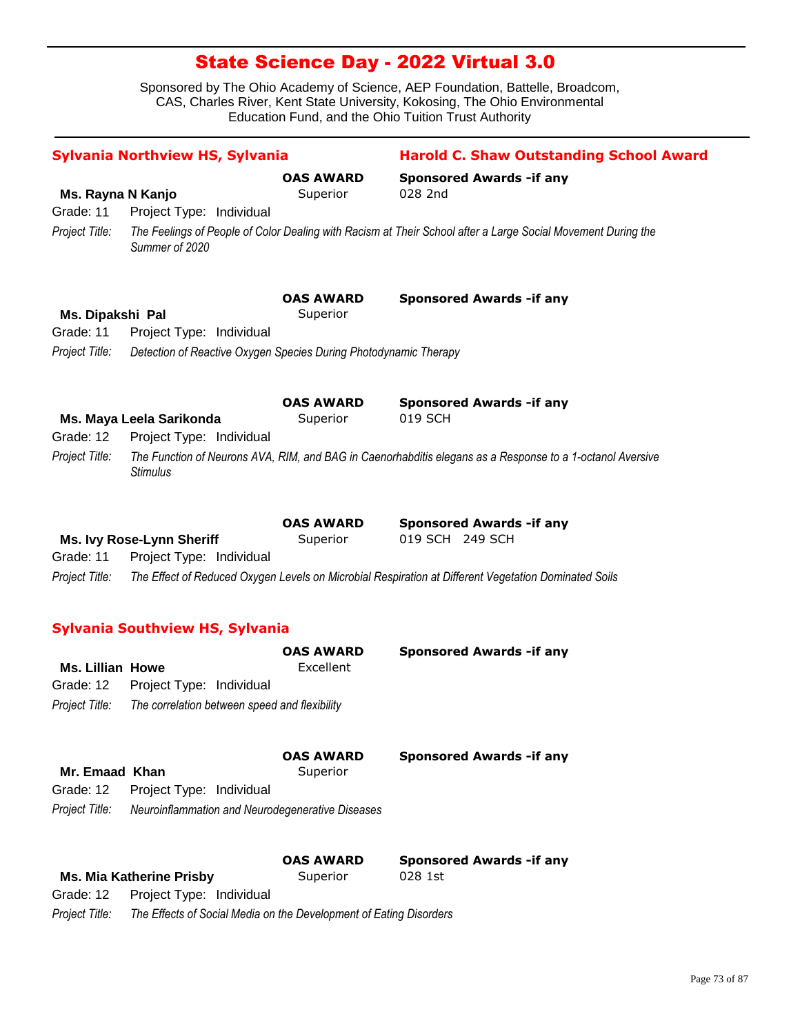| Sylvania Northview HS, Sylvania |                                                                    |                              | <b>Harold C. Shaw Outstanding School Award</b>                                                               |  |  |
|---------------------------------|--------------------------------------------------------------------|------------------------------|--------------------------------------------------------------------------------------------------------------|--|--|
|                                 |                                                                    | <b>OAS AWARD</b>             | <b>Sponsored Awards - if any</b>                                                                             |  |  |
| Ms. Rayna N Kanjo               |                                                                    | Superior                     | 028 2nd                                                                                                      |  |  |
| Grade: 11                       | Project Type: Individual                                           |                              |                                                                                                              |  |  |
| Project Title:                  | Summer of 2020                                                     |                              | The Feelings of People of Color Dealing with Racism at Their School after a Large Social Movement During the |  |  |
| Ms. Dipakshi Pal                |                                                                    | <b>OAS AWARD</b><br>Superior | <b>Sponsored Awards - if any</b>                                                                             |  |  |
| Grade: 11                       | Project Type: Individual                                           |                              |                                                                                                              |  |  |
| Project Title:                  | Detection of Reactive Oxygen Species During Photodynamic Therapy   |                              |                                                                                                              |  |  |
|                                 |                                                                    |                              |                                                                                                              |  |  |
|                                 |                                                                    | <b>OAS AWARD</b>             | <b>Sponsored Awards - if any</b>                                                                             |  |  |
|                                 | Ms. Maya Leela Sarikonda                                           | Superior                     | 019 SCH                                                                                                      |  |  |
| Grade: 12                       | Project Type: Individual                                           |                              |                                                                                                              |  |  |
| Project Title:                  | <b>Stimulus</b>                                                    |                              | The Function of Neurons AVA, RIM, and BAG in Caenorhabditis elegans as a Response to a 1-octanol Aversive    |  |  |
|                                 |                                                                    | <b>OAS AWARD</b>             | <b>Sponsored Awards - if any</b>                                                                             |  |  |
|                                 | Ms. Ivy Rose-Lynn Sheriff                                          | Superior                     | 019 SCH 249 SCH                                                                                              |  |  |
| Grade: 11                       | Project Type: Individual                                           |                              |                                                                                                              |  |  |
| Project Title:                  |                                                                    |                              | The Effect of Reduced Oxygen Levels on Microbial Respiration at Different Vegetation Dominated Soils         |  |  |
|                                 | <b>Sylvania Southview HS, Sylvania</b>                             |                              |                                                                                                              |  |  |
|                                 |                                                                    | <b>OAS AWARD</b>             | <b>Sponsored Awards - if any</b>                                                                             |  |  |
| <b>Ms. Lillian Howe</b>         |                                                                    | Excellent                    |                                                                                                              |  |  |
| Grade: 12                       | Project Type: Individual                                           |                              |                                                                                                              |  |  |
| Project Title:                  | The correlation between speed and flexibility                      |                              |                                                                                                              |  |  |
|                                 |                                                                    | <b>OAS AWARD</b>             | <b>Sponsored Awards - if any</b>                                                                             |  |  |
| Mr. Emaad Khan                  |                                                                    | Superior                     |                                                                                                              |  |  |
| Grade: 12                       | Project Type: Individual                                           |                              |                                                                                                              |  |  |
| Project Title:                  | Neuroinflammation and Neurodegenerative Diseases                   |                              |                                                                                                              |  |  |
|                                 |                                                                    | <b>OAS AWARD</b>             |                                                                                                              |  |  |
|                                 | <b>Ms. Mia Katherine Prisby</b>                                    | Superior                     | <b>Sponsored Awards - if any</b><br>028 1st                                                                  |  |  |
| Grade: 12                       | Project Type: Individual                                           |                              |                                                                                                              |  |  |
| Project Title:                  | The Effects of Social Media on the Development of Eating Disorders |                              |                                                                                                              |  |  |
|                                 |                                                                    |                              |                                                                                                              |  |  |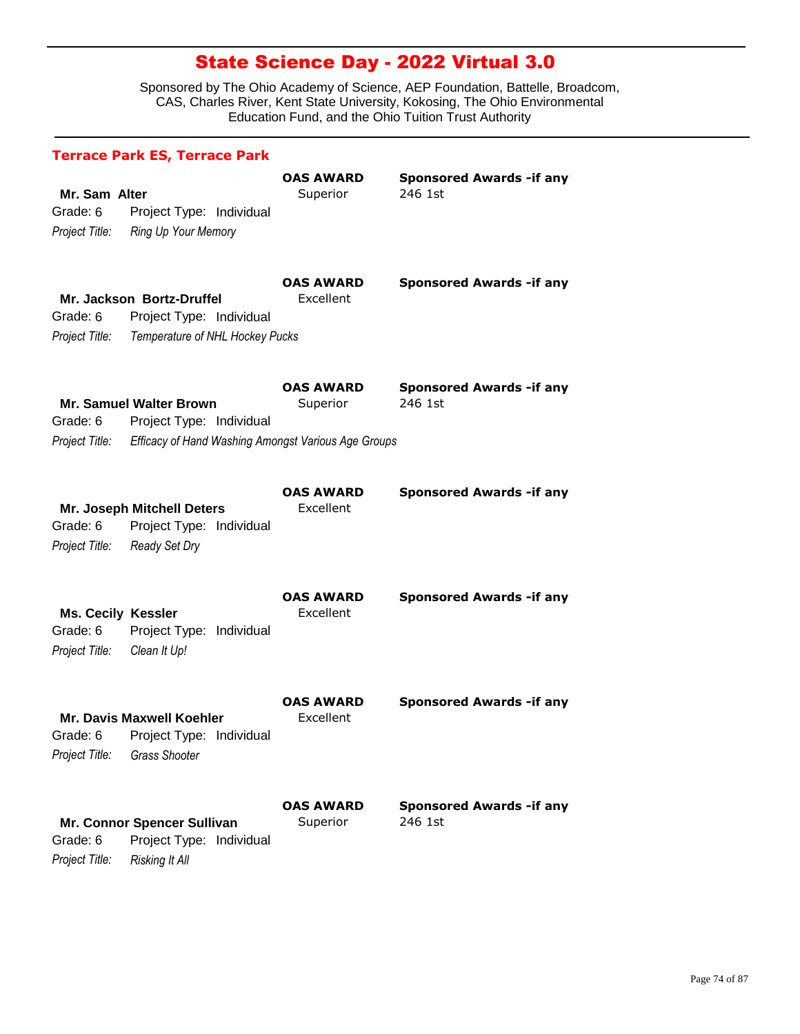|                                                         | <b>Terrace Park ES, Terrace Park</b>                                                                              |                                      |                                             |
|---------------------------------------------------------|-------------------------------------------------------------------------------------------------------------------|--------------------------------------|---------------------------------------------|
| Mr. Sam Alter<br>Grade: 6                               | Project Type: Individual<br>Project Title: Ring Up Your Memory                                                    | <b>OAS AWARD</b><br>Superior         | <b>Sponsored Awards - if any</b><br>246 1st |
| Grade: 6<br>Project Title:                              | Mr. Jackson Bortz-Druffel<br>Project Type: Individual<br>Temperature of NHL Hockey Pucks                          | <b>OAS AWARD</b><br>Excellent        | <b>Sponsored Awards - if any</b>            |
| Grade: 6<br>Project Title:                              | <b>Mr. Samuel Walter Brown</b><br>Project Type: Individual<br>Efficacy of Hand Washing Amongst Various Age Groups | <b>OAS AWARD</b><br>Superior         | <b>Sponsored Awards - if any</b><br>246 1st |
| Grade: 6<br>Project Title:                              | Mr. Joseph Mitchell Deters<br>Project Type: Individual<br>Ready Set Dry                                           | <b>OAS AWARD</b><br>Excellent        | <b>Sponsored Awards - if any</b>            |
| <b>Ms. Cecily Kessler</b><br>Grade: 6<br>Project Title: | Project Type: Individual<br>Clean It Up!                                                                          | <b>OAS AWARD</b><br>Excellent        | <b>Sponsored Awards - if any</b>            |
| Grade: 6<br>Project Title:                              | <b>Mr. Davis Maxwell Koehler</b><br>Project Type: Individual<br><b>Grass Shooter</b>                              | <b>OAS AWARD</b><br><b>Fxcellent</b> | <b>Sponsored Awards - if any</b>            |
| Grade: 6<br>Project Title:                              | Mr. Connor Spencer Sullivan<br>Project Type: Individual<br><b>Risking It All</b>                                  | OAS AWARD<br>Superior                | <b>Sponsored Awards - if any</b><br>246 1st |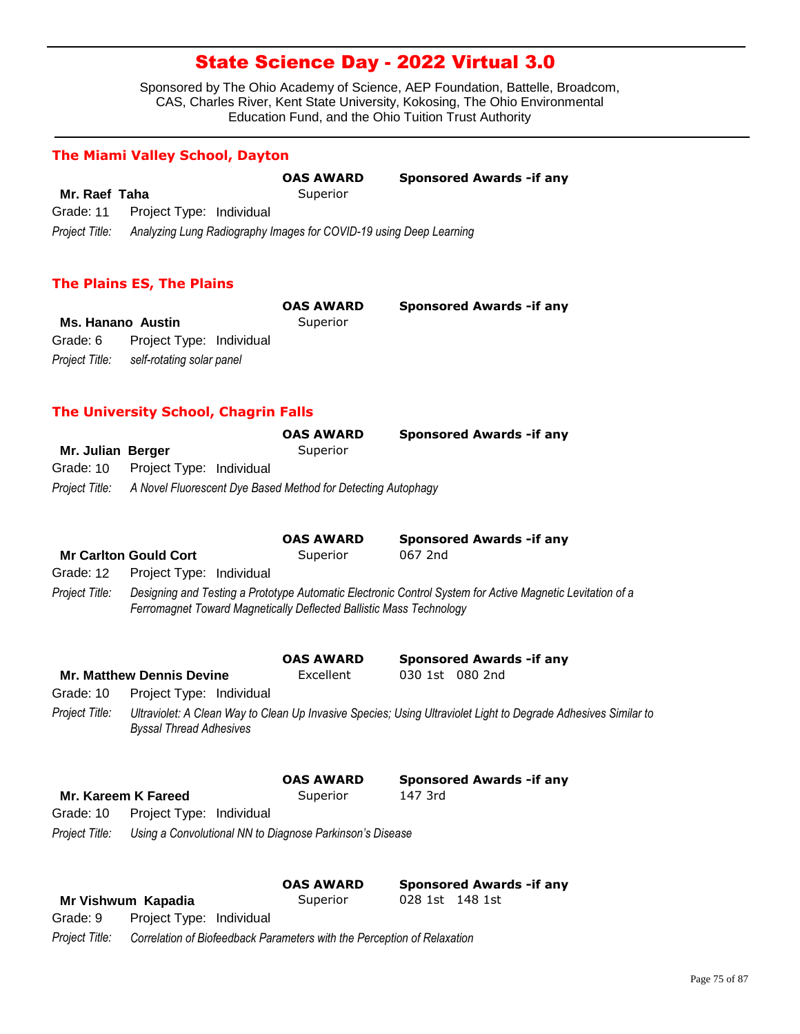Sponsored by The Ohio Academy of Science, AEP Foundation, Battelle, Broadcom, CAS, Charles River, Kent State University, Kokosing, The Ohio Environmental Education Fund, and the Ohio Tuition Trust Authority

### **The Miami Valley School, Dayton**

|                |                                    | <b>OAS AWARD</b>                                                   | <b>Sponsored Awards - if any</b> |
|----------------|------------------------------------|--------------------------------------------------------------------|----------------------------------|
| Mr. Raef Taha  |                                    | Superior                                                           |                                  |
|                | Grade: 11 Project Type: Individual |                                                                    |                                  |
| Proiect Title: |                                    | Analyzing Lung Radiography Images for COVID-19 using Deep Learning |                                  |

#### **The Plains ES, The Plains**

|                          |                                          | <b>OAS AWARD</b> | <b>Sponsored Awards - if any</b> |
|--------------------------|------------------------------------------|------------------|----------------------------------|
| <b>Ms. Hanano Austin</b> |                                          | Superior         |                                  |
| Grade: 6                 | Project Type: Individual                 |                  |                                  |
|                          | Project Title: self-rotating solar panel |                  |                                  |

### **The University School, Chagrin Falls**

|                   |                                    | <b>OAS AWARD</b>                                                            | <b>Sponsored Awards - if any</b> |
|-------------------|------------------------------------|-----------------------------------------------------------------------------|----------------------------------|
| Mr. Julian Berger |                                    | Superior                                                                    |                                  |
|                   | Grade: 10 Project Type: Individual |                                                                             |                                  |
|                   |                                    | Project Title: A Novel Fluorescent Dye Based Method for Detecting Autophagy |                                  |

|                |                                                                     | <b>OAS AWARD</b> | <b>Sponsored Awards - if any</b>                                                                          |
|----------------|---------------------------------------------------------------------|------------------|-----------------------------------------------------------------------------------------------------------|
|                | <b>Mr Carlton Gould Cort</b>                                        | Superior         | 067 2nd                                                                                                   |
|                | Grade: 12  Project Type: Individual                                 |                  |                                                                                                           |
| Project Title: | Ferromagnet Toward Magnetically Deflected Ballistic Mass Technology |                  | Designing and Testing a Prototype Automatic Electronic Control System for Active Magnetic Levitation of a |

|                |                                                          | <b>OAS AWARD</b>             | <b>Sponsored Awards - if any</b>                                                                               |
|----------------|----------------------------------------------------------|------------------------------|----------------------------------------------------------------------------------------------------------------|
|                | <b>Mr. Matthew Dennis Devine</b>                         | Excellent                    | 030 1st 080 2nd                                                                                                |
| Grade: 10      | Project Type: Individual                                 |                              |                                                                                                                |
| Project Title: | <b>Byssal Thread Adhesives</b>                           |                              | Ultraviolet: A Clean Way to Clean Up Invasive Species; Using Ultraviolet Light to Degrade Adhesives Similar to |
|                | Mr. Kareem K Fareed                                      | <b>OAS AWARD</b><br>Superior | <b>Sponsored Awards - if any</b><br>147 3rd                                                                    |
| Grade: 10      | Project Type: Individual                                 |                              |                                                                                                                |
| Project Title: | Using a Convolutional NN to Diagnose Parkinson's Disease |                              |                                                                                                                |
|                |                                                          | <b>OAS AWARD</b>             | <b>Sponsored Awards - if any</b><br>148 1st<br>028 1st                                                         |
|                | Mr Vishwum Kapadia                                       | Superior                     |                                                                                                                |

*Project Title: Correlation of Biofeedback Parameters with the Perception of Relaxation* Grade: 9 Project Type: Individual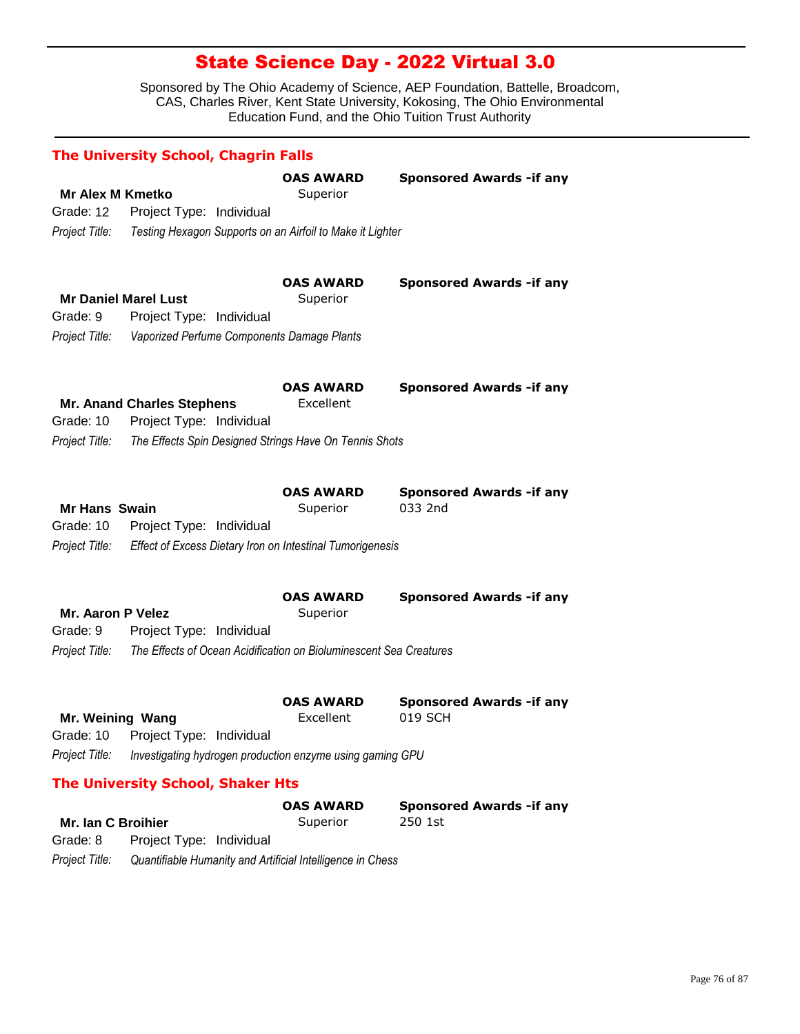Sponsored by The Ohio Academy of Science, AEP Foundation, Battelle, Broadcom, CAS, Charles River, Kent State University, Kokosing, The Ohio Environmental Education Fund, and the Ohio Tuition Trust Authority

|                          | <b>The University School, Chagrin Falls</b>                        |                               |                                             |
|--------------------------|--------------------------------------------------------------------|-------------------------------|---------------------------------------------|
|                          |                                                                    | <b>OAS AWARD</b>              | <b>Sponsored Awards - if any</b>            |
| <b>Mr Alex M Kmetko</b>  |                                                                    | Superior                      |                                             |
| Grade: 12                | Project Type: Individual                                           |                               |                                             |
| Project Title:           | Testing Hexagon Supports on an Airfoil to Make it Lighter          |                               |                                             |
|                          |                                                                    |                               |                                             |
|                          |                                                                    | <b>OAS AWARD</b>              | <b>Sponsored Awards - if any</b>            |
|                          | <b>Mr Daniel Marel Lust</b>                                        | Superior                      |                                             |
| Grade: 9                 | Project Type: Individual                                           |                               |                                             |
| Project Title:           | Vaporized Perfume Components Damage Plants                         |                               |                                             |
|                          |                                                                    |                               |                                             |
|                          |                                                                    |                               |                                             |
|                          | <b>Mr. Anand Charles Stephens</b>                                  | <b>OAS AWARD</b><br>Excellent | <b>Sponsored Awards - if any</b>            |
| Grade: 10                | Project Type: Individual                                           |                               |                                             |
| Project Title:           | The Effects Spin Designed Strings Have On Tennis Shots             |                               |                                             |
|                          |                                                                    |                               |                                             |
|                          |                                                                    |                               |                                             |
|                          |                                                                    | <b>OAS AWARD</b>              | <b>Sponsored Awards -if any</b>             |
| <b>Mr Hans Swain</b>     |                                                                    | Superior                      | 033 2nd                                     |
| Grade: 10                | Project Type: Individual                                           |                               |                                             |
| Project Title:           | Effect of Excess Dietary Iron on Intestinal Tumorigenesis          |                               |                                             |
|                          |                                                                    |                               |                                             |
|                          |                                                                    | <b>OAS AWARD</b>              | <b>Sponsored Awards - if any</b>            |
| <b>Mr. Aaron P Velez</b> |                                                                    | Superior                      |                                             |
| Grade: 9                 | Project Type: Individual                                           |                               |                                             |
| Project Title:           | The Effects of Ocean Acidification on Bioluminescent Sea Creatures |                               |                                             |
|                          |                                                                    |                               |                                             |
|                          |                                                                    |                               |                                             |
| Mr. Weining Wang         |                                                                    | <b>OAS AWARD</b><br>Excellent | <b>Sponsored Awards - if any</b><br>019 SCH |
| Grade: 10                | Project Type: Individual                                           |                               |                                             |
| Project Title:           | Investigating hydrogen production enzyme using gaming GPU          |                               |                                             |
|                          |                                                                    |                               |                                             |
|                          | <b>The University School, Shaker Hts</b>                           |                               |                                             |
|                          |                                                                    | <b>OAS AWARD</b>              | <b>Sponsored Awards - if any</b>            |
| Mr. Ian C Broihier       |                                                                    | Superior                      | 250 1st                                     |

Grade: 8 Project Type: Individual

*Project Title: Quantifiable Humanity and Artificial Intelligence in Chess*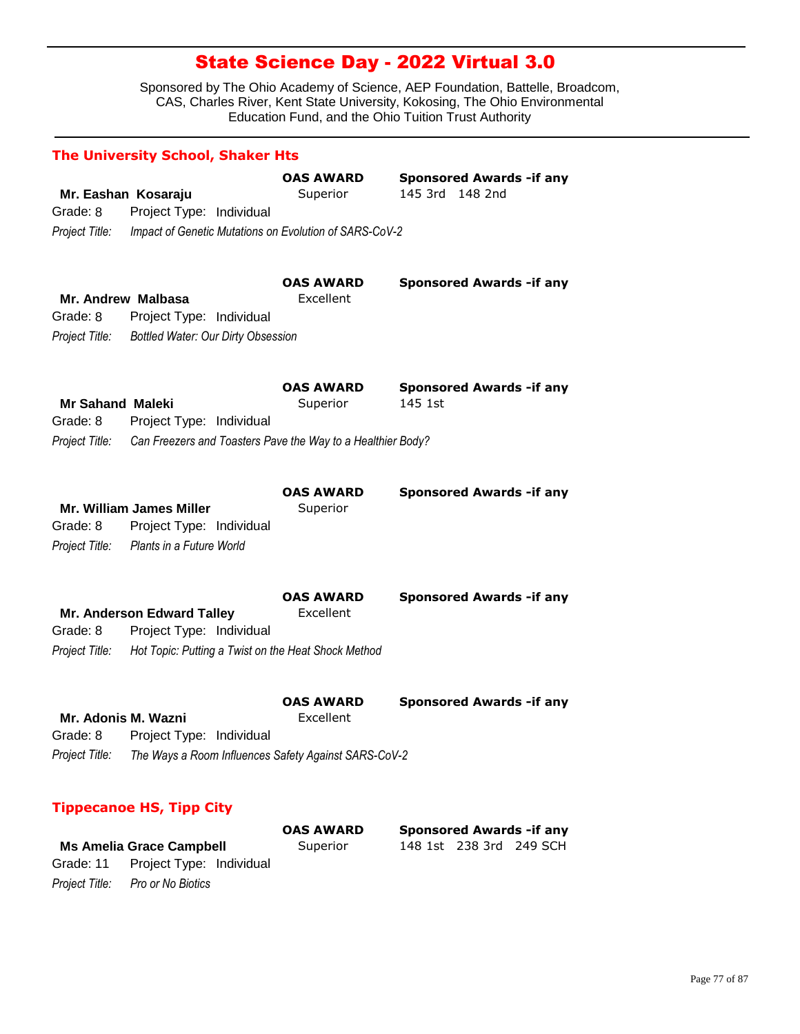Sponsored by The Ohio Academy of Science, AEP Foundation, Battelle, Broadcom, CAS, Charles River, Kent State University, Kokosing, The Ohio Environmental Education Fund, and the Ohio Tuition Trust Authority

|                         | <b>The University School, Shaker Hts</b>                    |                               |                                                     |
|-------------------------|-------------------------------------------------------------|-------------------------------|-----------------------------------------------------|
|                         | Mr. Eashan Kosaraju                                         | <b>OAS AWARD</b><br>Superior  | <b>Sponsored Awards - if any</b><br>145 3rd 148 2nd |
| Grade: 8                | Project Type: Individual                                    |                               |                                                     |
| Project Title:          | Impact of Genetic Mutations on Evolution of SARS-CoV-2      |                               |                                                     |
|                         |                                                             |                               |                                                     |
|                         |                                                             | <b>OAS AWARD</b>              | <b>Sponsored Awards - if any</b>                    |
|                         | Mr. Andrew Malbasa                                          | Excellent                     |                                                     |
| Grade: 8                | Project Type: Individual                                    |                               |                                                     |
| Project Title:          | <b>Bottled Water: Our Dirty Obsession</b>                   |                               |                                                     |
|                         |                                                             |                               |                                                     |
|                         |                                                             | <b>OAS AWARD</b>              | <b>Sponsored Awards - if any</b>                    |
| <b>Mr Sahand Maleki</b> |                                                             | Superior                      | 145 1st                                             |
| Grade: 8                | Project Type: Individual                                    |                               |                                                     |
| Project Title:          | Can Freezers and Toasters Pave the Way to a Healthier Body? |                               |                                                     |
|                         |                                                             |                               |                                                     |
|                         |                                                             |                               |                                                     |
|                         | <b>Mr. William James Miller</b>                             | <b>OAS AWARD</b><br>Superior  | <b>Sponsored Awards - if any</b>                    |
| Grade: 8                | Project Type: Individual                                    |                               |                                                     |
| Project Title:          | Plants in a Future World                                    |                               |                                                     |
|                         |                                                             |                               |                                                     |
|                         |                                                             |                               |                                                     |
|                         | Mr. Anderson Edward Talley                                  | <b>OAS AWARD</b><br>Excellent | <b>Sponsored Awards - if any</b>                    |
| Grade: 8                | Project Type: Individual                                    |                               |                                                     |
| Project Title:          | Hot Topic: Putting a Twist on the Heat Shock Method         |                               |                                                     |
|                         |                                                             |                               |                                                     |
|                         |                                                             | <b>OAS AWARD</b>              | <b>Sponsored Awards - if any</b>                    |
|                         | Mr. Adonis M. Wazni                                         | Excellent                     |                                                     |
| Grade: 8                | Project Type: Individual                                    |                               |                                                     |
| Project Title:          | The Ways a Room Influences Safety Against SARS-CoV-2        |                               |                                                     |
|                         |                                                             |                               |                                                     |
|                         | <b>Tippecanoe HS, Tipp City</b>                             |                               |                                                     |
|                         |                                                             | <b>OAS AWARD</b>              | <b>Sponsored Awards - if any</b>                    |
|                         | <b>Ms Amelia Grace Campbell</b>                             | Superior                      | 148 1st<br>238 3rd<br>249 SCH                       |

*Project Title: Pro or No Biotics*

Grade: 11 Project Type: Individual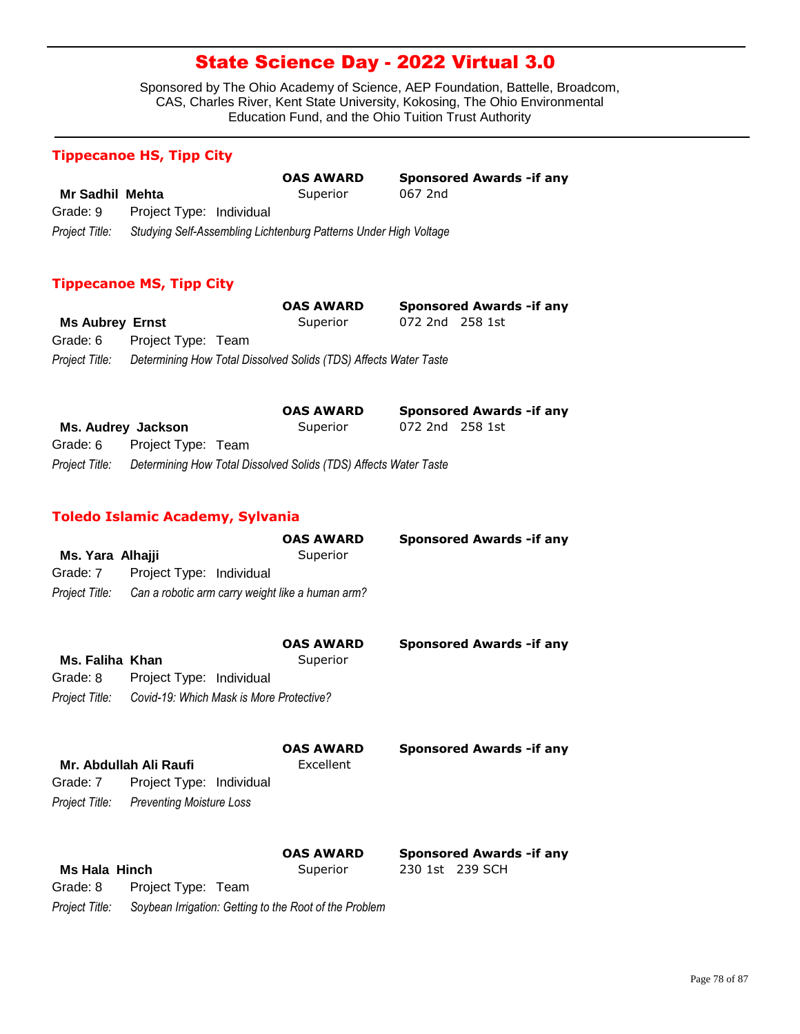Sponsored by The Ohio Academy of Science, AEP Foundation, Battelle, Broadcom, CAS, Charles River, Kent State University, Kokosing, The Ohio Environmental Education Fund, and the Ohio Tuition Trust Authority

### **Tippecanoe HS, Tipp City**

|                 |                                                                  | <b>OAS AWARD</b> | <b>Sponsored Awards - if any</b> |
|-----------------|------------------------------------------------------------------|------------------|----------------------------------|
| Mr Sadhil Mehta |                                                                  | Superior         | 067 2nd                          |
| Grade: 9        | Project Type: Individual                                         |                  |                                  |
| Project Title:  | Studying Self-Assembling Lichtenburg Patterns Under High Voltage |                  |                                  |

### **Tippecanoe MS, Tipp City**

|                        |                             | <b>OAS AWARD</b>                                                                |                 | <b>Sponsored Awards - if any</b> |
|------------------------|-----------------------------|---------------------------------------------------------------------------------|-----------------|----------------------------------|
| <b>Ms Aubrey Ernst</b> |                             | Superior                                                                        | 072 2nd 258 1st |                                  |
|                        | Grade: 6 Project Type: Team |                                                                                 |                 |                                  |
|                        |                             | Project Title: Determining How Total Dissolved Solids (TDS) Affects Water Taste |                 |                                  |

|                                                                                 | <b>OAS AWARD</b> |                 | <b>Sponsored Awards - if any</b> |
|---------------------------------------------------------------------------------|------------------|-----------------|----------------------------------|
| Ms. Audrey Jackson                                                              | Superior         | 072 2nd 258 1st |                                  |
| Grade: 6 Project Type: Team                                                     |                  |                 |                                  |
| Project Title: Determining How Total Dissolved Solids (TDS) Affects Water Taste |                  |                 |                                  |

### **Toledo Islamic Academy, Sylvania**

|                      |                                                                 | <b>OAS AWARD</b>              | <b>Sponsored Awards - if any</b> |
|----------------------|-----------------------------------------------------------------|-------------------------------|----------------------------------|
| Ms. Yara Alhajji     |                                                                 | Superior                      |                                  |
| Grade: 7             | Project Type: Individual                                        |                               |                                  |
|                      | Project Title: Can a robotic arm carry weight like a human arm? |                               |                                  |
| Ms. Faliha Khan      |                                                                 | <b>OAS AWARD</b><br>Superior  | <b>Sponsored Awards -if any</b>  |
| Grade: 8             | Project Type: Individual                                        |                               |                                  |
|                      | Project Title: Covid-19: Which Mask is More Protective?         |                               |                                  |
|                      | Mr. Abdullah Ali Raufi                                          | <b>OAS AWARD</b><br>Excellent | <b>Sponsored Awards - if any</b> |
| Grade: 7             | Project Type: Individual                                        |                               |                                  |
|                      | Project Title: Preventing Moisture Loss                         |                               |                                  |
|                      |                                                                 | <b>OAS AWARD</b>              | <b>Sponsored Awards - if any</b> |
| <b>Ms Hala Hinch</b> |                                                                 | Superior                      | 230 1st 239 SCH                  |
| Grade: 8             | Project Type: Team                                              |                               |                                  |
|                      |                                                                 |                               |                                  |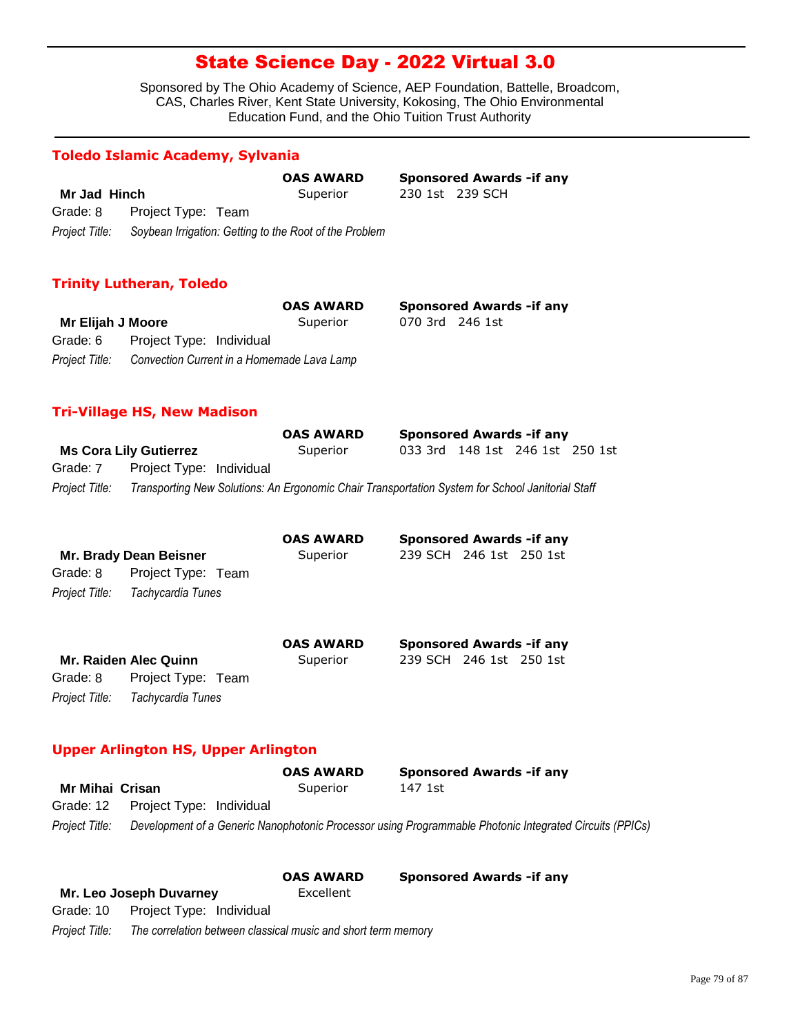Sponsored by The Ohio Academy of Science, AEP Foundation, Battelle, Broadcom, CAS, Charles River, Kent State University, Kokosing, The Ohio Environmental Education Fund, and the Ohio Tuition Trust Authority

230 1st 239 SCH

**Sponsored Awards -if any** 

### **Toledo Islamic Academy, Sylvania**

|                | <b>OAS AWARD</b>                                       |  |
|----------------|--------------------------------------------------------|--|
| Mr Jad Hinch   | Superior                                               |  |
| Grade: 8       | Project Type: Team                                     |  |
| Project Title: | Soybean Irrigation: Getting to the Root of the Problem |  |

### **Trinity Lutheran, Toledo**

|                   |                                                           | <b>OAS AWARD</b> |                 | <b>Sponsored Awards - if any</b> |
|-------------------|-----------------------------------------------------------|------------------|-----------------|----------------------------------|
| Mr Elijah J Moore |                                                           | Superior         | 070 3rd 246 1st |                                  |
|                   | Grade: 6 Project Type: Individual                         |                  |                 |                                  |
|                   | Project Title: Convection Current in a Homemade Lava Lamp |                  |                 |                                  |

### **Tri-Village HS, New Madison**

|                |                               | <b>OAS AWARD</b>                                                                                 |                                 | <b>Sponsored Awards - if any</b> |  |
|----------------|-------------------------------|--------------------------------------------------------------------------------------------------|---------------------------------|----------------------------------|--|
|                | <b>Ms Cora Lily Gutierrez</b> | Superior                                                                                         | 033 3rd 148 1st 246 1st 250 1st |                                  |  |
| Grade: 7       | Project Type: Individual      |                                                                                                  |                                 |                                  |  |
| Project Title: |                               | Transporting New Solutions: An Ergonomic Chair Transportation System for School Janitorial Staff |                                 |                                  |  |

|                        |                              | <b>OAS AWARD</b> | <b>Sponsored Awards - if any</b> |
|------------------------|------------------------------|------------------|----------------------------------|
| Mr. Brady Dean Beisner |                              | Superior         | 239 SCH 246 1st 250 1st          |
| Grade: 8               | Project Type: Team           |                  |                                  |
| Project Title:         | Tachycardia Tunes            |                  |                                  |
|                        |                              | <b>OAS AWARD</b> | <b>Sponsored Awards - if any</b> |
|                        | <b>Mr. Raiden Alec Quinn</b> | Superior         | 239 SCH 246 1st 250 1st          |
| Grade: 8               | Project Type: Team           |                  |                                  |
| Project Title:         | Tachycardia Tunes            |                  |                                  |

### **Upper Arlington HS, Upper Arlington**

|                 |                                    | <b>OAS AWARD</b> | <b>Sponsored Awards - if any</b>                                                                        |  |
|-----------------|------------------------------------|------------------|---------------------------------------------------------------------------------------------------------|--|
| Mr Mihai Crisan |                                    | Superior         | 147 1st                                                                                                 |  |
|                 | Grade: 12 Project Type: Individual |                  |                                                                                                         |  |
| Project Title:  |                                    |                  | Development of a Generic Nanophotonic Processor using Programmable Photonic Integrated Circuits (PPICs) |  |

|                |                                                               | <b>OAS AWARD</b> | <b>Sponsored Awards - if any</b> |
|----------------|---------------------------------------------------------------|------------------|----------------------------------|
|                | Mr. Leo Joseph Duvarney                                       | Excellent        |                                  |
|                | Grade: 10 Project Type: Individual                            |                  |                                  |
| Project Title: | The correlation between classical music and short term memory |                  |                                  |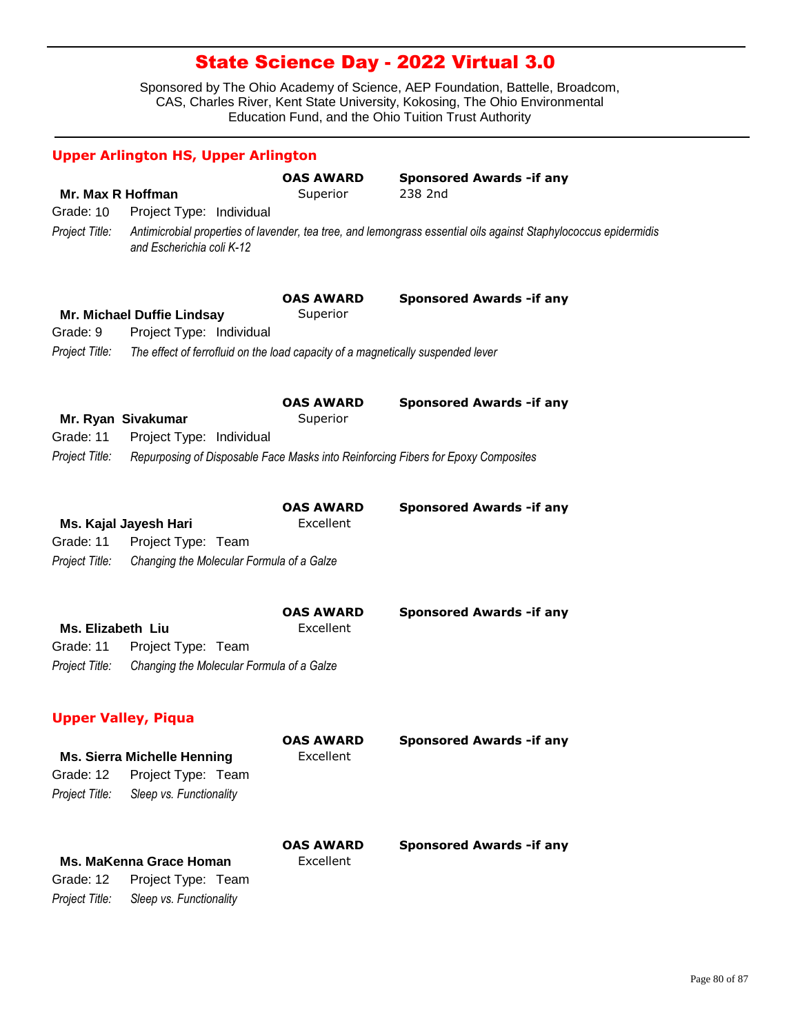|                                | <b>Upper Arlington HS, Upper Arlington</b>                                      |                               |                                                                                                                  |
|--------------------------------|---------------------------------------------------------------------------------|-------------------------------|------------------------------------------------------------------------------------------------------------------|
| Mr. Max R Hoffman<br>Grade: 10 | Project Type: Individual                                                        | <b>OAS AWARD</b><br>Superior  | <b>Sponsored Awards - if any</b><br>238 2nd                                                                      |
| Project Title:                 | and Escherichia coli K-12                                                       |                               | Antimicrobial properties of lavender, tea tree, and lemongrass essential oils against Staphylococcus epidermidis |
|                                | Mr. Michael Duffie Lindsay                                                      | <b>OAS AWARD</b><br>Superior  | <b>Sponsored Awards - if any</b>                                                                                 |
| Grade: 9                       | Project Type: Individual                                                        |                               |                                                                                                                  |
| Project Title:                 | The effect of ferrofluid on the load capacity of a magnetically suspended lever |                               |                                                                                                                  |
| Grade: 11                      | Mr. Ryan Sivakumar<br>Project Type: Individual                                  | <b>OAS AWARD</b><br>Superior  | <b>Sponsored Awards - if any</b>                                                                                 |
| Project Title:                 |                                                                                 |                               | Repurposing of Disposable Face Masks into Reinforcing Fibers for Epoxy Composites                                |
| Grade: 11                      | Ms. Kajal Jayesh Hari<br>Project Type: Team                                     | <b>OAS AWARD</b><br>Excellent | <b>Sponsored Awards - if any</b>                                                                                 |
| Project Title:                 | Changing the Molecular Formula of a Galze                                       |                               |                                                                                                                  |
|                                |                                                                                 | <b>OAS AWARD</b>              | <b>Sponsored Awards - if any</b>                                                                                 |
| Ms. Elizabeth Liu<br>Grade: 11 | Project Type: Team                                                              | Excellent                     |                                                                                                                  |
| Project Title:                 | Changing the Molecular Formula of a Galze                                       |                               |                                                                                                                  |
|                                | <b>Upper Valley, Piqua</b>                                                      |                               |                                                                                                                  |
|                                | <b>Ms. Sierra Michelle Henning</b>                                              | <b>OAS AWARD</b><br>Excellent | <b>Sponsored Awards - if any</b>                                                                                 |
| Grade: 12                      | Project Type: Team                                                              |                               |                                                                                                                  |
| Project Title:                 | Sleep vs. Functionality                                                         |                               |                                                                                                                  |
|                                | Ms. MaKenna Grace Homan                                                         | <b>OAS AWARD</b><br>Excellent | <b>Sponsored Awards - if any</b>                                                                                 |
| Grade: 12                      | Project Type: Team                                                              |                               |                                                                                                                  |
| Project Title:                 | Sleep vs. Functionality                                                         |                               |                                                                                                                  |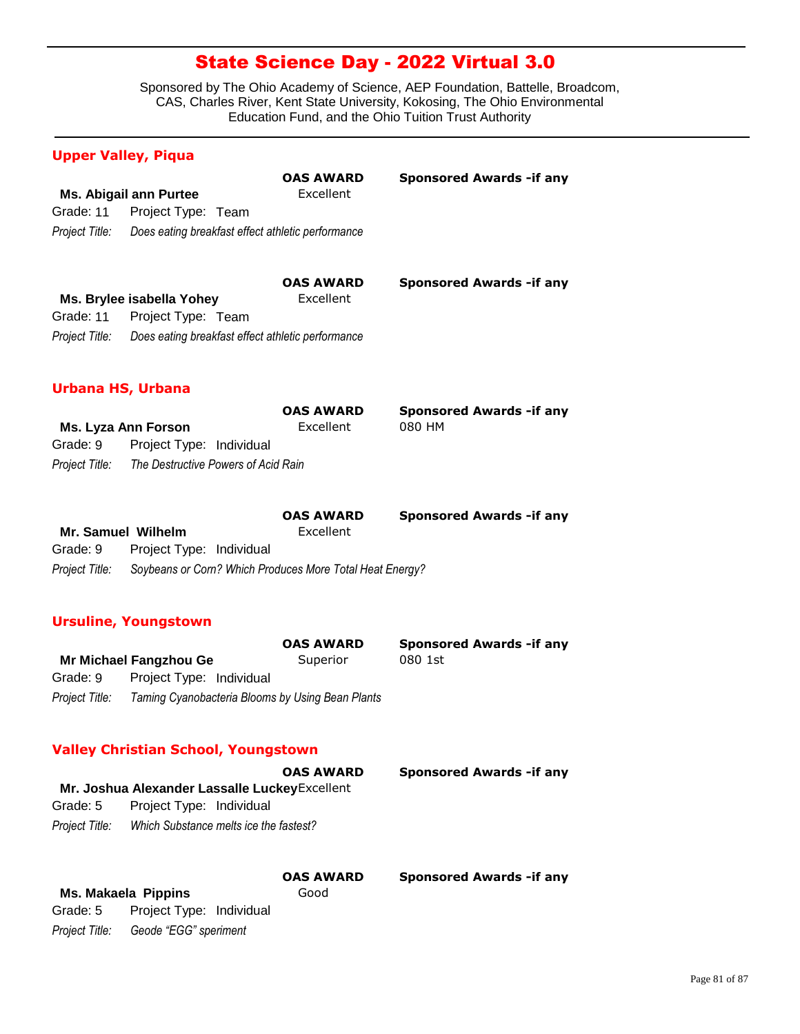Sponsored by The Ohio Academy of Science, AEP Foundation, Battelle, Broadcom, CAS, Charles River, Kent State University, Kokosing, The Ohio Environmental Education Fund, and the Ohio Tuition Trust Authority

### **Upper Valley, Piqua**

|                          |                                                          | <b>OAS AWARD</b>              | <b>Sponsored Awards - if any</b>           |
|--------------------------|----------------------------------------------------------|-------------------------------|--------------------------------------------|
|                          | <b>Ms. Abigail ann Purtee</b>                            | Excellent                     |                                            |
| Grade: 11                | Project Type: Team                                       |                               |                                            |
| Project Title:           | Does eating breakfast effect athletic performance        |                               |                                            |
|                          |                                                          |                               |                                            |
|                          |                                                          | <b>OAS AWARD</b>              | <b>Sponsored Awards - if any</b>           |
|                          | Ms. Brylee isabella Yohey                                | Excellent                     |                                            |
|                          | Grade: 11 Project Type: Team                             |                               |                                            |
| Project Title:           | Does eating breakfast effect athletic performance        |                               |                                            |
|                          |                                                          |                               |                                            |
| <b>Urbana HS, Urbana</b> |                                                          |                               |                                            |
|                          |                                                          |                               |                                            |
|                          |                                                          | <b>OAS AWARD</b><br>Excellent | <b>Sponsored Awards - if any</b><br>080 HM |
| Grade: 9                 | <b>Ms. Lyza Ann Forson</b>                               |                               |                                            |
|                          | Project Type: Individual                                 |                               |                                            |
|                          | Project Title: The Destructive Powers of Acid Rain       |                               |                                            |
|                          |                                                          |                               |                                            |
|                          |                                                          |                               |                                            |
|                          |                                                          | <b>OAS AWARD</b>              | <b>Sponsored Awards - if any</b>           |
| Mr. Samuel Wilhelm       |                                                          | Excellent                     |                                            |
| Grade: 9                 | Project Type: Individual                                 |                               |                                            |
| Project Title:           | Soybeans or Corn? Which Produces More Total Heat Energy? |                               |                                            |
|                          |                                                          |                               |                                            |
|                          | <b>Ursuline, Youngstown</b>                              |                               |                                            |
|                          |                                                          | <b>OAS AWARD</b>              | <b>Sponsored Awards -if any</b>            |
|                          | <b>Mr Michael Fangzhou Ge</b>                            | Superior                      | 080 1st                                    |
| Grade: 9                 | Project Type: Individual                                 |                               |                                            |
| Project Title:           | Taming Cyanobacteria Blooms by Using Bean Plants         |                               |                                            |
|                          |                                                          |                               |                                            |
|                          | <b>Valley Christian School, Youngstown</b>               |                               |                                            |
|                          |                                                          | <b>OAS AWARD</b>              | <b>Sponsored Awards - if any</b>           |
|                          | Mr. Joshua Alexander Lassalle Luckey Excellent           |                               |                                            |
| Grade: 5                 | Project Type: Individual                                 |                               |                                            |
| Project Title:           | Which Substance melts ice the fastest?                   |                               |                                            |

|                |                          | <b>OAS AWARD</b> | <b>Sponsored Awards - if any</b> |
|----------------|--------------------------|------------------|----------------------------------|
|                | Ms. Makaela Pippins      | Good             |                                  |
| Grade: 5       | Project Type: Individual |                  |                                  |
| Project Title: | Geode "EGG" speriment    |                  |                                  |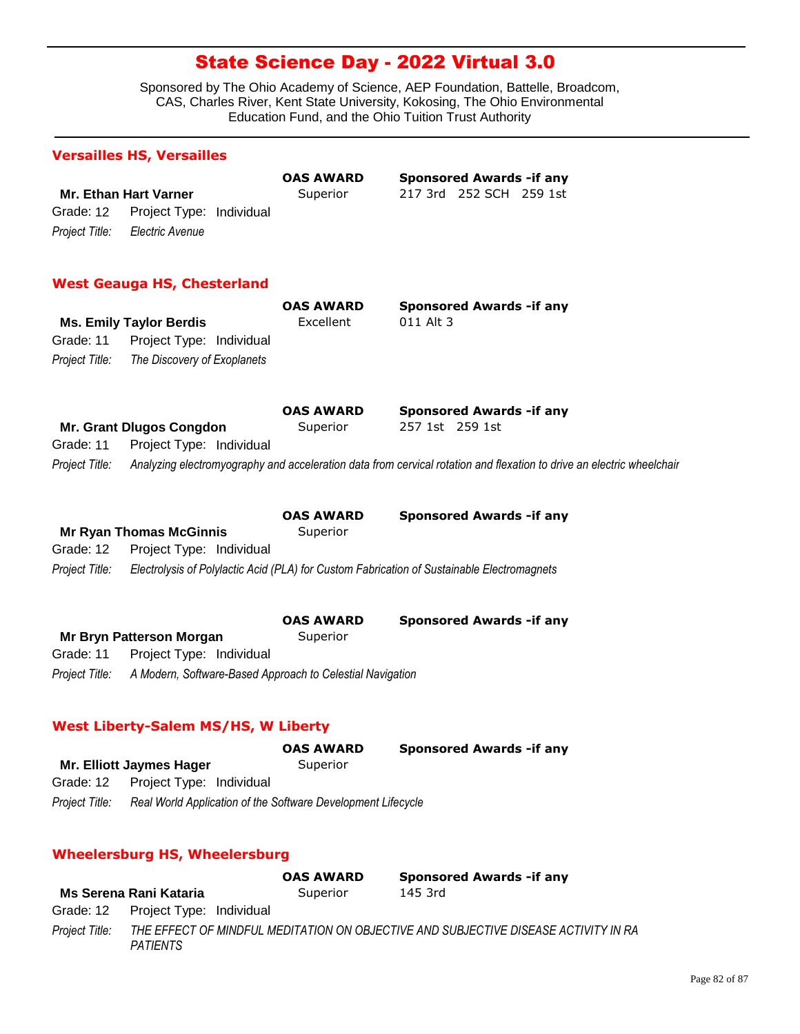Sponsored by The Ohio Academy of Science, AEP Foundation, Battelle, Broadcom, CAS, Charles River, Kent State University, Kokosing, The Ohio Environmental Education Fund, and the Ohio Tuition Trust Authority

# **Versailles HS, Versailles**

**Mr. Ethan Hart Varner** Superior 217 3rd 252 SCH 259 1st *Project Title: Electric Avenue* Grade: 12 Project Type: Individual

**OAS AWARD Sponsored Awards -if any**

### **West Geauga HS, Chesterland**

|                | <b>Ms. Emily Taylor Berdis</b> | <b>OAS AWARD</b><br>Excellent | Sponsored Awards - if any<br>011 Alt 3                                                                                |
|----------------|--------------------------------|-------------------------------|-----------------------------------------------------------------------------------------------------------------------|
| Grade: 11      | Project Type: Individual       |                               |                                                                                                                       |
| Project Title: | The Discovery of Exoplanets    |                               |                                                                                                                       |
|                |                                | <b>OAS AWARD</b>              | <b>Sponsored Awards - if any</b>                                                                                      |
|                | Mr. Grant Dlugos Congdon       | Superior                      | 257 1st 259 1st                                                                                                       |
| Grade: 11      | Project Type: Individual       |                               |                                                                                                                       |
| Project Title: |                                |                               | Analyzing electromyography and acceleration data from cervical rotation and flexation to drive an electric wheelchail |
|                |                                | <b>OAS AWARD</b>              | <b>Sponsored Awards - if any</b>                                                                                      |
|                | <b>Mr Ryan Thomas McGinnis</b> | Superior                      |                                                                                                                       |
| Grade: 12      | Project Type: Individual       |                               |                                                                                                                       |
| Project Title: |                                |                               | Electrolysis of Polylactic Acid (PLA) for Custom Fabrication of Sustainable Electromagnets                            |
|                |                                |                               |                                                                                                                       |

|                |                                                           | <b>OAS AWARD</b> | <b>Sponsored Awards - if any</b> |
|----------------|-----------------------------------------------------------|------------------|----------------------------------|
|                | Mr Bryn Patterson Morgan                                  | Superior         |                                  |
| Grade: 11      | Project Type: Individual                                  |                  |                                  |
| Project Title: | A Modern, Software-Based Approach to Celestial Navigation |                  |                                  |

### **West Liberty-Salem MS/HS, W Liberty**

|                |                                                              | <b>OAS AWARD</b> | <b>Sponsored Awards - if any</b> |
|----------------|--------------------------------------------------------------|------------------|----------------------------------|
|                | Mr. Elliott Jaymes Hager                                     | Superior         |                                  |
| Grade: 12      | Project Type: Individual                                     |                  |                                  |
| Project Title: | Real World Application of the Software Development Lifecycle |                  |                                  |

### **Wheelersburg HS, Wheelersburg**

|                |                                    | <b>OAS AWARD</b> | <b>Sponsored Awards - if any</b>                                                    |
|----------------|------------------------------------|------------------|-------------------------------------------------------------------------------------|
|                | Ms Serena Rani Kataria             | Superior         | 145 3rd                                                                             |
|                | Grade: 12 Project Type: Individual |                  |                                                                                     |
| Proiect Title: | <b>PATIENTS</b>                    |                  | THE EFFECT OF MINDFUL MEDITATION ON OBJECTIVE AND SUBJECTIVE DISEASE ACTIVITY IN RA |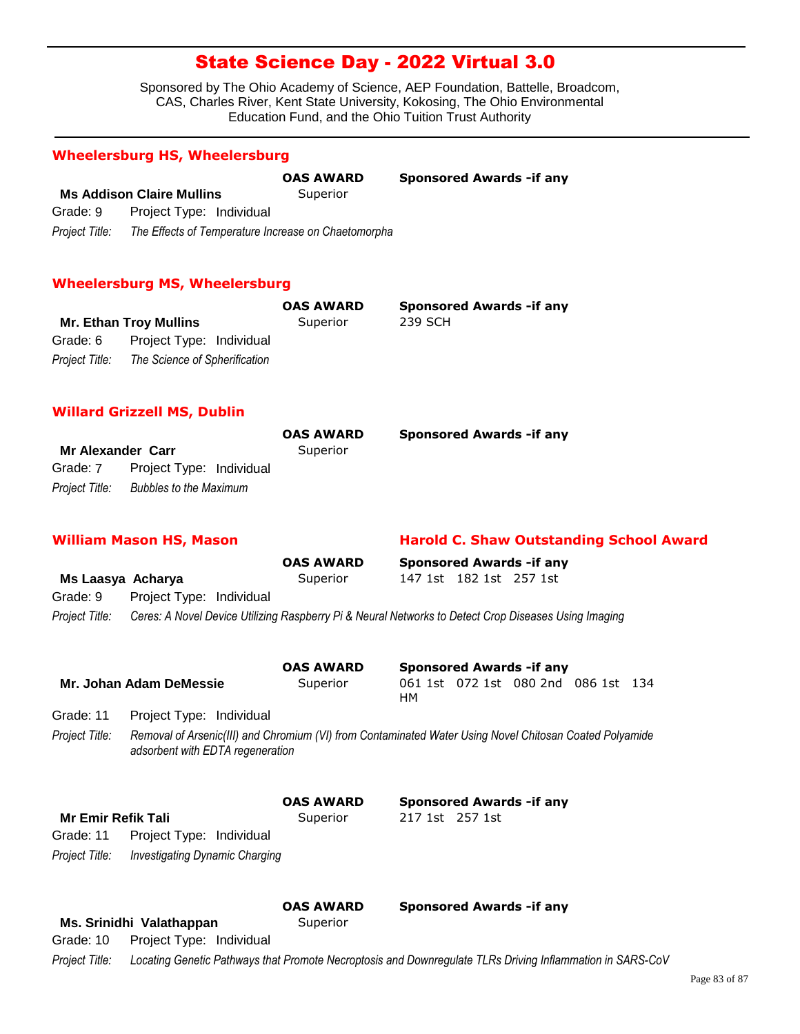Sponsored by The Ohio Academy of Science, AEP Foundation, Battelle, Broadcom, CAS, Charles River, Kent State University, Kokosing, The Ohio Environmental Education Fund, and the Ohio Tuition Trust Authority

### **Wheelersburg HS, Wheelersburg**

|                |                                                     | <b>OAS AWARD</b> | <b>Sponsored Awards - if any</b> |
|----------------|-----------------------------------------------------|------------------|----------------------------------|
|                | <b>Ms Addison Claire Mullins</b>                    | Superior         |                                  |
| Grade: 9       | Project Type: Individual                            |                  |                                  |
| Project Title: | The Effects of Temperature Increase on Chaetomorpha |                  |                                  |

#### **Wheelersburg MS, Wheelersburg**

|                               |                               | <b>OAS AWARD</b> | <b>Sponsored Awards - if any</b> |
|-------------------------------|-------------------------------|------------------|----------------------------------|
| <b>Mr. Ethan Troy Mullins</b> |                               | Superior         | 239 SCH                          |
| Grade: 6                      | Project Type: Individual      |                  |                                  |
| Project Title:                | The Science of Spherification |                  |                                  |

### **Willard Grizzell MS, Dublin**

|                          |                               | <b>OAS AWARD</b> | <b>Sponsored Awards - if any</b> |
|--------------------------|-------------------------------|------------------|----------------------------------|
| <b>Mr Alexander Carr</b> |                               | Superior         |                                  |
| Grade: 7                 | Project Type: Individual      |                  |                                  |
| Project Title:           | <b>Bubbles to the Maximum</b> |                  |                                  |

### **William Mason HS, Mason Harold C. Shaw Outstanding School Award**

|                   |                          | <b>OAS AWARD</b> | <b>Sponsored Awards - if any</b>                                                                     |  |  |
|-------------------|--------------------------|------------------|------------------------------------------------------------------------------------------------------|--|--|
| Ms Laasya Acharya |                          | Superior         | 147 1st 182 1st 257 1st                                                                              |  |  |
| Grade: 9          | Project Type: Individual |                  |                                                                                                      |  |  |
| Project Title:    |                          |                  | Ceres: A Novel Device Utilizing Raspberry Pi & Neural Networks to Detect Crop Diseases Using Imaging |  |  |

|                           |                                  | <b>OAS AWARD</b>                                                                                        |    |                 | <b>Sponsored Awards - if any</b>    |  |
|---------------------------|----------------------------------|---------------------------------------------------------------------------------------------------------|----|-----------------|-------------------------------------|--|
|                           | Mr. Johan Adam DeMessie          | Superior                                                                                                | HМ |                 | 061 1st 072 1st 080 2nd 086 1st 134 |  |
| Grade: 11                 | Project Type: Individual         |                                                                                                         |    |                 |                                     |  |
| Project Title:            | adsorbent with EDTA regeneration | Removal of Arsenic(III) and Chromium (VI) from Contaminated Water Using Novel Chitosan Coated Polyamide |    |                 |                                     |  |
| <b>Mr Emir Refik Tali</b> |                                  | <b>OAS AWARD</b><br>Superior                                                                            |    | 217 1st 257 1st | <b>Sponsored Awards - if any</b>    |  |

| Mr Emir Refik Tall |                          |  |
|--------------------|--------------------------|--|
| Grade: 11          | Project Type: Individual |  |

*Project Title: Investigating Dynamic Charging*

| <b>OAS AWARD</b> | <b>Sponsored Awards - if any</b> |
|------------------|----------------------------------|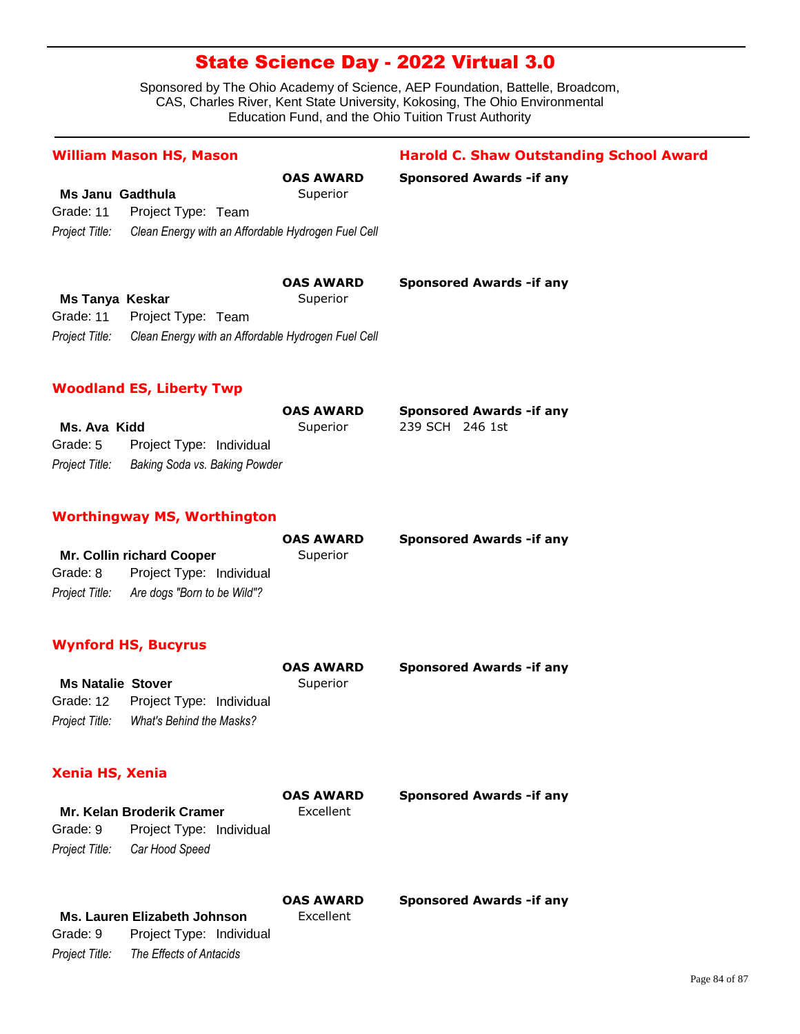Sponsored by The Ohio Academy of Science, AEP Foundation, Battelle, Broadcom, CAS, Charles River, Kent State University, Kokosing, The Ohio Environmental Education Fund, and the Ohio Tuition Trust Authority

# **Ms Janu Gadthula** Superior *Project Title: Clean Energy with an Affordable Hydrogen Fuel Cell* Grade: 11 Project Type: Team **OAS AWARD Sponsored Awards -if any** William Mason HS, Mason **Harold C. Shaw Outstanding School Award Ms Tanya Keskar** Superior *Project Title: Clean Energy with an Affordable Hydrogen Fuel Cell* Grade: 11 Project Type: Team **OAS AWARD Sponsored Awards -if any Ms. Ava Kidd** Superior 239 SCH 246 1st *Project Title: Baking Soda vs. Baking Powder* Grade: 5 Project Type: Individual **OAS AWARD Sponsored Awards -if any Woodland ES, Liberty Twp** Mr. Collin richard Cooper Superior *Project Title: Are dogs "Born to be Wild"?* Grade: 8 Project Type: Individual **OAS AWARD Sponsored Awards -if any Worthingway MS, Worthington Ms Natalie Stover** Superior *Project Title: What's Behind the Masks?* Grade: 12 Project Type: Individual **OAS AWARD Sponsored Awards -if any Wynford HS, Bucyrus Xenia HS, Xenia**

# **Mr. Kelan Broderik Cramer** Excellent *Project Title: Car Hood Speed* Grade: 9 Project Type: Individual **OAS AWARD Sponsored Awards -if any**

**OAS AWARD Sponsored Awards -if any**

| Ms. Lauren Elizabeth Johnson | Excellent                |  |
|------------------------------|--------------------------|--|
| Grade: 9                     | Project Type: Individual |  |
| Project Title:               | The Effects of Antacids  |  |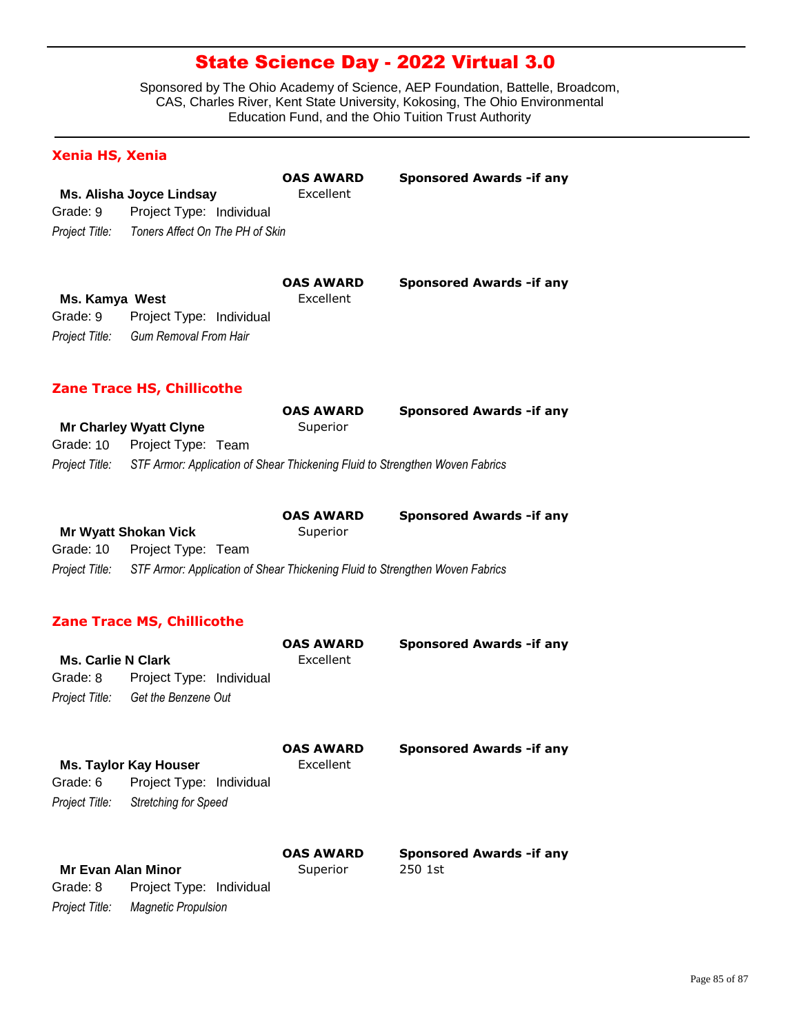Sponsored by The Ohio Academy of Science, AEP Foundation, Battelle, Broadcom, CAS, Charles River, Kent State University, Kokosing, The Ohio Environmental Education Fund, and the Ohio Tuition Trust Authority

### **Xenia HS, Xenia**

|                |                                 | <b>OAS AWARD</b> | <b>Sponsored Awards - if any</b> |
|----------------|---------------------------------|------------------|----------------------------------|
|                | Ms. Alisha Joyce Lindsay        | Excellent        |                                  |
| Grade: 9       | Project Type: Individual        |                  |                                  |
| Project Title: | Toners Affect On The PH of Skin |                  |                                  |
|                |                                 | <b>OAS AWARD</b> | <b>Sponsored Awards - if any</b> |

| Ms. Kamya West |                                   | Excellent |
|----------------|-----------------------------------|-----------|
|                | Grade: 9 Project Type: Individual |           |
| Project Title: | Gum Removal From Hair             |           |

### **Zane Trace HS, Chillicothe**

|                |                                                                              | <b>OAS AWARD</b> | <b>Sponsored Awards - if any</b> |
|----------------|------------------------------------------------------------------------------|------------------|----------------------------------|
|                | <b>Mr Charley Wyatt Clyne</b>                                                | Superior         |                                  |
|                | Grade: 10 Project Type: Team                                                 |                  |                                  |
| Project Title: | STF Armor: Application of Shear Thickening Fluid to Strengthen Woven Fabrics |                  |                                  |

|                |                                                                              | <b>OAS AWARD</b> | <b>Sponsored Awards - if any</b> |
|----------------|------------------------------------------------------------------------------|------------------|----------------------------------|
|                | <b>Mr Wyatt Shokan Vick</b>                                                  | Superior         |                                  |
|                | Grade: 10 Project Type: Team                                                 |                  |                                  |
| Project Title: | STF Armor: Application of Shear Thickening Fluid to Strengthen Woven Fabrics |                  |                                  |

### **Zane Trace MS, Chillicothe**

*Project Title: Magnetic Propulsion*

| <b>Ms. Carlie N Clark</b> |                             | <b>OAS AWARD</b><br>Excellent | <b>Sponsored Awards - if any</b> |
|---------------------------|-----------------------------|-------------------------------|----------------------------------|
| Grade: 8                  | Project Type: Individual    |                               |                                  |
| Project Title:            | Get the Benzene Out         |                               |                                  |
|                           | Ms. Taylor Kay Houser       | <b>OAS AWARD</b><br>Excellent | <b>Sponsored Awards - if any</b> |
| Grade: 6                  | Project Type: Individual    |                               |                                  |
| Project Title:            | <b>Stretching for Speed</b> |                               |                                  |
|                           |                             | <b>OAS AWARD</b>              | <b>Sponsored Awards - if any</b> |
| <b>Mr Evan Alan Minor</b> |                             | Superior                      | 250 1st                          |
| Grade: 8                  | Project Type: Individual    |                               |                                  |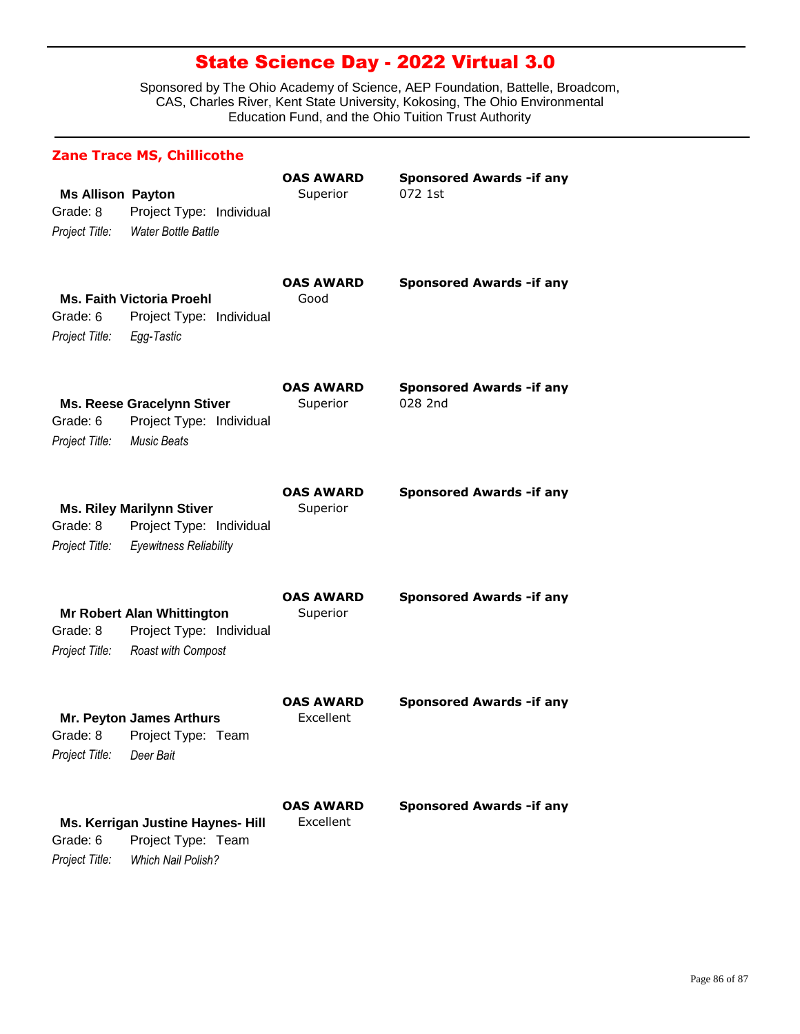|                                                        | <b>Zane Trace MS, Chillicothe</b>                                                             |                                      |                                             |
|--------------------------------------------------------|-----------------------------------------------------------------------------------------------|--------------------------------------|---------------------------------------------|
| <b>Ms Allison Payton</b><br>Grade: 8<br>Project Title: | Project Type: Individual<br>Water Bottle Battle                                               | <b>OAS AWARD</b><br>Superior         | <b>Sponsored Awards - if any</b><br>072 1st |
| Grade: 6<br>Project Title:                             | <b>Ms. Faith Victoria Proehl</b><br>Project Type: Individual<br>Egg-Tastic                    | <b>OAS AWARD</b><br>Good             | <b>Sponsored Awards - if any</b>            |
| Grade: 6<br>Project Title:                             | <b>Ms. Reese Gracelynn Stiver</b><br>Project Type: Individual<br><b>Music Beats</b>           | <b>OAS AWARD</b><br>Superior         | <b>Sponsored Awards - if any</b><br>028 2nd |
| Grade: 8<br>Project Title:                             | <b>Ms. Riley Marilynn Stiver</b><br>Project Type: Individual<br><b>Eyewitness Reliability</b> | <b>OAS AWARD</b><br>Superior         | <b>Sponsored Awards - if any</b>            |
| Grade: 8<br>Project Title:                             | <b>Mr Robert Alan Whittington</b><br>Project Type: Individual<br>Roast with Compost           | <b>OAS AWARD</b><br>Superior         | <b>Sponsored Awards - if any</b>            |
| Grade: 8<br>Project Title:                             | <b>Mr. Peyton James Arthurs</b><br>Project Type: Team<br>Deer Bait                            | <b>OAS AWARD</b><br><b>Excellent</b> | <b>Sponsored Awards - if any</b>            |
| Grade: 6<br>Project Title:                             | Ms. Kerrigan Justine Haynes- Hill<br>Project Type: Team<br>Which Nail Polish?                 | <b>OAS AWARD</b><br>Excellent        | <b>Sponsored Awards - if any</b>            |